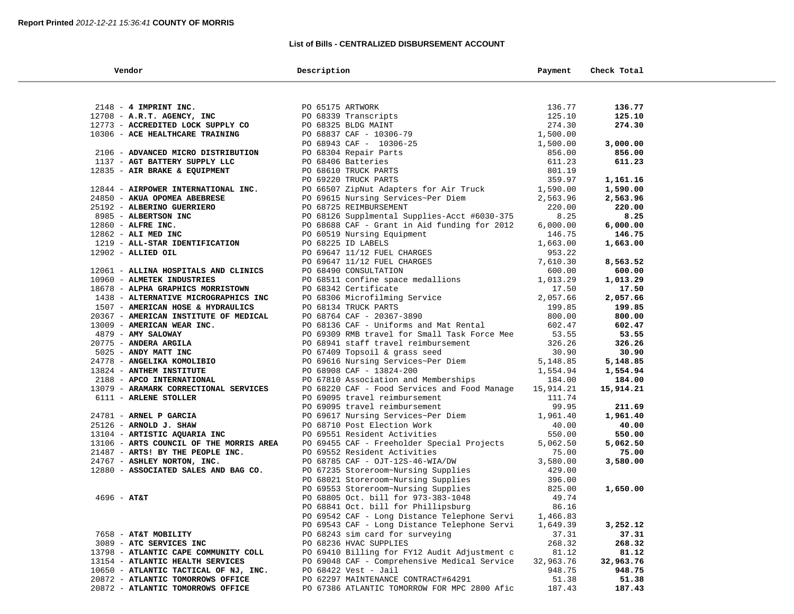### **List of Bills - CENTRALIZED DISBURSEMENT ACCOUNT**

| Vendor                                                                   | Description                                                                                                                                                                                                              | Payment            | Check Total         |  |
|--------------------------------------------------------------------------|--------------------------------------------------------------------------------------------------------------------------------------------------------------------------------------------------------------------------|--------------------|---------------------|--|
|                                                                          |                                                                                                                                                                                                                          |                    |                     |  |
| 2148 - 4 IMPRINT INC.                                                    | PO 68339 Transcripts<br>PO 68339 Transcripts<br>PO 68325 BLDG MAINT<br>PO 68837 CAF - 10306-79<br>PO 68943 CAF - 10306-25<br>PO 68304 Repair Parts<br>PO 68406 Batteries<br>PO 68610 TRUCK PARTS<br>PO 69220 TRUCK PARTS | 136.77             | 136.77              |  |
| 12708 - A.R.T. AGENCY, INC                                               |                                                                                                                                                                                                                          | 125.10             | 125.10              |  |
| 12773 - ACCREDITED LOCK SUPPLY CO                                        |                                                                                                                                                                                                                          | 274.30             | 274.30              |  |
| 10306 - ACE HEALTHCARE TRAINING                                          |                                                                                                                                                                                                                          | 1,500.00           |                     |  |
|                                                                          |                                                                                                                                                                                                                          | 1,500.00           | 3,000.00            |  |
| 2106 - ADVANCED MICRO DISTRIBUTION                                       |                                                                                                                                                                                                                          | 856.00             | 856.00              |  |
| 1137 - AGT BATTERY SUPPLY LLC                                            |                                                                                                                                                                                                                          | 611.23             | 611.23              |  |
| 12835 - AIR BRAKE & EQUIPMENT                                            |                                                                                                                                                                                                                          | 801.19             |                     |  |
|                                                                          | PO 69220 TRUCK PARTS                                                                                                                                                                                                     | 359.97             | 1,161.16            |  |
| 12844 - AIRPOWER INTERNATIONAL INC.                                      | PO 66507 ZipNut Adapters for Air Truck                                                                                                                                                                                   | 1,590.00           | 1,590.00            |  |
| 24850 - AKUA OPOMEA ABEBRESE                                             | PO 69615 Nursing Services~Per Diem                                                                                                                                                                                       | 2,563.96           | 2,563.96            |  |
| 25192 - ALBERINO GUERRIERO                                               | PO 68725 REIMBURSEMENT                                                                                                                                                                                                   | 220.00             | 220.00              |  |
| 8985 - ALBERTSON INC                                                     | PO 68126 Supplmental Supplies-Acct #6030-375                                                                                                                                                                             | 8.25               | 8.25                |  |
| 12860 - ALFRE INC.                                                       | PO 68688 CAF - Grant in Aid funding for 2012                                                                                                                                                                             | 6,000.00           | 6,000.00            |  |
| 12862 - ALI MED INC                                                      | PO 60519 Nursing Equipment                                                                                                                                                                                               | 146.75             | 146.75              |  |
| 1219 - ALL-STAR IDENTIFICATION                                           | PO 68225 ID LABELS                                                                                                                                                                                                       | 1,663.00           | 1,663.00            |  |
| 12902 - ALLIED OIL                                                       | PO 69647 11/12 FUEL CHARGES                                                                                                                                                                                              | 953.22             |                     |  |
|                                                                          |                                                                                                                                                                                                                          | 7,610.30           | 8,563.52            |  |
| 12061 - ALLINA HOSPITALS AND CLINICS                                     |                                                                                                                                                                                                                          | 600.00             | 600.00              |  |
| 10960 - ALMETEK INDUSTRIES                                               |                                                                                                                                                                                                                          | 1,013.29           | 1,013.29            |  |
| 18678 - ALPHA GRAPHICS MORRISTOWN                                        | PO 68490 CONSULTATION<br>PO 68511 confine space medallions<br>PO 68342 Certificate<br>PO 68306 Microsoft                                                                                                                 | 17.50              | 17.50               |  |
| 1438 - ALTERNATIVE MICROGRAPHICS INC                                     | PO 66316 Microfilming Service<br>PO 68134 TRUCK PARTS<br>PO 68134 TRUCK PARTS                                                                                                                                            | 2,057.66           | 2,057.66            |  |
| 1507 - AMERICAN HOSE & HYDRAULICS                                        |                                                                                                                                                                                                                          | 199.85             | 199.85              |  |
| 20367 - AMERICAN INSTITUTE OF MEDICAL                                    |                                                                                                                                                                                                                          | 800.00             | 800.00              |  |
| 13009 - AMERICAN WEAR INC.                                               | PO 68136 CAF - Uniforms and Mat Rental                                                                                                                                                                                   | 602.47             | 602.47              |  |
| 4879 - AMY SALOWAY                                                       | PO 69309 RMB travel for Small Task Force Mee                                                                                                                                                                             | 53.55              | 53.55               |  |
| 20775 - ANDERA ARGILA<br>5025 - ANDY MATT INC                            | PO 68941 staff travel reimbursement<br>PO 67409 Topsoil & grass seed                                                                                                                                                     | 326.26<br>30.90    | 326.26<br>30.90     |  |
| 24778 - ANGELIKA KOMOLIBIO                                               | PO 69616 Nursing Services~Per Diem                                                                                                                                                                                       | 5,148.85           | 5,148.85            |  |
| 13824 - ANTHEM INSTITUTE                                                 | PO 68908 CAF - 13824-200                                                                                                                                                                                                 | 1,554.94           | 1,554.94            |  |
| 2188 - APCO INTERNATIONAL                                                | PO 67810 Association and Memberships                                                                                                                                                                                     | 184.00             | 184.00              |  |
| 13079 - ARAMARK CORRECTIONAL SERVICES                                    | PO 68220 CAF - Food Services and Food Manage                                                                                                                                                                             | 15,914.21          | 15,914.21           |  |
| 6111 - ARLENE STOLLER                                                    | PO 69095 travel reimbursement                                                                                                                                                                                            | 111.74             |                     |  |
|                                                                          | PO 69095 travel reimbursement                                                                                                                                                                                            | 99.95              | 211.69              |  |
| 24781 - ARNEL P GARCIA                                                   | PO 69617 Nursing Services~Per Diem                                                                                                                                                                                       | 1,961.40           | 1,961.40            |  |
| 25126 - ARNOLD J. SHAW                                                   | PO 68710 Post Election Work                                                                                                                                                                                              | 40.00              | 40.00               |  |
| 13104 - ARTISTIC AQUARIA INC                                             | PO 69551 Resident Activities                                                                                                                                                                                             | 550.00             | 550.00              |  |
| 13106 - ARTS COUNCIL OF THE MORRIS AREA                                  | PO 69455 CAF - Freeholder Special Projects                                                                                                                                                                               | 5,062.50           | 5,062.50            |  |
| 21487 - ARTS! BY THE PEOPLE INC.                                         | PO 69552 Resident Activities                                                                                                                                                                                             | 75.00              | 75.00               |  |
| 24767 - ASHLEY NORTON, INC.                                              | PO 68785 CAF - OJT-12S-46-WIA/DW                                                                                                                                                                                         | 3,580.00           | 3,580.00            |  |
| 12880 - ASSOCIATED SALES AND BAG CO.                                     | PO 67235 Storeroom~Nursing Supplies                                                                                                                                                                                      | 429.00             |                     |  |
|                                                                          | PO 68021 Storeroom~Nursing Supplies                                                                                                                                                                                      | 396.00             |                     |  |
|                                                                          | PO 69553 Storeroom~Nursing Supplies                                                                                                                                                                                      | 825.00             | 1,650.00            |  |
| $4696 - AT&T$                                                            | PO 68805 Oct. bill for 973-383-1048                                                                                                                                                                                      | 49.74              |                     |  |
|                                                                          | PO 68841 Oct. bill for Phillipsburg                                                                                                                                                                                      | 86.16              |                     |  |
|                                                                          | PO 69542 CAF - Long Distance Telephone Servi                                                                                                                                                                             | 1,466.83           |                     |  |
|                                                                          | PO 69543 CAF - Long Distance Telephone Servi                                                                                                                                                                             | 1,649.39           | 3,252.12            |  |
| 7658 - AT&T MOBILITY                                                     | PO 68243 sim card for surveying                                                                                                                                                                                          | 37.31              | 37.31               |  |
| 3089 - ATC SERVICES INC                                                  | PO 68236 HVAC SUPPLIES                                                                                                                                                                                                   | 268.32             | 268.32              |  |
| 13798 - ATLANTIC CAPE COMMUNITY COLL<br>13154 - ATLANTIC HEALTH SERVICES | PO 69410 Billing for FY12 Audit Adjustment c                                                                                                                                                                             | 81.12<br>32,963.76 | 81.12               |  |
| 10650 - ATLANTIC TACTICAL OF NJ, INC.                                    | PO 69048 CAF - Comprehensive Medical Service<br>PO $68422$ Vest - Jail                                                                                                                                                   | 948.75             | 32,963.76<br>948.75 |  |
| 20872 - ATLANTIC TOMORROWS OFFICE                                        | PO 62297 MAINTENANCE CONTRACT#64291                                                                                                                                                                                      | 51.38              | 51.38               |  |
| 20872 - ATLANTIC TOMORROWS OFFICE                                        | PO 67386 ATLANTIC TOMORROW FOR MPC 2800 Afic                                                                                                                                                                             | 187.43             | 187.43              |  |
|                                                                          |                                                                                                                                                                                                                          |                    |                     |  |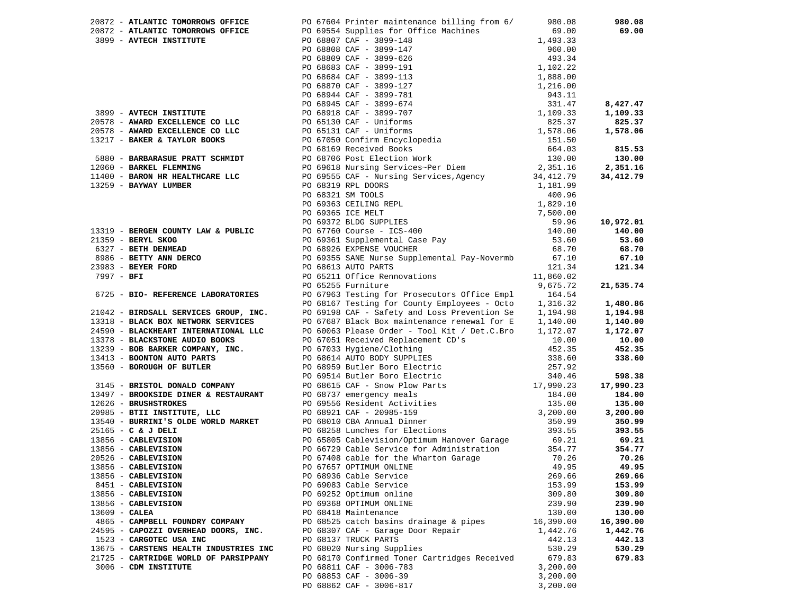|                                        | 20872 - ATLANTIC TOMORROWS OFFICE<br>20872 - ATLANTIC TOMORROWS OFFICE<br>3899 - AVTECH INSTITUTE | PO 67604 Printer maintenance billing from 6/<br>PO 69554 Supplies for Office Machines<br>PO 68807 CAF - 3899-148<br>PO 68808 CAF - 3899-147<br>PO 68808 CAF - 3899-147<br>PO 68809 CAF - 3899-626<br>PO 68809 CAF - 3899-191<br>PO 68683 CAF - 3899-127<br>PO 68684 CAF - 3899-127<br>PO 68944 CAF - 3899-781<br>PO 68944 CAF - 3899-781<br>PO 68945 CAF - 3899-674<br>943.11<br>PO 68918 CAF - | 980.08<br>69.00<br>1,493.33<br>960.00 | 980.08<br>69.00      |
|----------------------------------------|---------------------------------------------------------------------------------------------------|-------------------------------------------------------------------------------------------------------------------------------------------------------------------------------------------------------------------------------------------------------------------------------------------------------------------------------------------------------------------------------------------------|---------------------------------------|----------------------|
|                                        |                                                                                                   |                                                                                                                                                                                                                                                                                                                                                                                                 |                                       |                      |
|                                        | 3899 - AVTECH INSTITUTE                                                                           |                                                                                                                                                                                                                                                                                                                                                                                                 |                                       | 8,427.47<br>1,109.33 |
|                                        | 20578 - AWARD EXCELLENCE CO LLC                                                                   |                                                                                                                                                                                                                                                                                                                                                                                                 |                                       | 825.37               |
|                                        | 20578 - AWARD EXCELLENCE CO LLC                                                                   |                                                                                                                                                                                                                                                                                                                                                                                                 |                                       | 1,578.06             |
|                                        | 13217 - BAKER & TAYLOR BOOKS                                                                      |                                                                                                                                                                                                                                                                                                                                                                                                 |                                       |                      |
|                                        |                                                                                                   |                                                                                                                                                                                                                                                                                                                                                                                                 |                                       | 815.53               |
|                                        | 5880 - BARBARASUE PRATT SCHMIDT                                                                   |                                                                                                                                                                                                                                                                                                                                                                                                 |                                       | 130.00               |
|                                        | 12060 - BARKEL FLEMMING                                                                           |                                                                                                                                                                                                                                                                                                                                                                                                 |                                       | 2,351.16             |
|                                        | 11400 - BARON HR HEALTHCARE LLC                                                                   | PO 69555 CAF - Nursing Services, Agency                                                                                                                                                                                                                                                                                                                                                         | 34,412.79                             | 34,412.79            |
| 13259 - BAYWAY LUMBER                  |                                                                                                   | PO 68319 RPL DOORS<br>PO 68321 SM TOOLS<br>PO 69363 CEILING REPL<br>PO 69365 ICE MELT<br>PO 69372 BLDG SUPPLIES<br>PO 67760 Course - ICS-400<br>PO 69361 Supplemental Case Pay<br>TO 69361 Supplemental Case Pay                                                                                                                                                                                | 1,181.99                              |                      |
|                                        |                                                                                                   |                                                                                                                                                                                                                                                                                                                                                                                                 | 400.96                                |                      |
|                                        |                                                                                                   |                                                                                                                                                                                                                                                                                                                                                                                                 | 1,829.10                              |                      |
|                                        |                                                                                                   |                                                                                                                                                                                                                                                                                                                                                                                                 | 7,500.00                              |                      |
|                                        |                                                                                                   |                                                                                                                                                                                                                                                                                                                                                                                                 | 59.96<br>140.00                       | 10,972.01            |
| $21359$ - BERYL SKOG                   | 13319 - BERGEN COUNTY LAW & PUBLIC                                                                |                                                                                                                                                                                                                                                                                                                                                                                                 | 53.60                                 | 140.00<br>53.60      |
| 6327 - BETH DENMEAD                    |                                                                                                   |                                                                                                                                                                                                                                                                                                                                                                                                 | 68.70                                 | 68.70                |
|                                        | 8986 - BETTY ANN DERCO                                                                            | PO 69355 SANE Nurse Supplemental Pay-Novermb                                                                                                                                                                                                                                                                                                                                                    | 67.10                                 | 67.10                |
| 23983 - BEYER FORD                     |                                                                                                   | PO 68613 AUTO PARTS                                                                                                                                                                                                                                                                                                                                                                             | 121.34                                | 121.34               |
| 7997 - BFI                             |                                                                                                   | PO 65211 Office Rennovations                                                                                                                                                                                                                                                                                                                                                                    | 11,860.02                             |                      |
|                                        |                                                                                                   | PO 65255 Furniture                                                                                                                                                                                                                                                                                                                                                                              | 9,675.72                              | 21,535.74            |
|                                        | 6725 - BIO- REFERENCE LABORATORIES                                                                | PO 67963 Testing for Prosecutors Office Empl                                                                                                                                                                                                                                                                                                                                                    | 164.54                                |                      |
|                                        |                                                                                                   | PO 68167 Testing for County Employees - Octo                                                                                                                                                                                                                                                                                                                                                    | 1,316.32                              | 1,480.86             |
|                                        | 21042 - BIRDSALL SERVICES GROUP, INC.                                                             | PO 69198 CAF - Safety and Loss Prevention Se                                                                                                                                                                                                                                                                                                                                                    | 1,194.98                              | 1,194.98             |
|                                        | 13318 - BLACK BOX NETWORK SERVICES                                                                | PO 67687 Black Box maintenance renewal for E                                                                                                                                                                                                                                                                                                                                                    | 1,140.00                              | 1,140.00             |
|                                        | 24590 - BLACKHEART INTERNATIONAL LLC                                                              | PO 60063 Please Order - Tool Kit / Det.C.Bro                                                                                                                                                                                                                                                                                                                                                    | 1,172.07                              | 1,172.07             |
|                                        | 13378 - BLACKSTONE AUDIO BOOKS                                                                    | PO 60005 Ficase Sines<br>PO 67051 Received Replacement CD's<br>PO 67033 Hygiene/Clothing<br>DO 68614 AUTO BODY SUPPLIES                                                                                                                                                                                                                                                                         | 10.00                                 | 10.00                |
|                                        | 13239 - BOB BARKER COMPANY, INC.                                                                  |                                                                                                                                                                                                                                                                                                                                                                                                 | 452.35                                | 452.35               |
|                                        | 13413 - BOONTON AUTO PARTS                                                                        | PO 68614 AUTO BODY SUPPLIES<br>PO 68959 Butler Boro Electric                                                                                                                                                                                                                                                                                                                                    | 338.60                                | 338.60               |
|                                        | 13560 - BOROUGH OF BUTLER                                                                         |                                                                                                                                                                                                                                                                                                                                                                                                 | 257.92                                |                      |
|                                        | 3145 - BRISTOL DONALD COMPANY                                                                     | PO 69514 Butler Boro Electric 340.46<br>PO 68615 CAF - Snow Plow Parts 17,990.23                                                                                                                                                                                                                                                                                                                |                                       | 598.38<br>17,990.23  |
|                                        | 13497 - BROOKSIDE DINER & RESTAURANT                                                              | PO 68737 emergency meals                                                                                                                                                                                                                                                                                                                                                                        | 184.00                                | 184.00               |
| 12626 - BRUSHSTROKES                   |                                                                                                   | PO 68737 emergency meals<br>PO 69556 Resident Activities                                                                                                                                                                                                                                                                                                                                        | 135.00                                | 135.00               |
|                                        | 20985 - BTII INSTITUTE, LLC                                                                       |                                                                                                                                                                                                                                                                                                                                                                                                 | 3,200.00                              | 3,200.00             |
|                                        | 13540 - BURRINI'S OLDE WORLD MARKET                                                               | PO 68921 CAF - 20985-159<br>PO 68010 CBA Annual Dinner<br>PO 68258 Lunches for Elections                                                                                                                                                                                                                                                                                                        | 350.99                                | 350.99               |
| 25165 - C & J DELI                     |                                                                                                   |                                                                                                                                                                                                                                                                                                                                                                                                 | 393.55                                | 393.55               |
| 13856 - CABLEVISION                    |                                                                                                   | PO 65805 Cablevision/Optimum Hanover Garage                                                                                                                                                                                                                                                                                                                                                     | 69.21                                 | 69.21                |
| 13856 - CABLEVISION                    |                                                                                                   | PO 66729 Cable Service for Administration                                                                                                                                                                                                                                                                                                                                                       | 354.77                                | 354.77               |
| 20526 - CABLEVISION                    |                                                                                                   | PO 67408 cable for the Wharton Garage                                                                                                                                                                                                                                                                                                                                                           | 70.26                                 | 70.26                |
| 13856 - CABLEVISION                    |                                                                                                   | PO 67657 OPTIMUM ONLINE                                                                                                                                                                                                                                                                                                                                                                         | 49.95                                 | 49.95                |
| 13856 - CABLEVISION                    |                                                                                                   | PO 68936 Cable Service                                                                                                                                                                                                                                                                                                                                                                          | 269.66                                | 269.66               |
| 8451 - CABLEVISION                     |                                                                                                   | PO 69083 Cable Service                                                                                                                                                                                                                                                                                                                                                                          | 153.99                                | 153.99               |
| 13856 - CABLEVISION                    |                                                                                                   | PO 69252 Optimum online                                                                                                                                                                                                                                                                                                                                                                         | 309.80                                | 309.80               |
| 13856 - CABLEVISION<br>$13609 - CALEA$ |                                                                                                   | PO 69368 OPTIMUM ONLINE<br>PO 68418 Maintenance                                                                                                                                                                                                                                                                                                                                                 | 239.90<br>130.00                      | 239.90<br>130.00     |
|                                        | 4865 - CAMPBELL FOUNDRY COMPANY                                                                   | PO 68525 catch basins drainage & pipes                                                                                                                                                                                                                                                                                                                                                          | 16,390.00                             | 16,390.00            |
|                                        | 24595 - CAPOZZI OVERHEAD DOORS, INC.                                                              | PO 68307 CAF - Garage Door Repair                                                                                                                                                                                                                                                                                                                                                               | 1,442.76                              | 1,442.76             |
|                                        | 1523 - CARGOTEC USA INC                                                                           | PO 68137 TRUCK PARTS                                                                                                                                                                                                                                                                                                                                                                            | 442.13                                | 442.13               |
|                                        | 13675 - CARSTENS HEALTH INDUSTRIES INC                                                            | PO 68020 Nursing Supplies                                                                                                                                                                                                                                                                                                                                                                       | 530.29                                | 530.29               |
|                                        | 21725 - CARTRIDGE WORLD OF PARSIPPANY                                                             | PO 68170 Confirmed Toner Cartridges Received                                                                                                                                                                                                                                                                                                                                                    | 679.83                                | 679.83               |
|                                        | 3006 - CDM INSTITUTE                                                                              | PO 68811 CAF - 3006-783                                                                                                                                                                                                                                                                                                                                                                         | 3,200.00                              |                      |
|                                        |                                                                                                   | PO 68853 CAF - 3006-39                                                                                                                                                                                                                                                                                                                                                                          | 3,200.00                              |                      |
|                                        |                                                                                                   | PO 68862 CAF - 3006-817                                                                                                                                                                                                                                                                                                                                                                         | 3,200.00                              |                      |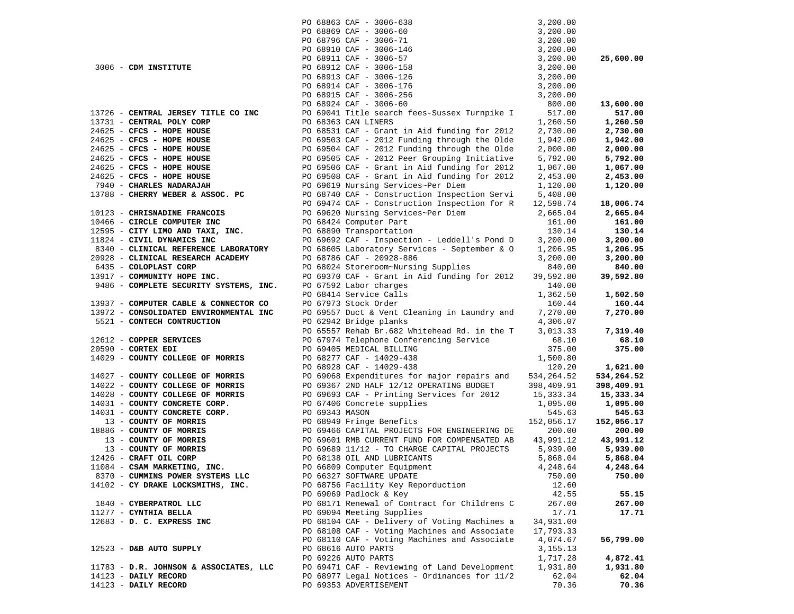|                                        |                | PO 68863 CAF - 3006-638                      | 3,200.00    |            |
|----------------------------------------|----------------|----------------------------------------------|-------------|------------|
|                                        |                | PO 68869 CAF - 3006-60                       | 3,200.00    |            |
|                                        |                | PO 68796 CAF - 3006-71                       | 3,200.00    |            |
|                                        |                | PO 68910 CAF - 3006-146                      | 3,200.00    |            |
|                                        |                | PO 68911 CAF - 3006-57                       | 3,200.00    | 25,600.00  |
| 3006 - CDM INSTITUTE                   |                | PO 68912 CAF - 3006-158                      | 3,200.00    |            |
|                                        |                | PO 68913 CAF - 3006-126                      | 3,200.00    |            |
|                                        |                | PO 68914 CAF - 3006-176                      | 3,200.00    |            |
|                                        |                | PO 68915 CAF - 3006-256                      | 3,200.00    |            |
|                                        |                | PO 68924 CAF - 3006-60                       | 800.00      | 13,600.00  |
| 13726 - CENTRAL JERSEY TITLE CO INC    |                | PO 69041 Title search fees-Sussex Turnpike I | 517.00      | 517.00     |
| 13731 - CENTRAL POLY CORP              |                | PO 68363 CAN LINERS                          | 1,260.50    | 1,260.50   |
| 24625 - CFCS - HOPE HOUSE              |                | PO 68531 CAF - Grant in Aid funding for 2012 | 2,730.00    | 2,730.00   |
| 24625 - CFCS - HOPE HOUSE              |                | PO 69503 CAF - 2012 Funding through the Olde | 1,942.00    | 1,942.00   |
| 24625 - CFCS - HOPE HOUSE              |                | PO 69504 CAF - 2012 Funding through the Olde | 2,000.00    | 2,000.00   |
| 24625 - CFCS - HOPE HOUSE              |                | PO 69505 CAF - 2012 Peer Grouping Initiative | 5,792.00    | 5,792.00   |
| 24625 - CFCS - HOPE HOUSE              |                | PO 69506 CAF - Grant in Aid funding for 2012 | 1,067.00    | 1,067.00   |
| 24625 - CFCS - HOPE HOUSE              |                | PO 69508 CAF - Grant in Aid funding for 2012 | 2,453.00    | 2,453.00   |
| 7940 - CHARLES NADARAJAH               |                | PO 69619 Nursing Services~Per Diem           | 1,120.00    | 1,120.00   |
| 13788 - CHERRY WEBER & ASSOC. PC       |                | PO 68740 CAF - Construction Inspection Servi | 5,408.00    |            |
|                                        |                | PO 69474 CAF - Construction Inspection for R | 12,598.74   | 18,006.74  |
| 10123 - CHRISNADINE FRANCOIS           |                | PO 69620 Nursing Services~Per Diem           | 2,665.04    | 2,665.04   |
| 10466 - CIRCLE COMPUTER INC            |                | PO 68424 Computer Part                       | 161.00      | 161.00     |
| 12595 - CITY LIMO AND TAXI, INC.       |                | PO 68890 Transportation                      | 130.14      | 130.14     |
| 11824 - CIVIL DYNAMICS INC             |                | PO 69692 CAF - Inspection - Leddell's Pond D | 3,200.00    | 3,200.00   |
| 8340 - CLINICAL REFERENCE LABORATORY   |                | PO 68605 Laboratory Services - September & O | 1,206.95    | 1,206.95   |
| 20928 - CLINICAL RESEARCH ACADEMY      |                | PO 68786 CAF - 20928-886                     | 3,200.00    | 3,200.00   |
| 6435 - COLOPLAST CORP                  |                | PO 68024 Storeroom~Nursing Supplies          | 840.00      | 840.00     |
| 13917 - COMMUNITY HOPE INC.            |                | PO 69370 CAF - Grant in Aid funding for 2012 | 39,592.80   | 39,592.80  |
| 9486 - COMPLETE SECURITY SYSTEMS, INC. |                | PO 67592 Labor charges                       | 140.00      |            |
|                                        |                | PO 68414 Service Calls                       | 1,362.50    | 1,502.50   |
| 13937 - COMPUTER CABLE & CONNECTOR CO  |                | PO 67973 Stock Order                         | 160.44      | 160.44     |
| 13972 - CONSOLIDATED ENVIRONMENTAL INC |                | PO 69557 Duct & Vent Cleaning in Laundry and | 7,270.00    | 7,270.00   |
| 5521 - CONTECH CONTRUCTION             |                | PO 62942 Bridge planks                       | 4,306.07    |            |
|                                        |                | PO 65557 Rehab Br.682 Whitehead Rd. in the T | 3,013.33    | 7,319.40   |
| 12612 - COPPER SERVICES                |                | PO 67974 Telephone Conferencing Service      | 68.10       | 68.10      |
| $20590$ - CORTEX EDI                   |                | PO 69405 MEDICAL BILLING                     | 375.00      | 375.00     |
| 14029 - COUNTY COLLEGE OF MORRIS       |                | PO 68277 CAF - 14029-438                     | 1,500.80    |            |
|                                        |                | PO 68928 CAF - 14029-438                     | 120.20      | 1,621.00   |
| 14027 - COUNTY COLLEGE OF MORRIS       |                | PO 69068 Expenditures for major repairs and  | 534, 264.52 | 534,264.52 |
| 14022 - COUNTY COLLEGE OF MORRIS       |                | PO 69367 2ND HALF 12/12 OPERATING BUDGET     | 398,409.91  | 398,409.91 |
| 14028 - COUNTY COLLEGE OF MORRIS       |                | PO 69693 CAF - Printing Services for 2012    | 15,333.34   | 15,333.34  |
| 14031 - COUNTY CONCRETE CORP.          |                | PO 67406 Concrete supplies                   | 1,095.00    | 1,095.00   |
| 14031 - COUNTY CONCRETE CORP.          | PO 69343 MASON |                                              | 545.63      | 545.63     |
| 13 - COUNTY OF MORRIS                  |                | PO 68949 Fringe Benefits                     | 152,056.17  | 152,056.17 |
| 18886 - COUNTY OF MORRIS               |                | PO 69466 CAPITAL PROJECTS FOR ENGINEERING DE | 200.00      | 200.00     |
| 13 - COUNTY OF MORRIS                  |                | PO 69601 RMB CURRENT FUND FOR COMPENSATED AB | 43,991.12   | 43,991.12  |
| 13 - COUNTY OF MORRIS                  |                | PO 69689 11/12 - TO CHARGE CAPITAL PROJECTS  | 5,939.00    | 5,939.00   |
| 12426 - CRAFT OIL CORP                 |                | PO 68138 OIL AND LUBRICANTS                  | 5,868.04    | 5,868.04   |
| 11084 - CSAM MARKETING, INC.           |                | PO 66809 Computer Equipment                  | 4,248.64    | 4,248.64   |
| 8370 - CUMMINS POWER SYSTEMS LLC       |                | PO 66327 SOFTWARE UPDATE                     | 750.00      | 750.00     |
| 14102 - CY DRAKE LOCKSMITHS, INC.      |                | PO 68756 Facility Key Reporduction           | 12.60       |            |
|                                        |                | PO 69069 Padlock & Key                       | 42.55       | 55.15      |
| 1840 - CYBERPATROL LLC                 |                | PO 68171 Renewal of Contract for Childrens C | 267.00      | 267.00     |
| 11277 - CYNTHIA BELLA                  |                | PO 69094 Meeting Supplies                    | 17.71       | 17.71      |
| 12683 - D. C. EXPRESS INC              |                | PO 68104 CAF - Delivery of Voting Machines a | 34,931.00   |            |
|                                        |                | PO 68108 CAF - Voting Machines and Associate | 17,793.33   |            |
|                                        |                | PO 68110 CAF - Voting Machines and Associate | 4,074.67    | 56,799.00  |
| $12523$ - D&B AUTO SUPPLY              |                | PO 68616 AUTO PARTS                          | 3, 155. 13  |            |
|                                        |                | PO 69226 AUTO PARTS                          | 1,717.28    | 4,872.41   |
| 11783 - D.R. JOHNSON & ASSOCIATES, LLC |                | PO 69471 CAF - Reviewing of Land Development | 1,931.80    | 1,931.80   |
| 14123 - DAILY RECORD                   |                | PO 68977 Legal Notices - Ordinances for 11/2 | 62.04       | 62.04      |
| 14123 - DAILY RECORD                   |                | PO 69353 ADVERTISEMENT                       | 70.36       | 70.36      |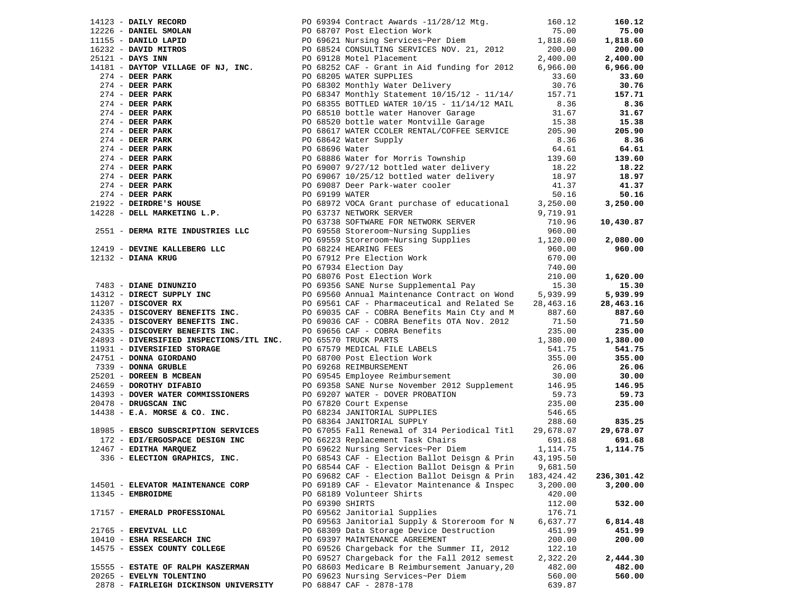|                                       |                                                                                                                                                                                                                                              |             | 160.12     |
|---------------------------------------|----------------------------------------------------------------------------------------------------------------------------------------------------------------------------------------------------------------------------------------------|-------------|------------|
|                                       |                                                                                                                                                                                                                                              |             | 75.00      |
|                                       |                                                                                                                                                                                                                                              |             | 1,818.60   |
|                                       |                                                                                                                                                                                                                                              |             | 200.00     |
|                                       |                                                                                                                                                                                                                                              |             | 2,400.00   |
|                                       | 14234 - DATEV NEGONDR PROGRESS AND 1981 Contract Awards - 11/28/12 Mg, 160.13<br>12226 - DANTEL BOOTANY 110 DESCRIPTION 100 1213 Mg, 100 1213 Mg, 100 1213 Mg, 100 1213 Mg, 100 1213 - DANTEL BOOTANY INTERNATION 12326 - DANTE              |             | 6,966.00   |
|                                       |                                                                                                                                                                                                                                              |             | 33.60      |
|                                       |                                                                                                                                                                                                                                              |             | 30.76      |
|                                       |                                                                                                                                                                                                                                              |             | 157.71     |
|                                       |                                                                                                                                                                                                                                              |             | 8.36       |
|                                       |                                                                                                                                                                                                                                              |             |            |
|                                       | PO 68355 BOTTLED WATER 10/15 - 11/14/12 MAIL<br>PO 68510 bottle water Hanover Garage 31.67<br>PO 68520 bottle water Montville Garage 15.38<br>PO 68617 WATER COLER RENTAL/COFFEE SERVICE 205.90                                              |             | 31.67      |
|                                       |                                                                                                                                                                                                                                              |             | 15.38      |
|                                       |                                                                                                                                                                                                                                              |             | 205.90     |
|                                       |                                                                                                                                                                                                                                              |             | 8.36       |
|                                       |                                                                                                                                                                                                                                              |             | 64.61      |
|                                       |                                                                                                                                                                                                                                              |             | 139.60     |
|                                       |                                                                                                                                                                                                                                              |             | 18.22      |
|                                       |                                                                                                                                                                                                                                              |             | 18.97      |
|                                       |                                                                                                                                                                                                                                              |             | 41.37      |
|                                       |                                                                                                                                                                                                                                              |             | 50.16      |
|                                       |                                                                                                                                                                                                                                              |             | 3,250.00   |
|                                       |                                                                                                                                                                                                                                              |             |            |
|                                       |                                                                                                                                                                                                                                              |             |            |
|                                       |                                                                                                                                                                                                                                              |             | 10,430.87  |
|                                       |                                                                                                                                                                                                                                              |             |            |
|                                       |                                                                                                                                                                                                                                              |             | 2,080.00   |
|                                       |                                                                                                                                                                                                                                              |             | 960.00     |
|                                       |                                                                                                                                                                                                                                              |             |            |
|                                       |                                                                                                                                                                                                                                              |             |            |
|                                       |                                                                                                                                                                                                                                              |             | 1,620.00   |
|                                       |                                                                                                                                                                                                                                              |             | 15.30      |
|                                       |                                                                                                                                                                                                                                              |             | 5,939.99   |
|                                       |                                                                                                                                                                                                                                              |             | 28,463.16  |
|                                       |                                                                                                                                                                                                                                              |             | 887.60     |
|                                       |                                                                                                                                                                                                                                              |             | 71.50      |
|                                       |                                                                                                                                                                                                                                              |             | 235.00     |
|                                       |                                                                                                                                                                                                                                              |             | 1,380.00   |
|                                       |                                                                                                                                                                                                                                              |             |            |
|                                       |                                                                                                                                                                                                                                              |             | 541.75     |
|                                       |                                                                                                                                                                                                                                              |             | 355.00     |
|                                       |                                                                                                                                                                                                                                              |             | 26.06      |
|                                       |                                                                                                                                                                                                                                              |             | 30.00      |
|                                       |                                                                                                                                                                                                                                              |             | 146.95     |
|                                       |                                                                                                                                                                                                                                              |             | 59.73      |
|                                       |                                                                                                                                                                                                                                              |             | 235.00     |
|                                       |                                                                                                                                                                                                                                              |             |            |
|                                       |                                                                                                                                                                                                                                              |             | 835.25     |
|                                       | 18985 - EBSCO SUBSCRIPTION SERVICES<br>172 - EDI/ERGOSPACE DESIGN INC<br>172 - EDI/ERGOSPACE DESIGN INC<br>172 - EDITHA MARQUEZ<br>19985 - ELECTION GRAPHICS, INC.<br>19985 - ELECTION GRAPHICS, INC.<br>19985 - ELECTION GRAPHICS, INC.<br> |             | 29,678.07  |
|                                       |                                                                                                                                                                                                                                              |             | 691.68     |
|                                       |                                                                                                                                                                                                                                              |             | 1,114.75   |
|                                       |                                                                                                                                                                                                                                              |             |            |
|                                       |                                                                                                                                                                                                                                              |             |            |
|                                       |                                                                                                                                                                                                                                              |             |            |
|                                       | PO 69682 CAF - Election Ballot Deisgn & Prin                                                                                                                                                                                                 | 183, 424.42 | 236,301.42 |
| 14501 - ELEVATOR MAINTENANCE CORP     | PO 69189 CAF - Elevator Maintenance & Inspec                                                                                                                                                                                                 | 3,200.00    | 3,200.00   |
| 11345 - EMBROIDME                     | PO 68189 Volunteer Shirts                                                                                                                                                                                                                    | 420.00      |            |
|                                       | PO 69390 SHIRTS                                                                                                                                                                                                                              | 112.00      | 532.00     |
| 17157 - EMERALD PROFESSIONAL          | PO 69562 Janitorial Supplies                                                                                                                                                                                                                 | 176.71      |            |
|                                       | PO 69563 Janitorial Supply & Storeroom for N                                                                                                                                                                                                 | 6,637.77    | 6,814.48   |
| 21765 - EREVIVAL LLC                  | PO 68309 Data Storage Device Destruction                                                                                                                                                                                                     | 451.99      | 451.99     |
| 10410 - ESHA RESEARCH INC             | PO 69397 MAINTENANCE AGREEMENT                                                                                                                                                                                                               | 200.00      | 200.00     |
| 14575 - ESSEX COUNTY COLLEGE          | PO 69526 Chargeback for the Summer II, 2012                                                                                                                                                                                                  | 122.10      |            |
|                                       | PO 69527 Chargeback for the Fall 2012 semest                                                                                                                                                                                                 | 2,322.20    | 2,444.30   |
| 15555 - ESTATE OF RALPH KASZERMAN     | PO 68603 Medicare B Reimbursement January, 20                                                                                                                                                                                                | 482.00      | 482.00     |
| 20265 - EVELYN TOLENTINO              | PO 69623 Nursing Services~Per Diem                                                                                                                                                                                                           | 560.00      | 560.00     |
|                                       | PO 68847 CAF - 2878-178                                                                                                                                                                                                                      |             |            |
| 2878 - FAIRLEIGH DICKINSON UNIVERSITY |                                                                                                                                                                                                                                              | 639.87      |            |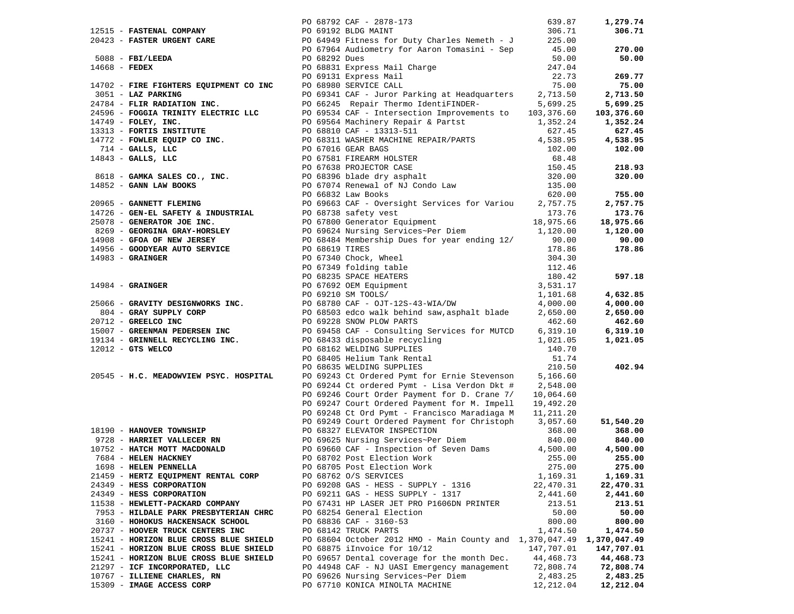|                                                            |                                                                                                                                                                                                                                                                              |            | 1,279.74   |
|------------------------------------------------------------|------------------------------------------------------------------------------------------------------------------------------------------------------------------------------------------------------------------------------------------------------------------------------|------------|------------|
|                                                            |                                                                                                                                                                                                                                                                              |            | 306.71     |
|                                                            | 12515 <b>- FASTENAL COMPANY</b><br>20423 <b>- FASTER URGENT CARE</b><br>20423 <b>- FASTER URGENT CARE</b><br>225.00<br>5088 <b>- FBI/LEEDA</b><br>225.00<br>225.00<br>225.00<br>225.00<br>227.7<br>24702 <b>- FIRE FIGHTERS EQUIPMENT CO INC</b><br>20131 EXPERS Mail Charge |            |            |
|                                                            |                                                                                                                                                                                                                                                                              |            | 270.00     |
|                                                            |                                                                                                                                                                                                                                                                              |            | 50.00      |
|                                                            |                                                                                                                                                                                                                                                                              |            |            |
|                                                            |                                                                                                                                                                                                                                                                              |            |            |
|                                                            |                                                                                                                                                                                                                                                                              |            | 269.77     |
|                                                            |                                                                                                                                                                                                                                                                              |            | 75.00      |
|                                                            |                                                                                                                                                                                                                                                                              |            | 2,713.50   |
|                                                            | PO 66245 Repair Thermo IdentiFINDER-<br>PO 69534 CAF - Intersection Improvements to 103,376.60                                                                                                                                                                               |            | 5,699.25   |
|                                                            |                                                                                                                                                                                                                                                                              |            | 103,376.60 |
| 24596 - FOGGIA TRINITY ELECTRIC LLC<br>14749 - FOLEY, INC. |                                                                                                                                                                                                                                                                              |            | 1,352.24   |
|                                                            |                                                                                                                                                                                                                                                                              |            | 627.45     |
|                                                            |                                                                                                                                                                                                                                                                              |            |            |
|                                                            |                                                                                                                                                                                                                                                                              |            | 4,538.95   |
|                                                            |                                                                                                                                                                                                                                                                              |            | 102.00     |
|                                                            |                                                                                                                                                                                                                                                                              |            |            |
|                                                            |                                                                                                                                                                                                                                                                              |            | 218.93     |
|                                                            |                                                                                                                                                                                                                                                                              |            | 320.00     |
|                                                            |                                                                                                                                                                                                                                                                              |            |            |
|                                                            |                                                                                                                                                                                                                                                                              |            | 755.00     |
|                                                            |                                                                                                                                                                                                                                                                              |            | 2,757.75   |
|                                                            |                                                                                                                                                                                                                                                                              |            |            |
|                                                            |                                                                                                                                                                                                                                                                              |            | 173.76     |
|                                                            |                                                                                                                                                                                                                                                                              |            | 18,975.66  |
|                                                            |                                                                                                                                                                                                                                                                              |            | 1,120.00   |
|                                                            |                                                                                                                                                                                                                                                                              |            | 90.00      |
|                                                            |                                                                                                                                                                                                                                                                              |            | 178.86     |
|                                                            |                                                                                                                                                                                                                                                                              |            |            |
|                                                            |                                                                                                                                                                                                                                                                              |            |            |
|                                                            |                                                                                                                                                                                                                                                                              |            | 597.18     |
|                                                            | 24789 - FLANCHATION 146C.<br>247996 - FOGOSTA TRINITY BLECTRIC ILC PO 69534 CAP - Intersection Improvements to 015,576.50<br>14794 - DOLEKY, INC. THE CHOICE PO 69534 CAP - Intersection Improvements to 015,376.50<br>14791 - DOL                                           |            |            |
|                                                            |                                                                                                                                                                                                                                                                              |            |            |
|                                                            |                                                                                                                                                                                                                                                                              |            | 4,632.85   |
|                                                            |                                                                                                                                                                                                                                                                              |            | 4,000.00   |
|                                                            |                                                                                                                                                                                                                                                                              |            | 2,650.00   |
|                                                            |                                                                                                                                                                                                                                                                              |            | 462.60     |
|                                                            |                                                                                                                                                                                                                                                                              |            | 6,319.10   |
|                                                            |                                                                                                                                                                                                                                                                              |            | 1,021.05   |
|                                                            |                                                                                                                                                                                                                                                                              |            |            |
|                                                            |                                                                                                                                                                                                                                                                              | 51.74      |            |
|                                                            | PO 66102 WELDING SOFFILES<br>PO 68405 Helium Tank Rental<br>PO 68635 WELDING SUPPLIES<br>PO 68635 WELDING SUPPLIES                                                                                                                                                           | 210.50     | 402.94     |
|                                                            |                                                                                                                                                                                                                                                                              |            |            |
| 20545 - H.C. MEADOWVIEW PSYC. HOSPITAL                     | PO 69243 Ct Ordered Pymt for Ernie Stevenson 5,166.60<br>PO 69244 Ct ordered Pymt - Lisa Verdon Dkt #2,548.00                                                                                                                                                                |            |            |
|                                                            |                                                                                                                                                                                                                                                                              |            |            |
|                                                            | PO 69246 Court Order Payment for D. Crane 7/                                                                                                                                                                                                                                 | 10,064.60  |            |
|                                                            | PO 69247 Court Ordered Payment for M. Impell 19,492.20                                                                                                                                                                                                                       |            |            |
|                                                            | PO 69248 Ct Ord Pymt - Francisco Maradiaga M 11,211.20                                                                                                                                                                                                                       |            |            |
|                                                            | PO 69249 Court Ordered Payment for Christoph 3,057.60                                                                                                                                                                                                                        |            | 51,540.20  |
|                                                            | 18190 - HANOVER TOWNSHIP<br>18190 - HANOVER TOWNSHIP<br>19728 - HARRIET VALLECER RN<br>19728 - HARRIET VALLECER RN<br>19728 - HELEN MOTT MACDONALD<br>19752 - HATCH MOTT MACDONALD<br>1988 - HELEN HACKNEY<br>1988 - HELEN PENNELLA<br>1998 -                                |            | 368.00     |
|                                                            |                                                                                                                                                                                                                                                                              |            | 840.00     |
|                                                            |                                                                                                                                                                                                                                                                              |            | 4,500.00   |
|                                                            |                                                                                                                                                                                                                                                                              |            | 255.00     |
|                                                            |                                                                                                                                                                                                                                                                              |            | 275.00     |
| 1698 - HELEN PENNELLA                                      | PO 68705 Post Election Work                                                                                                                                                                                                                                                  | 275.00     |            |
| 21459 - HERTZ EQUIPMENT RENTAL CORP                        | PO 68762 O/S SERVICES                                                                                                                                                                                                                                                        | 1,169.31   | 1,169.31   |
| 24349 - HESS CORPORATION                                   | PO 69208 GAS - HESS - SUPPLY - 1316                                                                                                                                                                                                                                          | 22,470.31  | 22,470.31  |
| 24349 - HESS CORPORATION                                   | PO 69211 GAS - HESS SUPPLY - 1317                                                                                                                                                                                                                                            | 2,441.60   | 2,441.60   |
| 11538 - HEWLETT-PACKARD COMPANY                            | PO 67431 HP LASER JET PRO P1606DN PRINTER                                                                                                                                                                                                                                    | 213.51     | 213.51     |
| 7953 - HILDALE PARK PRESBYTERIAN CHRC                      | PO 68254 General Election                                                                                                                                                                                                                                                    | 50.00      | 50.00      |
| 3160 - HOHOKUS HACKENSACK SCHOOL                           | PO 68836 CAF - 3160-53                                                                                                                                                                                                                                                       | 800.00     | 800.00     |
| 20737 - HOOVER TRUCK CENTERS INC                           | PO 68142 TRUCK PARTS                                                                                                                                                                                                                                                         | 1,474.50   | 1,474.50   |
| 15241 - HORIZON BLUE CROSS BLUE SHIELD                     | PO 68604 October 2012 HMO - Main County and 1,370,047.49 1,370,047.49                                                                                                                                                                                                        |            |            |
|                                                            | PO 68875 iInvoice for 10/12                                                                                                                                                                                                                                                  |            |            |
| 15241 - HORIZON BLUE CROSS BLUE SHIELD                     |                                                                                                                                                                                                                                                                              | 147,707.01 | 147,707.01 |
| 15241 - HORIZON BLUE CROSS BLUE SHIELD                     | PO 69657 Dental coverage for the month Dec.                                                                                                                                                                                                                                  | 44,468.73  | 44,468.73  |
| 21297 - ICF INCORPORATED, LLC                              | PO 44948 CAF - NJ UASI Emergency management                                                                                                                                                                                                                                  | 72,808.74  | 72,808.74  |
| 10767 - ILLIENE CHARLES, RN                                | PO 69626 Nursing Services~Per Diem                                                                                                                                                                                                                                           | 2,483.25   | 2,483.25   |
| 15309 - IMAGE ACCESS CORP                                  | PO 67710 KONICA MINOLTA MACHINE                                                                                                                                                                                                                                              | 12,212.04  | 12,212.04  |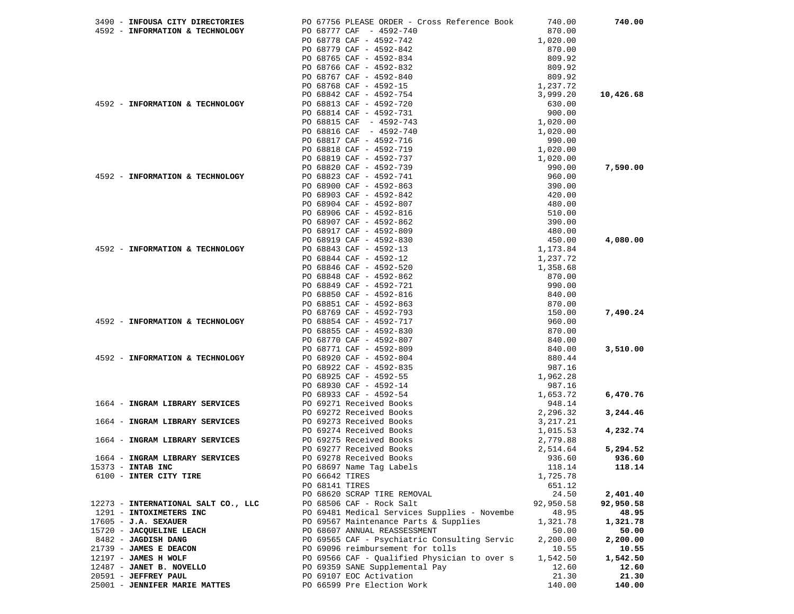| 3490 - INFOUSA CITY DIRECTORIES     | PO 67756 PLEASE ORDER - Cross Reference Book | 740.00           | 740.00    |
|-------------------------------------|----------------------------------------------|------------------|-----------|
| 4592 - INFORMATION & TECHNOLOGY     | PO 68777 CAF - 4592-740                      | 870.00           |           |
|                                     | PO 68778 CAF - 4592-742                      | 1,020.00         |           |
|                                     | PO 68779 CAF - 4592-842                      | 870.00           |           |
|                                     | PO 68765 CAF - 4592-834                      | 809.92           |           |
|                                     | PO 68766 CAF - 4592-832                      | 809.92           |           |
|                                     | PO 68767 CAF - 4592-840                      | 809.92           |           |
|                                     | PO 68768 CAF - 4592-15                       | 1,237.72         |           |
|                                     | PO 68842 CAF - 4592-754                      | 3,999.20         | 10,426.68 |
| 4592 - INFORMATION & TECHNOLOGY     | PO 68813 CAF - 4592-720                      | 630.00           |           |
|                                     | PO 68814 CAF - 4592-731                      | 900.00           |           |
|                                     | PO 68815 CAF - 4592-743                      | 1,020.00         |           |
|                                     | PO 68816 CAF - 4592-740                      | 1,020.00         |           |
|                                     | PO 68817 CAF - 4592-716                      | 990.00           |           |
|                                     | PO 68818 CAF - 4592-719                      | 1,020.00         |           |
|                                     | PO 68819 CAF - 4592-737                      | 1,020.00         |           |
|                                     | PO 68820 CAF - 4592-739                      | 990.00           | 7,590.00  |
| 4592 - INFORMATION & TECHNOLOGY     | PO 68823 CAF - 4592-741                      | 960.00           |           |
|                                     | PO 68900 CAF - 4592-863                      | 390.00           |           |
|                                     | PO 68903 CAF - 4592-842                      | 420.00           |           |
|                                     | PO 68904 CAF - 4592-807                      | 480.00           |           |
|                                     | PO 68906 CAF - 4592-816                      |                  |           |
|                                     |                                              | 510.00<br>390.00 |           |
|                                     | PO 68907 CAF - 4592-862                      | 480.00           |           |
|                                     | PO 68917 CAF - 4592-809                      |                  |           |
|                                     | PO 68919 CAF - 4592-830                      | 450.00           | 4,080.00  |
| 4592 - INFORMATION & TECHNOLOGY     | PO 68843 CAF - 4592-13                       | 1,173.84         |           |
|                                     | PO 68844 CAF - 4592-12                       | 1,237.72         |           |
|                                     | PO 68846 CAF - 4592-520                      | 1,358.68         |           |
|                                     | PO 68848 CAF - 4592-862                      | 870.00           |           |
|                                     | PO 68849 CAF - 4592-721                      | 990.00           |           |
|                                     | PO 68850 CAF - 4592-816                      | 840.00           |           |
|                                     | PO 68851 CAF - 4592-863                      | 870.00           |           |
|                                     | PO 68769 CAF - 4592-793                      | 150.00           | 7,490.24  |
| 4592 - INFORMATION & TECHNOLOGY     | PO 68854 CAF - 4592-717                      | 960.00           |           |
|                                     | PO 68855 CAF - 4592-830                      | 870.00           |           |
|                                     | PO 68770 CAF - 4592-807                      | 840.00           |           |
|                                     | PO 68771 CAF - 4592-809                      | 840.00           | 3,510.00  |
| 4592 - INFORMATION & TECHNOLOGY     | PO 68920 CAF - 4592-804                      | 880.44           |           |
|                                     | PO 68922 CAF - 4592-835                      | 987.16           |           |
|                                     | PO 68925 CAF - 4592-55                       | 1,962.28         |           |
|                                     | PO 68930 CAF - 4592-14                       | 987.16           |           |
|                                     | PO 68933 CAF - 4592-54                       | 1,653.72         | 6,470.76  |
| 1664 - INGRAM LIBRARY SERVICES      | PO 69271 Received Books                      | 948.14           |           |
|                                     | PO 69272 Received Books                      | 2,296.32         | 3,244.46  |
| 1664 - INGRAM LIBRARY SERVICES      | PO 69273 Received Books                      | 3,217.21         |           |
|                                     | PO 69274 Received Books                      | 1,015.53         | 4,232.74  |
| 1664 - INGRAM LIBRARY SERVICES      | PO 69275 Received Books                      | 2,779.88         |           |
|                                     | PO 69277 Received Books                      | 2,514.64         | 5,294.52  |
| 1664 - INGRAM LIBRARY SERVICES      | PO 69278 Received Books                      | 936.60           | 936.60    |
| 15373 - INTAB INC                   | PO 68697 Name Tag Labels                     | 118.14           | 118.14    |
| 6100 - INTER CITY TIRE              | PO 66642 TIRES                               | 1,725.78         |           |
|                                     | PO 68141 TIRES                               | 651.12           |           |
|                                     | PO 68620 SCRAP TIRE REMOVAL                  | 24.50            | 2,401.40  |
| 12273 - INTERNATIONAL SALT CO., LLC | PO 68506 CAF - Rock Salt                     | 92,950.58        | 92,950.58 |
| 1291 - INTOXIMETERS INC             | PO 69481 Medical Services Supplies - Novembe | 48.95            | 48.95     |
| $17605 - J.A.$ SEXAUER              | PO 69567 Maintenance Parts & Supplies        | 1,321.78         | 1,321.78  |
| 15720 - JACQUELINE LEACH            | PO 68607 ANNUAL REASSESSMENT                 | 50.00            | 50.00     |
| 8482 - JAGDISH DANG                 | PO 69565 CAF - Psychiatric Consulting Servic | 2,200.00         | 2,200.00  |
| 21739 - JAMES E DEACON              | PO 69096 reimbursement for tolls             | 10.55            | 10.55     |
| $12197$ - JAMES H WOLF              | PO 69566 CAF - Qualified Physician to over s | 1,542.50         | 1,542.50  |
| 12487 - JANET B. NOVELLO            | PO 69359 SANE Supplemental Pay               | 12.60            | 12.60     |
| 20591 - JEFFREY PAUL                | PO 69107 EOC Activation                      | 21.30            | 21.30     |
| 25001 - JENNIFER MARIE MATTES       | PO 66599 Pre Election Work                   | 140.00           | 140.00    |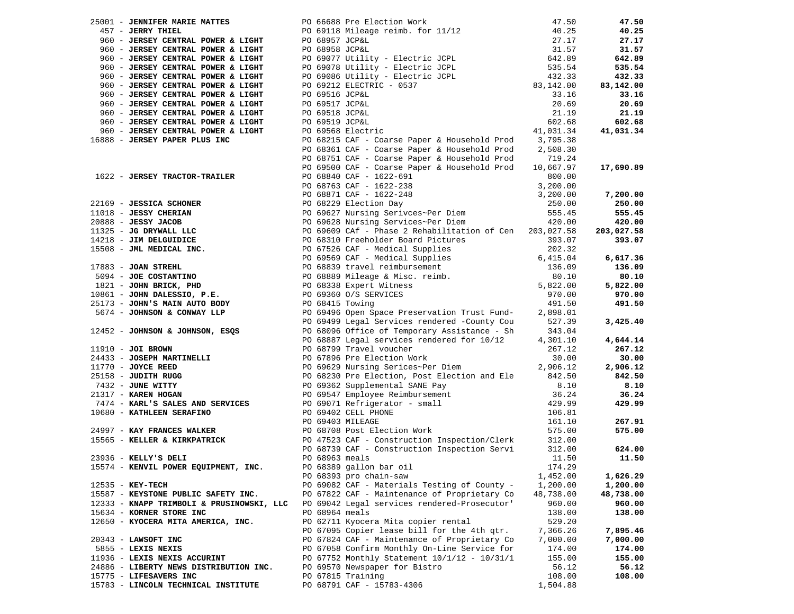|                     | 25001 - JENNIFER MARIE MATTES                                                                 |                                                                                                                                                                                                                                                                                    | 47.50               | 47.50      |
|---------------------|-----------------------------------------------------------------------------------------------|------------------------------------------------------------------------------------------------------------------------------------------------------------------------------------------------------------------------------------------------------------------------------------|---------------------|------------|
|                     | 457 - JERRY THIEL                                                                             | PO 66688 Pre Election Work<br>PO 69118 Mileage reimb. for 11/12                                                                                                                                                                                                                    | 40.25               | 40.25      |
|                     | 960 - JERSEY CENTRAL POWER & LIGHT                                                            | PO 68957 JCP&L                                                                                                                                                                                                                                                                     | 27.17               | 27.17      |
|                     |                                                                                               |                                                                                                                                                                                                                                                                                    |                     |            |
|                     | 960 - JERSEY CENTRAL POWER & LIGHT                                                            | PO 68957 JCP&L<br>PO 68958 JCP&L<br>PO 69077 Utility - Electric JCPL                                                                                                                                                                                                               | $31.57$<br>$642.89$ | 31.57      |
|                     | 960 - JERSEY CENTRAL POWER & LIGHT                                                            |                                                                                                                                                                                                                                                                                    |                     | 642.89     |
|                     | 960 - JERSEY CENTRAL POWER & LIGHT                                                            | PO 69078 Utility - Electric JCPL 535.54<br>PO 69086 Utility - Electric JCPL 432.33<br>PO 69212 ELECTRIC - 0537 83,142.00                                                                                                                                                           |                     | 535.54     |
|                     | 960 - JERSEY CENTRAL POWER & LIGHT                                                            |                                                                                                                                                                                                                                                                                    |                     | 432.33     |
|                     | 960 - JERSEY CENTRAL POWER & LIGHT                                                            |                                                                                                                                                                                                                                                                                    |                     | 83,142.00  |
|                     | 960 - JERSEY CENTRAL POWER & LIGHT                                                            |                                                                                                                                                                                                                                                                                    | 33.16               | 33.16      |
|                     | 960 - JERSEY CENTRAL POWER & LIGHT                                                            |                                                                                                                                                                                                                                                                                    | 20.69               | 20.69      |
|                     | 960 - JERSEY CENTRAL POWER & LIGHT                                                            |                                                                                                                                                                                                                                                                                    | 21.19               | 21.19      |
|                     | 960 - JERSEY CENTRAL POWER & LIGHT                                                            |                                                                                                                                                                                                                                                                                    | 602.68              | 602.68     |
|                     | 960 - JERSEY CENTRAL POWER & LIGHT                                                            | PO 69516 JCP&L<br>PO 69517 JCP&L<br>PO 69518 JCP&L<br>PO 69519 JCP&L<br>PO 69568 Electric                                                                                                                                                                                          | 41,031.34           | 41,031.34  |
|                     | 16888 - JERSEY PAPER PLUS INC                                                                 | PO 68215 CAF - Coarse Paper & Household Prod 3,795.38                                                                                                                                                                                                                              |                     |            |
|                     |                                                                                               |                                                                                                                                                                                                                                                                                    |                     |            |
|                     |                                                                                               | PO 68361 CAF - Coarse Paper & Household Prod                                                                                                                                                                                                                                       | 2,508.30            |            |
|                     |                                                                                               | PO 68751 CAF - Coarse Paper & Household Prod                                                                                                                                                                                                                                       | 719.24              |            |
|                     |                                                                                               | PO 69500 CAF - Coarse Paper & Household Prod                                                                                                                                                                                                                                       | 10,667.97           | 17,690.89  |
|                     |                                                                                               |                                                                                                                                                                                                                                                                                    |                     |            |
|                     |                                                                                               |                                                                                                                                                                                                                                                                                    |                     |            |
|                     |                                                                                               |                                                                                                                                                                                                                                                                                    |                     | 7,200.00   |
|                     |                                                                                               |                                                                                                                                                                                                                                                                                    |                     | 250.00     |
|                     |                                                                                               |                                                                                                                                                                                                                                                                                    |                     | 555.45     |
|                     |                                                                                               |                                                                                                                                                                                                                                                                                    |                     | 420.00     |
|                     |                                                                                               |                                                                                                                                                                                                                                                                                    |                     | 203,027.58 |
|                     |                                                                                               |                                                                                                                                                                                                                                                                                    |                     | 393.07     |
|                     |                                                                                               |                                                                                                                                                                                                                                                                                    |                     |            |
|                     |                                                                                               |                                                                                                                                                                                                                                                                                    |                     | 6,617.36   |
|                     |                                                                                               |                                                                                                                                                                                                                                                                                    |                     | 136.09     |
|                     |                                                                                               |                                                                                                                                                                                                                                                                                    |                     | 80.10      |
|                     |                                                                                               |                                                                                                                                                                                                                                                                                    |                     | 5,822.00   |
|                     |                                                                                               |                                                                                                                                                                                                                                                                                    |                     | 970.00     |
|                     | 10861 - JOHN DALESSIO, P.E. BO 69360 O/S SEE<br>25173 - JOHN'S MAIN AUTO BODY PO 68415 Towing |                                                                                                                                                                                                                                                                                    |                     |            |
|                     |                                                                                               |                                                                                                                                                                                                                                                                                    |                     | 491.50     |
|                     | 5674 - JOHNSON & CONWAY LLP                                                                   | PO 69496 Open Space Preservation Trust Fund-                                                                                                                                                                                                                                       | 2,898.01            |            |
|                     |                                                                                               | PO 69499 Legal Services rendered -County Cou                                                                                                                                                                                                                                       | 527.39              | 3,425.40   |
|                     | 12452 - JOHNSON & JOHNSON, ESQS                                                               | PO 68096 Office of Temporary Assistance - Sh                                                                                                                                                                                                                                       | 343.04              |            |
|                     |                                                                                               | PO 68887 Legal services rendered for 10/12                                                                                                                                                                                                                                         | 4,301.10            | 4,644.14   |
| 11910 - JOI BROWN   |                                                                                               | PO 68799 Travel voucher                                                                                                                                                                                                                                                            | 267.12              | 267.12     |
|                     | 24433 - JOSEPH MARTINELLI                                                                     | PO 67896 Pre Election Work<br>PO 69629 Nursing Serices~Per Diem                                                                                                                                                                                                                    | 30.00               | 30.00      |
|                     | 11770 - JOYCE REED<br>25158 - JUDITH RUGG<br>7432 - JUNE WITTY<br>21317 - KAREN HOGAN         |                                                                                                                                                                                                                                                                                    | 2,906.12            | 2,906.12   |
|                     |                                                                                               | PO 68230 Pre Election, Post Election and Ele                                                                                                                                                                                                                                       | 842.50              | 842.50     |
|                     |                                                                                               |                                                                                                                                                                                                                                                                                    | 8.10                | 8.10       |
|                     |                                                                                               |                                                                                                                                                                                                                                                                                    |                     | 36.24      |
|                     |                                                                                               |                                                                                                                                                                                                                                                                                    |                     | 429.99     |
|                     |                                                                                               | 90 69362 Supplemental SANE Pay<br>21317 - <b>KAREN HOGAN</b><br>21317 - <b>KAREN HOGAN</b><br>21317 - <b>KAREN BOGAN</b><br>229.99<br>24997 - <b>KAY FRANCES WALKER</b><br>24997 - <b>KAY FRANCES WALKER</b><br>24997 - <b>KAY FRANCES WALKER</b><br>24997 - <b>KAY FRANCES WA</b> |                     |            |
|                     |                                                                                               |                                                                                                                                                                                                                                                                                    |                     | 267.91     |
|                     |                                                                                               |                                                                                                                                                                                                                                                                                    |                     | 575.00     |
|                     |                                                                                               |                                                                                                                                                                                                                                                                                    |                     |            |
|                     |                                                                                               |                                                                                                                                                                                                                                                                                    |                     | 624.00     |
|                     | 23936 - KELLY'S DELI                                                                          | PO 68963 meals                                                                                                                                                                                                                                                                     | 11.50               | 11.50      |
|                     | 15574 - KENVIL POWER EQUIPMENT, INC.                                                          | PO 68389 gallon bar oil                                                                                                                                                                                                                                                            | 174.29              |            |
|                     |                                                                                               | PO 68393 pro chain-saw                                                                                                                                                                                                                                                             | 1,452.00            | 1,626.29   |
| $12535 - K$ EY-TECH |                                                                                               | PO 69082 CAF - Materials Testing of County -                                                                                                                                                                                                                                       | 1,200.00            |            |
|                     |                                                                                               |                                                                                                                                                                                                                                                                                    |                     | 1,200.00   |
|                     | 15587 - KEYSTONE PUBLIC SAFETY INC.                                                           | PO 67822 CAF - Maintenance of Proprietary Co                                                                                                                                                                                                                                       | 48,738.00           | 48,738.00  |
|                     | 12333 - KNAPP TRIMBOLI & PRUSINOWSKI, LLC                                                     | PO 69042 Legal services rendered-Prosecutor'                                                                                                                                                                                                                                       | 960.00              | 960.00     |
|                     | 15634 - KORNER STORE INC                                                                      | PO 68964 meals                                                                                                                                                                                                                                                                     | 138.00              | 138.00     |
|                     | 12650 - KYOCERA MITA AMERICA, INC.                                                            | PO 62711 Kyocera Mita copier rental                                                                                                                                                                                                                                                | 529.20              |            |
|                     |                                                                                               | PO 67095 Copier lease bill for the 4th qtr.                                                                                                                                                                                                                                        | 7,366.26            | 7,895.46   |
|                     | 20343 - LAWSOFT INC                                                                           | PO 67824 CAF - Maintenance of Proprietary Co                                                                                                                                                                                                                                       | 7,000.00            | 7,000.00   |
|                     | 5855 - LEXIS NEXIS                                                                            | PO 67058 Confirm Monthly On-Line Service for                                                                                                                                                                                                                                       | 174.00              | 174.00     |
|                     | 11936 - LEXIS NEXIS ACCURINT                                                                  | PO 67752 Monthly Statement 10/1/12 - 10/31/1                                                                                                                                                                                                                                       | 155.00              | 155.00     |
|                     | 24886 - LIBERTY NEWS DISTRIBUTION INC.                                                        | PO 69570 Newspaper for Bistro                                                                                                                                                                                                                                                      | 56.12               | 56.12      |
|                     | 15775 - LIFESAVERS INC                                                                        | PO 67815 Training                                                                                                                                                                                                                                                                  | 108.00              | 108.00     |
|                     | 15783 - LINCOLN TECHNICAL INSTITUTE                                                           | PO 68791 CAF - 15783-4306                                                                                                                                                                                                                                                          | 1,504.88            |            |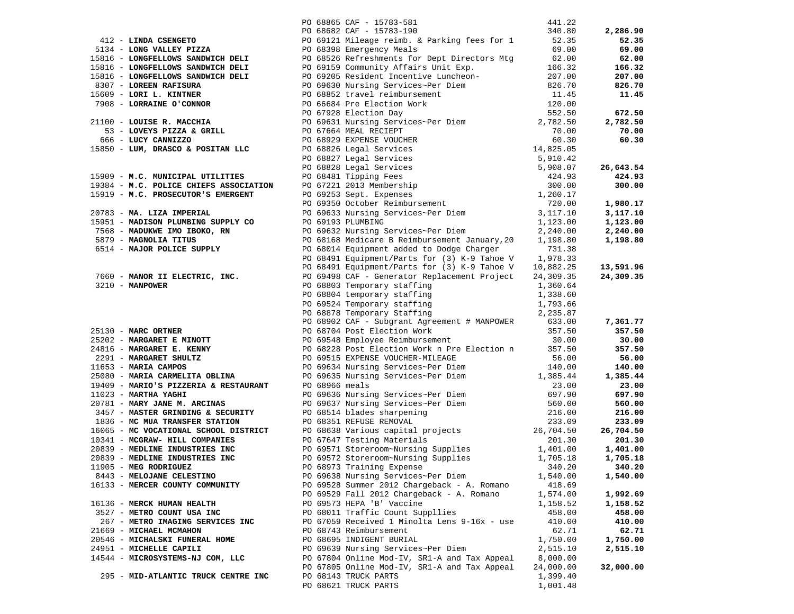|                                                               | PO 68865 CAF - 15783-581<br>PO 68682 CAF - 15783-190                                                                                                                                                                                                                  | 441.22    |           |
|---------------------------------------------------------------|-----------------------------------------------------------------------------------------------------------------------------------------------------------------------------------------------------------------------------------------------------------------------|-----------|-----------|
|                                                               |                                                                                                                                                                                                                                                                       | 340.80    | 2,286.90  |
|                                                               | PO 69121 Mileage reimb. & Parking fees for 1 52.35                                                                                                                                                                                                                    |           | 52.35     |
| $412$ - LINDA CSENGETO<br>5134 - LONG VALLEY PIZZA            | PO 68398 Emergency Meals<br>3134 - LONG VALLEY PTEZA<br>1918 - LONG VALLEY PTEZA<br>1918 - LONG VALLEY PTEZA<br>1918 - LONG VALLEY PTEZA<br>1918 - LONG FELL PO 68358 Emergency Meals<br>1918 - LONG FELL PO 69158 Community Affairs Unit Exp.<br>1918 - LONG FELL IS | 69.00     | 69.00     |
|                                                               |                                                                                                                                                                                                                                                                       |           | 62.00     |
|                                                               |                                                                                                                                                                                                                                                                       |           | 166.32    |
|                                                               |                                                                                                                                                                                                                                                                       |           | 207.00    |
|                                                               |                                                                                                                                                                                                                                                                       |           | 826.70    |
|                                                               |                                                                                                                                                                                                                                                                       |           | 11.45     |
|                                                               |                                                                                                                                                                                                                                                                       |           |           |
|                                                               |                                                                                                                                                                                                                                                                       |           | 672.50    |
|                                                               |                                                                                                                                                                                                                                                                       |           | 2,782.50  |
|                                                               |                                                                                                                                                                                                                                                                       |           | 70.00     |
|                                                               |                                                                                                                                                                                                                                                                       |           | 60.30     |
|                                                               |                                                                                                                                                                                                                                                                       |           |           |
|                                                               |                                                                                                                                                                                                                                                                       |           |           |
|                                                               |                                                                                                                                                                                                                                                                       |           | 26,643.54 |
|                                                               |                                                                                                                                                                                                                                                                       |           | 424.93    |
|                                                               |                                                                                                                                                                                                                                                                       |           | 300.00    |
|                                                               |                                                                                                                                                                                                                                                                       |           |           |
|                                                               |                                                                                                                                                                                                                                                                       |           |           |
|                                                               |                                                                                                                                                                                                                                                                       |           | 1,980.17  |
|                                                               |                                                                                                                                                                                                                                                                       |           | 3,117.10  |
|                                                               |                                                                                                                                                                                                                                                                       |           | 1,123.00  |
|                                                               |                                                                                                                                                                                                                                                                       |           | 2,240.00  |
|                                                               |                                                                                                                                                                                                                                                                       |           | 1,198.80  |
|                                                               |                                                                                                                                                                                                                                                                       |           |           |
|                                                               | PO 68491 Equipment/Parts for (3) K-9 Tahoe V 1,978.33                                                                                                                                                                                                                 |           |           |
| 7660 - MANOR II ELECTRIC, INC.<br>3210 - MANPOWER             | PO 68491 Equipment/Parts for (3) K-9 Tahoe V 10,882.25                                                                                                                                                                                                                |           | 13,591.96 |
|                                                               | PO 69498 CAF - Generator Replacement Project 24,309.35                                                                                                                                                                                                                |           | 24,309.35 |
|                                                               |                                                                                                                                                                                                                                                                       |           |           |
|                                                               |                                                                                                                                                                                                                                                                       |           |           |
|                                                               |                                                                                                                                                                                                                                                                       |           |           |
|                                                               | 3210 - MANOWER PO 68803 Temporary staffing 1,338.60<br>PO 68803 Temporary staffing 1,338.66<br>PO 68803 Temporary staffing 1,338.66<br>PO 68803 Temporary staffing 1,338.66<br>PO 68878 Temporary staffing 1,793.66<br>PO 68878 Temporar                              |           |           |
|                                                               |                                                                                                                                                                                                                                                                       |           | 7,361.77  |
|                                                               |                                                                                                                                                                                                                                                                       |           | 357.50    |
|                                                               |                                                                                                                                                                                                                                                                       |           | 30.00     |
|                                                               |                                                                                                                                                                                                                                                                       |           | 357.50    |
|                                                               |                                                                                                                                                                                                                                                                       |           | 56.00     |
|                                                               |                                                                                                                                                                                                                                                                       |           | 140.00    |
|                                                               |                                                                                                                                                                                                                                                                       |           | 1,385.44  |
| $19409 - \text{MARIO'S PIZZERIA & RESTAURANT}$ PO 68966 meals | 2003 - MARIO'S PIZZERIA & RESTAURANT PO 68966 meals<br>2009 - MARIO'S PIZZERIA & RESTAURANT PO 68966 meals<br>20781 - MARY JANE M. ARCINAS PO 69636 Nursing Services~Per Diem<br>3457 - MASTER GRINDING & SECURITY PO 68514 REVISE R                                  |           | 23.00     |
|                                                               |                                                                                                                                                                                                                                                                       |           | 697.90    |
|                                                               |                                                                                                                                                                                                                                                                       |           | 560.00    |
|                                                               |                                                                                                                                                                                                                                                                       |           | 216.00    |
|                                                               |                                                                                                                                                                                                                                                                       |           | 233.09    |
|                                                               |                                                                                                                                                                                                                                                                       |           | 26,704.50 |
|                                                               |                                                                                                                                                                                                                                                                       |           | 201.30    |
|                                                               |                                                                                                                                                                                                                                                                       |           | 1,401.00  |
|                                                               |                                                                                                                                                                                                                                                                       |           | 1,705.18  |
| 11905 - MEG RODRIGUEZ                                         | PO 68973 Training Expense                                                                                                                                                                                                                                             | 340.20    | 340.20    |
| 8443 - MELOJANE CELESTINO                                     | PO 69638 Nursing Services~Per Diem                                                                                                                                                                                                                                    | 1,540.00  | 1,540.00  |
| 16133 - MERCER COUNTY COMMUNITY                               | PO 69528 Summer 2012 Chargeback - A. Romano                                                                                                                                                                                                                           | 418.69    |           |
|                                                               | PO 69529 Fall 2012 Chargeback - A. Romano                                                                                                                                                                                                                             | 1,574.00  | 1,992.69  |
| 16136 - MERCK HUMAN HEALTH                                    | PO 69573 HEPA 'B' Vaccine                                                                                                                                                                                                                                             | 1,158.52  | 1,158.52  |
| 3527 - METRO COUNT USA INC                                    | PO 68011 Traffic Count Suppllies                                                                                                                                                                                                                                      | 458.00    | 458.00    |
| 267 - METRO IMAGING SERVICES INC                              | PO 67059 Received 1 Minolta Lens 9-16x - use                                                                                                                                                                                                                          | 410.00    | 410.00    |
| 21669 - MICHAEL MCMAHON                                       | PO 68743 Reimbursement                                                                                                                                                                                                                                                | 62.71     | 62.71     |
| 20546 - MICHALSKI FUNERAL HOME                                | PO 68695 INDIGENT BURIAL                                                                                                                                                                                                                                              | 1,750.00  | 1,750.00  |
| 24951 - MICHELLE CAPILI                                       | PO 69639 Nursing Services~Per Diem                                                                                                                                                                                                                                    | 2,515.10  | 2,515.10  |
| 14544 - MICROSYSTEMS-NJ COM, LLC                              | PO 67804 Online Mod-IV, SR1-A and Tax Appeal                                                                                                                                                                                                                          | 8,000.00  |           |
|                                                               | PO 67805 Online Mod-IV, SR1-A and Tax Appeal                                                                                                                                                                                                                          | 24,000.00 | 32,000.00 |
|                                                               |                                                                                                                                                                                                                                                                       |           |           |
| 295 - MID-ATLANTIC TRUCK CENTRE INC                           | PO 68143 TRUCK PARTS                                                                                                                                                                                                                                                  | 1,399.40  |           |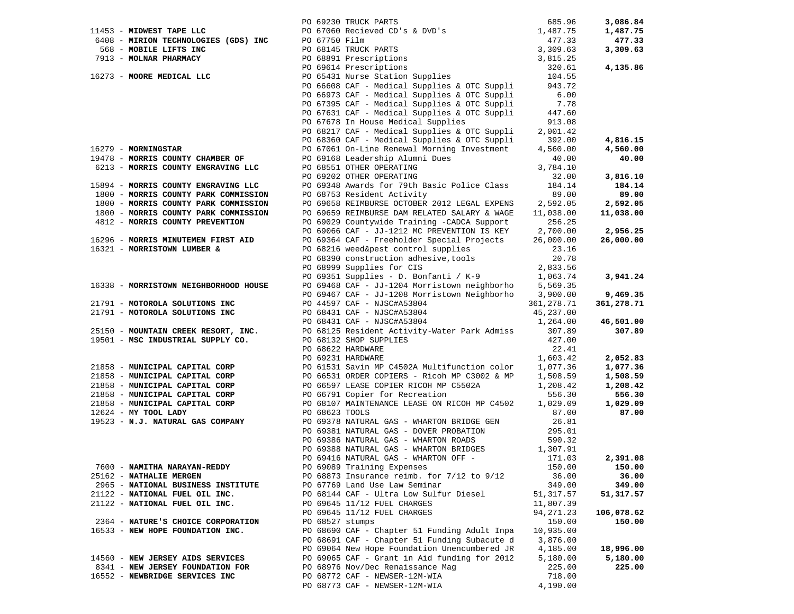|                                       |                 |                                                                                                                                                                                                                                              |            | 3,086.84   |
|---------------------------------------|-----------------|----------------------------------------------------------------------------------------------------------------------------------------------------------------------------------------------------------------------------------------------|------------|------------|
| 11453 - MIDWEST TAPE LLC              |                 |                                                                                                                                                                                                                                              |            | 1,487.75   |
|                                       |                 |                                                                                                                                                                                                                                              |            | 477.33     |
|                                       |                 |                                                                                                                                                                                                                                              |            | 3,309.63   |
|                                       |                 |                                                                                                                                                                                                                                              |            |            |
|                                       |                 |                                                                                                                                                                                                                                              |            |            |
|                                       |                 | 11453 - MIDWEST TAPE LLC<br>6408 - MIRION TECHNOLOGIES (GDS) INC<br>568 - MOBILE LIFTS INC<br>7913 - MODIRE LIFTS INC<br>7913 - MOORE MEDICAL LLC<br>16273 - MOORE MEDICAL LLC<br>7913 - MOORE MEDICAL LLC<br>7966608 CAF - Medical Supplies |            | 4,135.86   |
| 16273 - MOORE MEDICAL LLC             |                 |                                                                                                                                                                                                                                              |            |            |
|                                       |                 |                                                                                                                                                                                                                                              |            |            |
|                                       |                 | PO 66973 CAF - Medical Supplies & OTC Suppli                                                                                                                                                                                                 | 6.00       |            |
|                                       |                 | PO 67395 CAF - Medical Supplies & OTC Suppli                                                                                                                                                                                                 | 7.78       |            |
|                                       |                 | PO 67631 CAF - Medical Supplies & OTC Suppli                                                                                                                                                                                                 | 447.60     |            |
|                                       |                 | PO 67678 In House Medical Supplies                                                                                                                                                                                                           | 913.08     |            |
|                                       |                 | PO 68217 CAF - Medical Supplies & OTC Suppli                                                                                                                                                                                                 | 2,001.42   |            |
|                                       |                 | PO 68360 CAF - Medical Supplies & OTC Suppli                                                                                                                                                                                                 | 392.00     | 4,816.15   |
|                                       |                 | PO 68360 CAF - Medical Supplies & OTC Suppli<br>PO 67061 On-Line Renewal Morning Investment                                                                                                                                                  |            |            |
| 16279 - MORNINGSTAR                   |                 |                                                                                                                                                                                                                                              | 4,560.00   | 4,560.00   |
| 19478 - MORRIS COUNTY CHAMBER OF      |                 | PO 69168 Leadership Alumni Dues                                                                                                                                                                                                              | 40.00      | 40.00      |
| 6213 - MORRIS COUNTY ENGRAVING LLC    |                 | PO 68551 OTHER OPERATING                                                                                                                                                                                                                     | 3,784.10   |            |
|                                       |                 | PO 69202 OTHER OPERATING                                                                                                                                                                                                                     | 32.00      | 3,816.10   |
| 15894 - MORRIS COUNTY ENGRAVING LLC   |                 | PO 69348 Awards for 79th Basic Police Class                                                                                                                                                                                                  | 184.14     | 184.14     |
| 1800 - MORRIS COUNTY PARK COMMISSION  |                 | PO 68753 Resident Activity                                                                                                                                                                                                                   | 89.00      | 89.00      |
| 1800 - MORRIS COUNTY PARK COMMISSION  |                 | PO 69658 REIMBURSE OCTOBER 2012 LEGAL EXPENS                                                                                                                                                                                                 | 2,592.05   | 2,592.05   |
| 1800 - MORRIS COUNTY PARK COMMISSION  |                 | PO 69659 REIMBURSE DAM RELATED SALARY & WAGE                                                                                                                                                                                                 | 11,038.00  | 11,038.00  |
| 4812 - MORRIS COUNTY PREVENTION       |                 | PO 69029 Countywide Training -CADCA Support                                                                                                                                                                                                  | 256.25     |            |
|                                       |                 | PO 69066 CAF - JJ-1212 MC PREVENTION IS KEY                                                                                                                                                                                                  | 2,700.00   | 2,956.25   |
|                                       |                 | PO 69364 CAF - Freeholder Special Projects                                                                                                                                                                                                   |            |            |
| 16296 - MORRIS MINUTEMEN FIRST AID    |                 |                                                                                                                                                                                                                                              | 26,000.00  | 26,000.00  |
| 16321 - MORRISTOWN LUMBER &           |                 | PO 68216 weed&pest control supplies<br>PO 68390 construction adhesive, tools                                                                                                                                                                 | 23.16      |            |
|                                       |                 |                                                                                                                                                                                                                                              | 20.78      |            |
|                                       |                 |                                                                                                                                                                                                                                              |            |            |
|                                       |                 | PO 69351 Supplies - D. Bonfanti / K-9 2,833.56<br>PO 69468 CAF - JJ-1204 Morristown 1:11, 1203.74                                                                                                                                            |            | 3,941.24   |
| 16338 - MORRISTOWN NEIGHBORHOOD HOUSE |                 |                                                                                                                                                                                                                                              |            |            |
|                                       |                 | PO 69467 CAF - JJ-1208 Morristown Neighborho                                                                                                                                                                                                 | 3,900.00   | 9,469.35   |
|                                       |                 |                                                                                                                                                                                                                                              |            | 361,278.71 |
|                                       |                 |                                                                                                                                                                                                                                              |            |            |
|                                       |                 |                                                                                                                                                                                                                                              |            | 46,501.00  |
|                                       |                 |                                                                                                                                                                                                                                              |            | 307.89     |
|                                       |                 |                                                                                                                                                                                                                                              |            |            |
|                                       |                 |                                                                                                                                                                                                                                              |            |            |
|                                       |                 |                                                                                                                                                                                                                                              |            |            |
|                                       |                 |                                                                                                                                                                                                                                              |            | 2,052.83   |
|                                       |                 |                                                                                                                                                                                                                                              |            | 1,077.36   |
|                                       |                 |                                                                                                                                                                                                                                              |            | 1,508.59   |
|                                       |                 |                                                                                                                                                                                                                                              |            | 1,208.42   |
|                                       |                 |                                                                                                                                                                                                                                              |            | 556.30     |
|                                       |                 |                                                                                                                                                                                                                                              |            | 1,029.09   |
|                                       |                 |                                                                                                                                                                                                                                              |            | 87.00      |
|                                       |                 |                                                                                                                                                                                                                                              |            |            |
|                                       |                 | PO 69381 NATURAL GAS - DOVER PROBATION                                                                                                                                                                                                       | 295.01     |            |
|                                       |                 | PO 69386 NATURAL GAS - WHARTON ROADS                                                                                                                                                                                                         | 590.32     |            |
|                                       |                 | PO 69388 NATURAL GAS - WHARTON BRIDGES                                                                                                                                                                                                       | 1,307.91   |            |
|                                       |                 |                                                                                                                                                                                                                                              | 171.03     | 2,391.08   |
|                                       |                 | PO 69416 NATURAL GAS - WHARTON OFF -<br>PO 69089 Training Expenses                                                                                                                                                                           |            |            |
| 7600 - NAMITHA NARAYAN-REDDY          |                 | PO 69089 Training Expenses                                                                                                                                                                                                                   | 150.00     | 150.00     |
| 25162 - NATHALIE MERGEN               |                 | PO 68873 Insurance reimb. for 7/12 to 9/12                                                                                                                                                                                                   | 36.00      | 36.00      |
| 2965 - NATIONAL BUSINESS INSTITUTE    |                 | PO 67769 Land Use Law Seminar                                                                                                                                                                                                                | 349.00     | 349.00     |
| 21122 - NATIONAL FUEL OIL INC.        |                 | PO 68144 CAF - Ultra Low Sulfur Diesel                                                                                                                                                                                                       | 51, 317.57 | 51,317.57  |
| 21122 - NATIONAL FUEL OIL INC.        |                 | PO 69645 11/12 FUEL CHARGES                                                                                                                                                                                                                  | 11,807.39  |            |
|                                       |                 | PO 69645 11/12 FUEL CHARGES                                                                                                                                                                                                                  | 94, 271.23 | 106,078.62 |
| 2364 - NATURE'S CHOICE CORPORATION    | PO 68527 stumps |                                                                                                                                                                                                                                              | 150.00     | 150.00     |
| 16533 - NEW HOPE FOUNDATION INC.      |                 | PO 68690 CAF - Chapter 51 Funding Adult Inpa                                                                                                                                                                                                 | 10,935.00  |            |
|                                       |                 | PO 68691 CAF - Chapter 51 Funding Subacute d                                                                                                                                                                                                 | 3,876.00   |            |
|                                       |                 | PO 69064 New Hope Foundation Unencumbered JR                                                                                                                                                                                                 | 4,185.00   | 18,996.00  |
|                                       |                 | PO 69065 CAF - Grant in Aid funding for 2012                                                                                                                                                                                                 |            |            |
| 14560 - NEW JERSEY AIDS SERVICES      |                 |                                                                                                                                                                                                                                              | 5,180.00   | 5,180.00   |
| 8341 - NEW JERSEY FOUNDATION FOR      |                 | PO 68976 Nov/Dec Renaissance Mag                                                                                                                                                                                                             | 225.00     | 225.00     |
| 16552 - NEWBRIDGE SERVICES INC        |                 | PO 68772 CAF - NEWSER-12M-WIA                                                                                                                                                                                                                | 718.00     |            |
|                                       |                 | PO 68773 CAF - NEWSER-12M-WIA                                                                                                                                                                                                                | 4,190.00   |            |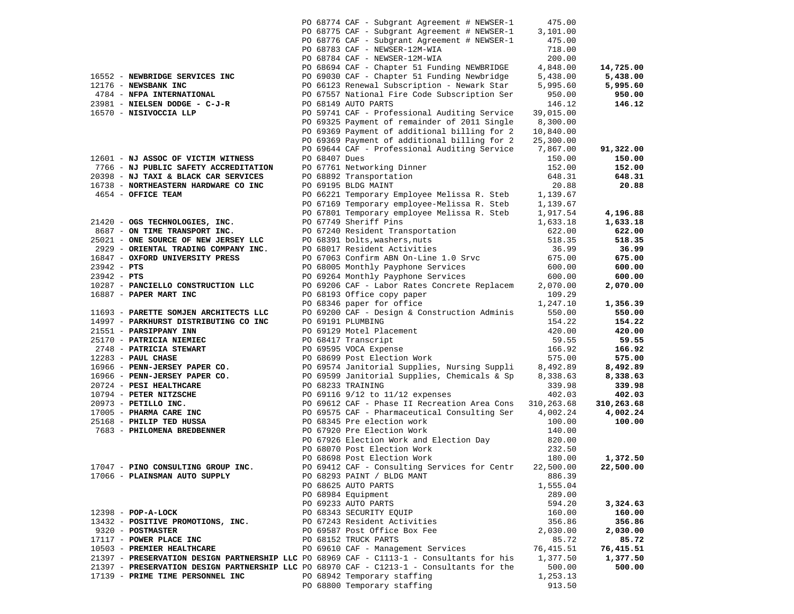|               |                                       |               | PO 68774 CAF - Subgrant Agreement # NEWSER-1                                             | 475.00     |            |
|---------------|---------------------------------------|---------------|------------------------------------------------------------------------------------------|------------|------------|
|               |                                       |               | PO 68775 CAF - Subgrant Agreement # NEWSER-1                                             | 3,101.00   |            |
|               |                                       |               | PO 68776 CAF - Subgrant Agreement # NEWSER-1                                             | 475.00     |            |
|               |                                       |               | PO 68783 CAF - NEWSER-12M-WIA                                                            | 718.00     |            |
|               |                                       |               | PO 68784 CAF - NEWSER-12M-WIA                                                            | 200.00     |            |
|               |                                       |               | PO 68694 CAF - Chapter 51 Funding NEWBRIDGE                                              | 4,848.00   | 14,725.00  |
|               | 16552 - NEWBRIDGE SERVICES INC        |               | PO 69030 CAF - Chapter 51 Funding Newbridge                                              | 5,438.00   | 5,438.00   |
|               | 12176 - NEWSBANK INC                  |               | PO 66123 Renewal Subscription - Newark Star                                              | 5,995.60   | 5,995.60   |
|               | 4784 - NFPA INTERNATIONAL             |               | PO 67557 National Fire Code Subscription Ser                                             | 950.00     | 950.00     |
|               |                                       |               |                                                                                          |            |            |
|               | 23981 - NIELSEN DODGE - C-J-R         |               | PO 68149 AUTO PARTS                                                                      | 146.12     | 146.12     |
|               | 16570 - NISIVOCCIA LLP                |               | PO 59741 CAF - Professional Auditing Service                                             | 39,015.00  |            |
|               |                                       |               | PO 69325 Payment of remainder of 2011 Single                                             | 8,300.00   |            |
|               |                                       |               | PO 69369 Payment of additional billing for 2                                             | 10,840.00  |            |
|               |                                       |               | PO 69369 Payment of additional billing for 2                                             | 25,300.00  |            |
|               |                                       |               | PO 69644 CAF - Professional Auditing Service                                             | 7,867.00   | 91,322.00  |
|               | 12601 - NJ ASSOC OF VICTIM WITNESS    | PO 68407 Dues |                                                                                          | 150.00     | 150.00     |
|               | 7766 - NJ PUBLIC SAFETY ACCREDITATION |               | PO 67761 Networking Dinner                                                               | 152.00     | 152.00     |
|               | 20398 - NJ TAXI & BLACK CAR SERVICES  |               | PO 68892 Transportation                                                                  | 648.31     | 648.31     |
|               | 16738 - NORTHEASTERN HARDWARE CO INC  |               | PO 69195 BLDG MAINT                                                                      | 20.88      | 20.88      |
|               | 4654 - OFFICE TEAM                    |               | PO 66221 Temporary Employee Melissa R. Steb                                              | 1,139.67   |            |
|               |                                       |               | PO 67169 Temporary employee-Melissa R. Steb                                              | 1,139.67   |            |
|               |                                       |               | PO 67801 Temporary employee Melissa R. Steb                                              | 1,917.54   | 4,196.88   |
|               | 21420 - OGS TECHNOLOGIES, INC.        |               | PO 67749 Sheriff Pins                                                                    | 1,633.18   | 1,633.18   |
|               | 8687 - ON TIME TRANSPORT INC.         |               | PO 67240 Resident Transportation                                                         | 622.00     | 622.00     |
|               | 25021 - ONE SOURCE OF NEW JERSEY LLC  |               | PO 68391 bolts, washers, nuts                                                            | 518.35     | 518.35     |
|               | 2929 - ORIENTAL TRADING COMPANY INC.  |               | PO 68017 Resident Activities                                                             | 36.99      | 36.99      |
|               | 16847 - OXFORD UNIVERSITY PRESS       |               | PO 67063 Confirm ABN On-Line 1.0 Srvc                                                    | 675.00     | 675.00     |
|               |                                       |               |                                                                                          |            |            |
| $23942 - PTS$ |                                       |               | PO 68005 Monthly Payphone Services                                                       | 600.00     | 600.00     |
| $23942 - PTS$ |                                       |               | PO 69264 Monthly Payphone Services                                                       | 600.00     | 600.00     |
|               | 10287 - PANCIELLO CONSTRUCTION LLC    |               | PO 69206 CAF - Labor Rates Concrete Replacem                                             | 2,070.00   | 2,070.00   |
|               | 16887 - PAPER MART INC                |               | PO 68193 Office copy paper                                                               | 109.29     |            |
|               |                                       |               | PO 68346 paper for office                                                                | 1,247.10   | 1,356.39   |
|               | 11693 - PARETTE SOMJEN ARCHITECTS LLC |               | PO 69200 CAF - Design & Construction Adminis                                             | 550.00     | 550.00     |
|               | 14997 - PARKHURST DISTRIBUTING CO INC |               | PO 69191 PLUMBING                                                                        | 154.22     | 154.22     |
|               | 21551 - PARSIPPANY INN                |               | PO 69129 Motel Placement                                                                 | 420.00     | 420.00     |
|               | 25170 - PATRICIA NIEMIEC              |               | PO 68417 Transcript                                                                      | 59.55      | 59.55      |
|               | 2748 - PATRICIA STEWART               |               | PO 69595 VOCA Expense                                                                    | 166.92     | 166.92     |
|               | 12283 - PAUL CHASE                    |               | PO 68699 Post Election Work                                                              | 575.00     | 575.00     |
|               | 16966 - PENN-JERSEY PAPER CO.         |               | PO 69574 Janitorial Supplies, Nursing Suppli                                             | 8,492.89   | 8,492.89   |
|               | 16966 - PENN-JERSEY PAPER CO.         |               | PO 69599 Janitorial Supplies, Chemicals & Sp                                             | 8,338.63   | 8,338.63   |
|               | 20724 - PESI HEALTHCARE               |               | PO 68233 TRAINING                                                                        | 339.98     | 339.98     |
|               | 10794 - PETER NITZSCHE                |               | PO 69116 9/12 to 11/12 expenses                                                          | 402.03     | 402.03     |
|               | 20973 - PETILLO INC.                  |               | PO 69612 CAF - Phase II Recreation Area Cons                                             | 310,263.68 | 310,263.68 |
|               | 17005 - PHARMA CARE INC               |               | PO 69575 CAF - Pharmaceutical Consulting Ser                                             | 4,002.24   | 4,002.24   |
|               | 25168 - PHILIP TED HUSSA              |               | PO 68345 Pre election work                                                               | 100.00     | 100.00     |
|               | 7683 - PHILOMENA BREDBENNER           |               | PO 67920 Pre Election Work                                                               | 140.00     |            |
|               |                                       |               | PO 67926 Election Work and Election Day                                                  | 820.00     |            |
|               |                                       |               | PO 68070 Post Election Work                                                              | 232.50     |            |
|               |                                       |               | PO 68698 Post Election Work                                                              | 180.00     | 1,372.50   |
|               |                                       |               | PO 69412 CAF - Consulting Services for Centr                                             | 22,500.00  |            |
|               | 17047 - PINO CONSULTING GROUP INC.    |               |                                                                                          |            | 22,500.00  |
|               | 17066 - PLAINSMAN AUTO SUPPLY         |               | PO 68293 PAINT / BLDG MANT                                                               | 886.39     |            |
|               |                                       |               | PO 68625 AUTO PARTS                                                                      | 1,555.04   |            |
|               |                                       |               | PO 68984 Equipment                                                                       | 289.00     |            |
|               |                                       |               | PO 69233 AUTO PARTS                                                                      | 594.20     | 3,324.63   |
|               | 12398 - POP-A-LOCK                    |               | PO 68343 SECURITY EQUIP                                                                  | 160.00     | 160.00     |
|               | 13432 - POSITIVE PROMOTIONS, INC.     |               | PO 67243 Resident Activities                                                             | 356.86     | 356.86     |
|               | 9320 - POSTMASTER                     |               | PO 69587 Post Office Box Fee                                                             | 2,030.00   | 2,030.00   |
|               | 17117 - POWER PLACE INC               |               | PO 68152 TRUCK PARTS                                                                     | 85.72      | 85.72      |
|               | 10503 - PREMIER HEALTHCARE            |               | PO 69610 CAF - Management Services                                                       | 76,415.51  | 76,415.51  |
|               |                                       |               | 21397 - PRESERVATION DESIGN PARTNERSHIP LLC PO 68969 CAF - C1113-1 - Consultants for his | 1,377.50   | 1,377.50   |
|               |                                       |               | 21397 - PRESERVATION DESIGN PARTNERSHIP LLC PO 68970 CAF - C1213-1 - Consultants for the | 500.00     | 500.00     |
|               | 17139 - PRIME TIME PERSONNEL INC      |               | PO 68942 Temporary staffing                                                              | 1,253.13   |            |
|               |                                       |               | PO 68800 Temporary staffing                                                              | 913.50     |            |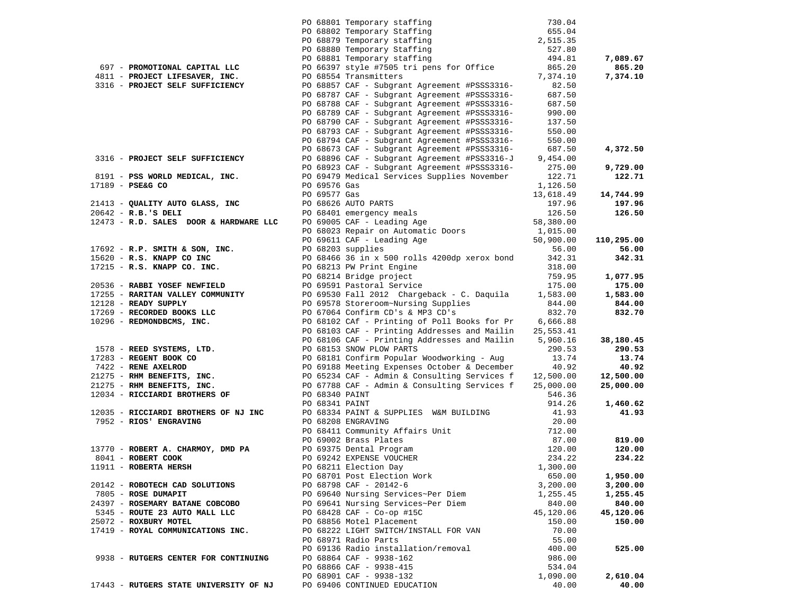|                                                                                       |                              | PO 68801 Temporary staffing 730.04<br>PO 68802 Temporary Staffing 655.04<br>PO 68879 Temporary staffing 2,515.35<br>PO 68880 Temporary staffing 527.80<br>PO 68881 Temporary staffing 494.81<br>PO 66377 Style #7505 tri pens for Office           |                |            |
|---------------------------------------------------------------------------------------|------------------------------|----------------------------------------------------------------------------------------------------------------------------------------------------------------------------------------------------------------------------------------------------|----------------|------------|
|                                                                                       |                              |                                                                                                                                                                                                                                                    |                |            |
|                                                                                       |                              |                                                                                                                                                                                                                                                    |                |            |
|                                                                                       |                              |                                                                                                                                                                                                                                                    |                |            |
|                                                                                       |                              |                                                                                                                                                                                                                                                    |                | 7,089.67   |
| 697 - PROMOTIONAL CAPITAL LLC                                                         |                              |                                                                                                                                                                                                                                                    |                | 865.20     |
| 4811 - PROJECT LIFESAVER, INC.                                                        |                              | PO 68554 Transmitters                                                                                                                                                                                                                              | 7,374.10       | 7,374.10   |
| 3316 - PROJECT SELF SUFFICIENCY                                                       |                              | PO 68857 CAF - Subgrant Agreement #PSSS3316-                                                                                                                                                                                                       | 82.50          |            |
|                                                                                       |                              | PO 68787 CAF - Subgrant Agreement #PSSS3316-                                                                                                                                                                                                       | 687.50         |            |
|                                                                                       |                              | PO 68788 CAF - Subgrant Agreement #PSSS3316-                                                                                                                                                                                                       | 687.50         |            |
|                                                                                       |                              | PO 68789 CAF - Subgrant Agreement #PSSS3316-                                                                                                                                                                                                       | 990.00         |            |
|                                                                                       |                              | PO 68790 CAF - Subgrant Agreement #PSSS3316-                                                                                                                                                                                                       | 137.50         |            |
|                                                                                       |                              | PO 68793 CAF - Subgrant Agreement #PSSS3316-                                                                                                                                                                                                       | 550.00         |            |
|                                                                                       |                              | PO 68794 CAF - Subgrant Agreement #PSSS3316-                                                                                                                                                                                                       | 550.00         |            |
|                                                                                       |                              | PO 68673 CAF - Subgrant Agreement #PSSS3316-                                                                                                                                                                                                       | 687.50         | 4,372.50   |
| 3316 - PROJECT SELF SUFFICIENCY                                                       |                              | PO 68896 CAF - Subgrant Agreement #PSS3316-J                                                                                                                                                                                                       | 9,454.00       |            |
|                                                                                       |                              | PO 68923 CAF - Subgrant Agreement #PSSS3316-                                                                                                                                                                                                       | 275.00         | 9,729.00   |
| 8191 - PSS WORLD MEDICAL, INC.                                                        |                              | PO 69479 Medical Services Supplies November                                                                                                                                                                                                        | 122.71         | 122.71     |
| 17189 - PSE&G CO                                                                      |                              |                                                                                                                                                                                                                                                    | 1,126.50       |            |
|                                                                                       | PO 69576 Gas<br>PO 69577 Gas |                                                                                                                                                                                                                                                    | 13,618.49      | 14,744.99  |
|                                                                                       |                              |                                                                                                                                                                                                                                                    |                | 197.96     |
|                                                                                       |                              |                                                                                                                                                                                                                                                    |                | 126.50     |
|                                                                                       |                              |                                                                                                                                                                                                                                                    |                |            |
|                                                                                       |                              |                                                                                                                                                                                                                                                    |                |            |
|                                                                                       |                              |                                                                                                                                                                                                                                                    |                | 110,295.00 |
|                                                                                       |                              | 21413 - QUALITY AUTO GLASS, INC<br>20642 - R.B.'S DELI<br>20642 - R.D. SALES DOOR & HARDWARE LLC<br>200642 - R.D. SALES DOOR & HARDWARE LLC<br>20068203 Repair on Automatic Doors<br>20068203 Repair on Automatic Doors<br>20068203 Suppl          |                | 56.00      |
|                                                                                       |                              |                                                                                                                                                                                                                                                    |                | 342.31     |
|                                                                                       |                              |                                                                                                                                                                                                                                                    |                |            |
|                                                                                       |                              | PO 69611 CAF - Leading Age<br>PO 69611 CAF - Leading Age<br>PO 68203 supplies<br>DO 68203 supplies<br>PO 68203 supplies<br>PO 68203 supplies<br>PO 68203 supplies<br>PO 68203 supplies<br>PO 68213 PW Print Engine<br>PO 68213 PW Print Engine<br> | 759.95         | 1,077.95   |
|                                                                                       |                              |                                                                                                                                                                                                                                                    | 175.00         | 175.00     |
| 17255 - RARITAN VALLEY COMMUNITY                                                      |                              | PO 69530 Fall 2012 Chargeback - C. Daquila 1,583.00                                                                                                                                                                                                |                | 1,583.00   |
| 12128 - READY SUPPLY                                                                  |                              |                                                                                                                                                                                                                                                    | 844.00         | 844.00     |
| 12128 - RECORDED BOOKS LLC<br>17269 - RECORDED BOOKS LLC<br>10296 - REDMONDBCMS, INC. |                              | PO 69578 Storeroom~Nursing Supplies<br>PO 67064 Confirm CD's & MP3 CD's<br>PO 67064 Confirm CD's & MP3 CD's                                                                                                                                        | 832.70         | 832.70     |
|                                                                                       |                              | PO 68102 CAf - Printing of Poll Books for Pr 6,666.88                                                                                                                                                                                              |                |            |
|                                                                                       |                              | PO 68103 CAF - Printing Addresses and Mailin 25,553.41                                                                                                                                                                                             |                |            |
|                                                                                       |                              | PO 68106 CAF - Printing Addresses and Mailin 5,960.16                                                                                                                                                                                              |                | 38,180.45  |
|                                                                                       |                              |                                                                                                                                                                                                                                                    |                | 290.53     |
|                                                                                       |                              | 1728 - REED SYSTEMS, LTD.<br>1728 - REGENT BOOK CO<br>21275 - RENE AXELROD<br>21275 - RENE AXELROD<br>21275 - RENE ENERTITS, INC.<br>21275 - RENE BENEFITS, INC.<br>21275 - RENE BENEFITS, INC.<br>21275 - RENE BENEFITS, INC.<br>2000.00<br>212   |                | 13.74      |
|                                                                                       |                              |                                                                                                                                                                                                                                                    |                | 40.92      |
|                                                                                       |                              |                                                                                                                                                                                                                                                    |                | 12,500.00  |
|                                                                                       |                              |                                                                                                                                                                                                                                                    |                | 25,000.00  |
|                                                                                       |                              |                                                                                                                                                                                                                                                    |                |            |
|                                                                                       | PO 68341 PAINT               |                                                                                                                                                                                                                                                    | 914.26         | 1,460.62   |
|                                                                                       |                              | PO 68334 PAINT & SUPPLIES W&M BUILDING                                                                                                                                                                                                             | 41.93          | 41.93      |
| 12035 - RICCIARDI BROTHERS OF NJ INC<br>7952 - RIOS' ENGRAVING                        |                              | PO 68208 ENGRAVING                                                                                                                                                                                                                                 | 20.00          |            |
|                                                                                       |                              | 90 68411 Community Affairs Unit<br>PO 69002 Brass Plates<br>PO 69002 Brass Plates<br>PO 69375 Dental Program<br>PO 69242 EXPENSE VOUCHER<br>PO 68211 Election Day                                                                                  |                |            |
|                                                                                       |                              |                                                                                                                                                                                                                                                    |                | 819.00     |
|                                                                                       |                              |                                                                                                                                                                                                                                                    |                | 120.00     |
|                                                                                       |                              |                                                                                                                                                                                                                                                    |                | 234.22     |
| 11911 - ROBERTA HERSH                                                                 |                              | PO 68211 Election Day                                                                                                                                                                                                                              | 1,300.00       |            |
|                                                                                       |                              | PO 68701 Post Election Work                                                                                                                                                                                                                        | 650.00         | 1,950.00   |
| 20142 - ROBOTECH CAD SOLUTIONS                                                        |                              | PO 68798 CAF - 20142-6                                                                                                                                                                                                                             | 3,200.00       | 3,200.00   |
| 7805 - ROSE DUMAPIT                                                                   |                              | PO 69640 Nursing Services~Per Diem                                                                                                                                                                                                                 | 1,255.45       | 1,255.45   |
| 24397 - ROSEMARY BATANE COBCOBO                                                       |                              | PO 69641 Nursing Services~Per Diem                                                                                                                                                                                                                 | 840.00         | 840.00     |
| 5345 - ROUTE 23 AUTO MALL LLC                                                         |                              | PO 68428 CAF - Co-op #15C<br>PO 68856 Motel Placement                                                                                                                                                                                              | 45,120.06      | 45,120.06  |
| 25072 - ROXBURY MOTEL<br>17419 - ROYAL COMMUNICATIONS INC.                            |                              | PO 68222 LIGHT SWITCH/INSTALL FOR VAN                                                                                                                                                                                                              | 150.00         | 150.00     |
|                                                                                       |                              | PO 68971 Radio Parts                                                                                                                                                                                                                               | 70.00<br>55.00 |            |
|                                                                                       |                              | PO 69136 Radio installation/removal                                                                                                                                                                                                                | 400.00         | 525.00     |
| 9938 - RUTGERS CENTER FOR CONTINUING                                                  |                              | PO 68864 CAF - 9938-162                                                                                                                                                                                                                            | 986.00         |            |
|                                                                                       |                              | PO 68866 CAF - 9938-415                                                                                                                                                                                                                            | 534.04         |            |
|                                                                                       |                              | PO 68901 CAF - 9938-132                                                                                                                                                                                                                            | 1,090.00       | 2,610.04   |
| 17443 - RUTGERS STATE UNIVERSITY OF NJ                                                |                              | PO 69406 CONTINUED EDUCATION                                                                                                                                                                                                                       | 40.00          | 40.00      |
|                                                                                       |                              |                                                                                                                                                                                                                                                    |                |            |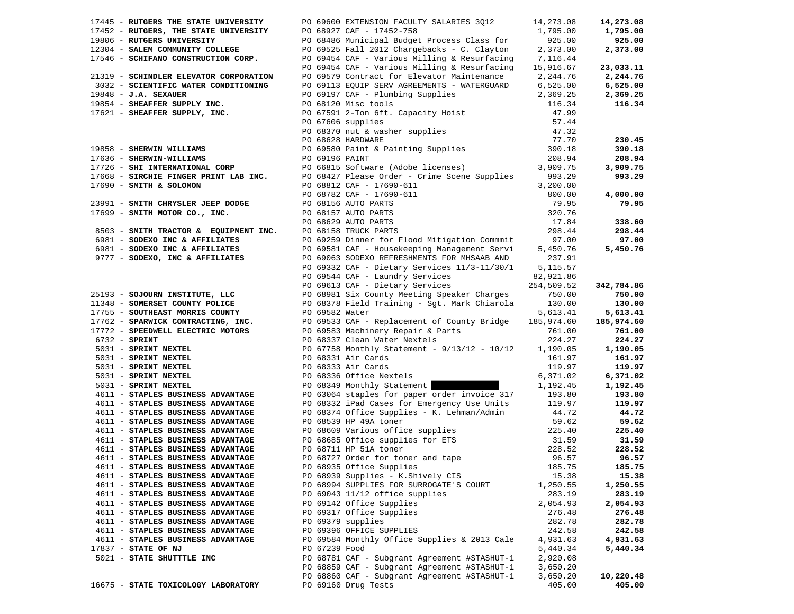| 17445 - RUTGERS THE STATE UNIVERSITY                                                                                                                                                                                                      |               | PO 69600 EXTENSION FACULTY SALARIES 3Q12                                                                                                                                                                                                            | 14,273.08 | 14,273.08  |
|-------------------------------------------------------------------------------------------------------------------------------------------------------------------------------------------------------------------------------------------|---------------|-----------------------------------------------------------------------------------------------------------------------------------------------------------------------------------------------------------------------------------------------------|-----------|------------|
| 17452 - RUTGERS, THE STATE UNIVERSITY<br>19806 - RUTGERS UNIVERSITY<br>19806 - RUTGERS UNIVERSITY<br>12304 - SALEM COMMUNITY COLLEGE<br>17546 - SCHIFANO CONSTRUCTION CORP.<br>17546 - SCHIFANO CONSTRUCTION CORP.<br>20069454 CAF - Vari |               |                                                                                                                                                                                                                                                     | 1,795.00  | 1,795.00   |
|                                                                                                                                                                                                                                           |               | PO 68486 Municipal Budget Process Class for                                                                                                                                                                                                         | 925.00    | 925.00     |
|                                                                                                                                                                                                                                           |               | PO 69525 Fall 2012 Chargebacks - C. Clayton                                                                                                                                                                                                         | 2,373.00  | 2,373.00   |
|                                                                                                                                                                                                                                           |               | PO 69454 CAF - Various Milling & Resurfacing 7,116.44                                                                                                                                                                                               |           |            |
|                                                                                                                                                                                                                                           |               | PO 69454 CAF - Various Milling & Resurfacing                                                                                                                                                                                                        | 15,916.67 | 23,033.11  |
| 21319 - SCHINDLER ELEVATOR CORPORATION                                                                                                                                                                                                    |               | PO 69579 Contract for Elevator Maintenance 2,244.76                                                                                                                                                                                                 |           | 2,244.76   |
| 3032 - SCIENTIFIC WATER CONDITIONING                                                                                                                                                                                                      |               | PO 69113 EQUIP SERV AGREEMENTS - WATERGUARD 6,525.00                                                                                                                                                                                                |           | 6,525.00   |
|                                                                                                                                                                                                                                           |               | 3032 - SCIENTIFIC WATER CONDITIONING PO 69113 EQUIP SERV AGREEMENTS - WATERGUARD 6,525.00<br>19888 - J.A. SEXAPER SUPPLY INC. PO 69197 CAF - Plumbing Supplies 2,369.25<br>19858 - SHEARFER SUPPLY, INC. PO 67591 2-Ton 6ft. Capa                   | 2,369.25  | 2,369.25   |
|                                                                                                                                                                                                                                           |               |                                                                                                                                                                                                                                                     |           | 116.34     |
|                                                                                                                                                                                                                                           |               |                                                                                                                                                                                                                                                     |           |            |
|                                                                                                                                                                                                                                           |               |                                                                                                                                                                                                                                                     |           |            |
|                                                                                                                                                                                                                                           |               |                                                                                                                                                                                                                                                     |           |            |
|                                                                                                                                                                                                                                           |               |                                                                                                                                                                                                                                                     |           | 230.45     |
|                                                                                                                                                                                                                                           |               |                                                                                                                                                                                                                                                     |           | 390.18     |
|                                                                                                                                                                                                                                           |               |                                                                                                                                                                                                                                                     |           | 208.94     |
|                                                                                                                                                                                                                                           |               |                                                                                                                                                                                                                                                     |           | 3,909.75   |
|                                                                                                                                                                                                                                           |               |                                                                                                                                                                                                                                                     |           | 993.29     |
|                                                                                                                                                                                                                                           |               |                                                                                                                                                                                                                                                     |           |            |
|                                                                                                                                                                                                                                           |               |                                                                                                                                                                                                                                                     |           | 4,000.00   |
|                                                                                                                                                                                                                                           |               |                                                                                                                                                                                                                                                     |           | 79.95      |
|                                                                                                                                                                                                                                           |               |                                                                                                                                                                                                                                                     |           |            |
|                                                                                                                                                                                                                                           |               |                                                                                                                                                                                                                                                     |           | 338.60     |
|                                                                                                                                                                                                                                           |               |                                                                                                                                                                                                                                                     |           | 298.44     |
|                                                                                                                                                                                                                                           |               | 8503 - SMITH TRACTOR & EQUIPMENT INC. PO 68158 TRUCK PARTS<br>6981 - SODEXO INC & AFFILIATES PO 69259 Dinner for Flood Mitigation Commmit 97.00<br>6981 - SODEXO INC & AFFILIATES PO 69581 CAF - Housekeeping Management Servi 5,450                |           | 97.00      |
|                                                                                                                                                                                                                                           |               |                                                                                                                                                                                                                                                     |           | 5,450.76   |
| 9777 - SODEXO, INC & AFFILIATES                                                                                                                                                                                                           |               |                                                                                                                                                                                                                                                     | 237.91    |            |
|                                                                                                                                                                                                                                           |               | PO 69063 SODEXO REFRESHMENTS FOR MHSAAB AND                                                                                                                                                                                                         |           |            |
|                                                                                                                                                                                                                                           |               |                                                                                                                                                                                                                                                     |           |            |
|                                                                                                                                                                                                                                           |               |                                                                                                                                                                                                                                                     |           | 342,784.86 |
|                                                                                                                                                                                                                                           |               | PO 69544 CAF - Laundry Services 11/3-11/30/1 5.17.91<br>PO 69544 CAF - Laundry Services 251,921.85<br>25193 - <b>SOJOURN INSTITUTE, LLC</b><br>PO 68981 Six County Meeting Speaker Charges<br>750.00<br>11735 - <b>SOUTHEAST MOREIS COUNTY POLI</b> |           |            |
|                                                                                                                                                                                                                                           |               |                                                                                                                                                                                                                                                     |           | 750.00     |
|                                                                                                                                                                                                                                           |               |                                                                                                                                                                                                                                                     |           | 130.00     |
|                                                                                                                                                                                                                                           |               |                                                                                                                                                                                                                                                     |           | 5,613.41   |
|                                                                                                                                                                                                                                           |               |                                                                                                                                                                                                                                                     |           | 185,974.60 |
|                                                                                                                                                                                                                                           |               |                                                                                                                                                                                                                                                     |           | 761.00     |
|                                                                                                                                                                                                                                           |               |                                                                                                                                                                                                                                                     |           | 224.27     |
|                                                                                                                                                                                                                                           |               |                                                                                                                                                                                                                                                     |           | 1,190.05   |
|                                                                                                                                                                                                                                           |               |                                                                                                                                                                                                                                                     |           | 161.97     |
|                                                                                                                                                                                                                                           |               |                                                                                                                                                                                                                                                     |           | 119.97     |
|                                                                                                                                                                                                                                           |               |                                                                                                                                                                                                                                                     |           | 6,371.02   |
|                                                                                                                                                                                                                                           |               |                                                                                                                                                                                                                                                     |           | 1,192.45   |
| 4611 - STAPLES BUSINESS ADVANTAGE                                                                                                                                                                                                         |               | PO 63064 staples for paper order invoice 317 193.80                                                                                                                                                                                                 |           | 193.80     |
| 4611 - STAPLES BUSINESS ADVANTAGE                                                                                                                                                                                                         |               |                                                                                                                                                                                                                                                     |           | 119.97     |
| 4611 - STAPLES BUSINESS ADVANTAGE                                                                                                                                                                                                         |               | PO 68332 iPad Cases for Emergency Use Units<br>PO 68332 iPad Cases for Emergency Use Units<br>PO 68374 Office Supplies - K. Lehman/Admin<br>97 686539 HP 49A toner<br>99.62<br>PO 68665 Office supplies<br>PO 68685 Office supplies<br>225.4        |           | 44.72      |
| 4611 - STAPLES BUSINESS ADVANTAGE                                                                                                                                                                                                         |               |                                                                                                                                                                                                                                                     |           | 59.62      |
| 4611 - STAPLES BUSINESS ADVANTAGE                                                                                                                                                                                                         |               |                                                                                                                                                                                                                                                     |           | 225.40     |
| 4611 - STAPLES BUSINESS ADVANTAGE                                                                                                                                                                                                         |               |                                                                                                                                                                                                                                                     |           | 31.59      |
| 4611 - STAPLES BUSINESS ADVANTAGE                                                                                                                                                                                                         |               |                                                                                                                                                                                                                                                     |           | 228.52     |
| 4611 - STAPLES BUSINESS ADVANTAGE                                                                                                                                                                                                         |               |                                                                                                                                                                                                                                                     |           | 96.57      |
| 4611 - STAPLES BUSINESS ADVANTAGE                                                                                                                                                                                                         |               |                                                                                                                                                                                                                                                     |           | 185.75     |
| 4611 - STAPLES BUSINESS ADVANTAGE                                                                                                                                                                                                         |               | PO 68939 Supplies - K. Shively CIS                                                                                                                                                                                                                  | 15.38     | 15.38      |
| 4611 - STAPLES BUSINESS ADVANTAGE                                                                                                                                                                                                         |               | PO 68994 SUPPLIES FOR SURROGATE'S COURT                                                                                                                                                                                                             | 1,250.55  | 1,250.55   |
| 4611 - STAPLES BUSINESS ADVANTAGE                                                                                                                                                                                                         |               | PO 69043 11/12 office supplies                                                                                                                                                                                                                      | 283.19    | 283.19     |
| 4611 - STAPLES BUSINESS ADVANTAGE                                                                                                                                                                                                         |               | PO 69142 Office Supplies                                                                                                                                                                                                                            | 2,054.93  | 2,054.93   |
| 4611 - STAPLES BUSINESS ADVANTAGE                                                                                                                                                                                                         |               | PO 69317 Office Supplies                                                                                                                                                                                                                            | 276.48    | 276.48     |
| 4611 - STAPLES BUSINESS ADVANTAGE                                                                                                                                                                                                         |               | PO 69379 supplies                                                                                                                                                                                                                                   | 282.78    | 282.78     |
| 4611 - STAPLES BUSINESS ADVANTAGE                                                                                                                                                                                                         |               | PO 69396 OFFICE SUPPLIES                                                                                                                                                                                                                            | 242.58    | 242.58     |
| 4611 - STAPLES BUSINESS ADVANTAGE                                                                                                                                                                                                         |               | PO 69584 Monthly Office Supplies & 2013 Cale                                                                                                                                                                                                        | 4,931.63  | 4,931.63   |
| 17837 - STATE OF NJ                                                                                                                                                                                                                       | PO 67239 Food |                                                                                                                                                                                                                                                     | 5,440.34  | 5,440.34   |
| 5021 - STATE SHUTTTLE INC                                                                                                                                                                                                                 |               | PO 68781 CAF - Subgrant Agreement #STASHUT-1                                                                                                                                                                                                        | 2,920.08  |            |
|                                                                                                                                                                                                                                           |               | PO 68859 CAF - Subgrant Agreement #STASHUT-1                                                                                                                                                                                                        | 3,650.20  |            |
|                                                                                                                                                                                                                                           |               | PO 68860 CAF - Subgrant Agreement #STASHUT-1                                                                                                                                                                                                        | 3,650.20  | 10,220.48  |
| 16675 - STATE TOXICOLOGY LABORATORY                                                                                                                                                                                                       |               | PO 69160 Drug Tests                                                                                                                                                                                                                                 | 405.00    | 405.00     |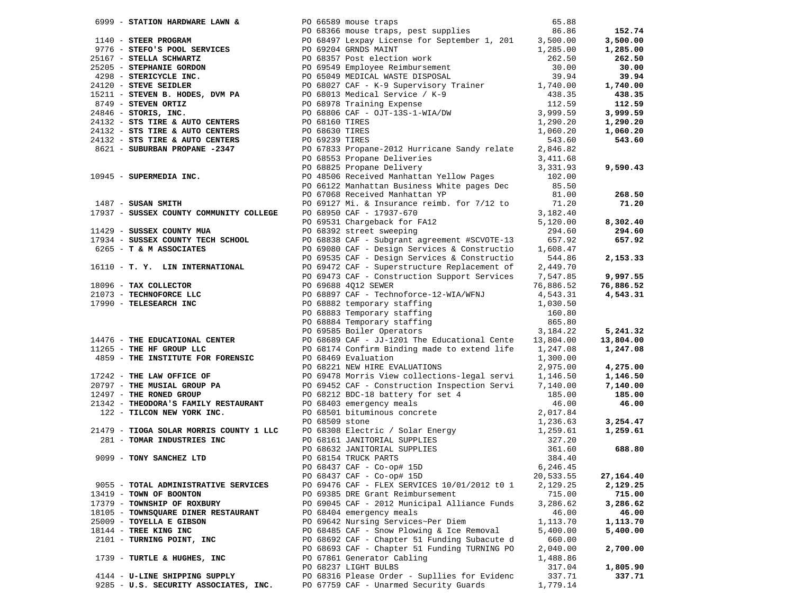|                                                                                                                                                                                                                                                  |                |                                                                                                                                                                                                                                                                 |           | 152.74    |
|--------------------------------------------------------------------------------------------------------------------------------------------------------------------------------------------------------------------------------------------------|----------------|-----------------------------------------------------------------------------------------------------------------------------------------------------------------------------------------------------------------------------------------------------------------|-----------|-----------|
|                                                                                                                                                                                                                                                  |                |                                                                                                                                                                                                                                                                 |           | 3,500.00  |
|                                                                                                                                                                                                                                                  |                |                                                                                                                                                                                                                                                                 |           | 1,285.00  |
|                                                                                                                                                                                                                                                  |                |                                                                                                                                                                                                                                                                 |           | 262.50    |
|                                                                                                                                                                                                                                                  |                | 999 - <b>STATION HARDWARE LAWN &amp;</b><br>PO 66589 mouse traps, pest supplies<br>PO 68497 Lexpay License for September 1, 201 3,500.00<br>9776 - <b>STEFO'S POOL SERVICES</b><br>25167 - <b>STEFO'S POOL SERVICES</b><br>25167 - <b>STEFO'S POOL SERVICES</b> |           | 30.00     |
|                                                                                                                                                                                                                                                  |                |                                                                                                                                                                                                                                                                 |           | 39.94     |
|                                                                                                                                                                                                                                                  |                |                                                                                                                                                                                                                                                                 |           | 1,740.00  |
|                                                                                                                                                                                                                                                  |                |                                                                                                                                                                                                                                                                 |           | 438.35    |
|                                                                                                                                                                                                                                                  |                |                                                                                                                                                                                                                                                                 |           | 112.59    |
|                                                                                                                                                                                                                                                  |                |                                                                                                                                                                                                                                                                 |           | 3,999.59  |
| 24132 - STS TIRE & AUTO CENTERS                                                                                                                                                                                                                  | PO 68160 TIRES |                                                                                                                                                                                                                                                                 | 1,290.20  | 1,290.20  |
| 24132 - STS TIRE & AUTO CENTERS<br>24132 - STS TIRE & AUTO CENTERS<br>PO 68630 TIRES                                                                                                                                                             |                |                                                                                                                                                                                                                                                                 | 1,060.20  | 1,060.20  |
|                                                                                                                                                                                                                                                  |                |                                                                                                                                                                                                                                                                 | 543.60    | 543.60    |
|                                                                                                                                                                                                                                                  |                |                                                                                                                                                                                                                                                                 | 2,846.82  |           |
|                                                                                                                                                                                                                                                  |                | PO 68553 Propane Deliveries                                                                                                                                                                                                                                     | 3,411.68  |           |
|                                                                                                                                                                                                                                                  |                | PU 68553 Propane Deliveries<br>PO 68825 Propane Delivery                                                                                                                                                                                                        | 3,331.93  | 9,590.43  |
|                                                                                                                                                                                                                                                  |                |                                                                                                                                                                                                                                                                 |           |           |
| 10945 - SUPERMEDIA INC.                                                                                                                                                                                                                          |                | PO 48506 Received Manhattan Yellow Pages<br>PO 66122 Manhattan Business White pages Dec                                                                                                                                                                         | 102.00    |           |
|                                                                                                                                                                                                                                                  |                |                                                                                                                                                                                                                                                                 | 85.50     |           |
|                                                                                                                                                                                                                                                  |                | PO 67068 Received Manhattan YP                                                                                                                                                                                                                                  | 81.00     | 268.50    |
| 1487 - SUSAN SMITH                                                                                                                                                                                                                               |                | PO 69127 Mi. & Insurance reimb. for 7/12 to                                                                                                                                                                                                                     | 71.20     | 71.20     |
| 17937 - SUSSEX COUNTY COMMUNITY COLLEGE                                                                                                                                                                                                          |                | PO 68950 CAF - 17937-670                                                                                                                                                                                                                                        | 3,182.40  |           |
|                                                                                                                                                                                                                                                  |                | PO 69531 Chargeback for FA12<br>PO 68393 Street sweeping                                                                                                                                                                                                        | 5,120.00  | 8,302.40  |
| 11429 - SUSSEX COUNTY MUA                                                                                                                                                                                                                        |                | PO 68392 street sweeping                                                                                                                                                                                                                                        | 294.60    | 294.60    |
| 17934 - SUSSEX COUNTY TECH SCHOOL                                                                                                                                                                                                                |                | PO 68838 CAF - Subgrant agreement #SCVOTE-13                                                                                                                                                                                                                    | 657.92    | 657.92    |
| 6265 - T & M ASSOCIATES                                                                                                                                                                                                                          |                | PO 69080 CAF - Design Services & Constructio                                                                                                                                                                                                                    | 1,608.47  |           |
|                                                                                                                                                                                                                                                  |                | PO 69535 CAF - Design Services & Constructio                                                                                                                                                                                                                    | 544.86    | 2,153.33  |
| 16110 - T. Y. LIN INTERNATIONAL                                                                                                                                                                                                                  |                | PO 69472 CAF - Superstructure Replacement of                                                                                                                                                                                                                    | 2,449.70  |           |
|                                                                                                                                                                                                                                                  |                | PO 69473 CAF - Construction Support Services                                                                                                                                                                                                                    | 7,547.85  | 9,997.55  |
| 18096 - TAX COLLECTOR<br>21073 - TECHNOFORCE LLC<br>21073 - TECHNOFORCE LLC<br>27990 - TELESEARCH INC<br>27990 - TELESEARCH INC<br>27990 - TELESEARCH INC<br>27990 - TELESEARCH INC<br>27990 - TELESEARCH INC<br>27990 - TELESEARCH INC<br>27990 |                |                                                                                                                                                                                                                                                                 | 76,886.52 | 76,886.52 |
|                                                                                                                                                                                                                                                  |                |                                                                                                                                                                                                                                                                 | 4,543.31  | 4,543.31  |
|                                                                                                                                                                                                                                                  |                |                                                                                                                                                                                                                                                                 | 1,030.50  |           |
|                                                                                                                                                                                                                                                  |                | PO 68882 temporary staffing<br>PO 68883 Temporary staffing<br>PO 68884 Temporary staffing<br>PO 69585 Boiler Operators                                                                                                                                          | 160.80    |           |
|                                                                                                                                                                                                                                                  |                |                                                                                                                                                                                                                                                                 | 865.80    |           |
|                                                                                                                                                                                                                                                  |                |                                                                                                                                                                                                                                                                 | 3,184.22  | 5,241.32  |
|                                                                                                                                                                                                                                                  |                | 14476 - THE EDUCATIONAL CENTER PO 68689 CAF - JJ-1201 The Educational Cente 13,804.00                                                                                                                                                                           |           | 13,804.00 |
| 11265 - THE HF GROUP LLC                                                                                                                                                                                                                         |                | PO 68174 Confirm Binding made to extend life 1,247.08                                                                                                                                                                                                           |           | 1,247.08  |
| 4859 - THE INSTITUTE FOR FORENSIC                                                                                                                                                                                                                |                | PO 68469 Evaluation                                                                                                                                                                                                                                             | 1,300.00  |           |
|                                                                                                                                                                                                                                                  |                | PO 68221 NEW HIRE EVALUATIONS                                                                                                                                                                                                                                   | 2,975.00  | 4,275.00  |
| 17242 - THE LAW OFFICE OF                                                                                                                                                                                                                        |                | PO 69478 Morris View collections-legal servi                                                                                                                                                                                                                    | 1,146.50  | 1,146.50  |
| 20797 - THE MUSIAL GROUP PA<br>12497 - THE RONED GROUP                                                                                                                                                                                           |                | PO 69452 CAF - Construction Inspection Servi                                                                                                                                                                                                                    | 7,140.00  | 7,140.00  |
| 12497 - THE RONED GROUP                                                                                                                                                                                                                          |                | PO 68212 BDC-18 battery for set 4                                                                                                                                                                                                                               | 185.00    | 185.00    |
| 21342 - THEODORA'S FAMILY RESTAURANT                                                                                                                                                                                                             |                | PO 68403 emergency meals<br>PO 68501 bituminous concrete<br>PO 68502 i                                                                                                                                                                                          | 46.00     | 46.00     |
| 122 - TILCON NEW YORK INC.                                                                                                                                                                                                                       |                |                                                                                                                                                                                                                                                                 | 2,017.84  |           |
|                                                                                                                                                                                                                                                  | PO 68509 stone |                                                                                                                                                                                                                                                                 | 1,236.63  | 3,254.47  |
|                                                                                                                                                                                                                                                  |                | 21479 - TIOGA SOLAR MORRIS COUNTY 1 LLC PO 68309 SLORE<br>281 - TOMAR INDUSTRIES INC PO 68308 Electric / Solar Energy<br>281 - TOMAR INDUSTRIES INC PO 68308 Electric / Solar Energy<br>291 - TOMY SANCHEZ LTD PO 68432 JANITORIAL S                            |           | 1,259.61  |
|                                                                                                                                                                                                                                                  |                |                                                                                                                                                                                                                                                                 |           |           |
|                                                                                                                                                                                                                                                  |                |                                                                                                                                                                                                                                                                 |           | 688.80    |
|                                                                                                                                                                                                                                                  |                |                                                                                                                                                                                                                                                                 |           |           |
|                                                                                                                                                                                                                                                  |                |                                                                                                                                                                                                                                                                 |           |           |
|                                                                                                                                                                                                                                                  |                | PO 68437 CAF - Co-op# 15D                                                                                                                                                                                                                                       | 20,533.55 | 27,164.40 |
| 9055 - TOTAL ADMINISTRATIVE SERVICES                                                                                                                                                                                                             |                | PO 69476 CAF - FLEX SERVICES 10/01/2012 t0 1                                                                                                                                                                                                                    | 2,129.25  | 2,129.25  |
| 13419 - TOWN OF BOONTON                                                                                                                                                                                                                          |                | PO 69385 DRE Grant Reimbursement                                                                                                                                                                                                                                | 715.00    | 715.00    |
| 17379 - TOWNSHIP OF ROXBURY                                                                                                                                                                                                                      |                | PO 69045 CAF - 2012 Municipal Alliance Funds                                                                                                                                                                                                                    | 3,286.62  | 3,286.62  |
| 18105 - TOWNSQUARE DINER RESTAURANT                                                                                                                                                                                                              |                | PO 68404 emergency meals                                                                                                                                                                                                                                        | 46.00     | 46.00     |
| 25009 - TOYELLA E GIBSON                                                                                                                                                                                                                         |                | PO 69642 Nursing Services~Per Diem                                                                                                                                                                                                                              | 1,113.70  | 1,113.70  |
| 18144 - TREE KING INC                                                                                                                                                                                                                            |                | PO 68485 CAF - Snow Plowing & Ice Removal                                                                                                                                                                                                                       | 5,400.00  | 5,400.00  |
| 2101 - TURNING POINT, INC                                                                                                                                                                                                                        |                | PO 68692 CAF - Chapter 51 Funding Subacute d                                                                                                                                                                                                                    | 660.00    |           |
|                                                                                                                                                                                                                                                  |                | PO 68693 CAF - Chapter 51 Funding TURNING PO                                                                                                                                                                                                                    | 2,040.00  | 2,700.00  |
| 1739 - TURTLE & HUGHES, INC                                                                                                                                                                                                                      |                | PO 67861 Generator Cabling                                                                                                                                                                                                                                      | 1,488.86  |           |
|                                                                                                                                                                                                                                                  |                | PO 68237 LIGHT BULBS                                                                                                                                                                                                                                            | 317.04    | 1,805.90  |
| 4144 - U-LINE SHIPPING SUPPLY                                                                                                                                                                                                                    |                | PO 68316 Please Order - Supllies for Evidenc                                                                                                                                                                                                                    | 337.71    | 337.71    |
| 9285 - U.S. SECURITY ASSOCIATES, INC.                                                                                                                                                                                                            |                | PO 67759 CAF - Unarmed Security Guards                                                                                                                                                                                                                          | 1,779.14  |           |
|                                                                                                                                                                                                                                                  |                |                                                                                                                                                                                                                                                                 |           |           |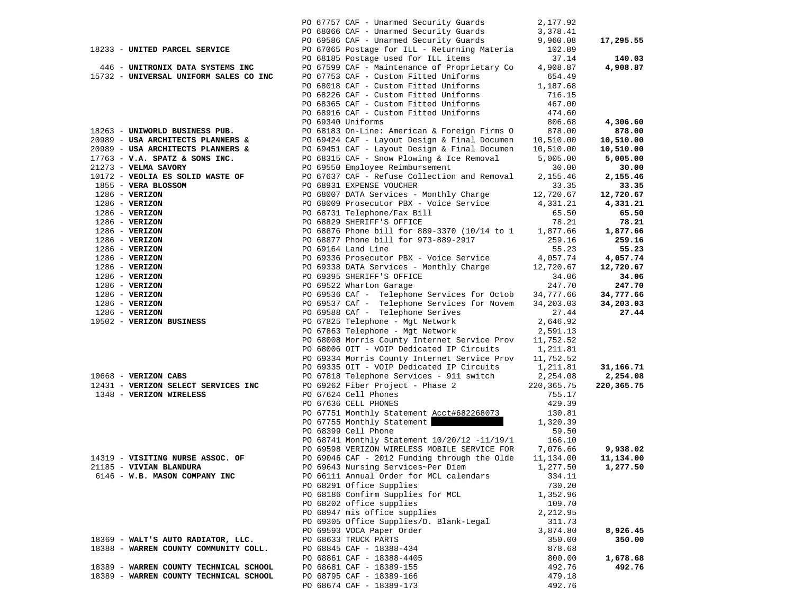|                                        | PO 67757 CAF - Unarmed Security Guards                                                       | 2,177.92           |            |
|----------------------------------------|----------------------------------------------------------------------------------------------|--------------------|------------|
|                                        | PO 68066 CAF - Unarmed Security Guards                                                       | 3,378.41           |            |
|                                        | PO 69586 CAF - Unarmed Security Guards                                                       | 9,960.08           | 17,295.55  |
| 18233 - UNITED PARCEL SERVICE          | PO 67065 Postage for ILL - Returning Materia                                                 | 102.89             |            |
|                                        | PO 68185 Postage used for ILL items                                                          | 37.14              | 140.03     |
| 446 - UNITRONIX DATA SYSTEMS INC       | PO 67599 CAF - Maintenance of Proprietary Co                                                 | 4,908.87           | 4,908.87   |
| 15732 - UNIVERSAL UNIFORM SALES CO INC | PO 67753 CAF - Custom Fitted Uniforms                                                        | 654.49             |            |
|                                        | PO 68018 CAF - Custom Fitted Uniforms                                                        | 1,187.68           |            |
|                                        | PO 68226 CAF - Custom Fitted Uniforms                                                        | 716.15             |            |
|                                        | PO 68365 CAF - Custom Fitted Uniforms                                                        | 467.00             |            |
|                                        | PO 68916 CAF - Custom Fitted Uniforms                                                        | 474.60             |            |
|                                        | PO 69340 Uniforms                                                                            | 806.68             | 4,306.60   |
| 18263 - UNIWORLD BUSINESS PUB.         | PO 68183 On-Line: American & Foreign Firms O                                                 | 878.00             | 878.00     |
| 20989 - USA ARCHITECTS PLANNERS &      | PO 69424 CAF - Layout Design & Final Documen                                                 | 10,510.00          | 10,510.00  |
| 20989 - USA ARCHITECTS PLANNERS &      | PO 69451 CAF - Layout Design & Final Documen                                                 | 10,510.00          | 10,510.00  |
| $17763$ - V.A. SPATZ & SONS INC.       | PO 68315 CAF - Snow Plowing & Ice Removal                                                    | 5,005.00           | 5,005.00   |
| 21273 - VELMA SAVORY                   | PO 69550 Employee Reimbursement                                                              | 30.00              | 30.00      |
| 10172 - VEOLIA ES SOLID WASTE OF       | PO 67637 CAF - Refuse Collection and Removal                                                 | 2,155.46           | 2,155.46   |
| 1855 - VERA BLOSSOM                    | PO 68931 EXPENSE VOUCHER                                                                     | 33.35              | 33.35      |
| $1286$ - VERIZON                       | PO 68007 DATA Services - Monthly Charge                                                      | 12,720.67          | 12,720.67  |
| $1286$ - VERIZON                       | PO 68009 Prosecutor PBX - Voice Service                                                      | 4,331.21           | 4,331.21   |
| $1286$ - VERIZON                       | PO 68731 Telephone/Fax Bill                                                                  | 65.50              | 65.50      |
| $1286$ - VERIZON                       | PO 68829 SHERIFF'S OFFICE                                                                    | 78.21              | 78.21      |
| $1286$ - VERIZON                       | PO 68876 Phone bill for 889-3370 (10/14 to 1                                                 | 1,877.66           | 1,877.66   |
| $1286$ - VERIZON                       | PO 68877 Phone bill for 973-889-2917                                                         | 259.16             | 259.16     |
| $1286$ - VERIZON                       | PO 69164 Land Line                                                                           | 55.23              | 55.23      |
| $1286 - VERIZON$                       | PO 69336 Prosecutor PBX - Voice Service                                                      | 4,057.74           | 4,057.74   |
| $1286 - VERIZON$                       | PO 69338 DATA Services - Monthly Charge                                                      | 12,720.67          | 12,720.67  |
| $1286$ - VERIZON                       | PO 69395 SHERIFF'S OFFICE                                                                    | 34.06              | 34.06      |
| $1286 - VERIZON$                       | PO 69522 Wharton Garage                                                                      | 247.70             | 247.70     |
| $1286$ - VERIZON                       | PO 69536 CAf - Telephone Services for Octob                                                  | 34,777.66          | 34,777.66  |
| $1286$ - VERIZON                       | PO 69537 CAf - Telephone Services for Novem                                                  | 34,203.03          | 34,203.03  |
| $1286$ - VERIZON                       | PO 69588 CAf - Telephone Serives                                                             | 27.44              | 27.44      |
| 10502 - VERIZON BUSINESS               | PO 67825 Telephone - Mgt Network                                                             | 2,646.92           |            |
|                                        | PO 67863 Telephone - Mgt Network                                                             | 2,591.13           |            |
|                                        | PO 68008 Morris County Internet Service Prov                                                 | 11,752.52          |            |
|                                        | PO 68006 OIT - VOIP Dedicated IP Circuits                                                    | 1,211.81           |            |
|                                        | PO 69334 Morris County Internet Service Prov                                                 | 11,752.52          |            |
|                                        | PO 69335 OIT - VOIP Dedicated IP Circuits                                                    | 1,211.81           | 31,166.71  |
| 10668 - VERIZON CABS                   | PO 67818 Telephone Services - 911 switch                                                     | 2,254.08           | 2,254.08   |
| 12431 - VERIZON SELECT SERVICES INC    | PO 69262 Fiber Project - Phase 2                                                             | 220, 365. 75       | 220,365.75 |
| 1348 - VERIZON WIRELESS                | PO 67624 Cell Phones                                                                         | 755.17             |            |
|                                        | PO 67636 CELL PHONES                                                                         | 429.39             |            |
|                                        | PO 67751 Monthly Statement Acct#682268073                                                    | 130.81             |            |
|                                        | PO 67755 Monthly Statement                                                                   | 1,320.39           |            |
|                                        | PO 68399 Cell Phone                                                                          | 59.50              |            |
|                                        | PO 68741 Monthly Statement 10/20/12 -11/19/1<br>PO 69598 VERIZON WIRELESS MOBILE SERVICE FOR | 166.10<br>7,076.66 | 9,938.02   |
| 14319 - VISITING NURSE ASSOC. OF       | PO 69046 CAF - 2012 Funding through the Olde                                                 | 11,134.00          | 11,134.00  |
| 21185 - VIVIAN BLANDURA                | PO 69643 Nursing Services~Per Diem                                                           | 1,277.50           | 1,277.50   |
| 6146 - W.B. MASON COMPANY INC          | PO 66111 Annual Order for MCL calendars                                                      | 334.11             |            |
|                                        | PO 68291 Office Supplies                                                                     | 730.20             |            |
|                                        | PO 68186 Confirm Supplies for MCL                                                            | 1,352.96           |            |
|                                        | PO 68202 office supplies                                                                     | 109.70             |            |
|                                        | PO 68947 mis office supplies                                                                 | 2,212.95           |            |
|                                        | PO 69305 Office Supplies/D. Blank-Legal                                                      | 311.73             |            |
|                                        | PO 69593 VOCA Paper Order                                                                    | 3,874.80           | 8,926.45   |
| 18369 - WALT'S AUTO RADIATOR, LLC.     | PO 68633 TRUCK PARTS                                                                         | 350.00             | 350.00     |
| 18388 - WARREN COUNTY COMMUNITY COLL.  | PO 68845 CAF - 18388-434                                                                     | 878.68             |            |
|                                        | PO 68861 CAF - 18388-4405                                                                    | 800.00             | 1,678.68   |
| 18389 - WARREN COUNTY TECHNICAL SCHOOL | PO 68681 CAF - 18389-155                                                                     | 492.76             | 492.76     |
| 18389 - WARREN COUNTY TECHNICAL SCHOOL | PO 68795 CAF - 18389-166                                                                     | 479.18             |            |
|                                        | PO 68674 CAF - 18389-173                                                                     | 492.76             |            |
|                                        |                                                                                              |                    |            |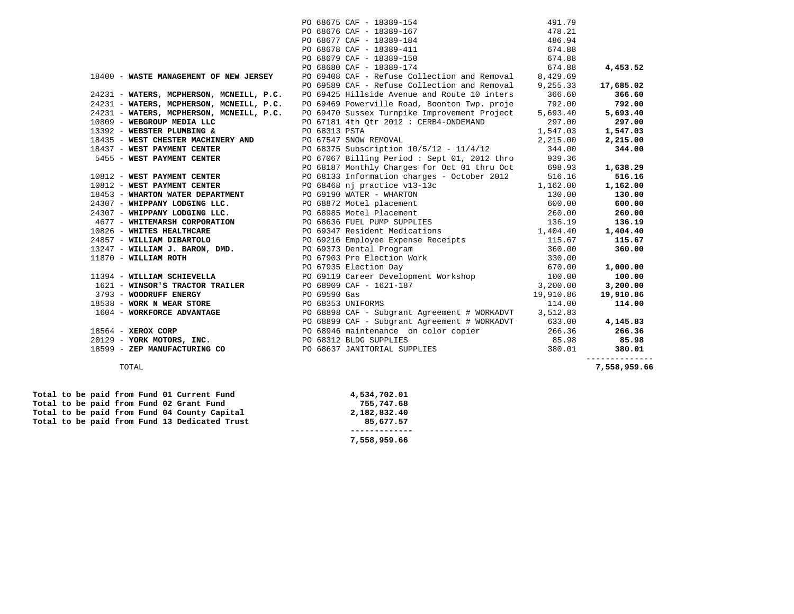|                                                         |               | PO 68675 CAF - 18389-154                                                                                                  | 491.79    |              |
|---------------------------------------------------------|---------------|---------------------------------------------------------------------------------------------------------------------------|-----------|--------------|
|                                                         |               | PO 68676 CAF - 18389-167                                                                                                  | 478.21    |              |
|                                                         |               | PO 68677 CAF - 18389-184                                                                                                  | 486.94    |              |
|                                                         |               | PO 68678 CAF - 18389-411                                                                                                  | 674.88    |              |
|                                                         |               | PO 68679 CAF - 18389-150                                                                                                  | 674.88    |              |
|                                                         |               | PO 68680 CAF - 18389-174                                                                                                  | 674.88    | 4,453.52     |
| 18400 - WASTE MANAGEMENT OF NEW JERSEY                  |               | PO 69408 CAF - Refuse Collection and Removal                                                                              | 8,429.69  |              |
|                                                         |               | PO 69589 CAF - Refuse Collection and Removal                                                                              | 9,255.33  | 17,685.02    |
| 24231 - WATERS, MCPHERSON, MCNEILL, P.C.                |               | PO 69425 Hillside Avenue and Route 10 inters                                                                              | 366.60    | 366.60       |
| 24231 - WATERS, MCPHERSON, MCNEILL, P.C.                |               | PO 69469 Powerville Road, Boonton Twp. proje 792.00                                                                       |           | 792.00       |
| 24231 - WATERS, MCPHERSON, MCNEILL, P.C.                |               | PO 69470 Sussex Turnpike Improvement Project                                                                              | 5,693.40  | 5,693.40     |
| 10809 - WEBGROUP MEDIA LLC                              |               | PO 67181 4th Otr 2012: CERB4-ONDEMAND                                                                                     | 297.00    | 297.00       |
| 13392 - WEBSTER PLUMBING &                              | PO 68313 PSTA |                                                                                                                           | 1,547.03  | 1,547.03     |
| 18435 - WEST CHESTER MACHINERY AND                      |               | PO 67547 SNOW REMOVAL                                                                                                     | 2,215.00  | 2,215.00     |
| 18437 - WEST PAYMENT CENTER                             |               | PO 68375 Subscription 10/5/12 - 11/4/12                                                                                   | 344.00    | 344.00       |
| 5455 - WEST PAYMENT CENTER                              |               | PO 67067 Billing Period: Sept 01, 2012 thro                                                                               | 939.36    |              |
|                                                         |               | PO 68187 Monthly Charges for Oct 01 thru Oct                                                                              | 698.93    | 1,638.29     |
| 10812 - WEST PAYMENT CENTER                             |               | PO 68133 Information charges - October 2012                                                                               | 516.16    | 516.16       |
| 10812 - WEST PAYMENT CENTER                             |               | PO 68468 nj practice v13-13c                                                                                              | 1,162.00  | 1,162.00     |
| 18453 - WHARTON WATER DEPARTMENT                        |               | PO 69190 WATER - WHARTON                                                                                                  | 130.00    | 130.00       |
|                                                         |               | 24307 - WHIPPANY LODGING LLC. PO 68872 Motel placement                                                                    | 600.00    | 600.00       |
|                                                         |               | 24307 - WHIPPANY LODGING LLC. PO 68985 Motel Placement                                                                    | 260.00    | 260.00       |
|                                                         |               | 4677 - WHITEMARSH CORPORATION 68636 FUEL PUMP SUPPLIES 26.19                                                              |           | 136.19       |
| 10826 - WHITES HEALTHCARE                               |               | PO 69347 Resident Medications 1,404.40                                                                                    |           | 1,404.40     |
|                                                         |               |                                                                                                                           | 115.67    | 115.67       |
|                                                         |               |                                                                                                                           | 360.00    | 360.00       |
| 11870 - WILLIAM ROTH                                    |               | PO 67903 Pre Election Work                                                                                                | 330.00    |              |
|                                                         |               |                                                                                                                           | 670.00    | 1,000.00     |
|                                                         |               | PO 67935 Election Day 670.00 PO 67935 Election Day 670.00 Election Day 670.00 PO 69119 Career Development Workshop 100.00 |           | 100.00       |
| 1621 - WINSOR'S TRACTOR TRAILER PO 68909 CAF - 1621-187 |               |                                                                                                                           | 3,200.00  | 3,200.00     |
| 3793 - WOODRUFF ENERGY                                  | PO 69590 Gas  |                                                                                                                           | 19,910.86 | 19,910.86    |
| 18538 - WORK N WEAR STORE TO PO 68353 UNIFORMS          |               |                                                                                                                           | 114.00    | 114.00       |
|                                                         |               | 1604 - WORKFORCE ADVANTAGE PO 68898 CAF - Subgrant Agreement # WORKADVT 3,512.83                                          |           |              |
|                                                         |               | PO 68899 CAF - Subgrant Agreement # WORKADVT 633.00                                                                       |           | 4,145.83     |
| 18564 - XEROX CORP                                      |               | PO 68946 maintenance on color copier                                                                                      | 266.36    | 266.36       |
| 20129 - YORK MOTORS, INC. 90 PO 68312 BLDG SUPPLIES     |               |                                                                                                                           | 85.98     | 85.98        |
| 18599 - ZEP MANUFACTURING CO                            |               | PO 68637 JANITORIAL SUPPLIES                                                                                              | 380.01    | 380.01       |
|                                                         |               |                                                                                                                           |           | ------------ |

|  |  |  |  | Total to be paid from Fund 01 Current Fund    | 4,534,702.01 |
|--|--|--|--|-----------------------------------------------|--------------|
|  |  |  |  | Total to be paid from Fund 02 Grant Fund      | 755,747.68   |
|  |  |  |  | Total to be paid from Fund 04 County Capital  | 2,182,832.40 |
|  |  |  |  | Total to be paid from Fund 13 Dedicated Trust | 85,677.57    |
|  |  |  |  |                                               |              |
|  |  |  |  |                                               | 7,558,959.66 |

TOTAL **7,558,959.66**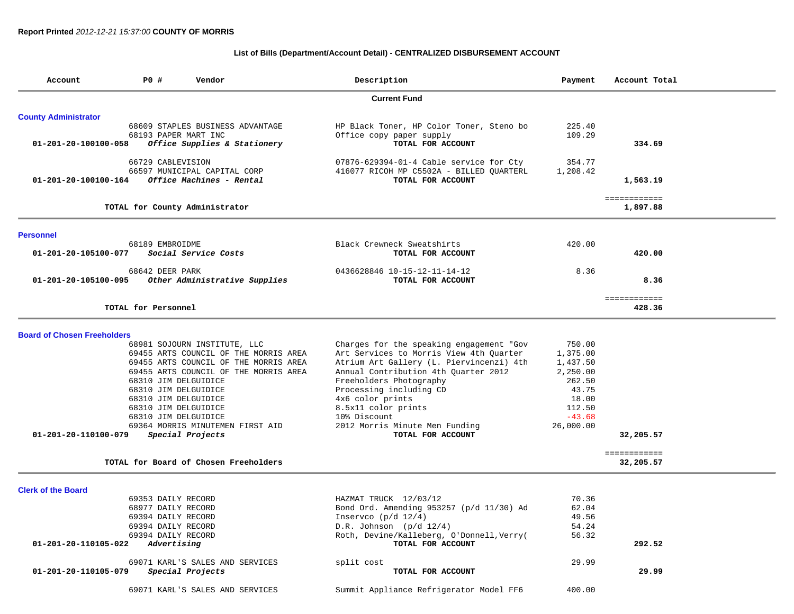### **List of Bills (Department/Account Detail) - CENTRALIZED DISBURSEMENT ACCOUNT**

| Account                            | <b>PO #</b>          | Vendor                                | Description                               | Payment   | Account Total             |
|------------------------------------|----------------------|---------------------------------------|-------------------------------------------|-----------|---------------------------|
|                                    |                      |                                       | <b>Current Fund</b>                       |           |                           |
| <b>County Administrator</b>        |                      |                                       |                                           |           |                           |
|                                    |                      | 68609 STAPLES BUSINESS ADVANTAGE      | HP Black Toner, HP Color Toner, Steno bo  | 225.40    |                           |
|                                    | 68193 PAPER MART INC |                                       | Office copy paper supply                  | 109.29    |                           |
| 01-201-20-100100-058               |                      | Office Supplies & Stationery          | TOTAL FOR ACCOUNT                         |           | 334.69                    |
|                                    | 66729 CABLEVISION    |                                       | 07876-629394-01-4 Cable service for Cty   | 354.77    |                           |
|                                    |                      | 66597 MUNICIPAL CAPITAL CORP          | 416077 RICOH MP C5502A - BILLED QUARTERL  | 1,208.42  |                           |
| 01-201-20-100100-164               |                      | Office Machines - Rental              | TOTAL FOR ACCOUNT                         |           | 1,563.19                  |
|                                    |                      | TOTAL for County Administrator        |                                           |           | ============<br>1,897.88  |
|                                    |                      |                                       |                                           |           |                           |
| <b>Personnel</b>                   |                      |                                       |                                           |           |                           |
|                                    | 68189 EMBROIDME      |                                       | Black Crewneck Sweatshirts                | 420.00    |                           |
| 01-201-20-105100-077               |                      | Social Service Costs                  | TOTAL FOR ACCOUNT                         |           | 420.00                    |
|                                    | 68642 DEER PARK      |                                       | 0436628846 10-15-12-11-14-12              | 8.36      |                           |
| 01-201-20-105100-095               |                      | Other Administrative Supplies         | TOTAL FOR ACCOUNT                         |           | 8.36                      |
|                                    |                      |                                       |                                           |           | ============              |
|                                    | TOTAL for Personnel  |                                       |                                           |           | 428.36                    |
| <b>Board of Chosen Freeholders</b> |                      |                                       |                                           |           |                           |
|                                    |                      | 68981 SOJOURN INSTITUTE, LLC          | Charges for the speaking engagement "Gov  | 750.00    |                           |
|                                    |                      | 69455 ARTS COUNCIL OF THE MORRIS AREA | Art Services to Morris View 4th Quarter   | 1,375.00  |                           |
|                                    |                      | 69455 ARTS COUNCIL OF THE MORRIS AREA | Atrium Art Gallery (L. Piervincenzi) 4th  | 1,437.50  |                           |
|                                    |                      | 69455 ARTS COUNCIL OF THE MORRIS AREA | Annual Contribution 4th Quarter 2012      | 2,250.00  |                           |
|                                    | 68310 JIM DELGUIDICE |                                       | Freeholders Photography                   | 262.50    |                           |
|                                    | 68310 JIM DELGUIDICE |                                       | Processing including CD                   | 43.75     |                           |
|                                    | 68310 JIM DELGUIDICE |                                       | 4x6 color prints                          | 18.00     |                           |
|                                    | 68310 JIM DELGUIDICE |                                       | 8.5x11 color prints                       | 112.50    |                           |
|                                    | 68310 JIM DELGUIDICE |                                       | 10% Discount                              | $-43.68$  |                           |
|                                    |                      | 69364 MORRIS MINUTEMEN FIRST AID      | 2012 Morris Minute Men Funding            | 26,000.00 |                           |
| 01-201-20-110100-079               |                      | Special Projects                      | TOTAL FOR ACCOUNT                         |           | 32,205.57                 |
|                                    |                      | TOTAL for Board of Chosen Freeholders |                                           |           | ============<br>32,205.57 |
|                                    |                      |                                       |                                           |           |                           |
| <b>Clerk of the Board</b>          |                      |                                       |                                           |           |                           |
|                                    | 69353 DAILY RECORD   |                                       | HAZMAT TRUCK 12/03/12                     | 70.36     |                           |
|                                    | 68977 DAILY RECORD   |                                       | Bond Ord. Amending 953257 (p/d 11/30) Ad  | 62.04     |                           |
|                                    | 69394 DAILY RECORD   |                                       | Inservco $(p/d \ 12/4)$                   | 49.56     |                           |
|                                    | 69394 DAILY RECORD   |                                       | $D.R.$ Johnson ( $p/d$ 12/4)              | 54.24     |                           |
|                                    | 69394 DAILY RECORD   |                                       | Roth, Devine/Kalleberg, O'Donnell, Verry( | 56.32     |                           |
| 01-201-20-110105-022               | Advertising          |                                       | TOTAL FOR ACCOUNT                         |           | 292.52                    |
|                                    |                      | 69071 KARL'S SALES AND SERVICES       | split cost                                | 29.99     |                           |
| 01-201-20-110105-079               |                      | Special Projects                      | TOTAL FOR ACCOUNT                         |           | 29.99                     |
|                                    |                      | 69071 KARL'S SALES AND SERVICES       | Summit Appliance Refrigerator Model FF6   | 400.00    |                           |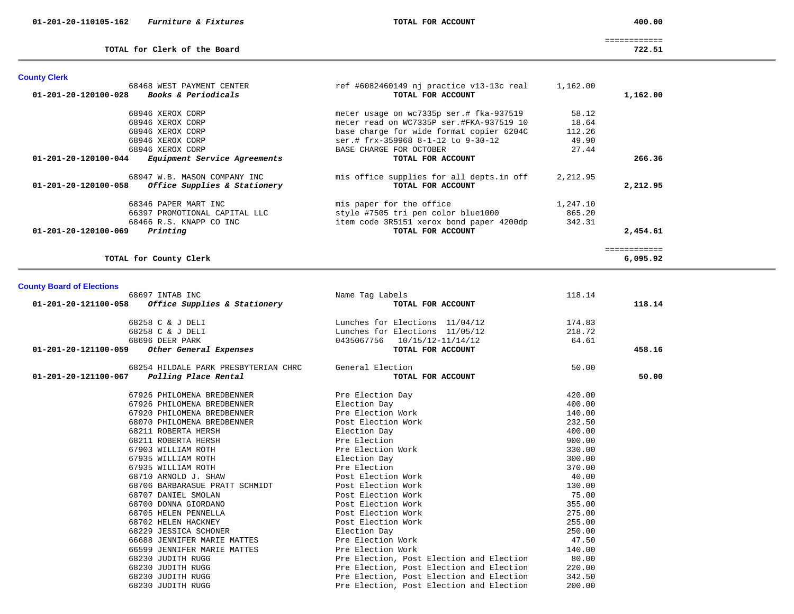**TOTAL for Clerk of the Board 722.51**

============

| <b>County Clerk</b>                                         |                                          |          |          |
|-------------------------------------------------------------|------------------------------------------|----------|----------|
| 68468 WEST PAYMENT CENTER                                   | ref #6082460149 nj practice v13-13c real | 1,162.00 |          |
| <i>Books &amp; Periodicals</i><br>01-201-20-120100-028      | TOTAL FOR ACCOUNT                        |          | 1,162.00 |
| 68946 XEROX CORP                                            | meter usage on wc7335p ser.# fka-937519  | 58.12    |          |
| 68946 XEROX CORP                                            | meter read on WC7335P ser.#FKA-937519 10 | 18.64    |          |
| 68946 XEROX CORP                                            | base charge for wide format copier 6204C | 112.26   |          |
| 68946 XEROX CORP                                            | ser.# frx-359968 8-1-12 to 9-30-12       | 49.90    |          |
| 68946 XEROX CORP                                            | BASE CHARGE FOR OCTOBER                  | 27.44    |          |
| <i>Equipment Service Agreements</i><br>01-201-20-120100-044 | TOTAL FOR ACCOUNT                        |          | 266.36   |
| 68947 W.B. MASON COMPANY INC                                | mis office supplies for all depts.in off | 2,212.95 |          |
| Office Supplies & Stationery<br>01-201-20-120100-058        | TOTAL FOR ACCOUNT                        |          | 2,212.95 |
| 68346 PAPER MART INC                                        | mis paper for the office                 | 1,247.10 |          |
| 66397 PROMOTIONAL CAPITAL LLC                               | style #7505 tri pen color blue1000       | 865.20   |          |
| 68466 R.S. KNAPP CO INC                                     | item code 3R5151 xerox bond paper 4200dp | 342.31   |          |
| 01-201-20-120100-069<br>Printing                            | TOTAL FOR ACCOUNT                        |          | 2,454.61 |
|                                                             |                                          |          |          |
| TOTAL for County Clerk                                      |                                          |          | 6,095.92 |

### **County Board of Elections**

| 68697 INTAB INC                                     | Name Tag Labels                          | 118.14 |        |
|-----------------------------------------------------|------------------------------------------|--------|--------|
| $01-201-20-121100-058$ Office Supplies & Stationery | TOTAL FOR ACCOUNT                        |        | 118.14 |
| 68258 C & J DELI                                    | Lunches for Elections 11/04/12           | 174.83 |        |
| 68258 C & J DELI                                    | Lunches for Elections 11/05/12           | 218.72 |        |
| 68696 DEER PARK                                     | 0435067756 10/15/12-11/14/12             | 64.61  |        |
| 01-201-20-121100-059<br>Other General Expenses      | TOTAL FOR ACCOUNT                        |        | 458.16 |
| 68254 HILDALE PARK PRESBYTERIAN CHRC                | General Election                         | 50.00  |        |
| Polling Place Rental<br>01-201-20-121100-067        | TOTAL FOR ACCOUNT                        |        | 50.00  |
| 67926 PHILOMENA BREDBENNER                          | Pre Election Day                         | 420.00 |        |
| 67926 PHILOMENA BREDBENNER                          | Election Day                             | 400.00 |        |
| 67920 PHILOMENA BREDBENNER                          | Pre Election Work                        | 140.00 |        |
| 68070 PHILOMENA BREDBENNER                          | Post Election Work                       | 232.50 |        |
| 68211 ROBERTA HERSH                                 | Election Day                             | 400.00 |        |
| 68211 ROBERTA HERSH                                 | Pre Election                             | 900.00 |        |
| 67903 WILLIAM ROTH                                  | Pre Election Work                        | 330.00 |        |
| 67935 WILLIAM ROTH                                  | Election Day                             | 300.00 |        |
| 67935 WILLIAM ROTH                                  | Pre Election                             | 370.00 |        |
| 68710 ARNOLD J. SHAW                                | Post Election Work                       | 40.00  |        |
| 68706 BARBARASUE PRATT SCHMIDT                      | Post Election Work                       | 130.00 |        |
| 68707 DANIEL SMOLAN                                 | Post Election Work                       | 75.00  |        |
| 68700 DONNA GIORDANO                                | Post Election Work                       | 355.00 |        |
| 68705 HELEN PENNELLA                                | Post Election Work                       | 275.00 |        |
| 68702 HELEN HACKNEY                                 | Post Election Work                       | 255.00 |        |
| 68229 JESSICA SCHONER                               | Election Day                             | 250.00 |        |
| 66688 JENNIFER MARIE MATTES                         | Pre Election Work                        | 47.50  |        |
| 66599 JENNIFER MARIE MATTES                         | Pre Election Work                        | 140.00 |        |
| 68230 JUDITH RUGG                                   | Pre Election, Post Election and Election | 80.00  |        |
| 68230 JUDITH RUGG                                   | Pre Election, Post Election and Election | 220.00 |        |
| 68230 JUDITH RUGG                                   | Pre Election, Post Election and Election | 342.50 |        |
| 68230 JUDITH RUGG                                   | Pre Election, Post Election and Election | 200.00 |        |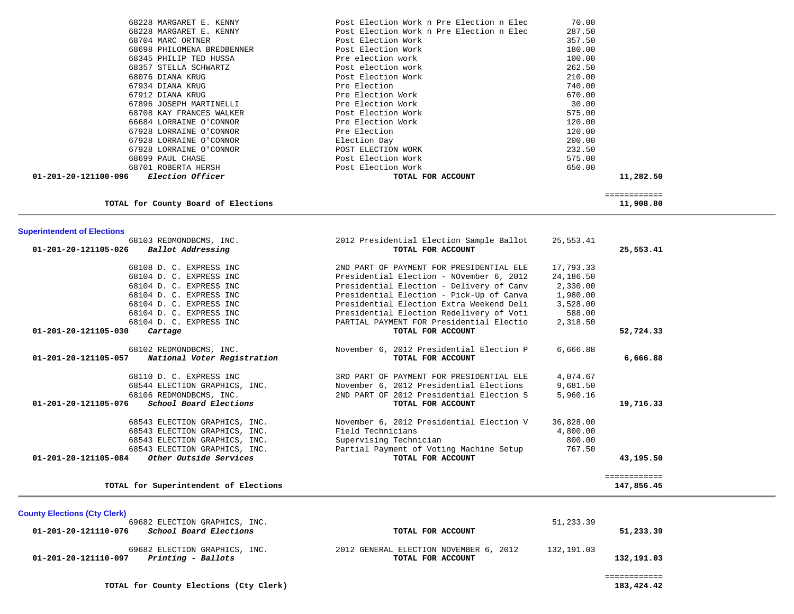|                      | 68228 MARGARET E. KENNY    | Post Election Work n Pre Election n Elec | 70.00     |
|----------------------|----------------------------|------------------------------------------|-----------|
|                      | 68228 MARGARET E. KENNY    | Post Election Work n Pre Election n Elec | 287.50    |
|                      | 68704 MARC ORTNER          | Post Election Work                       | 357.50    |
|                      | 68698 PHILOMENA BREDBENNER | Post Election Work                       | 180.00    |
|                      | 68345 PHILIP TED HUSSA     | Pre election work                        | 100.00    |
|                      | 68357 STELLA SCHWARTZ      | Post election work                       | 262.50    |
|                      | 68076 DIANA KRUG           | Post Election Work                       | 210.00    |
|                      | 67934 DIANA KRUG           | Pre Election                             | 740.00    |
|                      | 67912 DIANA KRUG           | Pre Election Work                        | 670.00    |
|                      | 67896 JOSEPH MARTINELLI    | Pre Election Work                        | 30.00     |
|                      | 68708 KAY FRANCES WALKER   | Post Election Work                       | 575.00    |
|                      | 66684 LORRAINE O'CONNOR    | Pre Election Work                        | 120.00    |
|                      | 67928 LORRAINE O'CONNOR    | Pre Election                             | 120.00    |
|                      | 67928 LORRAINE O'CONNOR    | Election Day                             | 200.00    |
|                      | 67928 LORRAINE O'CONNOR    | POST ELECTION WORK                       | 232.50    |
|                      | 68699 PAUL CHASE           | Post Election Work                       | 575.00    |
|                      | 68701 ROBERTA HERSH        | Post Election Work                       | 650.00    |
| 01-201-20-121100-096 | <i>Election Officer</i>    | TOTAL FOR ACCOUNT                        | 11,282.50 |

| 11,908.80 |  |
|-----------|--|
|           |  |

| 68103 REDMONDBCMS, INC.                          | 2012 Presidential Election Sample Ballot | 25,553.41 |              |
|--------------------------------------------------|------------------------------------------|-----------|--------------|
| 01-201-20-121105-026<br>Ballot Addressing        | TOTAL FOR ACCOUNT                        |           | 25,553.41    |
| 68108 D. C. EXPRESS INC                          | 2ND PART OF PAYMENT FOR PRESIDENTIAL ELE | 17,793.33 |              |
| 68104 D. C. EXPRESS INC                          | Presidential Election - NOvember 6, 2012 | 24,186.50 |              |
| 68104 D. C. EXPRESS INC                          | Presidential Election - Delivery of Canv | 2,330.00  |              |
| 68104 D. C. EXPRESS INC                          | Presidential Election - Pick-Up of Canva | 1,980.00  |              |
| 68104 D. C. EXPRESS INC                          | Presidential Election Extra Weekend Deli | 3,528.00  |              |
| 68104 D. C. EXPRESS INC                          | Presidential Election Redelivery of Voti | 588.00    |              |
| 68104 D. C. EXPRESS INC                          | PARTIAL PAYMENT FOR Presidential Electio | 2,318.50  |              |
| 01-201-20-121105-030<br>Cartage                  | TOTAL FOR ACCOUNT                        |           | 52,724.33    |
| 68102 REDMONDBCMS, INC.                          | November 6, 2012 Presidential Election P | 6,666.88  |              |
| 01-201-20-121105-057 National Voter Registration | TOTAL FOR ACCOUNT                        |           | 6,666.88     |
| 68110 D. C. EXPRESS INC                          | 3RD PART OF PAYMENT FOR PRESIDENTIAL ELE | 4,074.67  |              |
| 68544 ELECTION GRAPHICS, INC.                    | November 6, 2012 Presidential Elections  | 9,681.50  |              |
| 68106 REDMONDBCMS, INC.                          | 2ND PART OF 2012 Presidential Election S | 5,960.16  |              |
| School Board Elections<br>01-201-20-121105-076   | TOTAL FOR ACCOUNT                        |           | 19,716.33    |
| 68543 ELECTION GRAPHICS, INC.                    | November 6, 2012 Presidential Election V | 36,828.00 |              |
| 68543 ELECTION GRAPHICS, INC.                    | Field Technicians                        | 4,800.00  |              |
| 68543 ELECTION GRAPHICS, INC.                    | Supervising Technician                   | 800.00    |              |
| 68543 ELECTION GRAPHICS, INC.                    | Partial Payment of Voting Machine Setup  | 767.50    |              |
| $01-201-20-121105-084$ Other Outside Services    | TOTAL FOR ACCOUNT                        |           | 43,195.50    |
|                                                  |                                          |           | ============ |
| TOTAL for Superintendent of Elections            |                                          |           | 147,856.45   |

============

**TOTAL for Superintendent of Elections 147,856.45**

**Superintendent of Elections**

| <b>County Elections (Cty Clerk)</b>                                             |                                        |            |            |
|---------------------------------------------------------------------------------|----------------------------------------|------------|------------|
| 69682 ELECTION GRAPHICS, INC.<br>School Board Elections<br>01-201-20-121110-076 | TOTAL FOR ACCOUNT                      | 51,233.39  | 51,233.39  |
| 69682 ELECTION GRAPHICS, INC.                                                   | 2012 GENERAL ELECTION NOVEMBER 6, 2012 | 132,191.03 |            |
| 01-201-20-121110-097<br>Printing - Ballots                                      | TOTAL FOR ACCOUNT                      |            | 132,191.03 |

**TOTAL for County Elections (Cty Clerk) 183,424.42**

183,424.42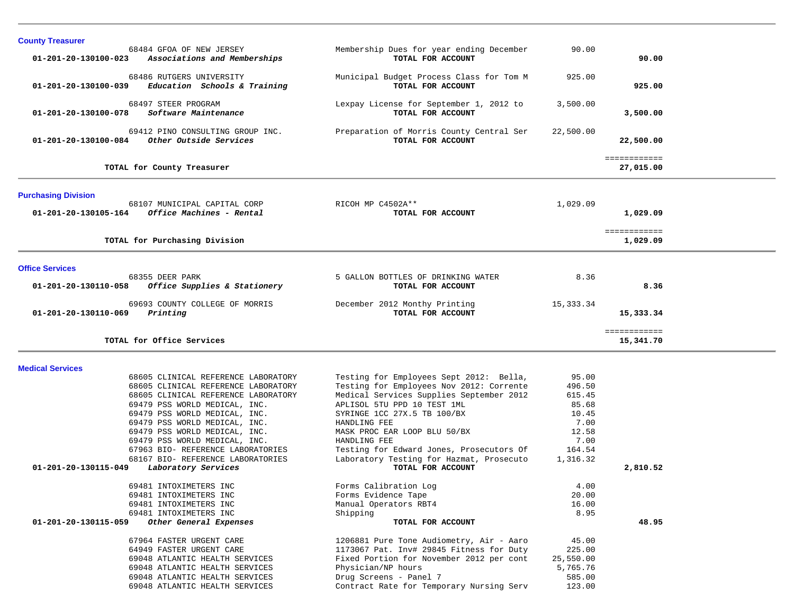| <b>County Treasurer</b>                                                                                                                                                                                                                                                                                                                                                                                                |                                                                                                                                                                                                                                                                                                                                                                            |                                                                                                |                           |  |
|------------------------------------------------------------------------------------------------------------------------------------------------------------------------------------------------------------------------------------------------------------------------------------------------------------------------------------------------------------------------------------------------------------------------|----------------------------------------------------------------------------------------------------------------------------------------------------------------------------------------------------------------------------------------------------------------------------------------------------------------------------------------------------------------------------|------------------------------------------------------------------------------------------------|---------------------------|--|
| 68484 GFOA OF NEW JERSEY<br>01-201-20-130100-023<br>Associations and Memberships                                                                                                                                                                                                                                                                                                                                       | Membership Dues for year ending December<br>TOTAL FOR ACCOUNT                                                                                                                                                                                                                                                                                                              | 90.00                                                                                          | 90.00                     |  |
| 68486 RUTGERS UNIVERSITY<br>Education Schools & Training<br>01-201-20-130100-039                                                                                                                                                                                                                                                                                                                                       | Municipal Budget Process Class for Tom M<br>TOTAL FOR ACCOUNT                                                                                                                                                                                                                                                                                                              | 925.00                                                                                         | 925.00                    |  |
| 68497 STEER PROGRAM<br>Software Maintenance<br>01-201-20-130100-078                                                                                                                                                                                                                                                                                                                                                    | Lexpay License for September 1, 2012 to<br>TOTAL FOR ACCOUNT                                                                                                                                                                                                                                                                                                               | 3,500.00                                                                                       | 3,500.00                  |  |
| 69412 PINO CONSULTING GROUP INC.<br>Other Outside Services<br>01-201-20-130100-084                                                                                                                                                                                                                                                                                                                                     | Preparation of Morris County Central Ser<br>TOTAL FOR ACCOUNT                                                                                                                                                                                                                                                                                                              | 22,500.00                                                                                      | 22,500.00                 |  |
| TOTAL for County Treasurer                                                                                                                                                                                                                                                                                                                                                                                             |                                                                                                                                                                                                                                                                                                                                                                            |                                                                                                | ============<br>27,015.00 |  |
| <b>Purchasing Division</b>                                                                                                                                                                                                                                                                                                                                                                                             |                                                                                                                                                                                                                                                                                                                                                                            |                                                                                                |                           |  |
| 68107 MUNICIPAL CAPITAL CORP<br>$01 - 201 - 20 - 130105 - 164$ Office Machines - Rental                                                                                                                                                                                                                                                                                                                                | RICOH MP C4502A**<br>TOTAL FOR ACCOUNT                                                                                                                                                                                                                                                                                                                                     | 1,029.09                                                                                       | 1,029.09                  |  |
| TOTAL for Purchasing Division                                                                                                                                                                                                                                                                                                                                                                                          |                                                                                                                                                                                                                                                                                                                                                                            |                                                                                                | ============<br>1,029.09  |  |
| <b>Office Services</b>                                                                                                                                                                                                                                                                                                                                                                                                 |                                                                                                                                                                                                                                                                                                                                                                            |                                                                                                |                           |  |
| 68355 DEER PARK<br>01-201-20-130110-058<br>Office Supplies & Stationery                                                                                                                                                                                                                                                                                                                                                | 5 GALLON BOTTLES OF DRINKING WATER<br>TOTAL FOR ACCOUNT                                                                                                                                                                                                                                                                                                                    | 8.36                                                                                           | 8.36                      |  |
| 69693 COUNTY COLLEGE OF MORRIS<br>$01 - 201 - 20 - 130110 - 069$<br>Printing                                                                                                                                                                                                                                                                                                                                           | December 2012 Monthy Printing<br>TOTAL FOR ACCOUNT                                                                                                                                                                                                                                                                                                                         | 15,333.34                                                                                      | 15,333.34                 |  |
| TOTAL for Office Services                                                                                                                                                                                                                                                                                                                                                                                              |                                                                                                                                                                                                                                                                                                                                                                            |                                                                                                | ============<br>15,341.70 |  |
| <b>Medical Services</b>                                                                                                                                                                                                                                                                                                                                                                                                |                                                                                                                                                                                                                                                                                                                                                                            |                                                                                                |                           |  |
| 68605 CLINICAL REFERENCE LABORATORY<br>68605 CLINICAL REFERENCE LABORATORY<br>68605 CLINICAL REFERENCE LABORATORY<br>69479 PSS WORLD MEDICAL, INC.<br>69479 PSS WORLD MEDICAL, INC.<br>69479 PSS WORLD MEDICAL, INC.<br>69479 PSS WORLD MEDICAL, INC.<br>69479 PSS WORLD MEDICAL, INC.<br>67963 BIO- REFERENCE LABORATORIES<br>68167 BIO- REFERENCE LABORATORIES<br>01-201-20-130115-049<br><i>Laboratory Services</i> | Testing for Employees Sept 2012: Bella,<br>Testing for Employees Nov 2012: Corrente<br>Medical Services Supplies September 2012<br>APLISOL 5TU PPD 10 TEST 1ML<br>SYRINGE 1CC 27X.5 TB 100/BX<br>HANDLING FEE<br>MASK PROC EAR LOOP BLU 50/BX<br>HANDLING FEE<br>Testing for Edward Jones, Prosecutors Of<br>Laboratory Testing for Hazmat, Prosecuto<br>TOTAL FOR ACCOUNT | 95.00<br>496.50<br>615.45<br>85.68<br>10.45<br>7.00<br>12.58<br>7.00<br>164.54<br>1,316.32     | 2,810.52                  |  |
| 69481 INTOXIMETERS INC<br>69481 INTOXIMETERS INC<br>69481 INTOXIMETERS INC<br>69481 INTOXIMETERS INC<br>01-201-20-130115-059<br>Other General Expenses<br>67964 FASTER URGENT CARE<br>64949 FASTER URGENT CARE<br>69048 ATLANTIC HEALTH SERVICES<br>69048 ATLANTIC HEALTH SERVICES<br>69048 ATLANTIC HEALTH SERVICES<br>69048 ATLANTIC HEALTH SERVICES                                                                 | Forms Calibration Log<br>Forms Evidence Tape<br>Manual Operators RBT4<br>Shipping<br>TOTAL FOR ACCOUNT<br>1206881 Pure Tone Audiometry, Air - Aaro<br>1173067 Pat. Inv# 29845 Fitness for Duty<br>Fixed Portion for November 2012 per cont<br>Physician/NP hours<br>Drug Screens - Panel 7<br>Contract Rate for Temporary Nursing Serv                                     | 4.00<br>20.00<br>16.00<br>8.95<br>45.00<br>225.00<br>25,550.00<br>5,765.76<br>585.00<br>123.00 | 48.95                     |  |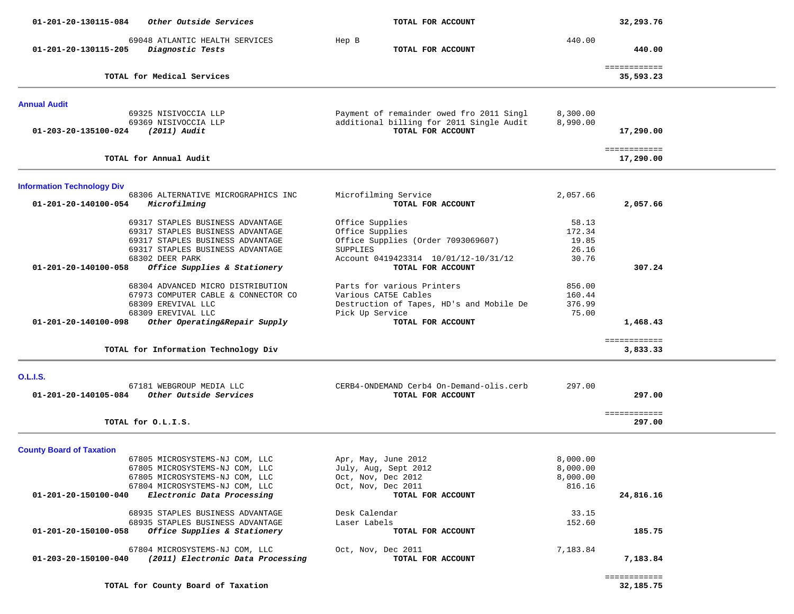| 01-201-20-130115-084<br>Other Outside Services                                                                                                                                             | TOTAL FOR ACCOUNT                                                                                                                   |                                            | 32,293.76                 |  |
|--------------------------------------------------------------------------------------------------------------------------------------------------------------------------------------------|-------------------------------------------------------------------------------------------------------------------------------------|--------------------------------------------|---------------------------|--|
| 69048 ATLANTIC HEALTH SERVICES<br>01-201-20-130115-205<br>Diagnostic Tests                                                                                                                 | Hep B<br>TOTAL FOR ACCOUNT                                                                                                          | 440.00                                     | 440.00                    |  |
| TOTAL for Medical Services                                                                                                                                                                 |                                                                                                                                     |                                            | ============<br>35,593.23 |  |
| <b>Annual Audit</b>                                                                                                                                                                        |                                                                                                                                     |                                            |                           |  |
| 69325 NISIVOCCIA LLP<br>69369 NISIVOCCIA LLP<br>$(2011)$ Audit<br>01-203-20-135100-024                                                                                                     | Payment of remainder owed fro 2011 Singl<br>additional billing for 2011 Single Audit<br>TOTAL FOR ACCOUNT                           | 8,300.00<br>8,990.00                       | 17,290.00                 |  |
| TOTAL for Annual Audit                                                                                                                                                                     |                                                                                                                                     |                                            | ============<br>17,290.00 |  |
| <b>Information Technology Div</b>                                                                                                                                                          |                                                                                                                                     |                                            |                           |  |
| 68306 ALTERNATIVE MICROGRAPHICS INC<br>01-201-20-140100-054<br>Microfilming                                                                                                                | Microfilming Service<br>TOTAL FOR ACCOUNT                                                                                           | 2,057.66                                   | 2,057.66                  |  |
| 69317 STAPLES BUSINESS ADVANTAGE<br>69317 STAPLES BUSINESS ADVANTAGE<br>69317 STAPLES BUSINESS ADVANTAGE<br>69317 STAPLES BUSINESS ADVANTAGE<br>68302 DEER PARK                            | Office Supplies<br>Office Supplies<br>Office Supplies (Order 7093069607)<br><b>SUPPLIES</b><br>Account 0419423314 10/01/12-10/31/12 | 58.13<br>172.34<br>19.85<br>26.16<br>30.76 |                           |  |
| Office Supplies & Stationery<br>01-201-20-140100-058                                                                                                                                       | TOTAL FOR ACCOUNT                                                                                                                   |                                            | 307.24                    |  |
| 68304 ADVANCED MICRO DISTRIBUTION<br>67973 COMPUTER CABLE & CONNECTOR CO<br>68309 EREVIVAL LLC<br>68309 EREVIVAL LLC                                                                       | Parts for various Printers<br>Various CAT5E Cables<br>Destruction of Tapes, HD's and Mobile De<br>Pick Up Service                   | 856.00<br>160.44<br>376.99<br>75.00        |                           |  |
| Other Operating&Repair Supply<br>01-201-20-140100-098                                                                                                                                      | TOTAL FOR ACCOUNT                                                                                                                   |                                            | 1,468.43                  |  |
| TOTAL for Information Technology Div                                                                                                                                                       |                                                                                                                                     |                                            | ============<br>3,833.33  |  |
| <b>O.L.I.S.</b>                                                                                                                                                                            |                                                                                                                                     |                                            |                           |  |
| 67181 WEBGROUP MEDIA LLC<br>Other Outside Services<br>01-201-20-140105-084                                                                                                                 | CERB4-ONDEMAND Cerb4 On-Demand-olis.cerb<br>TOTAL FOR ACCOUNT                                                                       | 297.00                                     | 297.00                    |  |
| TOTAL for O.L.I.S.                                                                                                                                                                         |                                                                                                                                     |                                            | ============<br>297.00    |  |
| <b>County Board of Taxation</b>                                                                                                                                                            |                                                                                                                                     |                                            |                           |  |
| 67805 MICROSYSTEMS-NJ COM, LLC<br>67805 MICROSYSTEMS-NJ COM, LLC<br>67805 MICROSYSTEMS-NJ COM, LLC<br>67804 MICROSYSTEMS-NJ COM, LLC<br>01-201-20-150100-040<br>Electronic Data Processing | Apr, May, June 2012<br>July, Aug, Sept 2012<br>Oct, Nov, Dec 2012<br>Oct, Nov, Dec 2011<br>TOTAL FOR ACCOUNT                        | 8,000.00<br>8,000.00<br>8,000.00<br>816.16 | 24,816.16                 |  |
| 68935 STAPLES BUSINESS ADVANTAGE<br>68935 STAPLES BUSINESS ADVANTAGE                                                                                                                       | Desk Calendar<br>Laser Labels                                                                                                       | 33.15<br>152.60                            |                           |  |
| Office Supplies & Stationery<br>01-201-20-150100-058                                                                                                                                       | TOTAL FOR ACCOUNT                                                                                                                   |                                            | 185.75                    |  |
| 67804 MICROSYSTEMS-NJ COM, LLC<br>01-203-20-150100-040<br>(2011) Electronic Data Processing                                                                                                | Oct, Nov, Dec 2011<br>TOTAL FOR ACCOUNT                                                                                             | 7,183.84                                   | 7,183.84                  |  |
|                                                                                                                                                                                            |                                                                                                                                     |                                            | ============              |  |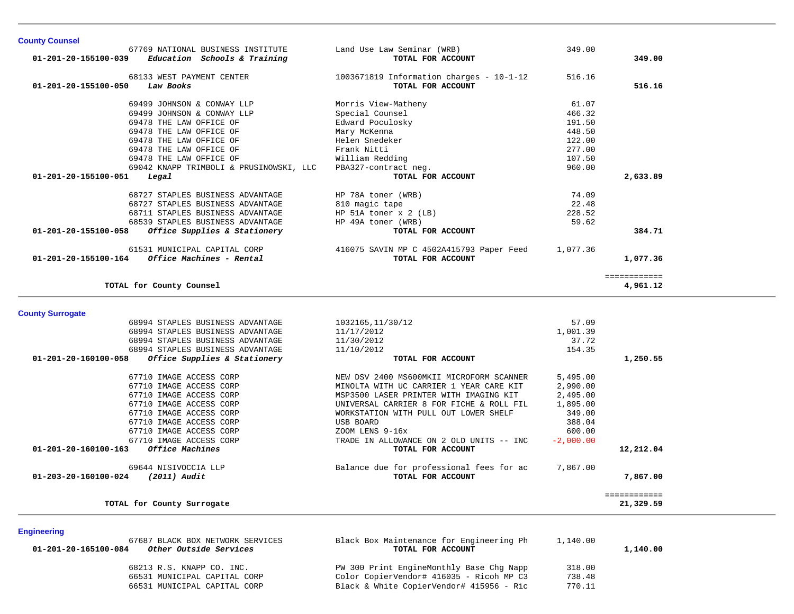|                         | 67769 NATIONAL BUSINESS INSTITUTE       | Land Use Law Seminar (WRB)                                        | 349.00      |                           |
|-------------------------|-----------------------------------------|-------------------------------------------------------------------|-------------|---------------------------|
| 01-201-20-155100-039    | Education Schools & Training            | TOTAL FOR ACCOUNT                                                 |             | 349.00                    |
|                         | 68133 WEST PAYMENT CENTER               |                                                                   |             |                           |
| 01-201-20-155100-050    | Law Books                               | $1003671819$ Information charges - $10-1-12$<br>TOTAL FOR ACCOUNT | 516.16      | 516.16                    |
|                         |                                         |                                                                   |             |                           |
|                         | 69499 JOHNSON & CONWAY LLP              | Morris View-Matheny                                               | 61.07       |                           |
|                         | 69499 JOHNSON & CONWAY LLP              | Special Counsel                                                   | 466.32      |                           |
|                         | 69478 THE LAW OFFICE OF                 | Edward Poculosky                                                  | 191.50      |                           |
|                         | 69478 THE LAW OFFICE OF                 | Mary McKenna                                                      | 448.50      |                           |
|                         | 69478 THE LAW OFFICE OF                 | Helen Snedeker                                                    | 122.00      |                           |
|                         | 69478 THE LAW OFFICE OF                 | Frank Nitti                                                       | 277.00      |                           |
|                         | 69478 THE LAW OFFICE OF                 | William Redding                                                   | 107.50      |                           |
|                         | 69042 KNAPP TRIMBOLI & PRUSINOWSKI, LLC | PBA327-contract neg.                                              | 960.00      |                           |
| 01-201-20-155100-051    | Legal                                   | TOTAL FOR ACCOUNT                                                 |             | 2,633.89                  |
|                         |                                         |                                                                   |             |                           |
|                         | 68727 STAPLES BUSINESS ADVANTAGE        | HP 78A toner (WRB)                                                | 74.09       |                           |
|                         | 68727 STAPLES BUSINESS ADVANTAGE        | 810 magic tape                                                    | 22.48       |                           |
|                         | 68711 STAPLES BUSINESS ADVANTAGE        | HP 51A toner x 2 (LB)                                             | 228.52      |                           |
|                         | 68539 STAPLES BUSINESS ADVANTAGE        | HP 49A toner (WRB)                                                | 59.62       |                           |
| 01-201-20-155100-058    | Office Supplies & Stationery            | TOTAL FOR ACCOUNT                                                 |             | 384.71                    |
|                         | 61531 MUNICIPAL CAPITAL CORP            |                                                                   |             |                           |
|                         | Office Machines - Rental                | 416075 SAVIN MP C 4502A415793 Paper Feed<br>TOTAL FOR ACCOUNT     | 1,077.36    |                           |
| 01-201-20-155100-164    |                                         |                                                                   |             | 1,077.36                  |
|                         |                                         |                                                                   |             | ============              |
|                         | TOTAL for County Counsel                |                                                                   |             | 4,961.12                  |
|                         |                                         |                                                                   |             |                           |
|                         |                                         |                                                                   |             |                           |
|                         |                                         |                                                                   |             |                           |
|                         | 68994 STAPLES BUSINESS ADVANTAGE        | 1032165, 11/30/12                                                 | 57.09       |                           |
|                         | 68994 STAPLES BUSINESS ADVANTAGE        | 11/17/2012                                                        | 1,001.39    |                           |
|                         | 68994 STAPLES BUSINESS ADVANTAGE        | 11/30/2012                                                        | 37.72       |                           |
|                         | 68994 STAPLES BUSINESS ADVANTAGE        | 11/10/2012                                                        | 154.35      |                           |
| 01-201-20-160100-058    | Office Supplies & Stationery            | TOTAL FOR ACCOUNT                                                 |             | 1,250.55                  |
|                         |                                         |                                                                   |             |                           |
|                         | 67710 IMAGE ACCESS CORP                 | NEW DSV 2400 MS600MKII MICROFORM SCANNER                          | 5,495.00    |                           |
|                         | 67710 IMAGE ACCESS CORP                 | MINOLTA WITH UC CARRIER 1 YEAR CARE KIT                           | 2,990.00    |                           |
|                         | 67710 IMAGE ACCESS CORP                 | MSP3500 LASER PRINTER WITH IMAGING KIT                            | 2,495.00    |                           |
|                         | 67710 IMAGE ACCESS CORP                 | UNIVERSAL CARRIER 8 FOR FICHE & ROLL FIL                          | 1,895.00    |                           |
|                         | 67710 IMAGE ACCESS CORP                 | WORKSTATION WITH PULL OUT LOWER SHELF                             | 349.00      |                           |
|                         | 67710 IMAGE ACCESS CORP                 | <b>USB BOARD</b>                                                  | 388.04      |                           |
|                         | 67710 IMAGE ACCESS CORP                 | ZOOM LENS 9-16x                                                   | 600.00      |                           |
|                         | 67710 IMAGE ACCESS CORP                 | TRADE IN ALLOWANCE ON 2 OLD UNITS -- INC                          | $-2,000,00$ |                           |
| 01-201-20-160100-163    | Office Machines                         | TOTAL FOR ACCOUNT                                                 |             | 12,212.04                 |
|                         |                                         |                                                                   |             |                           |
| 01-203-20-160100-024    | 69644 NISIVOCCIA LLP<br>(2011) Audit    | Balance due for professional fees for ac<br>TOTAL FOR ACCOUNT     | 7,867.00    | 7,867.00                  |
|                         |                                         |                                                                   |             |                           |
| <b>County Surrogate</b> | TOTAL for County Surrogate              |                                                                   |             | ============<br>21,329.59 |

**Engineering** 

**County Counsel** 

| 67687 BLACK BOX NETWORK SERVICES<br>Other Outside Services<br>01-201-20-165100-084 | Black Box Maintenance for Engineering Ph<br>TOTAL FOR ACCOUNT | 1,140.00 | 1,140.00 |
|------------------------------------------------------------------------------------|---------------------------------------------------------------|----------|----------|
| 68213 R.S. KNAPP CO. INC.                                                          | PW 300 Print EngineMonthly Base Chg Napp                      | 318.00   |          |
| 66531 MUNICIPAL CAPITAL CORP                                                       | Color CopierVendor# 416035 - Ricoh MP C3                      | 738.48   |          |
| 66531 MUNICIPAL CAPITAL CORP                                                       | Black & White CopierVendor# 415956 - Ric                      | 770.11   |          |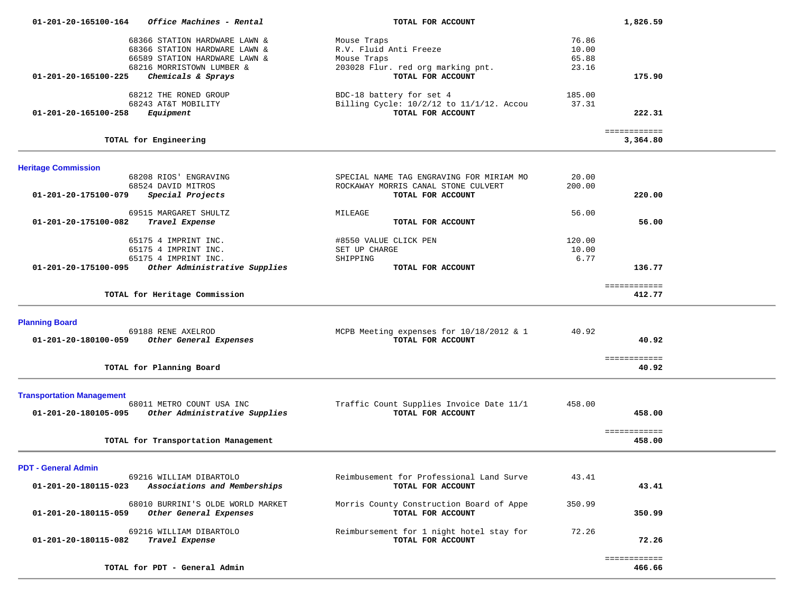| Office Machines - Rental<br>01-201-20-165100-164                                                                              | TOTAL FOR ACCOUNT                                                                                    | 1,826.59                          |  |
|-------------------------------------------------------------------------------------------------------------------------------|------------------------------------------------------------------------------------------------------|-----------------------------------|--|
| 68366 STATION HARDWARE LAWN &<br>68366 STATION HARDWARE LAWN &<br>66589 STATION HARDWARE LAWN &                               | Mouse Traps<br>R.V. Fluid Anti Freeze<br>Mouse Traps                                                 | 76.86<br>10.00<br>65.88           |  |
| 68216 MORRISTOWN LUMBER &<br>01-201-20-165100-225<br>Chemicals & Sprays                                                       | 203028 Flur. red org marking pnt.<br>TOTAL FOR ACCOUNT                                               | 23.16<br>175.90                   |  |
| 68212 THE RONED GROUP<br>68243 AT&T MOBILITY<br>01-201-20-165100-258<br>Equipment                                             | BDC-18 battery for set 4<br>Billing Cycle: 10/2/12 to 11/1/12. Accou<br>TOTAL FOR ACCOUNT            | 185.00<br>37.31<br>222.31         |  |
| TOTAL for Engineering                                                                                                         |                                                                                                      | ============<br>3,364.80          |  |
| <b>Heritage Commission</b>                                                                                                    |                                                                                                      |                                   |  |
| 68208 RIOS' ENGRAVING<br>68524 DAVID MITROS<br>Special Projects<br>01-201-20-175100-079                                       | SPECIAL NAME TAG ENGRAVING FOR MIRIAM MO<br>ROCKAWAY MORRIS CANAL STONE CULVERT<br>TOTAL FOR ACCOUNT | 20.00<br>200.00<br>220.00         |  |
| 69515 MARGARET SHULTZ<br>01-201-20-175100-082<br>Travel Expense                                                               | MILEAGE<br>TOTAL FOR ACCOUNT                                                                         | 56.00<br>56.00                    |  |
| 65175 4 IMPRINT INC.<br>65175 4 IMPRINT INC.<br>65175 4 IMPRINT INC.<br>Other Administrative Supplies<br>01-201-20-175100-095 | #8550 VALUE CLICK PEN<br>SET UP CHARGE<br>SHIPPING<br>TOTAL FOR ACCOUNT                              | 120.00<br>10.00<br>6.77<br>136.77 |  |
| TOTAL for Heritage Commission                                                                                                 |                                                                                                      | ============<br>412.77            |  |
| <b>Planning Board</b>                                                                                                         |                                                                                                      |                                   |  |
| 69188 RENE AXELROD<br>Other General Expenses<br>01-201-20-180100-059                                                          | MCPB Meeting expenses for 10/18/2012 & 1<br>TOTAL FOR ACCOUNT                                        | 40.92<br>40.92                    |  |
| TOTAL for Planning Board                                                                                                      |                                                                                                      | ============<br>40.92             |  |
| <b>Transportation Management</b><br>68011 METRO COUNT USA INC<br>Other Administrative Supplies<br>01-201-20-180105-095        | Traffic Count Supplies Invoice Date 11/1<br>TOTAL FOR ACCOUNT                                        | 458.00<br>458.00                  |  |
| TOTAL for Transportation Management                                                                                           |                                                                                                      | ============<br>458.00            |  |
| <b>PDT - General Admin</b>                                                                                                    |                                                                                                      |                                   |  |
| 69216 WILLIAM DIBARTOLO<br>Associations and Memberships<br>01-201-20-180115-023                                               | Reimbusement for Professional Land Surve<br>TOTAL FOR ACCOUNT                                        | 43.41<br>43.41                    |  |
| 68010 BURRINI'S OLDE WORLD MARKET<br>01-201-20-180115-059<br>Other General Expenses                                           | Morris County Construction Board of Appe<br>TOTAL FOR ACCOUNT                                        | 350.99<br>350.99                  |  |
| 69216 WILLIAM DIBARTOLO<br>01-201-20-180115-082<br>Travel Expense                                                             | Reimbursement for 1 night hotel stay for<br>TOTAL FOR ACCOUNT                                        | 72.26<br>72.26                    |  |
| TOTAL for PDT - General Admin                                                                                                 |                                                                                                      | ============<br>466.66            |  |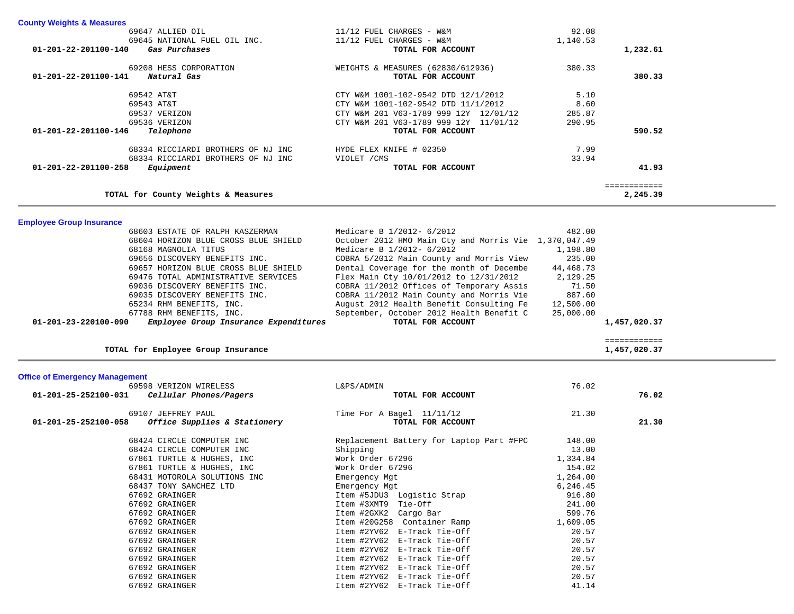| <b>County Weights &amp; Measures</b>          |                                          |          |          |
|-----------------------------------------------|------------------------------------------|----------|----------|
| 69647 ALLIED OIL                              | 11/12 FUEL CHARGES - W&M                 | 92.08    |          |
| 69645 NATIONAL FUEL OIL INC.                  | 11/12 FUEL CHARGES - W&M                 | 1,140.53 |          |
| 01-201-22-201100-140<br>Gas Purchases         | TOTAL FOR ACCOUNT                        |          | 1,232.61 |
| 69208 HESS CORPORATION                        | WEIGHTS & MEASURES (62830/612936)        | 380.33   |          |
| Natural Gas<br>$01 - 201 - 22 - 201100 - 141$ | TOTAL FOR ACCOUNT                        |          | 380.33   |
| 69542 AT&T                                    | CTY W&M 1001-102-9542 DTD 12/1/2012      | 5.10     |          |
| 69543 AT&T                                    | CTY W&M 1001-102-9542 DTD 11/1/2012      | 8.60     |          |
| 69537 VERIZON                                 | W&M 201 V63-1789 999 12Y 12/01/12<br>CTY | 285.87   |          |
| 69536 VERIZON                                 | W&M 201 V63-1789 999 12Y 11/01/12<br>CTY | 290.95   |          |
| Telephone<br>01-201-22-201100-146             | TOTAL FOR ACCOUNT                        |          | 590.52   |
| 68334 RICCIARDI BROTHERS OF NJ INC            | HYDE FLEX KNIFE # 02350                  | 7.99     |          |
| 68334 RICCIARDI BROTHERS OF NJ INC            | VIOLET / CMS                             | 33.94    |          |
| 01-201-22-201100-258<br>Equipment             | TOTAL FOR ACCOUNT                        |          | 41.93    |
|                                               |                                          |          |          |
| TOTAL for County Weights & Measures           |                                          |          | 2,245.39 |

**Employee Group Insurance** 

| 68603 ESTATE OF RALPH KASZERMAN                                         | Medicare B 1/2012- 6/2012                             | 482.00    |              |
|-------------------------------------------------------------------------|-------------------------------------------------------|-----------|--------------|
| 68604 HORIZON BLUE CROSS BLUE SHIELD                                    | October 2012 HMO Main Cty and Morris Vie 1,370,047.49 |           |              |
| 68168 MAGNOLIA TITUS                                                    | Medicare B 1/2012- 6/2012                             | 1,198.80  |              |
| 69656 DISCOVERY BENEFITS INC.                                           | COBRA 5/2012 Main County and Morris View              | 235.00    |              |
| 69657 HORIZON BLUE CROSS BLUE SHIELD                                    | Dental Coverage for the month of Decembe              | 44,468.73 |              |
| 69476 TOTAL ADMINISTRATIVE SERVICES                                     | Flex Main Cty 10/01/2012 to 12/31/2012                | 2,129.25  |              |
| 69036 DISCOVERY BENEFITS INC.                                           | COBRA 11/2012 Offices of Temporary Assis              | 71.50     |              |
| 69035 DISCOVERY BENEFITS INC.                                           | COBRA 11/2012 Main County and Morris Vie              | 887.60    |              |
| 65234 RHM BENEFITS, INC.                                                | August 2012 Health Benefit Consulting Fe              | 12,500.00 |              |
| 67788 RHM BENEFITS, INC.                                                | September, October 2012 Health Benefit C              | 25,000.00 |              |
| Employee Group Insurance Expenditures<br>$01 - 201 - 23 - 220100 - 090$ | TOTAL FOR ACCOUNT                                     |           | 1,457,020.37 |
|                                                                         |                                                       |           |              |

============

1,457,020.37

TOTAL for Employee Group Insurance

# **Office of Emergency Management**

| 69598 VERIZON WIRELESS                               | L&PS/ADMIN                               | 76.02    |       |
|------------------------------------------------------|------------------------------------------|----------|-------|
| Cellular Phones/Pagers<br>01-201-25-252100-031       | TOTAL FOR ACCOUNT                        |          | 76.02 |
| 69107 JEFFREY PAUL                                   | Time For A Bagel $11/11/12$              | 21.30    |       |
| Office Supplies & Stationery<br>01-201-25-252100-058 | TOTAL FOR ACCOUNT                        |          | 21.30 |
| 68424 CIRCLE COMPUTER INC                            | Replacement Battery for Laptop Part #FPC | 148.00   |       |
| 68424 CIRCLE COMPUTER INC                            | Shipping                                 | 13.00    |       |
| 67861 TURTLE & HUGHES, INC                           | Work Order 67296                         | 1,334.84 |       |
| 67861 TURTLE & HUGHES, INC                           | Work Order 67296                         | 154.02   |       |
| 68431 MOTOROLA SOLUTIONS INC                         | Emergency Mgt                            | 1,264.00 |       |
| 68437 TONY SANCHEZ LTD                               | Emergency Mgt                            | 6,246.45 |       |
| 67692 GRAINGER                                       | Item #5JDU3 Logistic Strap               | 916.80   |       |
| 67692 GRAINGER                                       | Item #3XMT9 Tie-Off                      | 241.00   |       |
| 67692 GRAINGER                                       | Item #2GXK2 Cargo Bar                    | 599.76   |       |
| 67692 GRAINGER                                       | Item #20G258 Container Ramp              | 1,609.05 |       |
| 67692 GRAINGER                                       | Item #2YV62 E-Track Tie-Off              | 20.57    |       |
| 67692 GRAINGER                                       | Item #2YV62 E-Track Tie-Off              | 20.57    |       |
| 67692 GRAINGER                                       | Item #2YV62 E-Track Tie-Off              | 20.57    |       |
| 67692 GRAINGER                                       | Item #2YV62 E-Track Tie-Off              | 20.57    |       |
| 67692 GRAINGER                                       | Item #2YV62 E-Track Tie-Off              | 20.57    |       |
| 67692 GRAINGER                                       | Item #2YV62 E-Track Tie-Off              | 20.57    |       |
| 67692 GRAINGER                                       | Item #2YV62 E-Track Tie-Off              | 41.14    |       |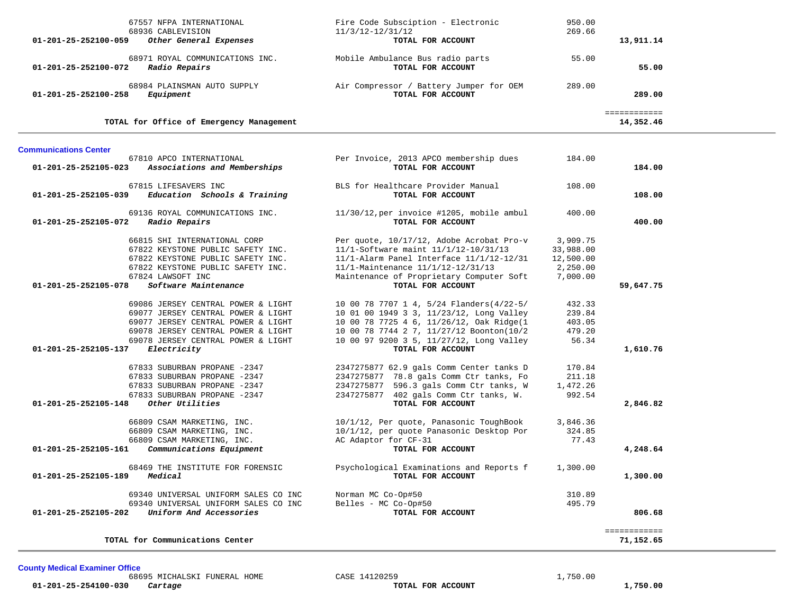| 67557 NFPA INTERNATIONAL<br>68936 CABLEVISION<br>Other General Expenses<br>01-201-25-252100-059                                                                                                                                | Fire Code Subsciption - Electronic<br>$11/3/12 - 12/31/12$<br>TOTAL FOR ACCOUNT                                                                                                                                                               | 950.00<br>269.66                                           | 13,911.14                 |  |
|--------------------------------------------------------------------------------------------------------------------------------------------------------------------------------------------------------------------------------|-----------------------------------------------------------------------------------------------------------------------------------------------------------------------------------------------------------------------------------------------|------------------------------------------------------------|---------------------------|--|
| 68971 ROYAL COMMUNICATIONS INC.<br>Radio Repairs<br>01-201-25-252100-072                                                                                                                                                       | Mobile Ambulance Bus radio parts<br>TOTAL FOR ACCOUNT                                                                                                                                                                                         | 55.00                                                      | 55.00                     |  |
| 68984 PLAINSMAN AUTO SUPPLY<br>Equipment<br>01-201-25-252100-258                                                                                                                                                               | Air Compressor / Battery Jumper for OEM<br>TOTAL FOR ACCOUNT                                                                                                                                                                                  | 289.00                                                     | 289.00                    |  |
| TOTAL for Office of Emergency Management                                                                                                                                                                                       |                                                                                                                                                                                                                                               |                                                            | ============<br>14,352.46 |  |
| <b>Communications Center</b>                                                                                                                                                                                                   |                                                                                                                                                                                                                                               |                                                            |                           |  |
| 67810 APCO INTERNATIONAL<br>01-201-25-252105-023 Associations and Memberships                                                                                                                                                  | Per Invoice, 2013 APCO membership dues<br>TOTAL FOR ACCOUNT                                                                                                                                                                                   | 184.00                                                     | 184.00                    |  |
| 67815 LIFESAVERS INC<br>$01-201-25-252105-039$ Education Schools & Training                                                                                                                                                    | BLS for Healthcare Provider Manual<br>TOTAL FOR ACCOUNT                                                                                                                                                                                       | 108.00                                                     | 108.00                    |  |
| 69136 ROYAL COMMUNICATIONS INC.<br>01-201-25-252105-072 Radio Repairs                                                                                                                                                          | 11/30/12,per invoice #1205, mobile ambul<br>TOTAL FOR ACCOUNT                                                                                                                                                                                 | 400.00                                                     | 400.00                    |  |
| 66815 SHI INTERNATIONAL CORP<br>67822 KEYSTONE PUBLIC SAFETY INC.<br>67822 KEYSTONE PUBLIC SAFETY INC.<br>67822 KEYSTONE PUBLIC SAFETY INC.<br>67824 LAWSOFT INC<br><i>Software Maintenance</i><br>01-201-25-252105-078        | Per quote, 10/17/12, Adobe Acrobat Pro-v<br>11/1-Software maint 11/1/12-10/31/13<br>11/1-Alarm Panel Interface 11/1/12-12/31<br>11/1-Maintenance 11/1/12-12/31/13<br>Maintenance of Proprietary Computer Soft<br>TOTAL FOR ACCOUNT            | 3,909.75<br>33,988.00<br>12,500.00<br>2,250.00<br>7,000.00 | 59,647.75                 |  |
| 69086 JERSEY CENTRAL POWER & LIGHT<br>69077 JERSEY CENTRAL POWER & LIGHT<br>69077 JERSEY CENTRAL POWER & LIGHT<br>69078 JERSEY CENTRAL POWER & LIGHT<br>69078 JERSEY CENTRAL POWER & LIGHT<br>01-201-25-252105-137 Electricity | 10 00 78 7707 1 4, 5/24 Flanders(4/22-5/<br>10 01 00 1949 3 3, 11/23/12, Long Valley<br>10 00 78 7725 4 6, 11/26/12, Oak Ridge(1<br>10 00 78 7744 2 7, 11/27/12 Boonton(10/2<br>10 00 97 9200 3 5, 11/27/12, Long Valley<br>TOTAL FOR ACCOUNT | 432.33<br>239.84<br>403.05<br>479.20<br>56.34              | 1,610.76                  |  |
| 67833 SUBURBAN PROPANE -2347<br>67833 SUBURBAN PROPANE -2347<br>67833 SUBURBAN PROPANE -2347<br>67833 SUBURBAN PROPANE -2347<br>01-201-25-252105-148<br>Other Utilities                                                        | 2347275877 62.9 gals Comm Center tanks D<br>2347275877 78.8 gals Comm Ctr tanks, Fo<br>2347275877 596.3 gals Comm Ctr tanks, W<br>2347275877 402 gals Comm Ctr tanks, W.<br>TOTAL FOR ACCOUNT                                                 | 170.84<br>211.18<br>1,472.26<br>992.54                     | 2,846.82                  |  |
| 66809 CSAM MARKETING, INC.<br>66809 CSAM MARKETING, INC.<br>66809 CSAM MARKETING, INC.<br>Communications Equipment<br>01-201-25-252105-161                                                                                     | 10/1/12, Per quote, Panasonic ToughBook<br>10/1/12, per quote Panasonic Desktop Por<br>AC Adaptor for CF-31<br>TOTAL FOR ACCOUNT                                                                                                              | 3,846.36<br>324.85<br>77.43                                | 4,248.64                  |  |
| 68469 THE INSTITUTE FOR FORENSIC<br>Medical<br>01-201-25-252105-189                                                                                                                                                            | Psychological Examinations and Reports f 1,300.00<br>TOTAL FOR ACCOUNT                                                                                                                                                                        |                                                            | 1,300.00                  |  |
| 69340 UNIVERSAL UNIFORM SALES CO INC<br>69340 UNIVERSAL UNIFORM SALES CO INC<br>Uniform And Accessories<br>01-201-25-252105-202                                                                                                | Norman MC Co-Op#50<br>Belles - MC Co-Op#50<br>TOTAL FOR ACCOUNT                                                                                                                                                                               | 310.89<br>495.79                                           | 806.68                    |  |
| TOTAL for Communications Center                                                                                                                                                                                                |                                                                                                                                                                                                                                               |                                                            | ============<br>71,152.65 |  |

**County Medical Examiner Office**

68695 MICHALSKI FUNERAL HOME CASE 14120259 1,750.00  **01-201-25-254100-030** *Cartage* **TOTAL FOR ACCOUNT 1,750.00**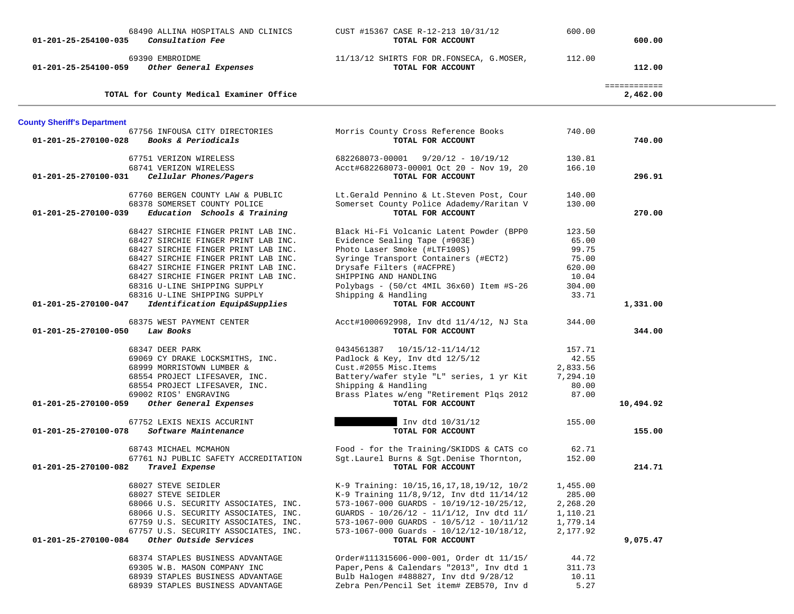| 01-201-25-254100-035               | 68490 ALLINA HOSPITALS AND CLINICS<br>Consultation Fee                                           | CUST #15367 CASE R-12-213 10/31/12<br>TOTAL FOR ACCOUNT                                                   | 600.00               | 600.00                   |  |
|------------------------------------|--------------------------------------------------------------------------------------------------|-----------------------------------------------------------------------------------------------------------|----------------------|--------------------------|--|
| 01-201-25-254100-059               | 69390 EMBROIDME<br>Other General Expenses                                                        | 11/13/12 SHIRTS FOR DR.FONSECA, G.MOSER,<br>TOTAL FOR ACCOUNT                                             | 112.00               | 112.00                   |  |
|                                    | TOTAL for County Medical Examiner Office                                                         |                                                                                                           |                      | ============<br>2,462.00 |  |
| <b>County Sheriff's Department</b> |                                                                                                  |                                                                                                           |                      |                          |  |
| 01-201-25-270100-028               | 67756 INFOUSA CITY DIRECTORIES<br>Books & Periodicals                                            | Morris County Cross Reference Books<br>TOTAL FOR ACCOUNT                                                  | 740.00               | 740.00                   |  |
|                                    | 67751 VERIZON WIRELESS                                                                           | $682268073 - 00001$ $9/20/12 - 10/19/12$                                                                  | 130.81<br>166.10     |                          |  |
| 01-201-25-270100-031               | 68741 VERIZON WIRELESS<br>Cellular Phones/Pagers                                                 | Acct#682268073-00001 Oct 20 - Nov 19, 20<br>TOTAL FOR ACCOUNT                                             |                      | 296.91                   |  |
| 01-201-25-270100-039               | 67760 BERGEN COUNTY LAW & PUBLIC<br>68378 SOMERSET COUNTY POLICE<br>Education Schools & Training | Lt.Gerald Pennino & Lt.Steven Post, Cour<br>Somerset County Police Adademy/Raritan V<br>TOTAL FOR ACCOUNT | 140.00<br>130.00     | 270.00                   |  |
|                                    | 68427 SIRCHIE FINGER PRINT LAB INC.                                                              | Black Hi-Fi Volcanic Latent Powder (BPP0                                                                  | 123.50               |                          |  |
|                                    | 68427 SIRCHIE FINGER PRINT LAB INC.<br>68427 SIRCHIE FINGER PRINT LAB INC.                       | Evidence Sealing Tape (#903E)<br>Photo Laser Smoke (#LTF100S)                                             | 65.00<br>99.75       |                          |  |
|                                    | 68427 SIRCHIE FINGER PRINT LAB INC.                                                              | Syringe Transport Containers (#ECT2)                                                                      | 75.00                |                          |  |
|                                    | 68427 SIRCHIE FINGER PRINT LAB INC.                                                              | Drysafe Filters (#ACFPRE)                                                                                 | 620.00               |                          |  |
|                                    | 68427 SIRCHIE FINGER PRINT LAB INC.<br>68316 U-LINE SHIPPING SUPPLY                              | SHIPPING AND HANDLING<br>Polybags - (50/ct 4MIL 36x60) Item #S-26                                         | 10.04<br>304.00      |                          |  |
|                                    | 68316 U-LINE SHIPPING SUPPLY                                                                     | Shipping & Handling                                                                                       | 33.71                |                          |  |
| 01-201-25-270100-047               | Identification Equip&Supplies                                                                    | TOTAL FOR ACCOUNT                                                                                         |                      | 1,331.00                 |  |
| 01-201-25-270100-050               | 68375 WEST PAYMENT CENTER<br>Law Books                                                           | Acct#1000692998, Inv dtd 11/4/12, NJ Sta<br>TOTAL FOR ACCOUNT                                             | 344.00               | 344.00                   |  |
|                                    | 68347 DEER PARK                                                                                  | 0434561387 10/15/12-11/14/12                                                                              | 157.71               |                          |  |
|                                    | 69069 CY DRAKE LOCKSMITHS, INC.                                                                  | Padlock & Key, Inv dtd 12/5/12                                                                            | 42.55                |                          |  |
|                                    | 68999 MORRISTOWN LUMBER &<br>68554 PROJECT LIFESAVER, INC.                                       | Cust.#2055 Misc.Items<br>Battery/wafer style "L" series, 1 yr Kit                                         | 2,833.56<br>7,294.10 |                          |  |
|                                    | 68554 PROJECT LIFESAVER, INC.                                                                    | Shipping & Handling                                                                                       | 80.00                |                          |  |
|                                    | 69002 RIOS' ENGRAVING                                                                            | Brass Plates w/eng "Retirement Plqs 2012                                                                  | 87.00                |                          |  |
| 01-201-25-270100-059               | Other General Expenses                                                                           | TOTAL FOR ACCOUNT                                                                                         |                      | 10,494.92                |  |
| 01-201-25-270100-078               | 67752 LEXIS NEXIS ACCURINT<br>Software Maintenance                                               | Inv dtd 10/31/12<br>TOTAL FOR ACCOUNT                                                                     | 155.00               | 155.00                   |  |
|                                    | 68743 MICHAEL MCMAHON                                                                            | Food - for the Training/SKIDDS & CATS co                                                                  | 62.71                |                          |  |
| 01-201-25-270100-082               | 67761 NJ PUBLIC SAFETY ACCREDITATION<br>Travel Expense                                           | Sgt. Laurel Burns & Sgt. Denise Thornton,<br>TOTAL FOR ACCOUNT                                            | 152.00               | 214.71                   |  |
|                                    | 68027 STEVE SEIDLER                                                                              | K-9 Training: 10/15,16,17,18,19/12, 10/2                                                                  | 1,455.00             |                          |  |
|                                    | 68027 STEVE SEIDLER                                                                              | K-9 Training $11/8,9/12$ , Inv dtd $11/14/12$                                                             | 285.00               |                          |  |
|                                    | 68066 U.S. SECURITY ASSOCIATES, INC.                                                             | 573-1067-000 GUARDS - $10/19/12-10/25/12$ ,                                                               | 2,268.20             |                          |  |
|                                    | 68066 U.S. SECURITY ASSOCIATES, INC.<br>67759 U.S. SECURITY ASSOCIATES, INC.                     | GUARDS - $10/26/12$ - $11/1/12$ , Inv dtd $11/$<br>$573-1067-000$ GUARDS - $10/5/12$ - $10/11/12$         | 1,110.21<br>1,779.14 |                          |  |
|                                    | 67757 U.S. SECURITY ASSOCIATES, INC.                                                             | $573-1067-000$ Guards - $10/12/12-10/18/12$ ,                                                             | 2,177.92             |                          |  |
| 01-201-25-270100-084               | Other Outside Services                                                                           | TOTAL FOR ACCOUNT                                                                                         |                      | 9,075.47                 |  |
|                                    | 68374 STAPLES BUSINESS ADVANTAGE                                                                 | Order#111315606-000-001, Order dt 11/15/                                                                  | 44.72                |                          |  |
|                                    | 69305 W.B. MASON COMPANY INC                                                                     | Paper, Pens & Calendars "2013", Inv dtd 1                                                                 | 311.73               |                          |  |
|                                    | 68939 STAPLES BUSINESS ADVANTAGE<br>68939 STAPLES BUSINESS ADVANTAGE                             | Bulb Halogen #488827, Inv dtd 9/28/12<br>Zebra Pen/Pencil Set item# ZEB570, Inv d                         | 10.11<br>5.27        |                          |  |
|                                    |                                                                                                  |                                                                                                           |                      |                          |  |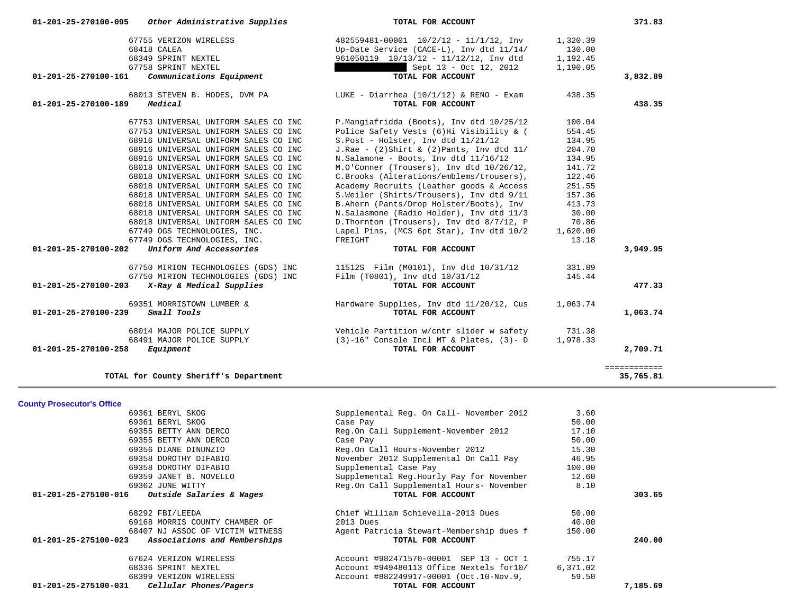| 01-201-25-270100-095           | Other Administrative Supplies         | TOTAL FOR ACCOUNT                              |          | 371.83       |
|--------------------------------|---------------------------------------|------------------------------------------------|----------|--------------|
|                                | 67755 VERIZON WIRELESS                | $482559481 - 00001$ $10/2/12 - 11/1/12$ , Inv  | 1,320.39 |              |
|                                | 68418 CALEA                           | Up-Date Service (CACE-L), Inv dtd 11/14/       | 130.00   |              |
|                                | 68349 SPRINT NEXTEL                   | 961050119 10/13/12 - 11/12/12, Inv dtd         | 1,192.45 |              |
|                                | 67758 SPRINT NEXTEL                   | Sept 13 - Oct 12, 2012                         | 1,190.05 |              |
| 01-201-25-270100-161           | Communications Equipment              | TOTAL FOR ACCOUNT                              |          | 3,832.89     |
|                                | 68013 STEVEN B. HODES, DVM PA         | LUKE - Diarrhea (10/1/12) & RENO - Exam        | 438.35   |              |
| 01-201-25-270100-189           | Medical                               | TOTAL FOR ACCOUNT                              |          | 438.35       |
|                                | 67753 UNIVERSAL UNIFORM SALES CO INC  | P.Mangiafridda (Boots), Inv dtd 10/25/12       | 100.04   |              |
|                                | 67753 UNIVERSAL UNIFORM SALES CO INC  | Police Safety Vests (6)Hi Visibility & (       | 554.45   |              |
|                                | 68916 UNIVERSAL UNIFORM SALES CO INC  | S.Post - Holster, Inv dtd 11/21/12             | 134.95   |              |
|                                | 68916 UNIVERSAL UNIFORM SALES CO INC  | J.Rae - $(2)$ Shirt & $(2)$ Pants, Inv dtd 11/ | 204.70   |              |
|                                | 68916 UNIVERSAL UNIFORM SALES CO INC  | N.Salamone - Boots, Inv dtd 11/16/12           | 134.95   |              |
|                                | 68018 UNIVERSAL UNIFORM SALES CO INC  | M.O'Conner (Trousers), Inv dtd 10/26/12,       | 141.72   |              |
|                                | 68018 UNIVERSAL UNIFORM SALES CO INC  | C.Brooks (Alterations/emblems/trousers),       | 122.46   |              |
|                                | 68018 UNIVERSAL UNIFORM SALES CO INC  | Academy Recruits (Leather goods & Access       | 251.55   |              |
|                                | 68018 UNIVERSAL UNIFORM SALES CO INC  | S.Weiler (Shirts/Trousers), Inv dtd 9/11       | 157.36   |              |
|                                | 68018 UNIVERSAL UNIFORM SALES CO INC  | B.Ahern (Pants/Drop Holster/Boots), Inv        | 413.73   |              |
|                                | 68018 UNIVERSAL UNIFORM SALES CO INC  | N.Salasmone (Radio Holder), Inv dtd 11/3       | 30.00    |              |
|                                | 68018 UNIVERSAL UNIFORM SALES CO INC  | D. Thornton (Trousers), Inv dtd 8/7/12, P      | 70.86    |              |
|                                | 67749 OGS TECHNOLOGIES, INC.          | Lapel Pins, (MCS 6pt Star), Inv dtd 10/2       | 1,620.00 |              |
|                                | 67749 OGS TECHNOLOGIES, INC.          | FREIGHT                                        | 13.18    |              |
| 01-201-25-270100-202           | Uniform And Accessories               | TOTAL FOR ACCOUNT                              |          | 3,949.95     |
|                                | 67750 MIRION TECHNOLOGIES (GDS) INC   | 11512S    Film (M0101), Inv dtd 10/31/12       | 331.89   |              |
|                                | 67750 MIRION TECHNOLOGIES (GDS) INC   | Film (T0801), Inv dtd 10/31/12                 | 145.44   |              |
| 01-201-25-270100-203           | X-Ray & Medical Supplies              | TOTAL FOR ACCOUNT                              |          | 477.33       |
|                                | 69351 MORRISTOWN LUMBER &             | Hardware Supplies, Inv dtd 11/20/12, Cus       | 1,063.74 |              |
| $01 - 201 - 25 - 270100 - 239$ | Small Tools                           | TOTAL FOR ACCOUNT                              |          | 1,063.74     |
|                                | 68014 MAJOR POLICE SUPPLY             | Vehicle Partition w/cntr slider w safety       | 731.38   |              |
|                                | 68491 MAJOR POLICE SUPPLY             | $(3)$ -16" Console Incl MT & Plates, $(3)$ - D | 1,978.33 |              |
| 01-201-25-270100-258           | Equipment                             | TOTAL FOR ACCOUNT                              |          | 2,709.71     |
|                                |                                       |                                                |          | ============ |
|                                | TOTAL for County Sheriff's Department |                                                |          | 35,765.81    |

**County Prosecutor's Office**

| 69361 BERYL SKOG                                     | Supplemental Reg. On Call- November 2012 | 3.60     |          |
|------------------------------------------------------|------------------------------------------|----------|----------|
| 69361 BERYL SKOG                                     | Case Pay                                 | 50.00    |          |
| 69355 BETTY ANN DERCO                                | Reg.On Call Supplement-November 2012     | 17.10    |          |
| 69355 BETTY ANN DERCO                                | Case Pay                                 | 50.00    |          |
| 69356 DIANE DINUNZIO                                 | Reg.On Call Hours-November 2012          | 15.30    |          |
| 69358 DOROTHY DIFABIO                                | November 2012 Supplemental On Call Pay   | 46.95    |          |
| 69358 DOROTHY DIFABIO                                | Supplemental Case Pay                    | 100.00   |          |
| 69359 JANET B. NOVELLO                               | Supplemental Req.Hourly Pay for November | 12.60    |          |
| 69362 JUNE WITTY                                     | Reg.On Call Supplemental Hours- November | 8.10     |          |
| 01-201-25-275100-016<br>Outside Salaries & Wages     | TOTAL FOR ACCOUNT                        |          | 303.65   |
| 68292 FBI/LEEDA                                      | Chief William Schievella-2013 Dues       | 50.00    |          |
| 69168 MORRIS COUNTY CHAMBER OF                       | 2013 Dues                                | 40.00    |          |
| 68407 NJ ASSOC OF VICTIM WITNESS                     | Agent Patricia Stewart-Membership dues f | 150.00   |          |
| 01-201-25-275100-023<br>Associations and Memberships | TOTAL FOR ACCOUNT                        |          | 240.00   |
| 67624 VERIZON WIRELESS                               | Account #982471570-00001 SEP 13 - OCT 1  | 755.17   |          |
| 68336 SPRINT NEXTEL                                  | Account #949480113 Office Nextels for10/ | 6,371.02 |          |
| 68399 VERIZON WIRELESS                               | Account #882249917-00001 (Oct.10-Nov.9,  | 59.50    |          |
| $01-201-25-275100-031$ Cellular Phones/Pagers        | TOTAL FOR ACCOUNT                        |          | 7,185.69 |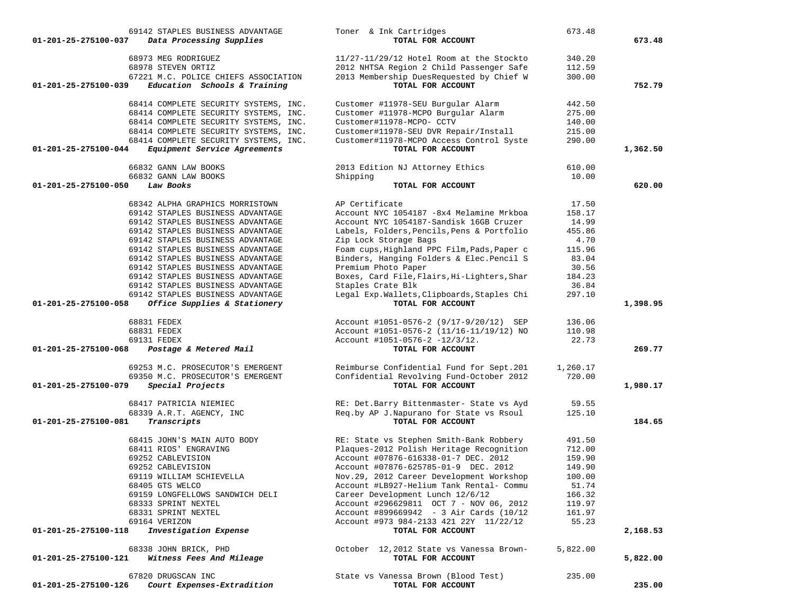| 69142 STAPLES BUSINESS ADVANTAGE                                          | Toner & Ink Cartridges                                               | 673.48          |          |
|---------------------------------------------------------------------------|----------------------------------------------------------------------|-----------------|----------|
| 01-201-25-275100-037<br>Data Processing Supplies                          | TOTAL FOR ACCOUNT                                                    |                 | 673.48   |
| 68973 MEG RODRIGUEZ                                                       | 11/27-11/29/12 Hotel Room at the Stockto                             | 340.20          |          |
| 68978 STEVEN ORTIZ                                                        | 2012 NHTSA Region 2 Child Passenger Safe                             | 112.59          |          |
| 67221 M.C. POLICE CHIEFS ASSOCIATION                                      | 2013 Membership DuesRequested by Chief W                             | 300.00          |          |
| Education Schools & Training<br>01-201-25-275100-039                      | TOTAL FOR ACCOUNT                                                    |                 | 752.79   |
|                                                                           |                                                                      |                 |          |
| 68414 COMPLETE SECURITY SYSTEMS, INC.                                     | Customer #11978-SEU Burgular Alarm                                   | 442.50          |          |
| 68414 COMPLETE SECURITY SYSTEMS, INC.                                     | Customer #11978-MCPO Burgular Alarm                                  | 275.00          |          |
| 68414 COMPLETE SECURITY SYSTEMS, INC.                                     | Customer#11978-MCPO- CCTV                                            | 140.00          |          |
| 68414 COMPLETE SECURITY SYSTEMS, INC.                                     | Customer#11978-SEU DVR Repair/Install                                | 215.00          |          |
| 68414 COMPLETE SECURITY SYSTEMS, INC.                                     | Customer#11978-MCPO Access Control Syste                             | 290.00          |          |
| Equipment Service Agreements<br>01-201-25-275100-044                      | TOTAL FOR ACCOUNT                                                    |                 | 1,362.50 |
| 66832 GANN LAW BOOKS                                                      | 2013 Edition NJ Attorney Ethics                                      | 610.00          |          |
| 66832 GANN LAW BOOKS                                                      | Shipping                                                             | 10.00           |          |
| 01-201-25-275100-050<br>Law Books                                         | TOTAL FOR ACCOUNT                                                    |                 | 620.00   |
|                                                                           |                                                                      |                 |          |
| 68342 ALPHA GRAPHICS MORRISTOWN                                           | AP Certificate                                                       | 17.50           |          |
| 69142 STAPLES BUSINESS ADVANTAGE                                          | Account NYC 1054187 -8x4 Melamine Mrkboa                             | 158.17          |          |
| 69142 STAPLES BUSINESS ADVANTAGE                                          | Account NYC 1054187-Sandisk 16GB Cruzer                              | 14.99<br>455.86 |          |
| 69142 STAPLES BUSINESS ADVANTAGE<br>69142 STAPLES BUSINESS ADVANTAGE      | Labels, Folders, Pencils, Pens & Portfolio                           | 4.70            |          |
| 69142 STAPLES BUSINESS ADVANTAGE                                          | Zip Lock Storage Bags<br>Foam cups, Highland PPC Film, Pads, Paper c | 115.96          |          |
|                                                                           |                                                                      |                 |          |
| 69142 STAPLES BUSINESS ADVANTAGE                                          | Binders, Hanging Folders & Elec.Pencil S                             | 83.04           |          |
| 69142 STAPLES BUSINESS ADVANTAGE                                          | Premium Photo Paper                                                  | 30.56           |          |
| 69142 STAPLES BUSINESS ADVANTAGE<br>69142 STAPLES BUSINESS ADVANTAGE      | Boxes, Card File, Flairs, Hi-Lighters, Shar<br>Staples Crate Blk     | 184.23<br>36.84 |          |
| 69142 STAPLES BUSINESS ADVANTAGE                                          | Legal Exp.Wallets, Clipboards, Staples Chi                           | 297.10          |          |
| 01-201-25-275100-058<br>Office Supplies & Stationery                      | TOTAL FOR ACCOUNT                                                    |                 | 1,398.95 |
|                                                                           |                                                                      |                 |          |
| 68831 FEDEX                                                               | Account #1051-0576-2 (9/17-9/20/12) SEP                              | 136.06          |          |
| 68831 FEDEX                                                               | Account #1051-0576-2 (11/16-11/19/12) NO                             | 110.98          |          |
| 69131 FEDEX                                                               | Account $\text{\#}1051 - 0576 - 2 - 12/3/12$ .                       | 22.73           |          |
| 01-201-25-275100-068<br>Postage & Metered Mail                            | TOTAL FOR ACCOUNT                                                    |                 | 269.77   |
| 69253 M.C. PROSECUTOR'S EMERGENT                                          | Reimburse Confidential Fund for Sept.201                             | 1,260.17        |          |
| 69350 M.C. PROSECUTOR'S EMERGENT                                          | Confidential Revolving Fund-October 2012                             | 720.00          |          |
| 01-201-25-275100-079<br>Special Projects                                  | TOTAL FOR ACCOUNT                                                    |                 | 1,980.17 |
| 68417 PATRICIA NIEMIEC                                                    | RE: Det.Barry Bittenmaster- State vs Ayd                             | 59.55           |          |
| 68339 A.R.T. AGENCY, INC                                                  | Req.by AP J.Napurano for State vs Rsoul                              | 125.10          |          |
| 01-201-25-275100-081<br>Transcripts                                       | TOTAL FOR ACCOUNT                                                    |                 | 184.65   |
| 68415 JOHN'S MAIN AUTO BODY                                               | RE: State vs Stephen Smith-Bank Robbery                              | 491.50          |          |
| 68411 RIOS' ENGRAVING                                                     | Plaques-2012 Polish Heritage Recognition                             | 712.00          |          |
| 69252 CABLEVISION                                                         | Account #07876-616338-01-7 DEC. 2012                                 | 159.90          |          |
| 69252 CABLEVISION                                                         | Account #07876-625785-01-9 DEC. 2012                                 | 149.90          |          |
| 69119 WILLIAM SCHIEVELLA                                                  | Nov.29, 2012 Career Development Workshop                             | 100.00          |          |
| 68405 GTS WELCO                                                           | Account #LB927-Helium Tank Rental- Commu                             | 51.74           |          |
| 69159 LONGFELLOWS SANDWICH DELI                                           | Career Development Lunch 12/6/12                                     | 166.32          |          |
| 68333 SPRINT NEXTEL                                                       | Account #296629811 OCT 7 - NOV 06, 2012                              | 119.97          |          |
| 68331 SPRINT NEXTEL                                                       | Account #899669942 - 3 Air Cards (10/12                              | 161.97          |          |
| 69164 VERIZON                                                             | Account #973 984-2133 421 22Y 11/22/12                               | 55.23           |          |
| Investigation Expense<br>01-201-25-275100-118                             | TOTAL FOR ACCOUNT                                                    |                 | 2,168.53 |
|                                                                           |                                                                      |                 |          |
| 68338 JOHN BRICK, PHD<br>Witness Fees And Mileage<br>01-201-25-275100-121 | October 12,2012 State vs Vanessa Brown-<br>TOTAL FOR ACCOUNT         | 5,822.00        | 5,822.00 |
|                                                                           |                                                                      |                 |          |
| 67820 DRUGSCAN INC                                                        | State vs Vanessa Brown (Blood Test)                                  | 235.00          |          |
| Court Expenses-Extradition<br>01-201-25-275100-126                        | TOTAL FOR ACCOUNT                                                    |                 | 235.00   |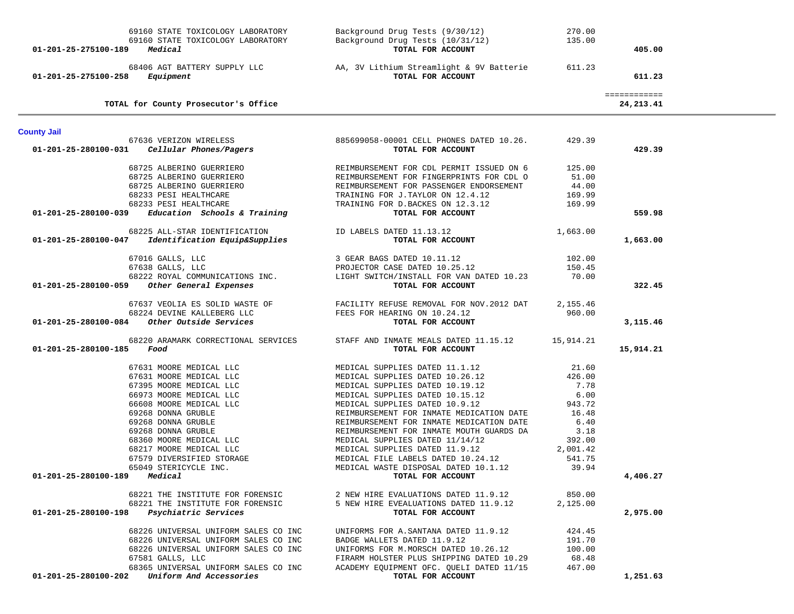| 01-201-25-275100-189 Medical | 69160 STATE TOXICOLOGY LABORATORY<br>69160 STATE TOXICOLOGY LABORATORY         | Background Drug Tests (9/30/12)<br>Background Drug Tests (10/31/12)<br>TOTAL FOR ACCOUNT | 270.00<br>135.00 | 405.00                      |  |
|------------------------------|--------------------------------------------------------------------------------|------------------------------------------------------------------------------------------|------------------|-----------------------------|--|
| 01-201-25-275100-258         | 68406 AGT BATTERY SUPPLY LLC<br>Equipment                                      | AA, 3V Lithium Streamlight & 9V Batterie<br>TOTAL FOR ACCOUNT                            | 611.23           | 611.23                      |  |
|                              | TOTAL for County Prosecutor's Office                                           |                                                                                          |                  | ============<br>24, 213. 41 |  |
| <b>County Jail</b>           |                                                                                |                                                                                          |                  |                             |  |
|                              | 67636 VERIZON WIRELESS<br>$01-201-25-280100-031$ Cellular Phones/Pagers        | 885699058-00001 CELL PHONES DATED 10.26.<br>TOTAL FOR ACCOUNT                            | 429.39           | 429.39                      |  |
|                              |                                                                                |                                                                                          |                  |                             |  |
|                              | 68725 ALBERINO GUERRIERO                                                       | REIMBURSEMENT FOR CDL PERMIT ISSUED ON 6                                                 | 125.00           |                             |  |
|                              | 68725 ALBERINO GUERRIERO                                                       | REIMBURSEMENT FOR FINGERPRINTS FOR CDL O                                                 | 51.00            |                             |  |
|                              | 68725 ALBERINO GUERRIERO                                                       | REIMBURSEMENT FOR PASSENGER ENDORSEMENT                                                  | 44.00            |                             |  |
|                              | 68233 PESI HEALTHCARE                                                          | TRAINING FOR J.TAYLOR ON 12.4.12                                                         | 169.99           |                             |  |
|                              | 68233 PESI HEALTHCARE                                                          | TRAINING FOR D.BACKES ON 12.3.12                                                         | 169.99           |                             |  |
|                              | $01-201-25-280100-039$ Education Schools & Training                            | TOTAL FOR ACCOUNT                                                                        |                  | 559.98                      |  |
|                              | 68225 ALL-STAR IDENTIFICATION                                                  | ID LABELS DATED 11.13.12                                                                 | 1,663.00         |                             |  |
| 01-201-25-280100-047         | Identification Equip&Supplies                                                  | TOTAL FOR ACCOUNT                                                                        |                  | 1,663.00                    |  |
|                              |                                                                                |                                                                                          |                  |                             |  |
|                              | 67016 GALLS, LLC                                                               | 3 GEAR BAGS DATED 10.11.12                                                               | 102.00           |                             |  |
|                              | 67638 GALLS, LLC                                                               | PROJECTOR CASE DATED 10.25.12                                                            | 150.45           |                             |  |
|                              | 68222 ROYAL COMMUNICATIONS INC.<br>01-201-25-280100-059 Other General Expenses | LIGHT SWITCH/INSTALL FOR VAN DATED 10.23<br>TOTAL FOR ACCOUNT                            | 70.00            | 322.45                      |  |
|                              |                                                                                |                                                                                          |                  |                             |  |
|                              | 67637 VEOLIA ES SOLID WASTE OF                                                 | FACILITY REFUSE REMOVAL FOR NOV. 2012 DAT                                                | 2,155.46         |                             |  |
|                              | 68224 DEVINE KALLEBERG LLC                                                     | FEES FOR HEARING ON 10.24.12                                                             | 960.00           |                             |  |
|                              | 01-201-25-280100-084 Other Outside Services                                    | TOTAL FOR ACCOUNT                                                                        |                  | 3,115.46                    |  |
|                              | 68220 ARAMARK CORRECTIONAL SERVICES                                            | STAFF AND INMATE MEALS DATED 11.15.12 15,914.21                                          |                  |                             |  |
| 01-201-25-280100-185         | Food                                                                           | TOTAL FOR ACCOUNT                                                                        |                  | 15,914.21                   |  |
|                              |                                                                                |                                                                                          |                  |                             |  |
|                              | 67631 MOORE MEDICAL LLC                                                        | MEDICAL SUPPLIES DATED 11.1.12                                                           | 21.60            |                             |  |
|                              | 67631 MOORE MEDICAL LLC                                                        | MEDICAL SUPPLIES DATED 10.26.12                                                          | 426.00           |                             |  |
|                              | 67395 MOORE MEDICAL LLC                                                        | MEDICAL SUPPLIES DATED 10.19.12                                                          | 7.78             |                             |  |
|                              | 66973 MOORE MEDICAL LLC                                                        | MEDICAL SUPPLIES DATED 10.15.12                                                          | 6.00             |                             |  |
|                              | 66608 MOORE MEDICAL LLC                                                        | MEDICAL SUPPLIES DATED 10.9.12                                                           | 943.72           |                             |  |
|                              | 69268 DONNA GRUBLE<br>69268 DONNA GRUBLE                                       | REIMBURSEMENT FOR INMATE MEDICATION DATE<br>REIMBURSEMENT FOR INMATE MEDICATION DATE     | 16.48<br>6.40    |                             |  |
|                              | 69268 DONNA GRUBLE                                                             | REIMBURSEMENT FOR INMATE MOUTH GUARDS DA                                                 | 3.18             |                             |  |
|                              | 68360 MOORE MEDICAL LLC                                                        | MEDICAL SUPPLIES DATED 11/14/12                                                          | 392.00           |                             |  |
|                              | 68217 MOORE MEDICAL LLC                                                        | MEDICAL SUPPLIES DATED 11.9.12                                                           | 2,001.42         |                             |  |
|                              | 67579 DIVERSIFIED STORAGE                                                      | MEDICAL FILE LABELS DATED 10.24.12                                                       | 541.75           |                             |  |
|                              | 65049 STERICYCLE INC.                                                          | MEDICAL WASTE DISPOSAL DATED 10.1.12                                                     | 39.94            |                             |  |
| 01-201-25-280100-189 Medical |                                                                                | TOTAL FOR ACCOUNT                                                                        |                  | 4,406.27                    |  |
|                              |                                                                                |                                                                                          |                  |                             |  |
|                              | 68221 THE INSTITUTE FOR FORENSIC                                               | 2 NEW HIRE EVALUATIONS DATED 11.9.12                                                     | 850.00           |                             |  |
| 01-201-25-280100-198         | 68221 THE INSTITUTE FOR FORENSIC<br>Psychiatric Services                       | 5 NEW HIRE EVEALUATIONS DATED 11.9.12<br>TOTAL FOR ACCOUNT                               | 2,125.00         | 2,975.00                    |  |
|                              |                                                                                |                                                                                          |                  |                             |  |
|                              | 68226 UNIVERSAL UNIFORM SALES CO INC                                           | UNIFORMS FOR A. SANTANA DATED 11.9.12                                                    | 424.45           |                             |  |
|                              | 68226 UNIVERSAL UNIFORM SALES CO INC                                           | BADGE WALLETS DATED 11.9.12                                                              | 191.70           |                             |  |
|                              | 68226 UNIVERSAL UNIFORM SALES CO INC                                           | UNIFORMS FOR M.MORSCH DATED 10.26.12                                                     | 100.00           |                             |  |
|                              | 67581 GALLS, LLC                                                               | FIRARM HOLSTER PLUS SHIPPING DATED 10.29                                                 | 68.48            |                             |  |
|                              | 68365 UNIVERSAL UNIFORM SALES CO INC                                           | ACADEMY EQUIPMENT OFC. QUELI DATED 11/15                                                 | 467.00           |                             |  |
| 01-201-25-280100-202         | Uniform And Accessories                                                        | TOTAL FOR ACCOUNT                                                                        |                  | 1,251.63                    |  |
|                              |                                                                                |                                                                                          |                  |                             |  |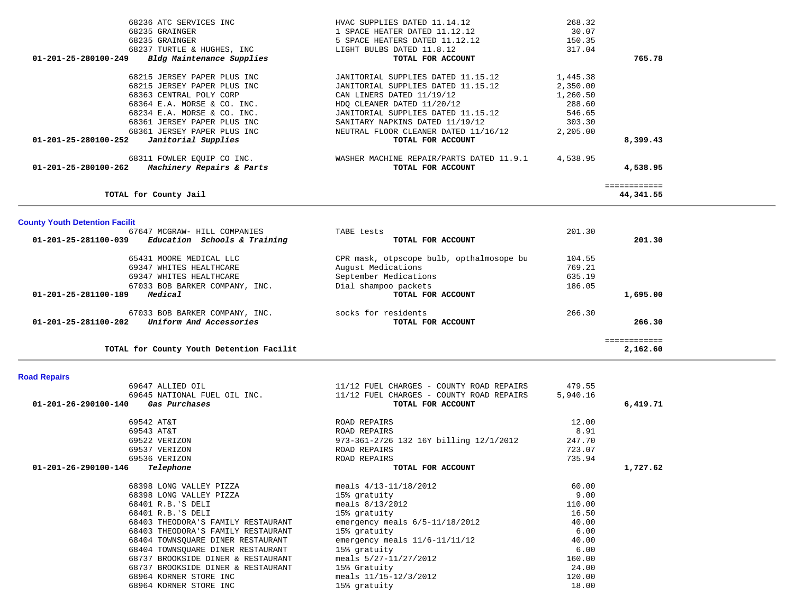| 68236 ATC SERVICES INC                            | HVAC SUPPLIES DATED 11.14.12             | 268.32   |              |
|---------------------------------------------------|------------------------------------------|----------|--------------|
| 68235 GRAINGER                                    | 1 SPACE HEATER DATED 11.12.12            | 30.07    |              |
| 68235 GRAINGER                                    | 5 SPACE HEATERS DATED 11.12.12           | 150.35   |              |
| 68237 TURTLE & HUGHES, INC                        | LIGHT BULBS DATED 11.8.12                | 317.04   |              |
| Bldg Maintenance Supplies<br>01-201-25-280100-249 | TOTAL FOR ACCOUNT                        |          | 765.78       |
| 68215 JERSEY PAPER PLUS INC                       | JANITORIAL SUPPLIES DATED 11.15.12       | 1,445.38 |              |
| 68215 JERSEY PAPER PLUS INC                       | JANITORIAL SUPPLIES DATED 11.15.12       | 2,350.00 |              |
| 68363 CENTRAL POLY CORP                           | CAN LINERS DATED 11/19/12                | 1,260.50 |              |
| 68364 E.A. MORSE & CO. INC.                       | HDO CLEANER DATED 11/20/12               | 288.60   |              |
| 68234 E.A. MORSE & CO. INC.                       | JANITORIAL SUPPLIES DATED 11.15.12       | 546.65   |              |
| 68361 JERSEY PAPER PLUS INC                       | SANITARY NAPKINS DATED 11/19/12          | 303.30   |              |
| 68361 JERSEY PAPER PLUS INC                       | NEUTRAL FLOOR CLEANER DATED 11/16/12     | 2,205.00 |              |
| 01-201-25-280100-252<br>Janitorial Supplies       | TOTAL FOR ACCOUNT                        |          | 8,399.43     |
| 68311 FOWLER EQUIP CO INC.                        | WASHER MACHINE REPAIR/PARTS DATED 11.9.1 | 4,538.95 |              |
| Machinery Repairs & Parts<br>01-201-25-280100-262 | TOTAL FOR ACCOUNT                        |          | 4,538.95     |
|                                                   |                                          |          | ============ |
| TOTAL for County Jail                             |                                          |          | 44,341.55    |

| <b>County Youth Detention Facilit</b>                |                                          |              |  |
|------------------------------------------------------|------------------------------------------|--------------|--|
| 67647 MCGRAW- HILL COMPANIES                         | TABE tests                               | 201.30       |  |
| 01-201-25-281100-039<br>Education Schools & Training | TOTAL FOR ACCOUNT                        | 201.30       |  |
| 65431 MOORE MEDICAL LLC                              | CPR mask, otpscope bulb, opthalmosope bu | 104.55       |  |
| 69347 WHITES HEALTHCARE                              | August Medications                       | 769.21       |  |
| 69347 WHITES HEALTHCARE                              | September Medications                    | 635.19       |  |
| 67033 BOB BARKER COMPANY, INC.                       | Dial shampoo packets                     | 186.05       |  |
| Medical<br>01-201-25-281100-189                      | TOTAL FOR ACCOUNT                        | 1,695.00     |  |
| 67033 BOB BARKER COMPANY, INC.                       | socks for residents                      | 266.30       |  |
| Uniform And Accessories<br>01-201-25-281100-202      | TOTAL FOR ACCOUNT                        | 266.30       |  |
|                                                      |                                          | ============ |  |
| TOTAL for County Youth Detention Facilit             |                                          | 2,162.60     |  |

### **Road Repairs**

|                      | 69647 ALLIED OIL                      | 11/12 FUEL CHARGES - COUNTY ROAD REPAIRS | 479.55   |          |
|----------------------|---------------------------------------|------------------------------------------|----------|----------|
|                      | 69645 NATIONAL FUEL OIL INC.          | 11/12 FUEL CHARGES - COUNTY ROAD REPAIRS | 5,940.16 |          |
|                      | 01-201-26-290100-140<br>Gas Purchases | TOTAL FOR ACCOUNT                        |          | 6,419.71 |
|                      | 69542 AT&T                            | ROAD REPAIRS                             | 12.00    |          |
|                      | 69543 AT&T                            | ROAD REPAIRS                             | 8.91     |          |
|                      | 69522 VERIZON                         | 973-361-2726 132 16Y billing 12/1/2012   | 247.70   |          |
|                      | 69537 VERIZON                         | ROAD REPAIRS                             | 723.07   |          |
|                      | 69536 VERIZON                         | ROAD REPAIRS                             | 735.94   |          |
| 01-201-26-290100-146 | Telephone                             | TOTAL FOR ACCOUNT                        |          | 1,727.62 |
|                      | 68398 LONG VALLEY PIZZA               | meals 4/13-11/18/2012                    | 60.00    |          |
|                      | 68398 LONG VALLEY PIZZA               | 15% gratuity                             | 9.00     |          |
|                      | 68401 R.B.'S DELI                     | meals 8/13/2012                          | 110.00   |          |
|                      | 68401 R.B.'S DELI                     | 15% gratuity                             | 16.50    |          |
|                      | 68403 THEODORA'S FAMILY RESTAURANT    | emergency meals $6/5-11/18/2012$         | 40.00    |          |
|                      | 68403 THEODORA'S FAMILY RESTAURANT    | 15% gratuity                             | 6.00     |          |
|                      | 68404 TOWNSQUARE DINER RESTAURANT     | emergency meals $11/6 - 11/11/12$        | 40.00    |          |
|                      | 68404 TOWNSQUARE DINER RESTAURANT     | 15% gratuity                             | 6.00     |          |
|                      | 68737 BROOKSIDE DINER & RESTAURANT    | meals 5/27-11/27/2012                    | 160.00   |          |
|                      | 68737 BROOKSIDE DINER & RESTAURANT    | 15% Gratuity                             | 24.00    |          |
|                      | 68964 KORNER STORE INC                | meals 11/15-12/3/2012                    | 120.00   |          |
|                      | 68964 KORNER STORE INC                | 15% gratuity                             | 18.00    |          |
|                      |                                       |                                          |          |          |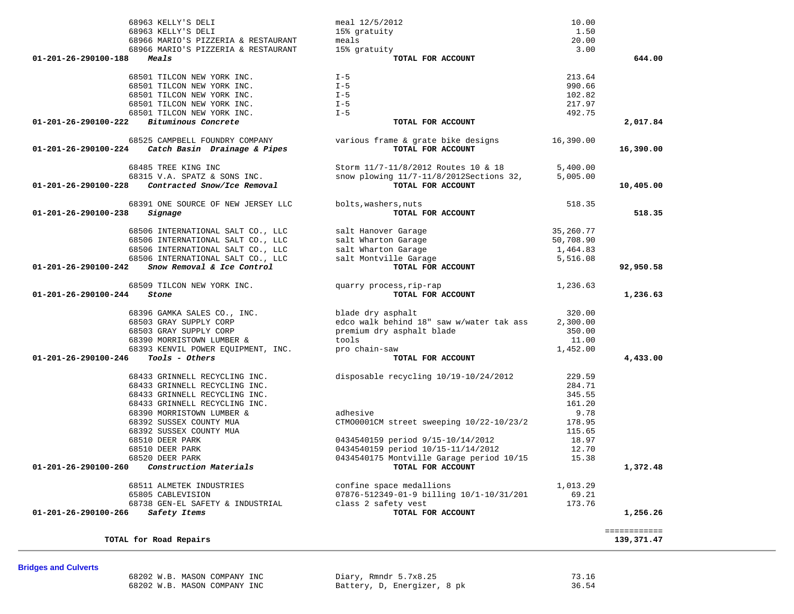| TOTAL for Road Repairs      |                              |                             | 139,371.47 |
|-----------------------------|------------------------------|-----------------------------|------------|
| <b>Bridges and Culverts</b> | 68202 W.B. MASON COMPANY INC | Diary, Rmndr 5.7x8.25       | 73.16      |
|                             | 68202 W.B. MASON COMPANY INC | Battery, D, Energizer, 8 pk | 36.54      |

| 68966 MARIO'S PIZZERIA & RESTAURANT                           | 15% gratuity                             | 3.00      |              |
|---------------------------------------------------------------|------------------------------------------|-----------|--------------|
| 01-201-26-290100-188<br>Meals                                 | TOTAL FOR ACCOUNT                        |           | 644.00       |
| 68501 TILCON NEW YORK INC.                                    | $I - 5$                                  | 213.64    |              |
| 68501 TILCON NEW YORK INC.                                    | $I - 5$                                  | 990.66    |              |
| 68501 TILCON NEW YORK INC.                                    | $I - 5$                                  | 102.82    |              |
| 68501 TILCON NEW YORK INC.                                    | $I - 5$                                  | 217.97    |              |
| 68501 TILCON NEW YORK INC.                                    | $I - 5$                                  | 492.75    |              |
| Bituminous Concrete<br>01-201-26-290100-222                   | TOTAL FOR ACCOUNT                        |           | 2,017.84     |
| 68525 CAMPBELL FOUNDRY COMPANY                                | various frame & grate bike designs       | 16,390.00 |              |
| 01-201-26-290100-224 Catch Basin Drainage & Pipes             | TOTAL FOR ACCOUNT                        |           | 16,390.00    |
| 68485 TREE KING INC                                           | Storm 11/7-11/8/2012 Routes 10 & 18      | 5,400.00  |              |
| 68315 V.A. SPATZ & SONS INC.                                  | snow plowing 11/7-11/8/2012Sections 32,  | 5,005.00  |              |
| $01 - 201 - 26 - 290100 - 228$<br>Contracted Snow/Ice Removal | TOTAL FOR ACCOUNT                        |           | 10,405.00    |
| 68391 ONE SOURCE OF NEW JERSEY LLC                            | bolts, washers, nuts                     | 518.35    |              |
| 01-201-26-290100-238<br>Signage                               | TOTAL FOR ACCOUNT                        |           | 518.35       |
| 68506 INTERNATIONAL SALT CO., LLC                             | salt Hanover Garage                      | 35,260.77 |              |
| 68506 INTERNATIONAL SALT CO., LLC                             | salt Wharton Garage                      | 50,708.90 |              |
| 68506 INTERNATIONAL SALT CO., LLC                             | salt Wharton Garage                      | 1,464.83  |              |
| 68506 INTERNATIONAL SALT CO., LLC                             | salt Montville Garage                    | 5,516.08  |              |
| Snow Removal & Ice Control<br>01-201-26-290100-242            | TOTAL FOR ACCOUNT                        |           | 92,950.58    |
| 68509 TILCON NEW YORK INC.                                    | quarry process, rip-rap                  | 1,236.63  |              |
| 01-201-26-290100-244<br>Stone                                 | TOTAL FOR ACCOUNT                        |           | 1,236.63     |
| 68396 GAMKA SALES CO., INC.                                   | blade dry asphalt                        | 320.00    |              |
| 68503 GRAY SUPPLY CORP                                        | edco walk behind 18" saw w/water tak ass | 2,300.00  |              |
| 68503 GRAY SUPPLY CORP                                        | premium dry asphalt blade                | 350.00    |              |
| 68390 MORRISTOWN LUMBER &                                     | tools                                    | 11.00     |              |
| 68393 KENVIL POWER EQUIPMENT, INC.                            | pro chain-saw                            | 1,452.00  |              |
| Tools - Others<br>01-201-26-290100-246                        | TOTAL FOR ACCOUNT                        |           | 4,433.00     |
| 68433 GRINNELL RECYCLING INC.                                 | disposable recycling 10/19-10/24/2012    | 229.59    |              |
| 68433 GRINNELL RECYCLING INC.                                 |                                          | 284.71    |              |
| 68433 GRINNELL RECYCLING INC.                                 |                                          | 345.55    |              |
| 68433 GRINNELL RECYCLING INC.                                 |                                          | 161.20    |              |
| 68390 MORRISTOWN LUMBER &                                     | adhesive                                 | 9.78      |              |
| 68392 SUSSEX COUNTY MUA                                       | CTM00001CM street sweeping 10/22-10/23/2 | 178.95    |              |
| 68392 SUSSEX COUNTY MUA                                       |                                          | 115.65    |              |
| 68510 DEER PARK                                               | 0434540159 period 9/15-10/14/2012        | 18.97     |              |
| 68510 DEER PARK                                               | 0434540159 period 10/15-11/14/2012       | 12.70     |              |
| 68520 DEER PARK                                               | 0434540175 Montville Garage period 10/15 | 15.38     |              |
| Construction Materials<br>01-201-26-290100-260                | TOTAL FOR ACCOUNT                        |           | 1,372.48     |
| 68511 ALMETEK INDUSTRIES                                      | confine space medallions                 | 1,013.29  |              |
| 65805 CABLEVISION                                             | 07876-512349-01-9 billing 10/1-10/31/201 | 69.21     |              |
| 68738 GEN-EL SAFETY & INDUSTRIAL                              | class 2 safety vest                      | 173.76    |              |
| 01-201-26-290100-266<br>Safety Items                          | TOTAL FOR ACCOUNT                        |           | 1,256.26     |
|                                                               |                                          |           | ============ |
| TOTAL for Road Repairs                                        |                                          |           | 139.371.47   |

 68963 KELLY'S DELI meal 12/5/2012 10.00 68963 KELLY'S DELI 15% gratuity 1.50

68966 MARIO'S PIZZERIA & RESTAURANT meals 20.00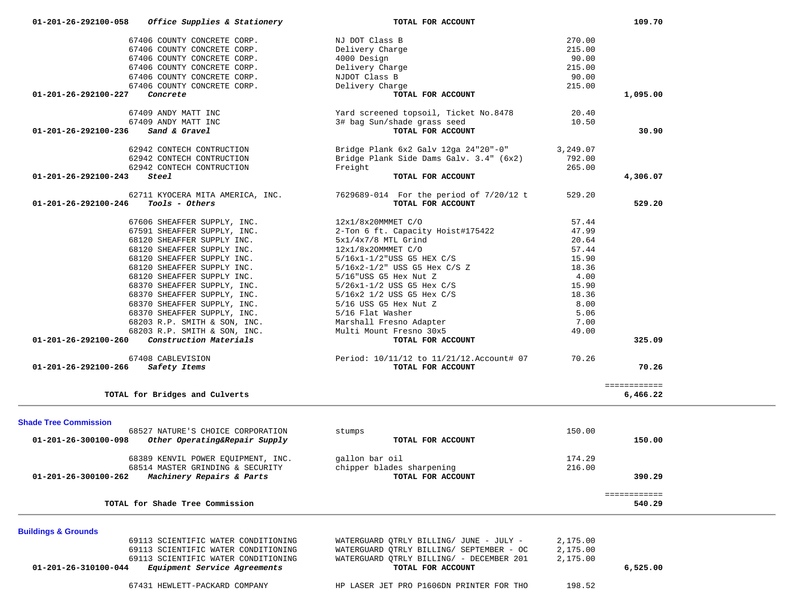| 67406 COUNTY CONCRETE CORP.                                       | NJ DOT Class B                            | 270.00   |              |
|-------------------------------------------------------------------|-------------------------------------------|----------|--------------|
| 67406 COUNTY CONCRETE CORP.                                       | Delivery Charge                           | 215.00   |              |
| 67406 COUNTY CONCRETE CORP.                                       | 4000 Design                               | 90.00    |              |
| 67406 COUNTY CONCRETE CORP.                                       | Delivery Charge                           | 215.00   |              |
| 67406 COUNTY CONCRETE CORP.                                       | NJDOT Class B                             | 90.00    |              |
| 67406 COUNTY CONCRETE CORP.                                       | Delivery Charge                           | 215.00   |              |
| Concrete<br>01-201-26-292100-227                                  | TOTAL FOR ACCOUNT                         |          | 1,095.00     |
|                                                                   |                                           |          |              |
| 67409 ANDY MATT INC                                               | Yard screened topsoil, Ticket No.8478     | 20.40    |              |
| 67409 ANDY MATT INC                                               | 3# bag Sun/shade grass seed               | 10.50    |              |
| 01-201-26-292100-236<br>Sand & Gravel                             | TOTAL FOR ACCOUNT                         |          | 30.90        |
|                                                                   |                                           |          |              |
| 62942 CONTECH CONTRUCTION                                         | Bridge Plank 6x2 Galv 12ga 24"20"-0"      | 3,249.07 |              |
| 62942 CONTECH CONTRUCTION                                         | Bridge Plank Side Dams Galv. 3.4" (6x2)   | 792.00   |              |
| 62942 CONTECH CONTRUCTION                                         | Freight                                   | 265.00   |              |
| 01-201-26-292100-243<br>Steel                                     | TOTAL FOR ACCOUNT                         |          | 4,306.07     |
|                                                                   |                                           |          |              |
| 62711 KYOCERA MITA AMERICA, INC.                                  | 7629689-014 For the period of 7/20/12 t   | 529.20   |              |
| 01-201-26-292100-246<br>Tools - Others                            | TOTAL FOR ACCOUNT                         |          | 529.20       |
|                                                                   |                                           |          |              |
| 67606 SHEAFFER SUPPLY, INC.                                       | 12x1/8x20MMMET C/O                        | 57.44    |              |
| 67591 SHEAFFER SUPPLY, INC.                                       | 2-Ton 6 ft. Capacity Hoist#175422         | 47.99    |              |
| 68120 SHEAFFER SUPPLY INC.                                        | $5x1/4x7/8$ MTL Grind                     | 20.64    |              |
| 68120 SHEAFFER SUPPLY INC.                                        | 12x1/8x20MMMET C/O                        | 57.44    |              |
| 68120 SHEAFFER SUPPLY INC.                                        | $5/16x1-1/2$ "USS G5 HEX C/S              | 15.90    |              |
| 68120 SHEAFFER SUPPLY INC.                                        | $5/16x2 - 1/2$ " USS G5 Hex C/S Z         | 18.36    |              |
| 68120 SHEAFFER SUPPLY INC.                                        | 5/16"USS G5 Hex Nut Z                     | 4.00     |              |
| 68370 SHEAFFER SUPPLY, INC.                                       | $5/26x1-1/2$ USS G5 Hex C/S               | 15.90    |              |
| 68370 SHEAFFER SUPPLY, INC.                                       | $5/16x2$ $1/2$ USS G5 Hex $C/S$           | 18.36    |              |
| 68370 SHEAFFER SUPPLY, INC.                                       | 5/16 USS G5 Hex Nut Z                     | 8.00     |              |
| 68370 SHEAFFER SUPPLY, INC.                                       | 5/16 Flat Washer                          | 5.06     |              |
| 68203 R.P. SMITH & SON, INC.                                      | Marshall Fresno Adapter                   | 7.00     |              |
| 68203 R.P. SMITH & SON, INC.                                      | Multi Mount Fresno 30x5                   | 49.00    |              |
| 01-201-26-292100-260<br>Construction Materials                    | TOTAL FOR ACCOUNT                         |          | 325.09       |
|                                                                   |                                           |          |              |
| 67408 CABLEVISION                                                 | Period: 10/11/12 to 11/21/12. Account# 07 | 70.26    |              |
| 01-201-26-292100-266<br>Safety Items                              | TOTAL FOR ACCOUNT                         |          | 70.26        |
|                                                                   |                                           |          | ============ |
| TOTAL for Bridges and Culverts                                    |                                           |          | 6,466.22     |
|                                                                   |                                           |          |              |
|                                                                   |                                           |          |              |
| <b>Shade Tree Commission</b><br>68527 NATURE'S CHOICE CORPORATION | stumps                                    | 150.00   |              |
| Other Operating&Repair Supply<br>01-201-26-300100-098             | TOTAL FOR ACCOUNT                         |          | 150.00       |
|                                                                   |                                           |          |              |
| 68389 KENVIL POWER EQUIPMENT, INC.                                | gallon bar oil                            | 174.29   |              |
| 68514 MASTER GRINDING & SECURITY                                  | chipper blades sharpening                 | 216.00   |              |
| 01-201-26-300100-262<br>Machinery Repairs & Parts                 | TOTAL FOR ACCOUNT                         |          | 390.29       |
|                                                                   |                                           |          |              |
|                                                                   |                                           |          | ============ |
| TOTAL for Shade Tree Commission                                   |                                           |          | 540.29       |
|                                                                   |                                           |          |              |
| <b>Buildings &amp; Grounds</b>                                    |                                           |          |              |
| 69113 SCIENTIFIC WATER CONDITIONING                               | WATERGUARD QTRLY BILLING/ JUNE - JULY -   | 2,175.00 |              |
| 69113 SCIENTIFIC WATER CONDITIONING                               | WATERGUARD QTRLY BILLING/ SEPTEMBER - OC  | 2,175.00 |              |
| 69113 SCIENTIFIC WATER CONDITIONING                               | WATERGUARD QTRLY BILLING/ - DECEMBER 201  | 2,175.00 |              |

 **01-201-26-292100-058** *Office Supplies & Stationery* **TOTAL FOR ACCOUNT 109.70**

67431 HEWLETT-PACKARD COMPANY HP LASER JET PRO P1606DN PRINTER FOR THO 198.52

 **01-201-26-310100-044** *Equipment Service Agreements* **TOTAL FOR ACCOUNT 6,525.00**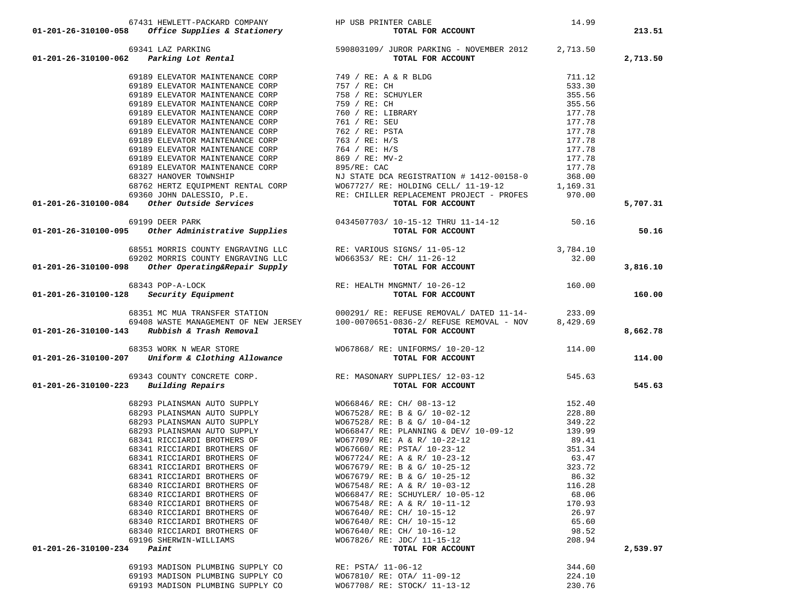| 01-201-26-310100-058 Office Supplies & Stationery                                                                                                                                                                                                                                                                                                                                                        | HEWLETT-PACKARD CUREAL:<br>341 LAZ PARKING - NOVEMBER 2012<br>341 LAZ PARKING - NOVEMBER 2012<br>341 LAZ PARKING - RONEMBER 2012<br>341 LAZ PARKING - NOVEMBER 2012<br>341 TOTAL FOR ACCOUNT<br>341 TOTAL FOR ACCOUNT<br>341 TOTAL FOR ACCO |        | 213.51   |
|----------------------------------------------------------------------------------------------------------------------------------------------------------------------------------------------------------------------------------------------------------------------------------------------------------------------------------------------------------------------------------------------------------|---------------------------------------------------------------------------------------------------------------------------------------------------------------------------------------------------------------------------------------------|--------|----------|
| 69341 LAZ PARKING<br>11-201-26-310100-062 Parking Lot Rental<br>TOTAL FOR ACCOUNT<br>TOTAL FOR ACCOUNT                                                                                                                                                                                                                                                                                                   |                                                                                                                                                                                                                                             |        | 2,713.50 |
|                                                                                                                                                                                                                                                                                                                                                                                                          |                                                                                                                                                                                                                                             |        |          |
|                                                                                                                                                                                                                                                                                                                                                                                                          |                                                                                                                                                                                                                                             |        |          |
|                                                                                                                                                                                                                                                                                                                                                                                                          |                                                                                                                                                                                                                                             |        |          |
|                                                                                                                                                                                                                                                                                                                                                                                                          |                                                                                                                                                                                                                                             |        |          |
|                                                                                                                                                                                                                                                                                                                                                                                                          |                                                                                                                                                                                                                                             |        |          |
|                                                                                                                                                                                                                                                                                                                                                                                                          |                                                                                                                                                                                                                                             |        |          |
|                                                                                                                                                                                                                                                                                                                                                                                                          |                                                                                                                                                                                                                                             |        |          |
|                                                                                                                                                                                                                                                                                                                                                                                                          |                                                                                                                                                                                                                                             |        |          |
|                                                                                                                                                                                                                                                                                                                                                                                                          |                                                                                                                                                                                                                                             |        |          |
|                                                                                                                                                                                                                                                                                                                                                                                                          |                                                                                                                                                                                                                                             |        |          |
|                                                                                                                                                                                                                                                                                                                                                                                                          |                                                                                                                                                                                                                                             |        |          |
|                                                                                                                                                                                                                                                                                                                                                                                                          |                                                                                                                                                                                                                                             |        |          |
|                                                                                                                                                                                                                                                                                                                                                                                                          |                                                                                                                                                                                                                                             |        |          |
|                                                                                                                                                                                                                                                                                                                                                                                                          |                                                                                                                                                                                                                                             |        |          |
|                                                                                                                                                                                                                                                                                                                                                                                                          |                                                                                                                                                                                                                                             |        | 5,707.31 |
|                                                                                                                                                                                                                                                                                                                                                                                                          |                                                                                                                                                                                                                                             |        |          |
|                                                                                                                                                                                                                                                                                                                                                                                                          |                                                                                                                                                                                                                                             |        |          |
| 69189 ELEVATOR MAINTENANCE CORP 762 / RE: PSTA<br>69189 ELEVATOR MAINTENANCE CORP 763 / RE: H/S 177.78<br>69189 ELEVATOR MAINTENANCE CORP 763 / RE: H/S 177.78<br>69189 ELEVATOR MAINTENANCE CORP 869 / RE: MV-2 177.78<br>69189 ELEV                                                                                                                                                                    |                                                                                                                                                                                                                                             |        | 50.16    |
|                                                                                                                                                                                                                                                                                                                                                                                                          |                                                                                                                                                                                                                                             |        |          |
|                                                                                                                                                                                                                                                                                                                                                                                                          |                                                                                                                                                                                                                                             |        |          |
|                                                                                                                                                                                                                                                                                                                                                                                                          |                                                                                                                                                                                                                                             |        |          |
| ${\small \begin{array}{cccc} 68551\text{ MORRIS COUNTY ENGRAVING LLC} \end{array} & \begin{array}{cccc} 68551\text{ MORRIS COUNTY ENGRAVING LLC} \end{array} & \begin{array}{cccc} \text{RE: VARIOUS SIGNS/ 11-05-12} \end{array} & \begin{array}{cccc} 3,784.10 & 3,784.10 & 3,784.10 & 3,784.10 & 3,784.10 & 3,784.10 & 3,784.10 & 3,784.10 & 3,784.10 & 3,784.10 & 3,784.10 & $                       |                                                                                                                                                                                                                                             |        | 3,816.10 |
|                                                                                                                                                                                                                                                                                                                                                                                                          |                                                                                                                                                                                                                                             |        |          |
|                                                                                                                                                                                                                                                                                                                                                                                                          |                                                                                                                                                                                                                                             |        |          |
| ${\tt 68343~POP-A-LOCK} \\ {\tt 01-201-26-310100-128} \\ \hspace*{1.5cm} \textbf{Security~Equiment} \\ \hspace*{1.5cm} \textbf{Re} : \textbf{HEALTH} \textbf{ MNGMNT} / 10-26-12 \\ \hspace*{1.5cm} \textbf{TOTAL FOR ACCCOUNT} \\ \hspace*{1.5cm} \textbf{D} : \textbf{D} : \textbf{D} : \textbf{D} : \textbf{D} : \textbf{D} : \textbf{D} : \textbf{D} : \textbf{D} : \textbf{D} : \textbf{D} : \text$ |                                                                                                                                                                                                                                             |        | 160.00   |
|                                                                                                                                                                                                                                                                                                                                                                                                          |                                                                                                                                                                                                                                             |        |          |
|                                                                                                                                                                                                                                                                                                                                                                                                          |                                                                                                                                                                                                                                             |        |          |
|                                                                                                                                                                                                                                                                                                                                                                                                          | 68351 MC MUA TRANSFER STATION $000291/RE: REFUSE REMOVAL/DATED 11-14-$ 233.09<br>69408 MASTE MANAGEMENT OF NEW JERSEY 100-0070651-0836-2/REFUSE REMOVAL - NOV 8,429.69                                                                      |        |          |
| $01-201-26-310100-143$ Rubbish & Trash Removal                                                                                                                                                                                                                                                                                                                                                           | TOTAL FOR ACCOUNT                                                                                                                                                                                                                           |        | 8,662.78 |
|                                                                                                                                                                                                                                                                                                                                                                                                          |                                                                                                                                                                                                                                             |        |          |
|                                                                                                                                                                                                                                                                                                                                                                                                          |                                                                                                                                                                                                                                             |        |          |
| 68353 WORK N WEAR STORE WO67868/RE: UNIFORMS/10-20-12<br>114.00 01-201-26-310100-207 Uniform & Clothing Allowance TOTAL FOR ACCOUNT                                                                                                                                                                                                                                                                      |                                                                                                                                                                                                                                             |        | 114.00   |
|                                                                                                                                                                                                                                                                                                                                                                                                          | 545.63 NE: MASONARY SUPPLIES (12-03-12<br>3 Building Repairs<br>3 TOTAL FOR ACCOUNT                                                                                                                                                         |        |          |
|                                                                                                                                                                                                                                                                                                                                                                                                          |                                                                                                                                                                                                                                             |        |          |
| $01 - 201 - 26 - 310100 - 223$ Building Repairs                                                                                                                                                                                                                                                                                                                                                          |                                                                                                                                                                                                                                             |        | 545.63   |
|                                                                                                                                                                                                                                                                                                                                                                                                          |                                                                                                                                                                                                                                             |        |          |
|                                                                                                                                                                                                                                                                                                                                                                                                          |                                                                                                                                                                                                                                             |        |          |
|                                                                                                                                                                                                                                                                                                                                                                                                          |                                                                                                                                                                                                                                             |        |          |
|                                                                                                                                                                                                                                                                                                                                                                                                          |                                                                                                                                                                                                                                             |        |          |
|                                                                                                                                                                                                                                                                                                                                                                                                          |                                                                                                                                                                                                                                             |        |          |
|                                                                                                                                                                                                                                                                                                                                                                                                          |                                                                                                                                                                                                                                             |        |          |
|                                                                                                                                                                                                                                                                                                                                                                                                          |                                                                                                                                                                                                                                             |        |          |
|                                                                                                                                                                                                                                                                                                                                                                                                          |                                                                                                                                                                                                                                             |        |          |
| 68341 RICCIARDI BROTHERS OF                                                                                                                                                                                                                                                                                                                                                                              | WO67679/ RE: B & G/ 10-25-12                                                                                                                                                                                                                | 323.72 |          |
| 68341 RICCIARDI BROTHERS OF                                                                                                                                                                                                                                                                                                                                                                              | WO67679/ RE: B & G/ 10-25-12                                                                                                                                                                                                                | 86.32  |          |
| 68340 RICCIARDI BROTHERS OF                                                                                                                                                                                                                                                                                                                                                                              | WO67548/ RE: A & R/ 10-03-12                                                                                                                                                                                                                | 116.28 |          |
| 68340 RICCIARDI BROTHERS OF                                                                                                                                                                                                                                                                                                                                                                              | WO66847/ RE: SCHUYLER/ 10-05-12                                                                                                                                                                                                             | 68.06  |          |
| 68340 RICCIARDI BROTHERS OF                                                                                                                                                                                                                                                                                                                                                                              | WO67548/ RE: A & R/ 10-11-12                                                                                                                                                                                                                | 170.93 |          |
| 68340 RICCIARDI BROTHERS OF                                                                                                                                                                                                                                                                                                                                                                              | WO67640/ RE: CH/ 10-15-12                                                                                                                                                                                                                   | 26.97  |          |
| 68340 RICCIARDI BROTHERS OF                                                                                                                                                                                                                                                                                                                                                                              | W067640/ RE: CH/ 10-15-12                                                                                                                                                                                                                   | 65.60  |          |
| 68340 RICCIARDI BROTHERS OF                                                                                                                                                                                                                                                                                                                                                                              | W067640/ RE: CH/ 10-16-12                                                                                                                                                                                                                   | 98.52  |          |
| 69196 SHERWIN-WILLIAMS                                                                                                                                                                                                                                                                                                                                                                                   | W067826/ RE: JDC/ 11-15-12                                                                                                                                                                                                                  | 208.94 |          |
| Paint<br>01-201-26-310100-234                                                                                                                                                                                                                                                                                                                                                                            | TOTAL FOR ACCOUNT                                                                                                                                                                                                                           |        | 2,539.97 |
|                                                                                                                                                                                                                                                                                                                                                                                                          |                                                                                                                                                                                                                                             |        |          |
| 69193 MADISON PLUMBING SUPPLY CO                                                                                                                                                                                                                                                                                                                                                                         | RE: PSTA/ 11-06-12                                                                                                                                                                                                                          | 344.60 |          |
| 69193 MADISON PLUMBING SUPPLY CO                                                                                                                                                                                                                                                                                                                                                                         | W067810/ RE: OTA/ 11-09-12                                                                                                                                                                                                                  | 224.10 |          |
| 69193 MADISON PLUMBING SUPPLY CO                                                                                                                                                                                                                                                                                                                                                                         | WO67708/ RE: STOCK/ 11-13-12                                                                                                                                                                                                                | 230.76 |          |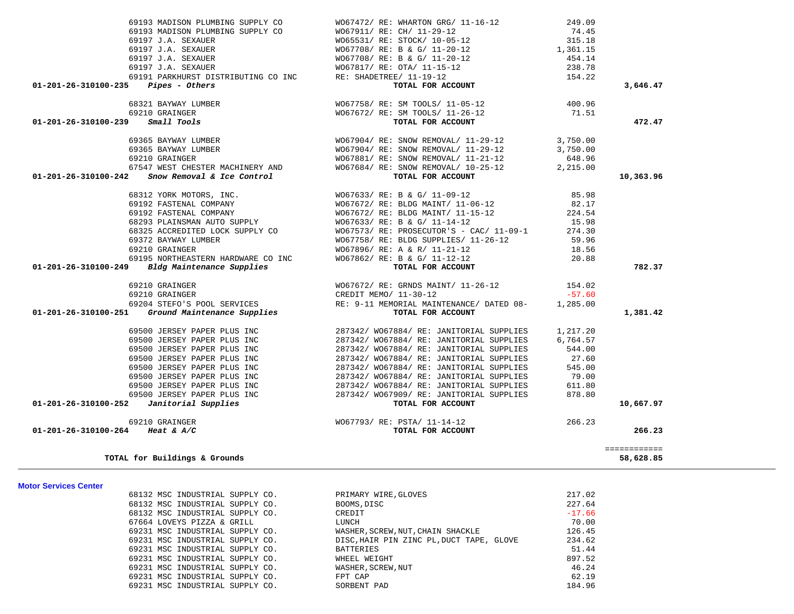|                                                                                                                                                                                                                                                                                                                                                                | $\begin{array}{lllllllllllllllllllllll} \text{\#} & & & & & \text{W067904}\text{/ RE: SNOW REMOVAL/}\text{11--29--12} & & & 3,750.00 \\ 69365 BAYWAY LUMBER & & & & & \text{W067904}\text{/ RE: SNOW REMOVAL/}\text{11--29--12} & & & 3,750.00 \\ 69210 GRAINGER & & & & & \text{W067881}\text{/ RE: SNOW REMOVAL/}\text{11--21--12} & & & 3,750.00 \\ 69210 GRAINGER & & & & & \text{W0$ |        |              |
|----------------------------------------------------------------------------------------------------------------------------------------------------------------------------------------------------------------------------------------------------------------------------------------------------------------------------------------------------------------|-------------------------------------------------------------------------------------------------------------------------------------------------------------------------------------------------------------------------------------------------------------------------------------------------------------------------------------------------------------------------------------------|--------|--------------|
| 01-201-26-310100-242                                                                                                                                                                                                                                                                                                                                           |                                                                                                                                                                                                                                                                                                                                                                                           |        | 10,363.96    |
|                                                                                                                                                                                                                                                                                                                                                                |                                                                                                                                                                                                                                                                                                                                                                                           |        |              |
|                                                                                                                                                                                                                                                                                                                                                                |                                                                                                                                                                                                                                                                                                                                                                                           |        |              |
|                                                                                                                                                                                                                                                                                                                                                                |                                                                                                                                                                                                                                                                                                                                                                                           |        |              |
|                                                                                                                                                                                                                                                                                                                                                                |                                                                                                                                                                                                                                                                                                                                                                                           |        |              |
|                                                                                                                                                                                                                                                                                                                                                                |                                                                                                                                                                                                                                                                                                                                                                                           |        |              |
|                                                                                                                                                                                                                                                                                                                                                                |                                                                                                                                                                                                                                                                                                                                                                                           |        |              |
|                                                                                                                                                                                                                                                                                                                                                                |                                                                                                                                                                                                                                                                                                                                                                                           |        |              |
|                                                                                                                                                                                                                                                                                                                                                                |                                                                                                                                                                                                                                                                                                                                                                                           |        |              |
| 01-201-26-310100-249 Bldg Maintenance Supplies                                                                                                                                                                                                                                                                                                                 |                                                                                                                                                                                                                                                                                                                                                                                           |        | 782.37       |
| 69210 GRAINGER<br>69210 GRAINGER<br>69210 GRAINGER<br>69204 STEFO'S POOL SERVICES<br>69204 STEFO'S POOL SERVICES<br>69204 STEFO'S POOL SERVICES<br>RE: 9-11 MEMORIAL MAINTENANCE/ DATED 08-<br>TOTAL FOR ACCOUNT<br>TOTAL FOR ACCOUNT                                                                                                                          |                                                                                                                                                                                                                                                                                                                                                                                           |        |              |
|                                                                                                                                                                                                                                                                                                                                                                |                                                                                                                                                                                                                                                                                                                                                                                           |        |              |
|                                                                                                                                                                                                                                                                                                                                                                |                                                                                                                                                                                                                                                                                                                                                                                           |        |              |
|                                                                                                                                                                                                                                                                                                                                                                |                                                                                                                                                                                                                                                                                                                                                                                           |        | 1,381.42     |
|                                                                                                                                                                                                                                                                                                                                                                |                                                                                                                                                                                                                                                                                                                                                                                           |        |              |
|                                                                                                                                                                                                                                                                                                                                                                |                                                                                                                                                                                                                                                                                                                                                                                           |        |              |
|                                                                                                                                                                                                                                                                                                                                                                |                                                                                                                                                                                                                                                                                                                                                                                           |        |              |
|                                                                                                                                                                                                                                                                                                                                                                |                                                                                                                                                                                                                                                                                                                                                                                           |        |              |
|                                                                                                                                                                                                                                                                                                                                                                |                                                                                                                                                                                                                                                                                                                                                                                           |        |              |
|                                                                                                                                                                                                                                                                                                                                                                |                                                                                                                                                                                                                                                                                                                                                                                           |        |              |
|                                                                                                                                                                                                                                                                                                                                                                |                                                                                                                                                                                                                                                                                                                                                                                           |        |              |
|                                                                                                                                                                                                                                                                                                                                                                |                                                                                                                                                                                                                                                                                                                                                                                           |        |              |
| $\begin{tabular}{c c c c c} \hline 69500 JERSEY PAPER PLUS INC & 287342/ W067884/ RE: JANTORIAL SUPPLIES & 1,217.20 \\ 69500 JERSEY PAPER PLUS INC & 287342/ W067884/ RE: JANTORIAL SUPPLIES & 6,764.57 \\ 69500 JERSEY PAPER PLUS INC & 287342/ W067884/ RE: JANTORIAL SUPPLIES & 544.00 \\ 69500 JERSEY PAPER PLUS INC & 287342/ W067884/ RE: JANTORIAL SUP$ |                                                                                                                                                                                                                                                                                                                                                                                           |        | 10,667.97    |
| 69210 GRAINGER                                                                                                                                                                                                                                                                                                                                                 | $\begin{tabular}{ccccc} \texttt{W067793/ RE: } & & & & \\ & & & & \\ \texttt{N067793/ RE: } & & & \\ & & & \texttt{TOTAL FOR ACCCOUNT} \end{tabular}$                                                                                                                                                                                                                                     |        |              |
| 01-201-26-310100-264 Heat & A/C                                                                                                                                                                                                                                                                                                                                |                                                                                                                                                                                                                                                                                                                                                                                           |        | 266.23       |
|                                                                                                                                                                                                                                                                                                                                                                |                                                                                                                                                                                                                                                                                                                                                                                           |        | ============ |
| TOTAL for Buildings & Grounds                                                                                                                                                                                                                                                                                                                                  |                                                                                                                                                                                                                                                                                                                                                                                           |        | 58,628.85    |
|                                                                                                                                                                                                                                                                                                                                                                |                                                                                                                                                                                                                                                                                                                                                                                           |        |              |
| <b>Motor Services Center</b><br>68132 MSC INDUSTRIAL SUPPLY CO.                                                                                                                                                                                                                                                                                                | PRIMARY WIRE, GLOVES<br>BOOMS, DISC<br>CREDIT<br>LUNCH                                                                                                                                                                                                                                                                                                                                    | 217.02 |              |
| 68132 MSC INDUSTRIAL SUPPLY CO. BOOMS, DISC                                                                                                                                                                                                                                                                                                                    |                                                                                                                                                                                                                                                                                                                                                                                           | 227.64 |              |
|                                                                                                                                                                                                                                                                                                                                                                |                                                                                                                                                                                                                                                                                                                                                                                           |        |              |
|                                                                                                                                                                                                                                                                                                                                                                |                                                                                                                                                                                                                                                                                                                                                                                           |        |              |
|                                                                                                                                                                                                                                                                                                                                                                |                                                                                                                                                                                                                                                                                                                                                                                           |        |              |
|                                                                                                                                                                                                                                                                                                                                                                |                                                                                                                                                                                                                                                                                                                                                                                           |        |              |
|                                                                                                                                                                                                                                                                                                                                                                |                                                                                                                                                                                                                                                                                                                                                                                           |        |              |
|                                                                                                                                                                                                                                                                                                                                                                |                                                                                                                                                                                                                                                                                                                                                                                           |        |              |
|                                                                                                                                                                                                                                                                                                                                                                |                                                                                                                                                                                                                                                                                                                                                                                           |        |              |
|                                                                                                                                                                                                                                                                                                                                                                |                                                                                                                                                                                                                                                                                                                                                                                           |        |              |
|                                                                                                                                                                                                                                                                                                                                                                |                                                                                                                                                                                                                                                                                                                                                                                           |        |              |
|                                                                                                                                                                                                                                                                                                                                                                |                                                                                                                                                                                                                                                                                                                                                                                           |        |              |
|                                                                                                                                                                                                                                                                                                                                                                |                                                                                                                                                                                                                                                                                                                                                                                           |        |              |

 69193 MADISON PLUMBING SUPPLY CO WO67472/ RE: WHARTON GRG/ 11-16-12 249.09 69193 MADISON PLUMBING SUPPLY CO WO67911/ RE: CH/ 11-29-12 74.45 69197 J.A. SEXAUER WO65531/ RE: STOCK/ 10-05-12 315.18 69197 J.A. SEXAUER WO67708/ RE: B & G/ 11-20-12 1,361.15 69197 J.A. SEXAUER WO67708/ RE: B & G/ 11-20-12 454.14 69197 J.A. SEXAUER WO67817/ RE: OTA/ 11-15-12 238.78 69191 PARKHURST DISTRIBUTING CO INC RE: SHADETREE/ 11-19-12 154.22  **01-201-26-310100-235** *Pipes - Others* **TOTAL FOR ACCOUNT 3,646.47**

> 68321 BAYWAY LUMBER WO67758/ RE: SM TOOLS/ 11-05-12 400.96 69210 GRAINGER WO67672/ RE: SM TOOLS/ 11-26-12 71.51

> > 472.47

01-201-26-310100-239 *Small Tools COUNT* **TOTAL FOR ACCOUNT**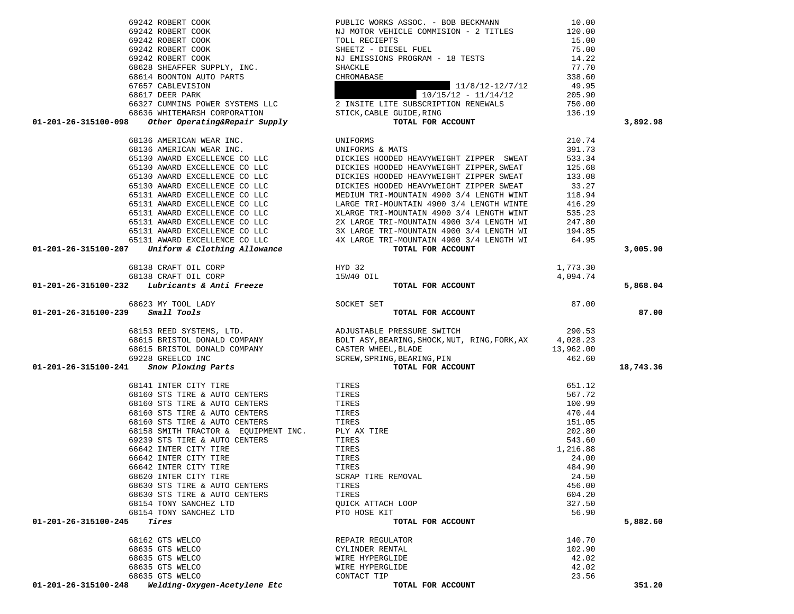| 68162 GTS WELCO<br>68635 GTS WELCO<br>68635 GTS WELCO<br>68635 GTS WELCO<br>68635 GTS WELCO |                                                                                                                                                                      | REPAIR REGULATOR<br>CYLINDER RENTAL<br>WIRE HYPERGLIDE<br>WIRE HYPERGLIDE<br>CONTACT TIP                                                                                                                                                                                                                                                                                                                     | 140.70<br>102.90<br>42.02<br>42.02<br>23.56 |           |
|---------------------------------------------------------------------------------------------|----------------------------------------------------------------------------------------------------------------------------------------------------------------------|--------------------------------------------------------------------------------------------------------------------------------------------------------------------------------------------------------------------------------------------------------------------------------------------------------------------------------------------------------------------------------------------------------------|---------------------------------------------|-----------|
|                                                                                             |                                                                                                                                                                      |                                                                                                                                                                                                                                                                                                                                                                                                              |                                             |           |
|                                                                                             |                                                                                                                                                                      |                                                                                                                                                                                                                                                                                                                                                                                                              |                                             |           |
|                                                                                             |                                                                                                                                                                      |                                                                                                                                                                                                                                                                                                                                                                                                              |                                             |           |
|                                                                                             |                                                                                                                                                                      |                                                                                                                                                                                                                                                                                                                                                                                                              |                                             |           |
|                                                                                             |                                                                                                                                                                      |                                                                                                                                                                                                                                                                                                                                                                                                              |                                             |           |
|                                                                                             |                                                                                                                                                                      |                                                                                                                                                                                                                                                                                                                                                                                                              |                                             |           |
| 01-201-26-315100-245<br>Tires                                                               |                                                                                                                                                                      | TOTAL FOR ACCOUNT                                                                                                                                                                                                                                                                                                                                                                                            |                                             | 5,882.60  |
|                                                                                             | 68154 TONY SANCHEZ LTD                                                                                                                                               | PTO HOSE KIT                                                                                                                                                                                                                                                                                                                                                                                                 | 56.90                                       |           |
|                                                                                             | 68154 TONY SANCHEZ LTD                                                                                                                                               | QUICK ATTACH LOOP                                                                                                                                                                                                                                                                                                                                                                                            | 327.50                                      |           |
|                                                                                             | 68630 STS TIRE & AUTO CENTERS                                                                                                                                        | TIRES<br>TIRES                                                                                                                                                                                                                                                                                                                                                                                               | 604.20                                      |           |
|                                                                                             | 68620 INTER CITY TIRE<br>68630 STS TIRE & AUTO CENTERS                                                                                                               | SCRAP TIRE REMOVAL                                                                                                                                                                                                                                                                                                                                                                                           | 24.50<br>456.00                             |           |
|                                                                                             |                                                                                                                                                                      |                                                                                                                                                                                                                                                                                                                                                                                                              |                                             |           |
|                                                                                             |                                                                                                                                                                      |                                                                                                                                                                                                                                                                                                                                                                                                              |                                             |           |
|                                                                                             |                                                                                                                                                                      |                                                                                                                                                                                                                                                                                                                                                                                                              |                                             |           |
|                                                                                             |                                                                                                                                                                      |                                                                                                                                                                                                                                                                                                                                                                                                              |                                             |           |
|                                                                                             |                                                                                                                                                                      |                                                                                                                                                                                                                                                                                                                                                                                                              |                                             |           |
|                                                                                             |                                                                                                                                                                      |                                                                                                                                                                                                                                                                                                                                                                                                              |                                             |           |
|                                                                                             |                                                                                                                                                                      |                                                                                                                                                                                                                                                                                                                                                                                                              |                                             |           |
|                                                                                             |                                                                                                                                                                      |                                                                                                                                                                                                                                                                                                                                                                                                              |                                             |           |
|                                                                                             |                                                                                                                                                                      |                                                                                                                                                                                                                                                                                                                                                                                                              |                                             |           |
|                                                                                             |                                                                                                                                                                      |                                                                                                                                                                                                                                                                                                                                                                                                              |                                             |           |
|                                                                                             |                                                                                                                                                                      |                                                                                                                                                                                                                                                                                                                                                                                                              |                                             | 18,743.36 |
|                                                                                             |                                                                                                                                                                      |                                                                                                                                                                                                                                                                                                                                                                                                              |                                             |           |
|                                                                                             |                                                                                                                                                                      |                                                                                                                                                                                                                                                                                                                                                                                                              |                                             |           |
|                                                                                             |                                                                                                                                                                      |                                                                                                                                                                                                                                                                                                                                                                                                              |                                             |           |
|                                                                                             |                                                                                                                                                                      |                                                                                                                                                                                                                                                                                                                                                                                                              |                                             |           |
|                                                                                             |                                                                                                                                                                      |                                                                                                                                                                                                                                                                                                                                                                                                              |                                             |           |
| $01 - 201 - 26 - 315100 - 239$ Small Tools                                                  | 68623 MY TOOL LADY SOCKET SET SMALL TOOLS                                                                                                                            | TOTAL FOR ACCOUNT                                                                                                                                                                                                                                                                                                                                                                                            |                                             | 87.00     |
|                                                                                             |                                                                                                                                                                      |                                                                                                                                                                                                                                                                                                                                                                                                              | 87.00                                       |           |
|                                                                                             | ${\begin{tabular}{l} 68138 CRAPT OIL CORP & HYD 32 \\ 68138 CRAPT OIL CORP & 15W40 OIL \\ 01-201-26-315100-232 & \textit{Lubricants & Anti Freeze \\ \end{tabular}}$ |                                                                                                                                                                                                                                                                                                                                                                                                              |                                             |           |
|                                                                                             |                                                                                                                                                                      | TOTAL FOR ACCOUNT                                                                                                                                                                                                                                                                                                                                                                                            | 4,094.74                                    | 5,868.04  |
|                                                                                             |                                                                                                                                                                      |                                                                                                                                                                                                                                                                                                                                                                                                              | 1,773.30                                    |           |
|                                                                                             |                                                                                                                                                                      |                                                                                                                                                                                                                                                                                                                                                                                                              |                                             |           |
|                                                                                             |                                                                                                                                                                      |                                                                                                                                                                                                                                                                                                                                                                                                              |                                             | 3,005.90  |
|                                                                                             |                                                                                                                                                                      |                                                                                                                                                                                                                                                                                                                                                                                                              |                                             |           |
|                                                                                             |                                                                                                                                                                      |                                                                                                                                                                                                                                                                                                                                                                                                              |                                             |           |
|                                                                                             |                                                                                                                                                                      | 31 AWARD EXCELLENCE CO LLC<br>65131 AWARD EXCELLENCE CO LLC<br>65131 AWARD EXCELLENCE CO LLC<br>65131 AWARD EXCELLENCE CO LLC<br>65131 AWARD EXCELLENCE CO LLC<br>65131 AWARD EXCELLENCE CO LLC<br>65131 AWARD EXCELLENCE CO LLC<br>4X LARGE                                                                                                                                                                 |                                             |           |
|                                                                                             |                                                                                                                                                                      |                                                                                                                                                                                                                                                                                                                                                                                                              |                                             |           |
|                                                                                             | 65131 AWARD EXCELLENCE CO LLC                                                                                                                                        | MEDIUM IRI-MOUNIAIN 4900 3/4 LENGIH WINI 118.94<br>LARGE TRI-MOUNTAIN 4900 3/4 LENGTH WINTE 416.29                                                                                                                                                                                                                                                                                                           |                                             |           |
|                                                                                             | 65131 AWARD EXCELLENCE CO LLC                                                                                                                                        | MEDIUM TRI-MOUNTAIN 4900 3/4 LENGTH WINT                                                                                                                                                                                                                                                                                                                                                                     | 118.94                                      |           |
|                                                                                             | 65130 AWARD EXCELLENCE CO LLC<br>65130 AWARD EXCELLENCE CO LLC                                                                                                       | DICKIES HOODED HEAVYWEIGHT ZIPPER SWEAT                                                                                                                                                                                                                                                                                                                                                                      | 33.27                                       |           |
|                                                                                             |                                                                                                                                                                      | DICKIES HOODED HEAVYWEIGHT ZIPPER SWEAT                                                                                                                                                                                                                                                                                                                                                                      | 133.08                                      |           |
|                                                                                             |                                                                                                                                                                      | EXERCISE AN ARRIVE CONTROL CONTROLLER CONTROL OF THE SERVICE OF THE SERVICE OF THE SERVICE OF THE SERVICE OF THE SERVICE OF THE SERVICE OF THE SERVICE OF THE SERVICE OF THE SERVICE OF THE SERVICE OF THE SERVICE OF THE SERV                                                                                                                                                                               | 533.34<br>125.68                            |           |
|                                                                                             |                                                                                                                                                                      |                                                                                                                                                                                                                                                                                                                                                                                                              | 391.73                                      |           |
|                                                                                             | 68136 AMERICAN WEAR INC.                                                                                                                                             | UNIFORMS                                                                                                                                                                                                                                                                                                                                                                                                     | 210.74                                      |           |
|                                                                                             |                                                                                                                                                                      |                                                                                                                                                                                                                                                                                                                                                                                                              |                                             |           |
|                                                                                             |                                                                                                                                                                      | $\begin{tabular}{c c c c} 69242 \,\, \text{ROBERT COOK} & \text{PULIC WORK S ASOC. - BOB BECKMANN} & 10.00 \\ 69242 \,\, \text{ROBERT COOK} & \text{NI M OTOR VBLIC COMMISTON - 2 TITLES} & 120.00 \\ 69242 \,\, \text{ROBERT COOK} & \text{SILETT - DIESEL FUEL} & 75.00 \\ 69242 \,\, \text{ROBERT COOK} & \text{SHEETZ - DIESEL FUEL} & 75.00 \\ 69242 \,\, \text{ROBERT COOK} & \text{SHEETZ - DIESEL F$ |                                             | 3,892.98  |
|                                                                                             |                                                                                                                                                                      |                                                                                                                                                                                                                                                                                                                                                                                                              |                                             |           |
|                                                                                             |                                                                                                                                                                      |                                                                                                                                                                                                                                                                                                                                                                                                              |                                             |           |
|                                                                                             |                                                                                                                                                                      |                                                                                                                                                                                                                                                                                                                                                                                                              |                                             |           |
|                                                                                             |                                                                                                                                                                      |                                                                                                                                                                                                                                                                                                                                                                                                              |                                             |           |
|                                                                                             |                                                                                                                                                                      |                                                                                                                                                                                                                                                                                                                                                                                                              |                                             |           |
|                                                                                             |                                                                                                                                                                      |                                                                                                                                                                                                                                                                                                                                                                                                              |                                             |           |
|                                                                                             |                                                                                                                                                                      |                                                                                                                                                                                                                                                                                                                                                                                                              |                                             |           |
|                                                                                             |                                                                                                                                                                      |                                                                                                                                                                                                                                                                                                                                                                                                              |                                             |           |
|                                                                                             |                                                                                                                                                                      |                                                                                                                                                                                                                                                                                                                                                                                                              |                                             |           |
|                                                                                             |                                                                                                                                                                      |                                                                                                                                                                                                                                                                                                                                                                                                              |                                             |           |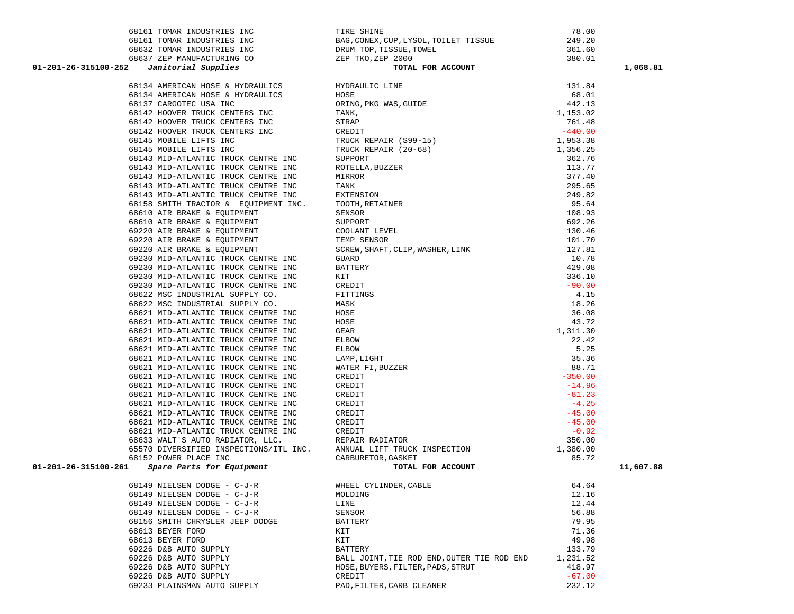| 68161 TOMAR INDUSTRIES INC                                                                                         | TIRE SHINE                                                                                                                                                                                       | 78.00    |           |
|--------------------------------------------------------------------------------------------------------------------|--------------------------------------------------------------------------------------------------------------------------------------------------------------------------------------------------|----------|-----------|
|                                                                                                                    |                                                                                                                                                                                                  | 249.20   |           |
|                                                                                                                    |                                                                                                                                                                                                  | 361.60   |           |
|                                                                                                                    |                                                                                                                                                                                                  | 380.01   |           |
| 01-201-26-315100-252                                                                                               | 68161 TOMAR INDUSTRIES INC<br>68632 TOMAR INDUSTRIES INC<br>68637 ZEP MANUFACTURING CO<br>7 Janitorial Supplies<br>7 CHER TRO, ZEP TRO, ZEP 2000<br>7 Janitorial Supplies<br>7 COTAL FOR ACCOUNT |          | 1,068.81  |
|                                                                                                                    |                                                                                                                                                                                                  |          |           |
| 68134 AMERICAN HOSE & HYDRAULICS                                                                                   |                                                                                                                                                                                                  |          |           |
| 68134 AMERICAN HOSE & HYDRAULICS<br>68137 CARGOTEC USA INC                                                         |                                                                                                                                                                                                  |          |           |
| 68142 HOOVER TRUCK CENTERS INC                                                                                     |                                                                                                                                                                                                  |          |           |
| 68142 HOOVER TRUCK CENTERS INC                                                                                     |                                                                                                                                                                                                  |          |           |
| 68142 HOOVER TRUCK CENTERS INC                                                                                     |                                                                                                                                                                                                  |          |           |
| 68145 MOBILE LIFTS INC                                                                                             |                                                                                                                                                                                                  |          |           |
| 68145 MOBILE LIFTS INC                                                                                             |                                                                                                                                                                                                  |          |           |
| 68143 MID-ATLANTIC TRUCK CENTRE INC                                                                                |                                                                                                                                                                                                  |          |           |
| 68143 MID-ATLANTIC TRUCK CENTRE INC                                                                                |                                                                                                                                                                                                  |          |           |
| 68143 MID-ATLANTIC TRUCK CENTRE INC                                                                                |                                                                                                                                                                                                  |          |           |
|                                                                                                                    |                                                                                                                                                                                                  |          |           |
| 68143 MID-ATLANTIC TRUCK CENTRE INC<br>68143 MID-ATLANTIC TRUCK CENTRE INC<br>68158 SMITH TRACTOR & EQUIPMENT INC. |                                                                                                                                                                                                  |          |           |
|                                                                                                                    |                                                                                                                                                                                                  |          |           |
| 68610 AIR BRAKE & EQUIPMENT                                                                                        |                                                                                                                                                                                                  |          |           |
| 68610 AIR BRAKE & EQUIPMENT                                                                                        |                                                                                                                                                                                                  |          |           |
| 69220 AIR BRAKE & EQUIPMENT                                                                                        |                                                                                                                                                                                                  |          |           |
| 69220 AIR BRAKE & EQUIPMENT                                                                                        |                                                                                                                                                                                                  |          |           |
| 69220 AIR BRAKE & EQUIPMENT                                                                                        |                                                                                                                                                                                                  |          |           |
| 69230 MID-ATLANTIC TRUCK CENTRE INC                                                                                |                                                                                                                                                                                                  |          |           |
| 69230 MID-ATLANTIC TRUCK CENTRE INC                                                                                |                                                                                                                                                                                                  |          |           |
| 69230 MID-ATLANTIC TRUCK CENTRE INC                                                                                |                                                                                                                                                                                                  |          |           |
| 69230 MID-ATLANTIC TRUCK CENTRE INC                                                                                |                                                                                                                                                                                                  |          |           |
| 68622 MSC INDUSTRIAL SUPPLY CO.                                                                                    |                                                                                                                                                                                                  |          |           |
| 68622 MSC INDUSTRIAL SUPPLY CO.                                                                                    |                                                                                                                                                                                                  |          |           |
| 68621 MID-ATLANTIC TRUCK CENTRE INC                                                                                |                                                                                                                                                                                                  |          |           |
| 68621 MID-ATLANTIC TRUCK CENTRE INC                                                                                |                                                                                                                                                                                                  |          |           |
| 68621 MID-ATLANTIC TRUCK CENTRE INC                                                                                |                                                                                                                                                                                                  |          |           |
| 68621 MID-ATLANTIC TRUCK CENTRE INC                                                                                |                                                                                                                                                                                                  |          |           |
| 68621 MID-ATLANTIC TRUCK CENTRE INC                                                                                |                                                                                                                                                                                                  |          |           |
| 68621 MID-ATLANTIC TRUCK CENTRE INC                                                                                |                                                                                                                                                                                                  |          |           |
| 68621 MID-ATLANTIC TRUCK CENTRE INC                                                                                |                                                                                                                                                                                                  |          |           |
| 68621 MID-ATLANTIC TRUCK CENTRE INC                                                                                |                                                                                                                                                                                                  |          |           |
| 68621 MID-ATLANTIC TRUCK CENTRE INC                                                                                |                                                                                                                                                                                                  |          |           |
| 68621 MID-ATLANTIC TRUCK CENTRE INC                                                                                |                                                                                                                                                                                                  |          |           |
| 68621 MID-ATLANTIC TRUCK CENTRE INC                                                                                |                                                                                                                                                                                                  |          |           |
| 68621 MID-ATLANTIC TRUCK CENTRE INC                                                                                |                                                                                                                                                                                                  |          |           |
| 68621 MID-ATLANTIC TRUCK CENTRE INC                                                                                |                                                                                                                                                                                                  |          |           |
| 68621 MID-ATLANTIC TRUCK CENTRE INC                                                                                |                                                                                                                                                                                                  |          |           |
| 68633 WALT'S AUTO RADIATOR, LLC.                                                                                   |                                                                                                                                                                                                  |          |           |
| 65570 DIVERSIFIED INSPECTIONS/ITL INC. ANNUAL LIFT TRUCK INSPECTION                                                |                                                                                                                                                                                                  |          |           |
| 68152 POWER PLACE INC                                                                                              | CARBURETOR, GASKET                                                                                                                                                                               | 85.72    |           |
| Spare Parts for Equipment<br>01-201-26-315100-261                                                                  | TOTAL FOR ACCOUNT                                                                                                                                                                                |          | 11,607.88 |
| 68149 NIELSEN DODGE - C-J-R                                                                                        | WHEEL CYLINDER, CABLE                                                                                                                                                                            | 64.64    |           |
| 68149 NIELSEN DODGE - C-J-R                                                                                        | MOLDING                                                                                                                                                                                          | 12.16    |           |
| 68149 NIELSEN DODGE - C-J-R                                                                                        | LINE                                                                                                                                                                                             | 12.44    |           |
| 68149 NIELSEN DODGE - C-J-R                                                                                        | SENSOR                                                                                                                                                                                           | 56.88    |           |
| 68156 SMITH CHRYSLER JEEP DODGE                                                                                    | BATTERY                                                                                                                                                                                          | 79.95    |           |
| 68613 BEYER FORD                                                                                                   | KIT                                                                                                                                                                                              | 71.36    |           |
| 68613 BEYER FORD                                                                                                   | KIT                                                                                                                                                                                              | 49.98    |           |
| 69226 D&B AUTO SUPPLY                                                                                              | <b>BATTERY</b>                                                                                                                                                                                   | 133.79   |           |
| 69226 D&B AUTO SUPPLY                                                                                              | BALL JOINT, TIE ROD END, OUTER TIE ROD END                                                                                                                                                       | 1,231.52 |           |
| 69226 D&B AUTO SUPPLY                                                                                              | HOSE, BUYERS, FILTER, PADS, STRUT                                                                                                                                                                | 418.97   |           |
| 69226 D&B AUTO SUPPLY                                                                                              | CREDIT                                                                                                                                                                                           | $-67.00$ |           |
| 69233 PLAINSMAN AUTO SUPPLY                                                                                        | PAD, FILTER, CARB CLEANER                                                                                                                                                                        | 232.12   |           |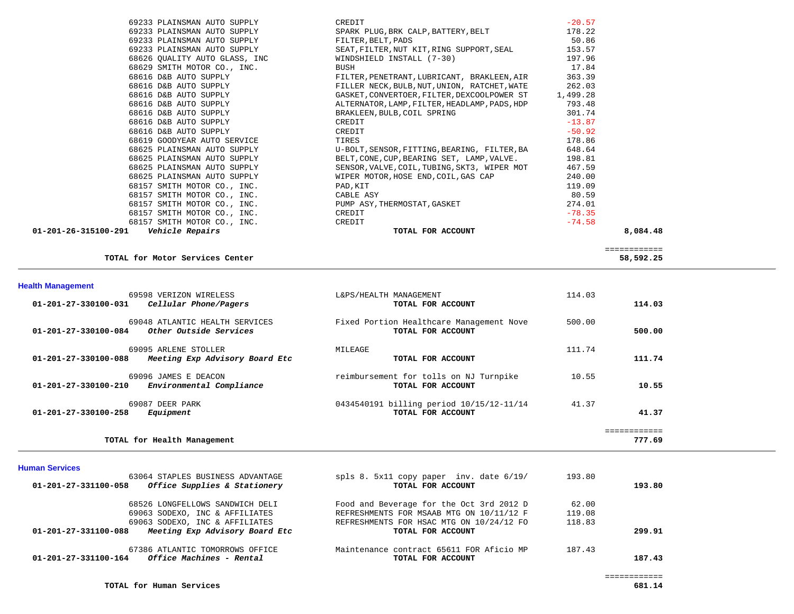| $01 - 201 - 26 - 315100 - 291$<br><i><b>Vehicle Repairs</b></i> | TOTAL FOR ACCOUNT                                               | 8,084.48 |  |
|-----------------------------------------------------------------|-----------------------------------------------------------------|----------|--|
| 68157 SMITH MOTOR CO., INC. CREDIT                              |                                                                 | $-74.58$ |  |
| 68157 SMITH MOTOR CO., INC.                                     | CREDIT                                                          | $-78.35$ |  |
| 68157 SMITH MOTOR CO., INC.                                     | PUMP ASY, THERMOSTAT, GASKET                                    | 274.01   |  |
| 68157 SMITH MOTOR CO., INC.                                     | CABLE ASY                                                       | 80.59    |  |
| 68157 SMITH MOTOR CO., INC.                                     | PAD, KIT                                                        | 119.09   |  |
| 68625 PLAINSMAN AUTO SUPPLY                                     | WIPER MOTOR, HOSE END, COIL, GAS CAP                            | 240.00   |  |
| 68625 PLAINSMAN AUTO SUPPLY                                     | SENSOR, VALVE, COIL, TUBING, SKT3, WIPER MOT                    | 467.59   |  |
| 68625 PLAINSMAN AUTO SUPPLY                                     | BELT, CONE, CUP, BEARING SET, LAMP, VALVE.                      | 198.81   |  |
| 68625 PLAINSMAN AUTO SUPPLY                                     | U-BOLT, SENSOR, FITTING, BEARING, FILTER, BA                    | 648.64   |  |
| 68619 GOODYEAR AUTO SERVICE                                     | TIRES                                                           | 178.86   |  |
| 68616 D&B AUTO SUPPLY                                           | CREDIT                                                          | $-50.92$ |  |
| 68616 D&B AUTO SUPPLY                                           | CREDIT                                                          | $-13.87$ |  |
| 68616 D&B AUTO SUPPLY<br>68616 D&B AUTO SUPPLY                  | BRAKLEEN, BULB, COIL SPRING                                     | 301.74   |  |
|                                                                 | ALTERNATOR, LAMP, FILTER, HEADLAMP, PADS, HDP 793.48            |          |  |
| 68616 D&B AUTO SUPPLY<br>68616 D&B AUTO SUPPLY                  | GASKET, CONVERTOER, FILTER, DEXCOOLPOWER ST                     | 1,499.28 |  |
|                                                                 | FILLER NECK, BULB, NUT, UNION, RATCHET, WATE                    | 262.03   |  |
| 68616 D&B AUTO SUPPLY                                           | FILTER, PENETRANT, LUBRICANT, BRAKLEEN, AIR                     | 363.39   |  |
| 68629 SMITH MOTOR CO., INC.                                     | BUSH                                                            | 17.84    |  |
| 68626 OUALITY AUTO GLASS, INC                                   | WINDSHIELD INSTALL (7-30)                                       | 197.96   |  |
| 69233 PLAINSMAN AUTO SUPPLY                                     | SEAT, FILTER, NUT KIT, RING SUPPORT, SEAL                       | 153.57   |  |
| 69233 PLAINSMAN AUTO SUPPLY                                     | FILTER, BELT, PADS                                              | 50.86    |  |
|                                                                 | 69233 PLAINSMAN AUTO SUPPLY SPARK PLUG, BRK CALP, BATTERY, BELT | 178.22   |  |
| 69233 PLAINSMAN AUTO SUPPLY                                     | CREDIT                                                          | $-20.57$ |  |
|                                                                 |                                                                 |          |  |

============

TOTAL for Motor Services Center

### **Health Management**

| 69598 VERIZON WIRELESS<br>Cellular Phone/Pagers<br>01-201-27-330100-031                    | L&PS/HEALTH MANAGEMENT<br>TOTAL FOR ACCOUNT                   | 114.03 | 114.03       |
|--------------------------------------------------------------------------------------------|---------------------------------------------------------------|--------|--------------|
| 69048 ATLANTIC HEALTH SERVICES<br>$01 - 201 - 27 - 330100 - 084$<br>Other Outside Services | Fixed Portion Healthcare Management Nove<br>TOTAL FOR ACCOUNT | 500.00 | 500.00       |
| 69095 ARLENE STOLLER<br>01-201-27-330100-088<br>Meeting Exp Advisory Board Etc             | MILEAGE<br>TOTAL FOR ACCOUNT                                  | 111.74 | 111.74       |
| 69096 JAMES E DEACON<br>Environmental Compliance<br>01-201-27-330100-210                   | reimbursement for tolls on NJ Turnpike<br>TOTAL FOR ACCOUNT   | 10.55  | 10.55        |
| 69087 DEER PARK<br>$01 - 201 - 27 - 330100 - 258$<br>Equipment                             | 0434540191 billing period 10/15/12-11/14<br>TOTAL FOR ACCOUNT | 41.37  | 41.37        |
|                                                                                            |                                                               |        | ============ |
| TOTAL for Health Management                                                                |                                                               |        | 777.69       |

### **Human Services**

| 63064 STAPLES BUSINESS ADVANTAGE                        | spls 8. $5x11$ copy paper inv. date $6/19/$ | 193.80 |        |
|---------------------------------------------------------|---------------------------------------------|--------|--------|
| Office Supplies & Stationery<br>01-201-27-331100-058    | TOTAL FOR ACCOUNT                           |        | 193.80 |
| 68526 LONGFELLOWS SANDWICH DELI                         | Food and Beverage for the Oct 3rd 2012 D    | 62.00  |        |
| 69063 SODEXO, INC & AFFILIATES                          | REFRESHMENTS FOR MSAAB MTG ON 10/11/12 F    | 119.08 |        |
| 69063 SODEXO, INC & AFFILIATES                          | REFRESHMENTS FOR HSAC MTG ON 10/24/12 FO    | 118.83 |        |
| Meeting Exp Advisory Board Etc<br>01-201-27-331100-088  | TOTAL FOR ACCOUNT                           |        | 299.91 |
| 67386 ATLANTIC TOMORROWS OFFICE                         | Maintenance contract 65611 FOR Aficio MP    | 187.43 |        |
| <i>Office Machines - Rental</i><br>01-201-27-331100-164 | TOTAL FOR ACCOUNT                           |        | 187.43 |

58,592.25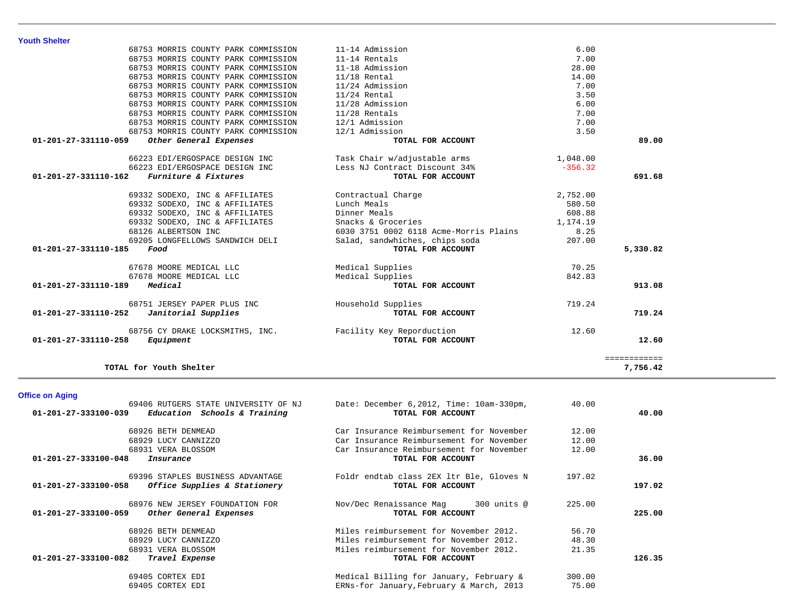| <b>Youth Shelter</b>                           |                                        |           |              |
|------------------------------------------------|----------------------------------------|-----------|--------------|
| 68753 MORRIS COUNTY PARK COMMISSION            | 11-14 Admission                        | 6.00      |              |
| 68753 MORRIS COUNTY PARK COMMISSION            | 11-14 Rentals                          | 7.00      |              |
| 68753 MORRIS COUNTY PARK COMMISSION            | 11-18 Admission                        | 28.00     |              |
| 68753 MORRIS COUNTY PARK COMMISSION            | $11/18$ Rental                         | 14.00     |              |
| 68753 MORRIS COUNTY PARK COMMISSION            | 11/24 Admission                        | 7.00      |              |
| 68753 MORRIS COUNTY PARK COMMISSION            | $11/24$ Rental                         | 3.50      |              |
| 68753 MORRIS COUNTY PARK COMMISSION            | 11/28 Admission                        | 6.00      |              |
| 68753 MORRIS COUNTY PARK COMMISSION            | 11/28 Rentals                          | 7.00      |              |
| 68753 MORRIS COUNTY PARK COMMISSION            | 12/1 Admission                         | 7.00      |              |
| 68753 MORRIS COUNTY PARK COMMISSION            | 12/1 Admission                         | 3.50      |              |
| 01-201-27-331110-059<br>Other General Expenses | TOTAL FOR ACCOUNT                      |           | 89.00        |
| 66223 EDI/ERGOSPACE DESIGN INC                 | Task Chair w/adjustable arms           | 1,048.00  |              |
| 66223 EDI/ERGOSPACE DESIGN INC                 | Less NJ Contract Discount 34%          | $-356.32$ |              |
| Furniture & Fixtures<br>01-201-27-331110-162   | TOTAL FOR ACCOUNT                      |           | 691.68       |
| 69332 SODEXO, INC & AFFILIATES                 | Contractual Charge                     | 2,752.00  |              |
| 69332 SODEXO, INC & AFFILIATES                 | Lunch Meals                            | 580.50    |              |
| 69332 SODEXO, INC & AFFILIATES                 | Dinner Meals                           | 608.88    |              |
| 69332 SODEXO, INC & AFFILIATES                 | Snacks & Groceries                     | 1,174.19  |              |
| 68126 ALBERTSON INC                            | 6030 3751 0002 6118 Acme-Morris Plains | 8.25      |              |
| 69205 LONGFELLOWS SANDWICH DELI                | Salad, sandwhiches, chips soda         | 207.00    |              |
| 01-201-27-331110-185<br>Food                   | TOTAL FOR ACCOUNT                      |           | 5,330.82     |
| 67678 MOORE MEDICAL LLC                        | Medical Supplies                       | 70.25     |              |
| 67678 MOORE MEDICAL LLC                        | Medical Supplies                       | 842.83    |              |
| Medical<br>01-201-27-331110-189                | TOTAL FOR ACCOUNT                      |           | 913.08       |
| 68751 JERSEY PAPER PLUS INC                    | Household Supplies                     | 719.24    |              |
| Janitorial Supplies<br>01-201-27-331110-252    | TOTAL FOR ACCOUNT                      |           | 719.24       |
| 68756 CY DRAKE LOCKSMITHS, INC.                | Facility Key Reporduction              | 12.60     |              |
| Equipment<br>01-201-27-331110-258              | TOTAL FOR ACCOUNT                      |           | 12.60        |
|                                                |                                        |           | ============ |
| TOTAL for Youth Shelter                        |                                        |           | 7,756.42     |

## **Office on Aging**

| 69406 RUTGERS STATE UNIVERSITY OF NJ                 | Date: December $6,2012$ , Time: $10am-330pm$ , | 40.00  |        |
|------------------------------------------------------|------------------------------------------------|--------|--------|
| Education Schools & Training<br>01-201-27-333100-039 | TOTAL FOR ACCOUNT                              |        | 40.00  |
| 68926 BETH DENMEAD                                   | Car Insurance Reimbursement for November       | 12.00  |        |
| 68929 LUCY CANNIZZO                                  | Car Insurance Reimbursement for November       | 12.00  |        |
| 68931 VERA BLOSSOM                                   | Car Insurance Reimbursement for November       | 12.00  |        |
| 01-201-27-333100-048<br>Insurance                    | TOTAL FOR ACCOUNT                              |        | 36.00  |
| 69396 STAPLES BUSINESS ADVANTAGE                     | Foldr endtab class 2EX 1tr Ble, Gloves N       | 197.02 |        |
| Office Supplies & Stationery<br>01-201-27-333100-058 | TOTAL FOR ACCOUNT                              |        | 197.02 |
| 68976 NEW JERSEY FOUNDATION FOR                      | Nov/Dec Renaissance Mag<br>300 units @         | 225.00 |        |
| 01-201-27-333100-059<br>Other General Expenses       | TOTAL FOR ACCOUNT                              |        | 225.00 |
| 68926 BETH DENMEAD                                   | Miles reimbursement for November 2012.         | 56.70  |        |
| 68929 LUCY CANNIZZO                                  | Miles reimbursement for November 2012.         | 48.30  |        |
| 68931 VERA BLOSSOM                                   | Miles reimbursement for November 2012.         | 21.35  |        |
| 01-201-27-333100-082<br>Travel Expense               | TOTAL FOR ACCOUNT                              |        | 126.35 |
| 69405 CORTEX EDI                                     | Medical Billing for January, February &        | 300.00 |        |
| 69405 CORTEX EDI                                     | ERNs-for January, February & March, 2013       | 75.00  |        |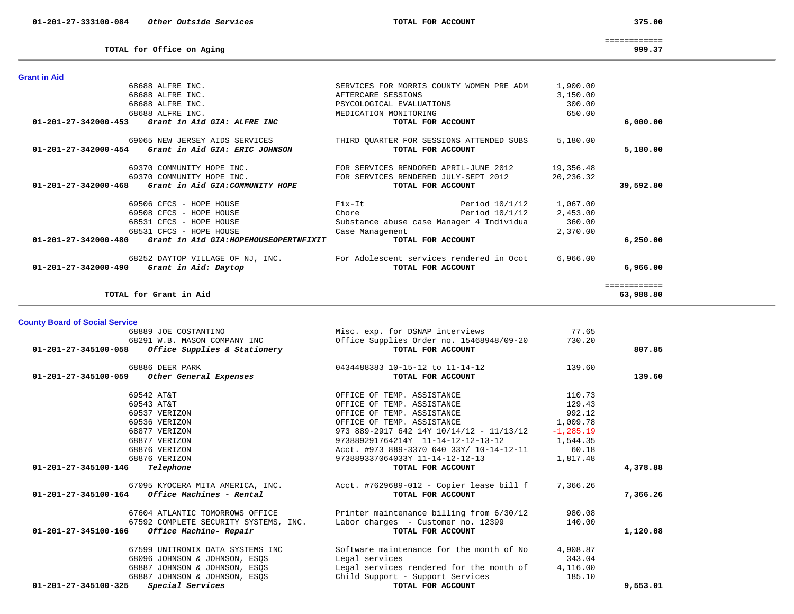**Grant in Aid** 

 68688 ALFRE INC. SERVICES FOR MORRIS COUNTY WOMEN PRE ADM 1,900.00 68688 ALFRE INC. AFTERCARE SESSIONS 3,150.00

 68688 ALFRE INC. PSYCOLOGICAL EVALUATIONS 300.00 68688 ALFRE INC. MEDICATION MONITORING 650.00

============

#### **TOTAL for Office on Aging 999.37**

# **01-201-27-342000-453** *Grant in Aid GIA: ALFRE INC* **TOTAL FOR ACCOUNT 6,000.00** 69065 NEW JERSEY AIDS SERVICES THIRD QUARTER FOR SESSIONS ATTENDED SUBS 5,180.00 11-201-27-342000-454 *Grant in Aid GIA: ERIC JOHNSON CONSTRUES COUNT* **TOTAL FOR ACCOUNT** 5,180.00 69370 COMMUNITY HOPE INC. FOR SERVICES RENDORED APRIL-JUNE 2012 19,356.48 69370 COMMUNITY HOPE INC. FOR SERVICES RENDERED JULY-SEPT 2012 20,236.32  **01-201-27-342000-468** *Grant in Aid GIA:COMMUNITY HOPE* **TOTAL FOR ACCOUNT 39,592.80** 69506 CFCS - HOPE HOUSE Fix-It Period  $10/1/12$  1,067.00<br>
Chara There Period  $10/1/12$  2,453.00 69508 CFCS - HOPE HOUSE Chore Period 10/1/12 2,453.00 68531 CFCS - HOPE HOUSE Substance abuse case Manager 4 Individua 360.00 68531 CFCS - HOPE HOUSE Case Management 2,370.00  **01-201-27-342000-480** *Grant in Aid GIA:HOPEHOUSEOPERTNFIXIT* **TOTAL FOR ACCOUNT 6,250.00** 68252 DAYTOP VILLAGE OF NJ, INC. For Adolescent services rendered in Ocot 6,966.00  **01-201-27-342000-490** *Grant in Aid: Daytop* **TOTAL FOR ACCOUNT 6,966.00** ============ **TOTAL for Grant in Aid 63,988.80 County Board of Social Service** 68889 JOE COSTANTINO Misc. exp. for DSNAP interviews 77.65<br>68291 W.B. MASON COMPANY INC Office Supplies Order no. 15468948/09-20 730.20 68291 Office Supplies Order no. 15468948/09-20 730.20  **01-201-27-345100-058** *Office Supplies & Stationery* **TOTAL FOR ACCOUNT 807.85** 68886 DEER PARK 139.60 01-201-27-345100-059 *Other General Expenses* **but the contract of the contract of the General Expenses TOTAL FOR ACCOUNT 139.60**  69542 AT&T OFFICE OF TEMP. ASSISTANCE 110.73 69543 AT&T OFFICE OF TEMP. ASSISTANCE 129.43 69537 VERIZON OFFICE OF TEMP. ASSISTANCE 992.12 69536 VERIZON OFFICE OF TEMP. ASSISTANCE 1,009.78 68877 VERIZON 973 889-2917 642 14Y 10/14/12 - 11/13/12 -1,285.19 68877 VERIZON 973889291764214Y 11-14-12-12-13-12 1,544.35 68876 VERIZON Acct. #973 889-3370 640 33Y/ 10-14-12-11 60.18 68876 VERIZON 973889337064033Y 11-14-12-12-13 1,817.48  **01-201-27-345100-146** *Telephone* **TOTAL FOR ACCOUNT 4,378.88** 67095 KYOCERA MITA AMERICA, INC. <br>Acct. #7629689-012 - Copier lease bill f 7,366.26  **01-201-27-345100-164** *Office Machines - Rental* **TOTAL FOR ACCOUNT 7,366.26** 67604 ATLANTIC TOMORROWS OFFICE Printer maintenance billing from 6/30/12 980.08 67592 COMPLETE SECURITY SYSTEMS, INC. Labor charges - Customer no. 12399 140.00  **01-201-27-345100-166** *Office Machine- Repair* **TOTAL FOR ACCOUNT 1,120.08** 67599 UNITRONIX DATA SYSTEMS INC Software maintenance for the month of No 4,908.87 68096 JOHNSON & JOHNSON, ESQS Legal services 343.04 68887 JOHNSON & JOHNSON, ESQS Legal services rendered for the month of 4,116.00 68887 JOHNSON & JOHNSON, ESQS Child Support - Support Services 185.10  **01-201-27-345100-325** *Special Services* **TOTAL FOR ACCOUNT 9,553.01**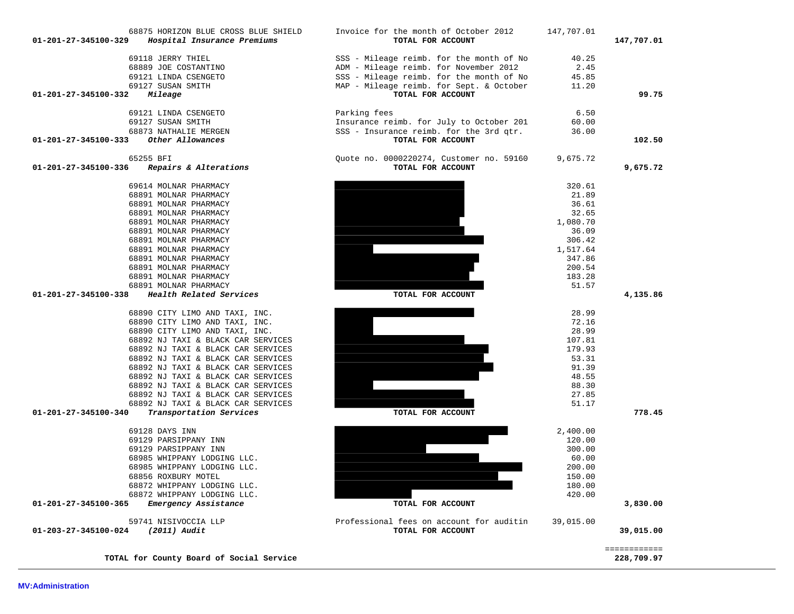| 68891 MOLNAR PHARMACY                           |                                          | 1,080.70  |                            |
|-------------------------------------------------|------------------------------------------|-----------|----------------------------|
| 68891 MOLNAR PHARMACY                           |                                          | 36.09     |                            |
| 68891 MOLNAR PHARMACY                           |                                          | 306.42    |                            |
| 68891 MOLNAR PHARMACY                           |                                          | 1,517.64  |                            |
| 68891 MOLNAR PHARMACY                           |                                          | 347.86    |                            |
| 68891 MOLNAR PHARMACY                           |                                          | 200.54    |                            |
| 68891 MOLNAR PHARMACY                           |                                          | 183.28    |                            |
| 68891 MOLNAR PHARMACY                           |                                          | 51.57     |                            |
| 01-201-27-345100-338<br>Health Related Services | TOTAL FOR ACCOUNT                        |           | 4,135.86                   |
| 68890 CITY LIMO AND TAXI, INC.                  |                                          | 28.99     |                            |
| 68890 CITY LIMO AND TAXI, INC.                  |                                          | 72.16     |                            |
| 68890 CITY LIMO AND TAXI, INC.                  |                                          | 28.99     |                            |
| 68892 NJ TAXI & BLACK CAR SERVICES              |                                          | 107.81    |                            |
| 68892 NJ TAXI & BLACK CAR SERVICES              |                                          | 179.93    |                            |
| 68892 NJ TAXI & BLACK CAR SERVICES              |                                          | 53.31     |                            |
| 68892 NJ TAXI & BLACK CAR SERVICES              |                                          | 91.39     |                            |
| 68892 NJ TAXI & BLACK CAR SERVICES              |                                          | 48.55     |                            |
| 68892 NJ TAXI & BLACK CAR SERVICES              |                                          | 88.30     |                            |
| 68892 NJ TAXI & BLACK CAR SERVICES              |                                          | 27.85     |                            |
| 68892 NJ TAXI & BLACK CAR SERVICES              |                                          | 51.17     |                            |
| 01-201-27-345100-340<br>Transportation Services | TOTAL FOR ACCOUNT                        |           | 778.45                     |
| 69128 DAYS INN                                  |                                          | 2,400.00  |                            |
| 69129 PARSIPPANY INN                            |                                          | 120.00    |                            |
| 69129 PARSIPPANY INN                            |                                          | 300.00    |                            |
| 68985 WHIPPANY LODGING LLC.                     |                                          | 60.00     |                            |
| 68985 WHIPPANY LODGING LLC.                     |                                          | 200.00    |                            |
| 68856 ROXBURY MOTEL                             |                                          | 150.00    |                            |
| 68872 WHIPPANY LODGING LLC.                     |                                          | 180.00    |                            |
| 68872 WHIPPANY LODGING LLC.                     |                                          | 420.00    |                            |
| 01-201-27-345100-365<br>Emergency Assistance    | TOTAL FOR ACCOUNT                        |           | 3,830.00                   |
| 59741 NISIVOCCIA LLP                            | Professional fees on account for auditin | 39,015.00 |                            |
| (2011) Audit<br>01-203-27-345100-024            | TOTAL FOR ACCOUNT                        |           | 39,015.00                  |
| TOTAL for County Board of Social Service        |                                          |           | ============<br>228,709.97 |
|                                                 |                                          |           |                            |

68891 MOLNAR PHARMACY 32.65

| 68873 NATHALIE MERGEN                         |
|-----------------------------------------------|
| 01-201-27-345100-333<br>Other Allowances      |
|                                               |
| 65255 BFI                                     |
| Repairs & Alterations<br>01-201-27-345100-336 |
|                                               |
|                                               |

69614 MOLNAR PHARMACY

68891 MOLNAR PHARMACY

68891 MOLNAR PHARMACY

| 69118 JERRY THIEL<br>68889 JOE COSTANTINO<br>69121 LINDA CSENGETO<br>69127 SUSAN SMITH |  |
|----------------------------------------------------------------------------------------|--|
| $01 - 201 - 27 - 345100 - 332$ Mileage                                                 |  |
|                                                                                        |  |
| 69121 LINDA CSENGETO                                                                   |  |
| 69127 SUSAN SMITH                                                                      |  |
| 68873 NATHALIE MERGEN                                                                  |  |
|                                                                                        |  |

| 68875 HORIZON BLUE CROSS BLUE SHIELD<br>01-201-27-345100-329<br>Hospital Insurance Premiums | Invoice for the month of October 2012<br>TOTAL FOR ACCOUNT | 147,707.01 | 147,707.01 |
|---------------------------------------------------------------------------------------------|------------------------------------------------------------|------------|------------|
| 69118 JERRY THIEL                                                                           | SSS - Mileage reimb. for the month of No                   | 40.25      |            |

102.50

ADM - Mileage reimb. for November 2012 2.45 SSS - Mileage reimb. for the month of No 45.85 MAP - Mileage reimb. for Sept. & October 11.20

Parking fees 6.50 Insurance reimb. for July to October 201 60.00 SSS - Insurance reimb. for the 3rd qtr. 36.00

Quote no. 0000220274, Customer no. 59160 9,675.72

 **01-201-27-345100-333** *Other Allowances* **TOTAL FOR ACCOUNT 102.50**

 **01-201-27-345100-332** *Mileage* **TOTAL FOR ACCOUNT 99.75**

 **017AL FOR ACCOUNT 9,675.72** 

320.61

21.89

36.61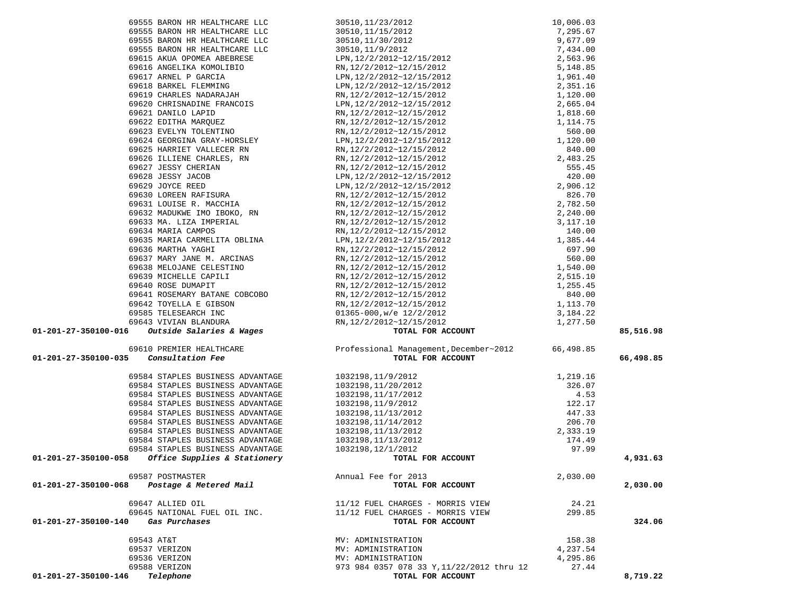| 69555 BARON HR HEALTHCARE LLC                                                                                                                                                                                      |                                                                                                                         |          |           |
|--------------------------------------------------------------------------------------------------------------------------------------------------------------------------------------------------------------------|-------------------------------------------------------------------------------------------------------------------------|----------|-----------|
|                                                                                                                                                                                                                    |                                                                                                                         |          |           |
| 69555 BARON HR HEALTHCARE LLC                                                                                                                                                                                      |                                                                                                                         |          |           |
| 69555 BARON HR HEALTHCARE LLC                                                                                                                                                                                      |                                                                                                                         |          |           |
| 69555 BARON HR HEALTHCARE LLC                                                                                                                                                                                      |                                                                                                                         |          |           |
| 69615 AKUA OPOMEA ABEBRESE                                                                                                                                                                                         |                                                                                                                         |          |           |
| 69616 ANGELIKA KOMOLIBIO                                                                                                                                                                                           |                                                                                                                         |          |           |
| 69617 ARNEL P GARCIA                                                                                                                                                                                               |                                                                                                                         |          |           |
|                                                                                                                                                                                                                    |                                                                                                                         |          |           |
| 69618 BARKEL FLEMMING<br>69619 CHARLES NADARAJAH                                                                                                                                                                   |                                                                                                                         |          |           |
| 69620 CHRISNADINE FRANCOIS                                                                                                                                                                                         |                                                                                                                         |          |           |
| 69621 DANILO LAPID                                                                                                                                                                                                 |                                                                                                                         |          |           |
|                                                                                                                                                                                                                    |                                                                                                                         |          |           |
| 69622 EDITHA MARQUEZ<br>69623 EVELYN TOLENTINO                                                                                                                                                                     |                                                                                                                         |          |           |
| 69624 GEORGINA GRAY-HORSLEY                                                                                                                                                                                        |                                                                                                                         |          |           |
|                                                                                                                                                                                                                    |                                                                                                                         |          |           |
|                                                                                                                                                                                                                    |                                                                                                                         |          |           |
|                                                                                                                                                                                                                    |                                                                                                                         |          |           |
|                                                                                                                                                                                                                    |                                                                                                                         |          |           |
|                                                                                                                                                                                                                    |                                                                                                                         |          |           |
|                                                                                                                                                                                                                    |                                                                                                                         |          |           |
| 69624 GEORGINA GRAY-HORSLEY<br>69625 HARRIET VALLECER RN<br>69626 ILLIENE CHARLES, RN<br>69627 JESSY CHERIAN<br>69629 JOYCE REED<br>69630 LOUESE RAFISURA<br>69631 LOUESE R. MACCHIA<br>69632 MADIKWE TMO TROKO PN |                                                                                                                         |          |           |
|                                                                                                                                                                                                                    |                                                                                                                         |          |           |
| 69632 MADUKWE IMO IBOKO, RN<br>69633 MA. LIZA IMPERIAL<br>69633 MA. LIZA IMPERIAL                                                                                                                                  |                                                                                                                         |          |           |
| 69634 MARIA CAMPOS                                                                                                                                                                                                 |                                                                                                                         |          |           |
| 69635 MARIA CARMELITA OBLINA                                                                                                                                                                                       |                                                                                                                         |          |           |
| 69636 MARTHA YAGHI                                                                                                                                                                                                 |                                                                                                                         |          |           |
|                                                                                                                                                                                                                    |                                                                                                                         |          |           |
| 69637 MARY JANE M. ARCINAS                                                                                                                                                                                         |                                                                                                                         |          |           |
| 69638 MELOJANE CELESTINO                                                                                                                                                                                           |                                                                                                                         |          |           |
| 69639 MICHELLE CAPILI                                                                                                                                                                                              |                                                                                                                         |          |           |
| 69640 ROSE DUMAPIT<br>69640 ROSE DUMAPIT<br>69641 ROSEMARY BATANE COBCOBO                                                                                                                                          |                                                                                                                         |          |           |
|                                                                                                                                                                                                                    |                                                                                                                         |          |           |
| 69641 KUSEMARI DAIANG SUBSON<br>69642 TOYELLA E GIBSON<br>10505 TELESARCH INC                                                                                                                                      |                                                                                                                         |          |           |
| 69585 TELESEARCH INC                                                                                                                                                                                               |                                                                                                                         |          |           |
| 13 VIVIAN BLANDURA<br><i>Outside Salaries &amp; Wages</i><br>69643 VIVIAN BLANDURA                                                                                                                                 |                                                                                                                         |          |           |
| 01-201-27-350100-016                                                                                                                                                                                               |                                                                                                                         |          | 85,516.98 |
| 69610 PREMIER HEALTHCARE                                                                                                                                                                                           | Professional Management, December~2012 66,498.85                                                                        |          |           |
| Consultation Fee<br>01-201-27-350100-035                                                                                                                                                                           | TOTAL FOR ACCOUNT                                                                                                       |          | 66,498.85 |
|                                                                                                                                                                                                                    |                                                                                                                         |          |           |
| 69584 STAPLES BUSINESS ADVANTAGE                                                                                                                                                                                   | 1032198,11/9/2012                                                                                                       |          |           |
| 69584 STAPLES BUSINESS ADVANTAGE                                                                                                                                                                                   | 1032198,11/20/2012                                                                                                      |          |           |
| 69584 STAPLES BUSINESS ADVANTAGE                                                                                                                                                                                   | 1032198,11/17/2012                                                                                                      |          |           |
| 69584 STAPLES BUSINESS ADVANTAGE                                                                                                                                                                                   | 1032198,11/9/2012                                                                                                       |          |           |
| 69584 STAPLES BUSINESS ADVANTAGE                                                                                                                                                                                   |                                                                                                                         |          |           |
| 69584 STAPLES BUSINESS ADVANTAGE                                                                                                                                                                                   | 1032198,11/13/2012<br>1032198, 11/14/2012                                                                               |          |           |
|                                                                                                                                                                                                                    |                                                                                                                         |          |           |
| 69584 STAPLES BUSINESS ADVANTAGE                                                                                                                                                                                   | 1032198, 11/13/2012                                                                                                     |          |           |
| 69584 STAPLES BUSINESS ADVANTAGE                                                                                                                                                                                   | 1032198, 11/13/2012                                                                                                     |          |           |
| 69584 STAPLES BUSINESS ADVANTAGE                                                                                                                                                                                   | 1032198, 12/1/2012                                                                                                      |          |           |
| 01-201-27-350100-058<br>Office Supplies & Stationery                                                                                                                                                               | 1, 219 .16<br>326 .07<br>4 .53<br>122 .17<br>447 .33<br>206 .70<br>2, 333 .19<br>174 .49<br>97 .99<br>TOTAL FOR ACCOUNT |          | 4,931.63  |
| 69587 POSTMASTER                                                                                                                                                                                                   | Annual Fee for 2013                                                                                                     | 2,030.00 |           |
| Postage & Metered Mail<br>01-201-27-350100-068                                                                                                                                                                     | TOTAL FOR ACCOUNT                                                                                                       |          | 2,030.00  |
|                                                                                                                                                                                                                    |                                                                                                                         |          |           |
| 69647 ALLIED OIL                                                                                                                                                                                                   | 11/12 FUEL CHARGES - MORRIS VIEW                                                                                        | 24.21    |           |
| 69645 NATIONAL FUEL OIL INC.                                                                                                                                                                                       | 11/12 FUEL CHARGES - MORRIS VIEW                                                                                        | 299.85   |           |
| Gas Purchases<br>01-201-27-350100-140                                                                                                                                                                              | TOTAL FOR ACCOUNT                                                                                                       |          | 324.06    |
|                                                                                                                                                                                                                    |                                                                                                                         |          |           |
| 69543 AT&T                                                                                                                                                                                                         | MV: ADMINISTRATION                                                                                                      | 158.38   |           |
| 69537 VERIZON                                                                                                                                                                                                      | MV: ADMINISTRATION                                                                                                      | 4,237.54 |           |
| 69536 VERIZON                                                                                                                                                                                                      | MV: ADMINISTRATION                                                                                                      | 4,295.86 |           |
| 69588 VERIZON                                                                                                                                                                                                      |                                                                                                                         |          |           |
| Telephone<br>01-201-27-350100-146                                                                                                                                                                                  | 973 984 0357 078 33 Y, 11/22/2012 thru 12<br>TOTAL FOR ACCOUNT                                                          | 27.44    | 8,719.22  |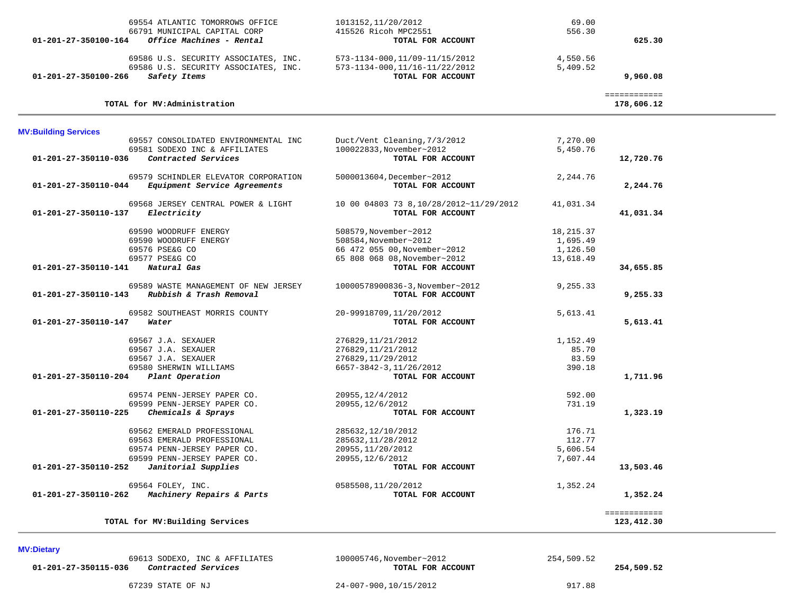| 69554 ATLANTIC TOMORROWS OFFICE<br>66791 MUNICIPAL CAPITAL CORP<br>01-201-27-350100-164<br>Office Machines - Rental  | 1013152, 11/20/2012<br>415526 Ricoh MPC2551<br>TOTAL FOR ACCOUNT                      | 69.00<br>556.30      | 625.30                     |  |
|----------------------------------------------------------------------------------------------------------------------|---------------------------------------------------------------------------------------|----------------------|----------------------------|--|
| 69586 U.S. SECURITY ASSOCIATES, INC.<br>69586 U.S. SECURITY ASSOCIATES, INC.<br>01-201-27-350100-266<br>Safety Items | 573-1134-000, 11/09-11/15/2012<br>573-1134-000, 11/16-11/22/2012<br>TOTAL FOR ACCOUNT | 4,550.56<br>5,409.52 | 9,960.08                   |  |
| TOTAL for MV:Administration                                                                                          |                                                                                       |                      | ============<br>178,606.12 |  |
| <b>MV:Building Services</b>                                                                                          |                                                                                       |                      |                            |  |
| 69557 CONSOLIDATED ENVIRONMENTAL INC                                                                                 | Duct/Vent Cleaning, 7/3/2012                                                          | 7,270.00             |                            |  |
| 69581 SODEXO INC & AFFILIATES                                                                                        | 100022833, November~2012                                                              | 5,450.76             |                            |  |
| Contracted Services<br>01-201-27-350110-036                                                                          | TOTAL FOR ACCOUNT                                                                     |                      | 12,720.76                  |  |
| 69579 SCHINDLER ELEVATOR CORPORATION<br>Equipment Service Agreements<br>01-201-27-350110-044                         | 5000013604, December~2012<br>TOTAL FOR ACCOUNT                                        | 2,244.76             | 2,244.76                   |  |
| 69568 JERSEY CENTRAL POWER & LIGHT<br>Electricity<br>01-201-27-350110-137                                            | 10 00 04803 73 8,10/28/2012~11/29/2012<br>TOTAL FOR ACCOUNT                           | 41,031.34            | 41,031.34                  |  |
| 69590 WOODRUFF ENERGY                                                                                                | 508579, November~2012                                                                 | 18,215.37            |                            |  |
| 69590 WOODRUFF ENERGY                                                                                                | 508584, November~2012                                                                 | 1,695.49             |                            |  |
| 69576 PSE&G CO                                                                                                       | 66 472 055 00, November~2012                                                          | 1,126.50             |                            |  |
| 69577 PSE&G CO                                                                                                       | 65 808 068 08, November~2012                                                          | 13,618.49            |                            |  |
| 01-201-27-350110-141<br>Natural Gas                                                                                  | TOTAL FOR ACCOUNT                                                                     |                      | 34,655.85                  |  |
| 69589 WASTE MANAGEMENT OF NEW JERSEY<br>01-201-27-350110-143<br>Rubbish & Trash Removal                              | 10000578900836-3, November~2012<br>TOTAL FOR ACCOUNT                                  | 9,255.33             | 9,255.33                   |  |
| 69582 SOUTHEAST MORRIS COUNTY                                                                                        | 20-99918709,11/20/2012                                                                | 5,613.41             |                            |  |
| 01-201-27-350110-147<br>Water                                                                                        | TOTAL FOR ACCOUNT                                                                     |                      | 5,613.41                   |  |
| 69567 J.A. SEXAUER                                                                                                   | 276829, 11/21/2012                                                                    | 1,152.49             |                            |  |
| 69567 J.A. SEXAUER                                                                                                   | 276829, 11/21/2012                                                                    | 85.70                |                            |  |
| 69567 J.A. SEXAUER                                                                                                   | 276829, 11/29/2012                                                                    | 83.59                |                            |  |
| 69580 SHERWIN WILLIAMS                                                                                               | 6657-3842-3, 11/26/2012                                                               | 390.18               |                            |  |
| $01 - 201 - 27 - 350110 - 204$<br>Plant Operation                                                                    | TOTAL FOR ACCOUNT                                                                     |                      | 1,711.96                   |  |
| 69574 PENN-JERSEY PAPER CO.                                                                                          | 20955, 12/4/2012                                                                      | 592.00               |                            |  |
| 69599 PENN-JERSEY PAPER CO.                                                                                          | 20955, 12/6/2012                                                                      | 731.19               |                            |  |
| Chemicals & Sprays<br>01-201-27-350110-225                                                                           | TOTAL FOR ACCOUNT                                                                     |                      | 1,323.19                   |  |
| 69562 EMERALD PROFESSIONAL                                                                                           | 285632, 12/10/2012                                                                    | 176.71               |                            |  |
| 69563 EMERALD PROFESSIONAL                                                                                           | 285632, 11/28/2012                                                                    | 112.77               |                            |  |
| 69574 PENN-JERSEY PAPER CO.                                                                                          | 20955, 11/20/2012                                                                     | 5,606.54             |                            |  |
| 69599 PENN-JERSEY PAPER CO.                                                                                          | 20955, 12/6/2012                                                                      | 7,607.44             |                            |  |
| Janitorial Supplies<br>01-201-27-350110-252                                                                          | TOTAL FOR ACCOUNT                                                                     |                      | 13,503.46                  |  |
| 69564 FOLEY, INC.                                                                                                    | 0585508,11/20/2012                                                                    | 1,352.24             |                            |  |
| Machinery Repairs & Parts<br>01-201-27-350110-262                                                                    | TOTAL FOR ACCOUNT                                                                     |                      | 1,352.24                   |  |
|                                                                                                                      |                                                                                       |                      | ============               |  |
| TOTAL for MV: Building Services                                                                                      |                                                                                       |                      | 123,412.30                 |  |
|                                                                                                                      |                                                                                       |                      |                            |  |

**MV:Dietary** 

 69613 SODEXO, INC & AFFILIATES 100005746,November~2012 254,509.52  **01-201-27-350115-036** *Contracted Services* **TOTAL FOR ACCOUNT 254,509.52**

67239 STATE OF NJ 24-007-900,10/15/2012 917.88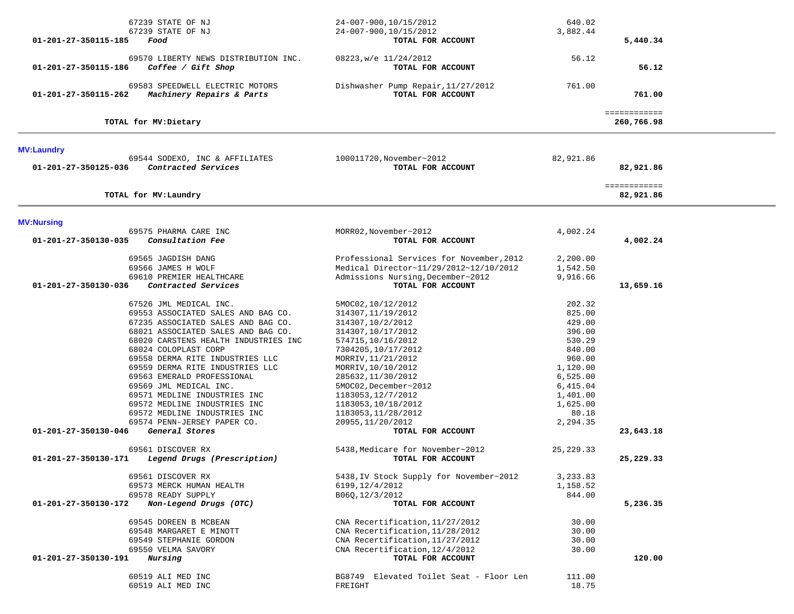| 01-201-27-350115-185 | 67239 STATE OF NJ<br>67239 STATE OF NJ<br>Food               | 24-007-900,10/15/2012<br>24-007-900,10/15/2012<br>TOTAL FOR ACCOUNT                | 640.02<br>3,882.44   | 5,440.34                   |  |
|----------------------|--------------------------------------------------------------|------------------------------------------------------------------------------------|----------------------|----------------------------|--|
| 01-201-27-350115-186 | 69570 LIBERTY NEWS DISTRIBUTION INC.<br>Coffee / Gift Shop   | 08223, w/e 11/24/2012<br>TOTAL FOR ACCOUNT                                         | 56.12                | 56.12                      |  |
| 01-201-27-350115-262 | 69583 SPEEDWELL ELECTRIC MOTORS<br>Machinery Repairs & Parts | Dishwasher Pump Repair, 11/27/2012<br>TOTAL FOR ACCOUNT                            | 761.00               | 761.00                     |  |
|                      | TOTAL for MV: Dietary                                        |                                                                                    |                      | ============<br>260,766.98 |  |
| <b>MV:Laundry</b>    |                                                              |                                                                                    |                      |                            |  |
| 01-201-27-350125-036 | 69544 SODEXO, INC & AFFILIATES<br>Contracted Services        | 100011720, November~2012<br>TOTAL FOR ACCOUNT                                      | 82,921.86            | 82,921.86                  |  |
|                      | TOTAL for MV: Laundry                                        |                                                                                    |                      | ============<br>82,921.86  |  |
| <b>MV:Nursing</b>    |                                                              |                                                                                    |                      |                            |  |
|                      | 69575 PHARMA CARE INC                                        | MORR02, November~2012                                                              | 4,002.24             |                            |  |
| 01-201-27-350130-035 | Consultation Fee                                             | TOTAL FOR ACCOUNT                                                                  |                      | 4,002.24                   |  |
|                      | 69565 JAGDISH DANG<br>69566 JAMES H WOLF                     | Professional Services for November, 2012<br>Medical Director~11/29/2012~12/10/2012 | 2,200.00<br>1,542.50 |                            |  |
|                      | 69610 PREMIER HEALTHCARE                                     | Admissions Nursing, December~2012                                                  | 9,916.66             |                            |  |
| 01-201-27-350130-036 | Contracted Services                                          | TOTAL FOR ACCOUNT                                                                  |                      | 13,659.16                  |  |
|                      | 67526 JML MEDICAL INC.                                       | 5MOC02,10/12/2012                                                                  | 202.32               |                            |  |
|                      | 69553 ASSOCIATED SALES AND BAG CO.                           | 314307, 11/19/2012                                                                 | 825.00               |                            |  |
|                      | 67235 ASSOCIATED SALES AND BAG CO.                           | 314307,10/2/2012                                                                   | 429.00               |                            |  |
|                      | 68021 ASSOCIATED SALES AND BAG CO.                           | 314307,10/17/2012                                                                  | 396.00               |                            |  |
|                      | 68020 CARSTENS HEALTH INDUSTRIES INC                         | 574715,10/16/2012                                                                  | 530.29               |                            |  |
|                      | 68024 COLOPLAST CORP                                         | 7304205,10/17/2012                                                                 | 840.00               |                            |  |
|                      | 69558 DERMA RITE INDUSTRIES LLC                              | MORRIV, 11/21/2012                                                                 | 960.00               |                            |  |
|                      | 69559 DERMA RITE INDUSTRIES LLC                              | MORRIV, 10/10/2012                                                                 | 1,120.00             |                            |  |
|                      | 69563 EMERALD PROFESSIONAL                                   | 285632,11/30/2012                                                                  | 6,525.00             |                            |  |
|                      | 69569 JML MEDICAL INC.                                       | 5MOC02, December~2012                                                              | 6,415.04             |                            |  |
|                      | 69571 MEDLINE INDUSTRIES INC                                 | 1183053, 12/7/2012                                                                 | 1,401.00<br>1,625.00 |                            |  |
|                      | 69572 MEDLINE INDUSTRIES INC<br>69572 MEDLINE INDUSTRIES INC | 1183053,10/18/2012<br>1183053, 11/28/2012                                          | 80.18                |                            |  |
|                      | 69574 PENN-JERSEY PAPER CO.                                  | 20955, 11/20/2012                                                                  | 2,294.35             |                            |  |
| 01-201-27-350130-046 | General Stores                                               | TOTAL FOR ACCOUNT                                                                  |                      | 23,643.18                  |  |
|                      |                                                              |                                                                                    |                      |                            |  |
| 01-201-27-350130-171 | 69561 DISCOVER RX<br>Legend Drugs (Prescription)             | 5438, Medicare for November~2012<br>TOTAL FOR ACCOUNT                              | 25, 229.33           | 25,229.33                  |  |
|                      | 69561 DISCOVER RX                                            | 5438, IV Stock Supply for November~2012                                            | 3,233.83             |                            |  |
|                      | 69573 MERCK HUMAN HEALTH                                     | 6199, 12/4/2012                                                                    | 1,158.52             |                            |  |
|                      | 69578 READY SUPPLY                                           | B06Q, 12/3/2012                                                                    | 844.00               |                            |  |
| 01-201-27-350130-172 | Non-Legend Drugs (OTC)                                       | TOTAL FOR ACCOUNT                                                                  |                      | 5,236.35                   |  |
|                      |                                                              |                                                                                    |                      |                            |  |
|                      | 69545 DOREEN B MCBEAN<br>69548 MARGARET E MINOTT             | CNA Recertification, 11/27/2012                                                    | 30.00                |                            |  |
|                      | 69549 STEPHANIE GORDON                                       | CNA Recertification, 11/28/2012<br>CNA Recertification, 11/27/2012                 | 30.00<br>30.00       |                            |  |
|                      | 69550 VELMA SAVORY                                           | CNA Recertification, 12/4/2012                                                     | 30.00                |                            |  |
| 01-201-27-350130-191 | Nursing                                                      | TOTAL FOR ACCOUNT                                                                  |                      | 120.00                     |  |
|                      |                                                              |                                                                                    |                      |                            |  |
|                      | 60519 ALI MED INC                                            | BG8749 Elevated Toilet Seat - Floor Len                                            | 111.00               |                            |  |
|                      | 60519 ALI MED INC                                            | FREIGHT                                                                            | 18.75                |                            |  |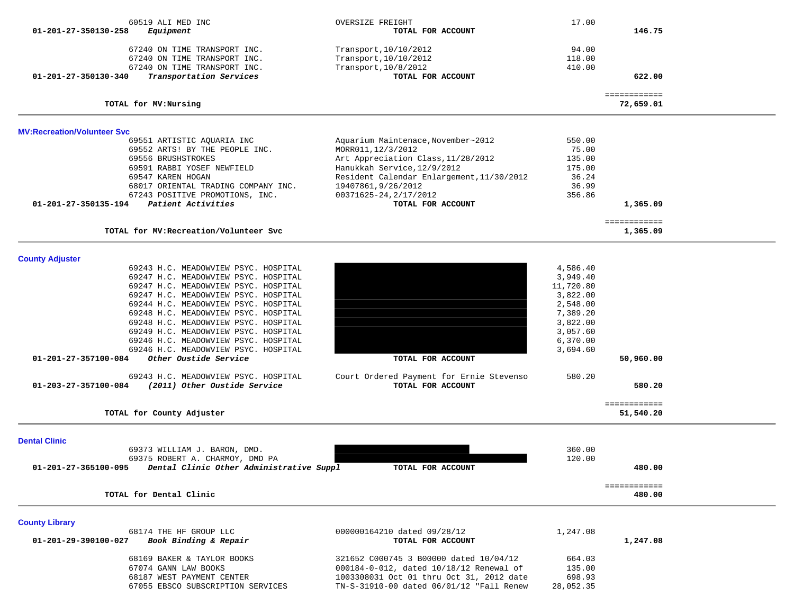| 60519 ALI MED INC<br>01-201-27-350130-258<br>Equipment                                              |                                                                                                                                                                                                                                                                                                                                                                                                                                                                                                               | OVERSIZE FREIGHT<br>TOTAL FOR ACCOUNT                                                                                                                                                                                                           | 17.00                                                                                                                           | 146.75                                           |  |
|-----------------------------------------------------------------------------------------------------|---------------------------------------------------------------------------------------------------------------------------------------------------------------------------------------------------------------------------------------------------------------------------------------------------------------------------------------------------------------------------------------------------------------------------------------------------------------------------------------------------------------|-------------------------------------------------------------------------------------------------------------------------------------------------------------------------------------------------------------------------------------------------|---------------------------------------------------------------------------------------------------------------------------------|--------------------------------------------------|--|
| 01-201-27-350130-340                                                                                | 67240 ON TIME TRANSPORT INC.<br>67240 ON TIME TRANSPORT INC.<br>67240 ON TIME TRANSPORT INC.<br>Transportation Services                                                                                                                                                                                                                                                                                                                                                                                       | Transport, 10/10/2012<br>Transport, 10/10/2012<br>Transport, 10/8/2012<br>TOTAL FOR ACCOUNT                                                                                                                                                     | 94.00<br>118.00<br>410.00                                                                                                       | 622.00                                           |  |
| TOTAL for MV: Nursing                                                                               |                                                                                                                                                                                                                                                                                                                                                                                                                                                                                                               |                                                                                                                                                                                                                                                 |                                                                                                                                 | ============<br>72,659.01                        |  |
| <b>MV:Recreation/Volunteer Svc</b>                                                                  |                                                                                                                                                                                                                                                                                                                                                                                                                                                                                                               |                                                                                                                                                                                                                                                 |                                                                                                                                 |                                                  |  |
| 69556 BRUSHSTROKES<br>69547 KAREN HOGAN<br>01-201-27-350135-194                                     | 69551 ARTISTIC AQUARIA INC<br>69552 ARTS! BY THE PEOPLE INC.<br>69591 RABBI YOSEF NEWFIELD<br>68017 ORIENTAL TRADING COMPANY INC.<br>67243 POSITIVE PROMOTIONS, INC.<br>Patient Activities                                                                                                                                                                                                                                                                                                                    | Aquarium Maintenace, November~2012<br>MORR011, 12/3/2012<br>Art Appreciation Class, 11/28/2012<br>Hanukkah Service, 12/9/2012<br>Resident Calendar Enlargement, 11/30/2012<br>19407861,9/26/2012<br>00371625-24, 2/17/2012<br>TOTAL FOR ACCOUNT | 550.00<br>75.00<br>135.00<br>175.00<br>36.24<br>36.99<br>356.86                                                                 | 1,365.09                                         |  |
|                                                                                                     | TOTAL for MV: Recreation/Volunteer Svc                                                                                                                                                                                                                                                                                                                                                                                                                                                                        |                                                                                                                                                                                                                                                 |                                                                                                                                 | ============<br>1,365.09                         |  |
| <b>County Adjuster</b><br>01-201-27-357100-084<br>01-203-27-357100-084<br>TOTAL for County Adjuster | 69243 H.C. MEADOWVIEW PSYC. HOSPITAL<br>69247 H.C. MEADOWVIEW PSYC. HOSPITAL<br>69247 H.C. MEADOWVIEW PSYC. HOSPITAL<br>69247 H.C. MEADOWVIEW PSYC. HOSPITAL<br>69244 H.C. MEADOWVIEW PSYC. HOSPITAL<br>69248 H.C. MEADOWVIEW PSYC. HOSPITAL<br>69248 H.C. MEADOWVIEW PSYC. HOSPITAL<br>69249 H.C. MEADOWVIEW PSYC. HOSPITAL<br>69246 H.C. MEADOWVIEW PSYC. HOSPITAL<br>69246 H.C. MEADOWVIEW PSYC. HOSPITAL<br>Other Oustide Service<br>69243 H.C. MEADOWVIEW PSYC. HOSPITAL<br>(2011) Other Oustide Service | TOTAL FOR ACCOUNT<br>Court Ordered Payment for Ernie Stevenso<br>TOTAL FOR ACCOUNT                                                                                                                                                              | 4,586.40<br>3,949.40<br>11,720.80<br>3,822.00<br>2,548.00<br>7,389.20<br>3,822.00<br>3,057.60<br>6,370.00<br>3,694.60<br>580.20 | 50,960.00<br>580.20<br>============<br>51,540.20 |  |
| <b>Dental Clinic</b>                                                                                | 69373 WILLIAM J. BARON, DMD.<br>69375 ROBERT A. CHARMOY, DMD PA                                                                                                                                                                                                                                                                                                                                                                                                                                               |                                                                                                                                                                                                                                                 | 360.00<br>120.00                                                                                                                |                                                  |  |
| 01-201-27-365100-095                                                                                | Dental Clinic Other Administrative Suppl                                                                                                                                                                                                                                                                                                                                                                                                                                                                      | TOTAL FOR ACCOUNT                                                                                                                                                                                                                               |                                                                                                                                 | 480.00                                           |  |
| TOTAL for Dental Clinic                                                                             |                                                                                                                                                                                                                                                                                                                                                                                                                                                                                                               |                                                                                                                                                                                                                                                 |                                                                                                                                 | ============<br>480.00                           |  |
| <b>County Library</b><br>01-201-29-390100-027                                                       | 68174 THE HF GROUP LLC<br>Book Binding & Repair                                                                                                                                                                                                                                                                                                                                                                                                                                                               | 000000164210 dated 09/28/12<br>TOTAL FOR ACCOUNT                                                                                                                                                                                                | 1,247.08                                                                                                                        | 1,247.08                                         |  |
|                                                                                                     | 68169 BAKER & TAYLOR BOOKS<br>67074 GANN LAW BOOKS<br>68187 WEST PAYMENT CENTER<br>67055 EBSCO SUBSCRIPTION SERVICES                                                                                                                                                                                                                                                                                                                                                                                          | 321652 C000745 3 B00000 dated 10/04/12<br>000184-0-012, dated 10/18/12 Renewal of<br>1003308031 Oct 01 thru Oct 31, 2012 date<br>TN-S-31910-00 dated 06/01/12 "Fall Renew                                                                       | 664.03<br>135.00<br>698.93<br>28,052.35                                                                                         |                                                  |  |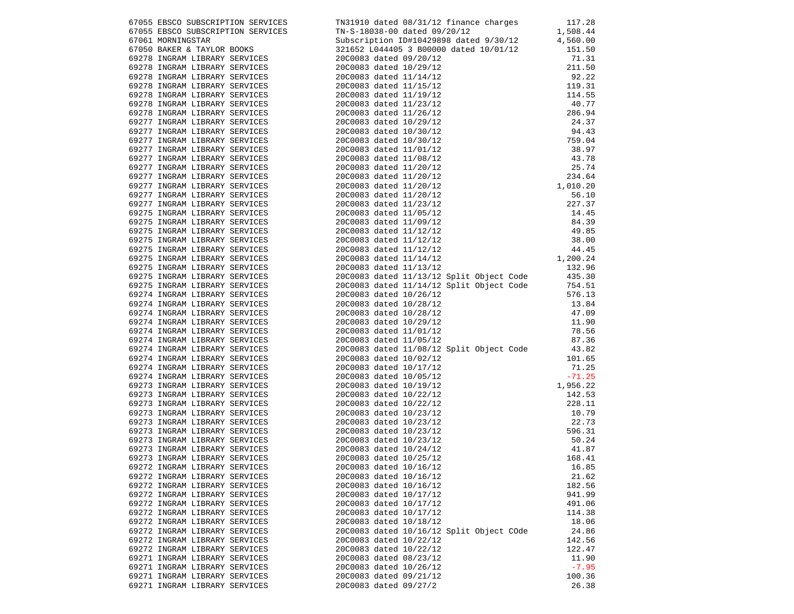|                               | 6/7314 IRROS IRRENTETION SERVICTES (TREAT A DAMES ON CATALLY EINEMEN CHAPACHIES)<br>6/7314 IRROS ERRECT ATOMOTICS SERVICTES (TREAT AND A DAMES A CONSULTANT AND A CONSULTANT CHAPACHIES)<br>6/7314 IRROS ERRECT ATOMOTICS (TREAT |         |
|-------------------------------|----------------------------------------------------------------------------------------------------------------------------------------------------------------------------------------------------------------------------------|---------|
|                               |                                                                                                                                                                                                                                  |         |
|                               |                                                                                                                                                                                                                                  |         |
|                               |                                                                                                                                                                                                                                  |         |
|                               |                                                                                                                                                                                                                                  |         |
|                               |                                                                                                                                                                                                                                  |         |
|                               |                                                                                                                                                                                                                                  |         |
|                               |                                                                                                                                                                                                                                  |         |
|                               |                                                                                                                                                                                                                                  |         |
|                               |                                                                                                                                                                                                                                  |         |
|                               |                                                                                                                                                                                                                                  |         |
|                               |                                                                                                                                                                                                                                  |         |
|                               |                                                                                                                                                                                                                                  |         |
|                               |                                                                                                                                                                                                                                  |         |
|                               |                                                                                                                                                                                                                                  |         |
|                               |                                                                                                                                                                                                                                  |         |
|                               |                                                                                                                                                                                                                                  |         |
|                               |                                                                                                                                                                                                                                  |         |
|                               |                                                                                                                                                                                                                                  |         |
|                               |                                                                                                                                                                                                                                  |         |
|                               |                                                                                                                                                                                                                                  |         |
|                               |                                                                                                                                                                                                                                  |         |
|                               |                                                                                                                                                                                                                                  |         |
|                               |                                                                                                                                                                                                                                  |         |
|                               |                                                                                                                                                                                                                                  |         |
|                               |                                                                                                                                                                                                                                  |         |
|                               |                                                                                                                                                                                                                                  |         |
|                               |                                                                                                                                                                                                                                  |         |
|                               |                                                                                                                                                                                                                                  |         |
|                               |                                                                                                                                                                                                                                  |         |
|                               |                                                                                                                                                                                                                                  |         |
|                               |                                                                                                                                                                                                                                  |         |
|                               |                                                                                                                                                                                                                                  |         |
|                               |                                                                                                                                                                                                                                  |         |
|                               |                                                                                                                                                                                                                                  |         |
|                               |                                                                                                                                                                                                                                  |         |
|                               |                                                                                                                                                                                                                                  |         |
|                               |                                                                                                                                                                                                                                  |         |
|                               |                                                                                                                                                                                                                                  |         |
|                               |                                                                                                                                                                                                                                  |         |
|                               |                                                                                                                                                                                                                                  |         |
|                               |                                                                                                                                                                                                                                  |         |
|                               |                                                                                                                                                                                                                                  |         |
|                               |                                                                                                                                                                                                                                  |         |
|                               |                                                                                                                                                                                                                                  |         |
|                               |                                                                                                                                                                                                                                  |         |
|                               |                                                                                                                                                                                                                                  |         |
|                               |                                                                                                                                                                                                                                  |         |
|                               |                                                                                                                                                                                                                                  |         |
| 69272 INGRAM LIBRARY SERVICES | 20C0083 dated 10/16/12                                                                                                                                                                                                           | 21.62   |
| 69272 INGRAM LIBRARY SERVICES | 20C0083 dated 10/16/12                                                                                                                                                                                                           | 182.56  |
| 69272 INGRAM LIBRARY SERVICES | 20C0083 dated 10/17/12                                                                                                                                                                                                           | 941.99  |
| 69272 INGRAM LIBRARY SERVICES | 20C0083 dated 10/17/12                                                                                                                                                                                                           | 491.06  |
| 69272 INGRAM LIBRARY SERVICES | 20C0083 dated 10/17/12                                                                                                                                                                                                           | 114.38  |
| 69272 INGRAM LIBRARY SERVICES | 20C0083 dated 10/18/12                                                                                                                                                                                                           | 18.06   |
| 69272 INGRAM LIBRARY SERVICES | 20C0083 dated 10/16/12 Split Object COde                                                                                                                                                                                         | 24.86   |
| 69272 INGRAM LIBRARY SERVICES | 20C0083 dated 10/22/12                                                                                                                                                                                                           | 142.56  |
| 69272 INGRAM LIBRARY SERVICES | 20C0083 dated 10/22/12                                                                                                                                                                                                           | 122.47  |
| 69271 INGRAM LIBRARY SERVICES | 20C0083 dated 08/23/12                                                                                                                                                                                                           | 11.90   |
| 69271 INGRAM LIBRARY SERVICES | 20C0083 dated 10/26/12                                                                                                                                                                                                           | $-7.95$ |
| 69271 INGRAM LIBRARY SERVICES | 20C0083 dated 09/21/12                                                                                                                                                                                                           | 100.36  |
| 69271 INGRAM LIBRARY SERVICES | 20C0083 dated 09/27/2                                                                                                                                                                                                            | 26.38   |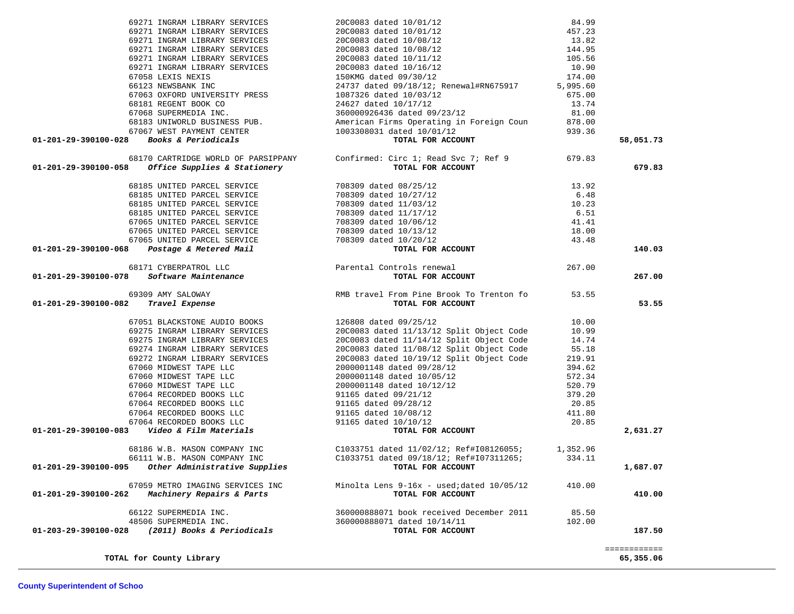|                                     | $01-201-29-390100-028$ Books & Periodicals     | $\begin{tabular}{lllllllllllllllllllll} \textbf{66123 NEWSBANK INC} & & & & & & 24737 \text{ dated } 09/18/12 &; & \text{Renewal#RN675917} & & \textbf{5,995.60} \\ \textbf{67063 OXFORD UNIVERSITY PRESS} & & & & 1087326 \text{ dated } 10/03/12 & & \textbf{675.00} \\ \textbf{68181 RESENT BOOK CO} & & & & 24627 \text{ dated } 10/17/12 & & \textbf{13.74} \\ \textbf{67068 SUEERMEDIA IN$<br>dated 10/01/12<br><b>TOTAL FOR ACCOUNT</b> | 58,051.73    |
|-------------------------------------|------------------------------------------------|------------------------------------------------------------------------------------------------------------------------------------------------------------------------------------------------------------------------------------------------------------------------------------------------------------------------------------------------------------------------------------------------------------------------------------------------|--------------|
|                                     |                                                |                                                                                                                                                                                                                                                                                                                                                                                                                                                |              |
|                                     |                                                | 68170 CARTRIDGE WORLD OF PARSIPPANY Confirmed: Circ 1; Read Svc 7; Ref 9 679.83<br>Ol-201-29-390100-058 Office Supplies & Stationery TOTAL FOR ACCOUNT                                                                                                                                                                                                                                                                                         | 679.83       |
|                                     |                                                |                                                                                                                                                                                                                                                                                                                                                                                                                                                |              |
|                                     |                                                |                                                                                                                                                                                                                                                                                                                                                                                                                                                |              |
|                                     |                                                |                                                                                                                                                                                                                                                                                                                                                                                                                                                |              |
|                                     |                                                |                                                                                                                                                                                                                                                                                                                                                                                                                                                |              |
|                                     |                                                |                                                                                                                                                                                                                                                                                                                                                                                                                                                |              |
|                                     |                                                |                                                                                                                                                                                                                                                                                                                                                                                                                                                |              |
|                                     |                                                |                                                                                                                                                                                                                                                                                                                                                                                                                                                |              |
|                                     |                                                | $\begin{tabular}{c c c c} \hline 68185 \text{ UNITED PARCH} \text{ SERVICE} & \text{258 VICE} & \text{708309 dated 08/25/12} & 13.92 \\ \hline 68185 \text{ UNITED PARCH} \text{ SERVICE} & \text{708309 dated 10/27/12} & 6.48 \\ \hline 68185 \text{ UNITED PARCH} \text{ SERVICE} & \text{708309 dated 11/03/12} & 6.48 \\ \hline 68185 \text{ UNITED PARCH} \text{ SREVICE} & \text{708$                                                   | 140.03       |
|                                     |                                                |                                                                                                                                                                                                                                                                                                                                                                                                                                                |              |
|                                     |                                                |                                                                                                                                                                                                                                                                                                                                                                                                                                                | 267.00       |
|                                     | 69309 AMY SALOWAY                              |                                                                                                                                                                                                                                                                                                                                                                                                                                                |              |
| 01-201-29-390100-082 Travel Expense |                                                | RMB travel From Pine Brook To Trenton fo 53.55<br>TOTAL FOR ACCOUNT                                                                                                                                                                                                                                                                                                                                                                            | 53.55        |
|                                     |                                                |                                                                                                                                                                                                                                                                                                                                                                                                                                                |              |
|                                     |                                                |                                                                                                                                                                                                                                                                                                                                                                                                                                                |              |
|                                     |                                                |                                                                                                                                                                                                                                                                                                                                                                                                                                                |              |
|                                     |                                                |                                                                                                                                                                                                                                                                                                                                                                                                                                                |              |
|                                     |                                                |                                                                                                                                                                                                                                                                                                                                                                                                                                                |              |
|                                     |                                                |                                                                                                                                                                                                                                                                                                                                                                                                                                                |              |
|                                     |                                                |                                                                                                                                                                                                                                                                                                                                                                                                                                                |              |
|                                     |                                                |                                                                                                                                                                                                                                                                                                                                                                                                                                                |              |
|                                     |                                                |                                                                                                                                                                                                                                                                                                                                                                                                                                                |              |
|                                     |                                                |                                                                                                                                                                                                                                                                                                                                                                                                                                                |              |
|                                     |                                                |                                                                                                                                                                                                                                                                                                                                                                                                                                                |              |
|                                     |                                                |                                                                                                                                                                                                                                                                                                                                                                                                                                                |              |
|                                     |                                                |                                                                                                                                                                                                                                                                                                                                                                                                                                                | 2,631.27     |
|                                     |                                                | 68186 W.B. MASON COMPANY INC COMBATHER COMPARY COMPANY COMPANY COMPANY COMPANY COMPANY COMPANY COMPANY COMPANY COMPANY COMPANY COMPANY COMPANY COMPANY COMPANY COMPANY COMPANY COMPANY COMPANY COMPANY COMPANY COMPANY COMPANY                                                                                                                                                                                                                 |              |
|                                     |                                                |                                                                                                                                                                                                                                                                                                                                                                                                                                                |              |
|                                     |                                                |                                                                                                                                                                                                                                                                                                                                                                                                                                                | 1,687.07     |
|                                     |                                                | 67059 METRO IMAGING SERVICES INC Minolta Lens 9-16x - used;dated 10/05/12 410.00                                                                                                                                                                                                                                                                                                                                                               |              |
|                                     | 01-201-29-390100-262 Machinery Repairs & Parts | TOTAL FOR ACCOUNT                                                                                                                                                                                                                                                                                                                                                                                                                              | 410.00       |
|                                     |                                                | 66122 SUPERMEDIA INC.<br>48506 SUPERMEDIA INC.<br><b>201-203-29-390100-028</b> (2011) Books & Periodicals<br><b>201-203-29-390100-028</b> (2011) Books & Periodicals<br><b>201-203-29-390100-028</b> (2011) Books & Periodicals                                                                                                                                                                                                                |              |
|                                     |                                                |                                                                                                                                                                                                                                                                                                                                                                                                                                                |              |
|                                     |                                                |                                                                                                                                                                                                                                                                                                                                                                                                                                                | 187.50       |
|                                     |                                                |                                                                                                                                                                                                                                                                                                                                                                                                                                                | ============ |
|                                     | TOTAL for County Library                       |                                                                                                                                                                                                                                                                                                                                                                                                                                                | 65,355.06    |

 69271 INGRAM LIBRARY SERVICES 20C0083 dated 10/01/12 84.99 69271 INGRAM LIBRARY SERVICES 20C0083 dated 10/01/12 457.23 69271 INGRAM LIBRARY SERVICES 20C0083 dated 10/08/12 13.82 69271 INGRAM LIBRARY SERVICES 20C0083 dated 10/08/12 144.95 69271 INGRAM LIBRARY SERVICES 20C0083 dated 10/11/12 105.56 69271 INGRAM LIBRARY SERVICES 20C0083 dated 10/16/12 10.90 67058 LEXIS NEXIS 150KMG dated 09/30/12 174.00

### **County Superintendent of Schoo**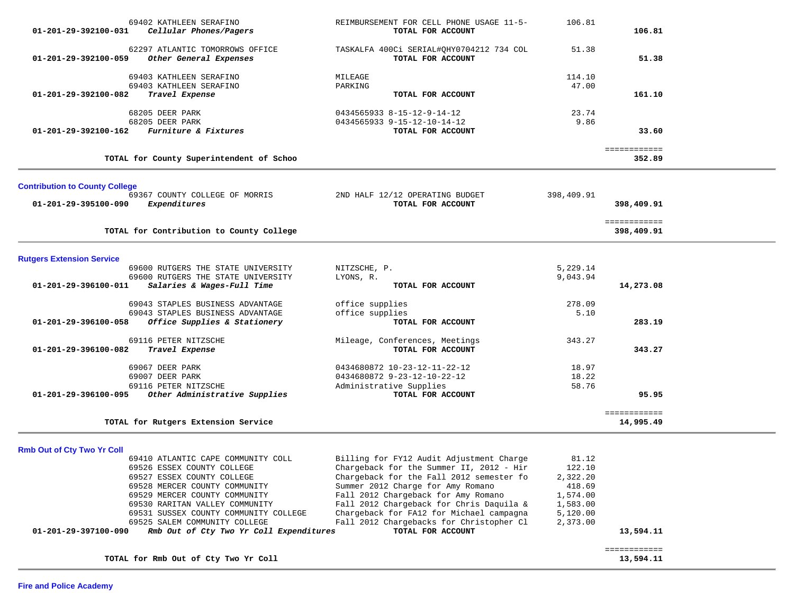| 01-201-29-392100-031                  | 69402 KATHLEEN SERAFINO<br>Cellular Phones/Pagers                        | REIMBURSEMENT FOR CELL PHONE USAGE 11-5-<br>TOTAL FOR ACCOUNT                        | 106.81               | 106.81                     |  |
|---------------------------------------|--------------------------------------------------------------------------|--------------------------------------------------------------------------------------|----------------------|----------------------------|--|
| 01-201-29-392100-059                  | 62297 ATLANTIC TOMORROWS OFFICE<br>Other General Expenses                | TASKALFA 400Ci SERIAL#QHY0704212 734 COL<br>TOTAL FOR ACCOUNT                        | 51.38                | 51.38                      |  |
|                                       | 69403 KATHLEEN SERAFINO                                                  | MILEAGE                                                                              | 114.10               |                            |  |
|                                       | 69403 KATHLEEN SERAFINO                                                  | PARKING                                                                              | 47.00                |                            |  |
| 01-201-29-392100-082                  | Travel Expense                                                           | TOTAL FOR ACCOUNT                                                                    |                      | 161.10                     |  |
|                                       | 68205 DEER PARK                                                          | 0434565933 8-15-12-9-14-12                                                           | 23.74                |                            |  |
|                                       | 68205 DEER PARK                                                          | 0434565933 9-15-12-10-14-12                                                          | 9.86                 |                            |  |
| 01-201-29-392100-162                  | Furniture & Fixtures                                                     | TOTAL FOR ACCOUNT                                                                    |                      | 33.60                      |  |
|                                       | TOTAL for County Superintendent of Schoo                                 |                                                                                      |                      | ============<br>352.89     |  |
| <b>Contribution to County College</b> |                                                                          |                                                                                      |                      |                            |  |
|                                       | 69367 COUNTY COLLEGE OF MORRIS                                           | 2ND HALF 12/12 OPERATING BUDGET                                                      | 398,409.91           |                            |  |
| 01-201-29-395100-090                  | Expenditures                                                             | TOTAL FOR ACCOUNT                                                                    |                      | 398,409.91                 |  |
|                                       | TOTAL for Contribution to County College                                 |                                                                                      |                      | ============<br>398,409.91 |  |
|                                       |                                                                          |                                                                                      |                      |                            |  |
| <b>Rutgers Extension Service</b>      |                                                                          |                                                                                      |                      |                            |  |
|                                       | 69600 RUTGERS THE STATE UNIVERSITY<br>69600 RUTGERS THE STATE UNIVERSITY | NITZSCHE, P.<br>LYONS, R.                                                            | 5,229.14<br>9,043.94 |                            |  |
| 01-201-29-396100-011                  | Salaries & Wages-Full Time                                               | TOTAL FOR ACCOUNT                                                                    |                      | 14,273.08                  |  |
|                                       |                                                                          |                                                                                      |                      |                            |  |
|                                       | 69043 STAPLES BUSINESS ADVANTAGE                                         | office supplies                                                                      | 278.09               |                            |  |
|                                       | 69043 STAPLES BUSINESS ADVANTAGE                                         | office supplies                                                                      | 5.10                 |                            |  |
| 01-201-29-396100-058                  | Office Supplies & Stationery                                             | TOTAL FOR ACCOUNT                                                                    |                      | 283.19                     |  |
|                                       | 69116 PETER NITZSCHE                                                     | Mileage, Conferences, Meetings                                                       | 343.27               |                            |  |
| 01-201-29-396100-082                  | Travel Expense                                                           | TOTAL FOR ACCOUNT                                                                    |                      | 343.27                     |  |
|                                       | 69067 DEER PARK                                                          | 0434680872 10-23-12-11-22-12                                                         | 18.97                |                            |  |
|                                       | 69007 DEER PARK                                                          | 0434680872 9-23-12-10-22-12                                                          | 18.22                |                            |  |
|                                       | 69116 PETER NITZSCHE                                                     | Administrative Supplies                                                              | 58.76                |                            |  |
| 01-201-29-396100-095                  | Other Administrative Supplies                                            | TOTAL FOR ACCOUNT                                                                    |                      | 95.95                      |  |
|                                       | TOTAL for Rutgers Extension Service                                      |                                                                                      |                      | ============<br>14,995.49  |  |
|                                       |                                                                          |                                                                                      |                      |                            |  |
| <b>Rmb Out of Cty Two Yr Coll</b>     |                                                                          |                                                                                      |                      |                            |  |
|                                       | 69410 ATLANTIC CAPE COMMUNITY COLL<br>69526 ESSEX COUNTY COLLEGE         | Billing for FY12 Audit Adjustment Charge<br>Chargeback for the Summer II, 2012 - Hir | 81.12<br>122.10      |                            |  |
|                                       | 69527 ESSEX COUNTY COLLEGE                                               | Chargeback for the Fall 2012 semester fo                                             | 2 322 20             |                            |  |

| 69526 ESSEX COUNTY COLLEGE                                                | Chargeback for the Summer II, 2012 - Hir | 122.10   |           |
|---------------------------------------------------------------------------|------------------------------------------|----------|-----------|
| 69527 ESSEX COUNTY COLLEGE                                                | Chargeback for the Fall 2012 semester fo | 2,322.20 |           |
| 69528 MERCER COUNTY COMMUNITY                                             | Summer 2012 Charge for Amy Romano        | 418.69   |           |
| 69529 MERCER COUNTY COMMUNITY                                             | Fall 2012 Chargeback for Amy Romano      | 1,574.00 |           |
| 69530 RARITAN VALLEY COMMUNITY                                            | Fall 2012 Chargeback for Chris Daguila & | 1,583.00 |           |
| 69531 SUSSEX COUNTY COMMUNITY COLLEGE                                     | Chargeback for FA12 for Michael campagna | 5,120.00 |           |
| 69525 SALEM COMMUNITY COLLEGE                                             | Fall 2012 Chargebacks for Christopher Cl | 2,373.00 |           |
| Rmb Out of Cty Two Yr Coll Expenditures<br>$01 - 201 - 29 - 397100 - 090$ | TOTAL FOR ACCOUNT                        |          | 13,594.11 |
|                                                                           |                                          |          |           |
| TOTAL for Rmb Out of Cty Two Yr Coll                                      |                                          |          | 13,594.11 |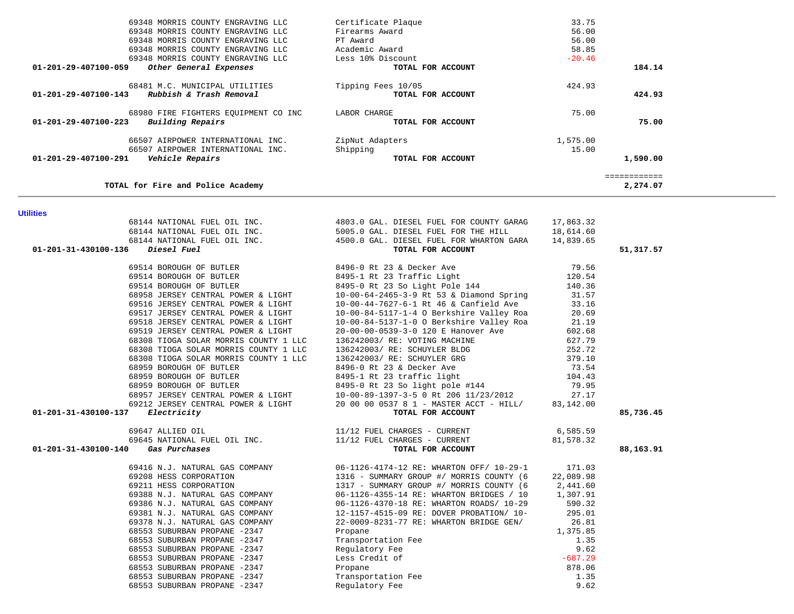| UI-201-29-40/100-143<br>RUDDISH & IIASH REMOVAI                                                                | TOTAL LOR WOOODL                                                                                                                                                                                                            |           | 444.95       |
|----------------------------------------------------------------------------------------------------------------|-----------------------------------------------------------------------------------------------------------------------------------------------------------------------------------------------------------------------------|-----------|--------------|
| 68980 FIRE FIGHTERS EQUIPMENT CO INC LABOR CHARGE<br>01-201-29-407100-223<br>Building Repairs                  | TOTAL FOR ACCOUNT                                                                                                                                                                                                           | 75.00     | 75.00        |
| 66507 AIRPOWER INTERNATIONAL INC.                                                                              | ZipNut Adapters                                                                                                                                                                                                             | 1,575.00  |              |
| 66507 AIRPOWER INTERNATIONAL INC.                                                                              | Shipping                                                                                                                                                                                                                    | 15.00     |              |
| 01-201-29-407100-291<br>Vehicle Repairs                                                                        | <sub>cers</sub><br>TOTAL FOR ACCOUNT                                                                                                                                                                                        |           | 1,590.00     |
|                                                                                                                |                                                                                                                                                                                                                             |           | ============ |
| TOTAL for Fire and Police Academy                                                                              |                                                                                                                                                                                                                             |           | 2,274.07     |
| <b>Utilities</b>                                                                                               |                                                                                                                                                                                                                             |           |              |
|                                                                                                                | 68144 NATIONAL FUEL OIL INC.<br>68144 NATIONAL FUEL OIL INC.<br>68144 NATIONAL FUEL OIL INC.<br>5005.0 GAL. DIESEL FUEL FOR THE HILL<br>4500.0 GAL. DIESEL FUEL FOR WHARTON GARA<br>14,839.65<br>FOR MATIONAL TARIONAL INC. |           |              |
|                                                                                                                |                                                                                                                                                                                                                             |           |              |
|                                                                                                                |                                                                                                                                                                                                                             |           |              |
| Diesel Fuel<br>01-201-31-430100-136                                                                            | TOTAL FOR ACCOUNT                                                                                                                                                                                                           |           | 51,317.57    |
| 69514 BOROUGH OF BUTLER                                                                                        | 8496-0 Rt 23 & Decker Ave<br>8495-1 Rt 23 Traffic Light<br>8495-0 Rt 23 So Light Pole 144                                                                                                                                   | 79.56     |              |
| 69514 BOROUGH OF BUTLER                                                                                        |                                                                                                                                                                                                                             | 120.54    |              |
| 69514 BOROUGH OF BUTLER                                                                                        |                                                                                                                                                                                                                             | 140.36    |              |
|                                                                                                                | 10-00-64-2465-3-9 Rt 53 & Diamond Spring                                                                                                                                                                                    | 31.57     |              |
| 68958 JERSEY CENTRAL POWER & LIGHT<br>69516 JERSEY CENTRAL POWER & LIGHT<br>69516 JERSEY CENTRAL POWER & LIGHT | 10-00-44-7627-6-1 Rt 46 & Canfield Ave                                                                                                                                                                                      | 33.16     |              |
| 69517 JERSEY CENTRAL POWER & LIGHT                                                                             | 10-00-84-5117-1-4 O Berkshire Valley Roa                                                                                                                                                                                    | 20.69     |              |
| 69518 JERSEY CENTRAL POWER & LIGHT                                                                             | 10-00-84-5137-1-0 O Berkshire Valley Roa                                                                                                                                                                                    | 21.19     |              |
| 69519 JERSEY CENTRAL POWER & LIGHT                                                                             | 20-00-00-0539-3-0 120 E Hanover Ave                                                                                                                                                                                         | 602.68    |              |
| 68308 TIOGA SOLAR MORRIS COUNTY 1 LLC                                                                          | 136242003/ RE: VOTING MACHINE                                                                                                                                                                                               | 627.79    |              |
| 68308 TIOGA SOLAR MORRIS COUNTY 1 LLC                                                                          | 136242003/ RE: SCHUYLER BLDG                                                                                                                                                                                                | 252.72    |              |
| 68308 TIOGA SOLAR MORRIS COUNTY 1 LLC                                                                          | 136242003/ RE: SCHUYLER GRG                                                                                                                                                                                                 | 379.10    |              |
| 68959 BOROUGH OF BUTLER                                                                                        | 8496-0 Rt 23 & Decker Ave<br>8495-1 Rt 23 traffic light<br>8495-0 Rt 23 So light pole in 1                                                                                                                                  | 73.54     |              |
| 68959 BOROUGH OF BUTLER                                                                                        |                                                                                                                                                                                                                             | 104.43    |              |
| 68959 BOROUGH OF BUTLER                                                                                        | 8495-0 Rt 23 So light pole #144                                                                                                                                                                                             | 79.95     |              |
|                                                                                                                |                                                                                                                                                                                                                             | 27.17     |              |
|                                                                                                                |                                                                                                                                                                                                                             | 83,142.00 |              |
| 01-201-31-430100-137                                                                                           | 68959 BOROUGH OF BUILLER<br>68957 JERSEY CENTRAL POWER & LIGHT<br>69212 JERSEY CENTRAL POWER & LIGHT<br>7 Electricity<br>7 Electricity<br>7 Electricity<br>7 Electricity                                                    |           | 85,736.45    |
|                                                                                                                | 69647 ALLIED OIL<br>69645 NATIONAL FUEL OIL INC.<br>69645 NATIONAL FUEL OIL INC.<br>11/12 FUEL CHARGES - CURRENT                                                                                                            | 6,585.59  |              |
|                                                                                                                |                                                                                                                                                                                                                             | 81,578.32 |              |
| $01 - 201 - 31 - 430100 - 140$<br>Gas Purchases                                                                | TOTAL FOR ACCOUNT                                                                                                                                                                                                           |           | 88,163.91    |
|                                                                                                                | 69416 N.J. NATURAL GAS COMPANY 06-1126-4174-12 RE: WHARTON OFF/ 10-29-1                                                                                                                                                     | 171.03    |              |
| 69208 HESS CORPORATION                                                                                         | 1316 - SUMMARY GROUP #/ MORRIS COUNTY (6                                                                                                                                                                                    | 22,089.98 |              |
| 69211 HESS CORPORATION                                                                                         | 1317 - SUMMARY GROUP #/ MORRIS COUNTY (6                                                                                                                                                                                    | 2,441.60  |              |
| 69388 N.J. NATURAL GAS COMPANY                                                                                 | 06-1126-4355-14 RE: WHARTON BRIDGES / 10                                                                                                                                                                                    | 1,307.91  |              |
| 69386 N.J. NATURAL GAS COMPANY                                                                                 | 06-1126-4370-18 RE: WHARTON ROADS/ 10-29                                                                                                                                                                                    | 590.32    |              |
| 69381 N.J. NATURAL GAS COMPANY                                                                                 | 12-1157-4515-09 RE: DOVER PROBATION/ 10-                                                                                                                                                                                    | 295.01    |              |
| 69378 N.J. NATURAL GAS COMPANY                                                                                 | 22-0009-8231-77 RE: WHARTON BRIDGE GEN/                                                                                                                                                                                     | 26.81     |              |
| 68553 SUBURBAN PROPANE -2347                                                                                   | Propane                                                                                                                                                                                                                     | 1,375.85  |              |
| 68553 SUBURBAN PROPANE -2347                                                                                   | Propane<br>Transportation Fee<br>Regulatory Fee<br>Less Credit of<br>Propane<br>Transportation Fee<br>Regulatory Fee                                                                                                        | 1.35      |              |
| 68553 SUBURBAN PROPANE -2347                                                                                   |                                                                                                                                                                                                                             | 9.62      |              |
| 68553 SUBURBAN PROPANE -2347                                                                                   |                                                                                                                                                                                                                             | $-687.29$ |              |
| 68553 SUBURBAN PROPANE -2347                                                                                   |                                                                                                                                                                                                                             | 878.06    |              |
| 68553 SUBURBAN PROPANE -2347                                                                                   |                                                                                                                                                                                                                             | 1.35      |              |
| 68553 SUBURBAN PROPANE -2347                                                                                   | Regulatory Fee                                                                                                                                                                                                              | 9.62      |              |

| 69348 MORRIS COUNTY ENGRAVING LLC                  | Certificate Plaque | 33.75        |  |
|----------------------------------------------------|--------------------|--------------|--|
| 69348 MORRIS COUNTY ENGRAVING LLC                  | Firearms Award     | 56.00        |  |
| 69348 MORRIS COUNTY ENGRAVING LLC                  | PT Award           | 56.00        |  |
| 69348 MORRIS COUNTY ENGRAVING LLC                  | Academic Award     | 58.85        |  |
| 69348 MORRIS COUNTY ENGRAVING LLC                  | Less 10% Discount  | $-20.46$     |  |
| 01-201-29-407100-059<br>Other General Expenses     | TOTAL FOR ACCOUNT  | 184.14       |  |
| 68481 M.C. MUNICIPAL UTILITIES                     | Tipping Fees 10/05 | 424.93       |  |
| 01-201-29-407100-143<br>Rubbish & Trash Removal    | TOTAL FOR ACCOUNT  | 424.93       |  |
| 68980 FIRE FIGHTERS EOUIPMENT CO INC               | LABOR CHARGE       | 75.00        |  |
| Building Repairs<br>$01 - 201 - 29 - 407100 - 223$ | TOTAL FOR ACCOUNT  | 75.00        |  |
| 66507 AIRPOWER INTERNATIONAL INC.                  | ZipNut Adapters    | 1,575.00     |  |
| 66507 AIRPOWER INTERNATIONAL INC.                  | Shipping           | 15.00        |  |
| 01-201-29-407100-291<br>Vehicle Repairs            | TOTAL FOR ACCOUNT  | 1,590.00     |  |
|                                                    |                    | ============ |  |
| TOTAL for Fire and Police Academy                  |                    | 2,274.07     |  |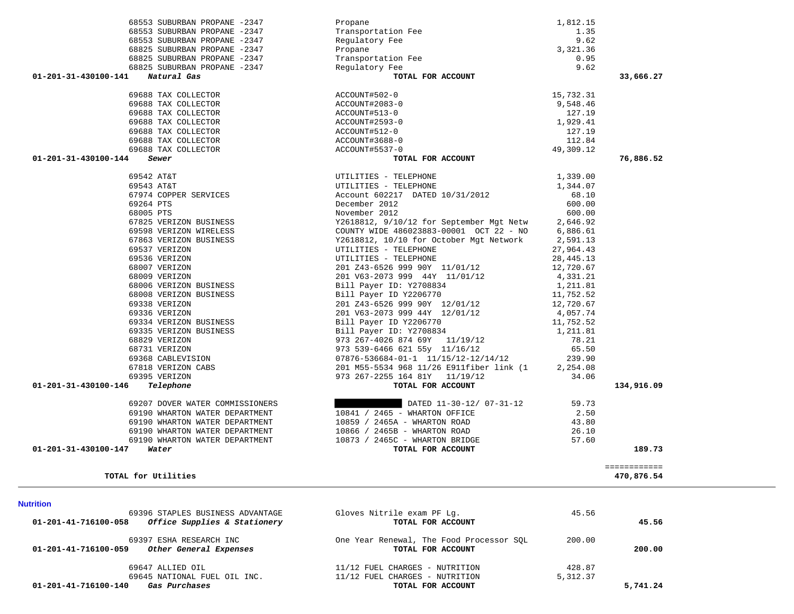| 01-201-41-716100-058 | 69396 STAPLES BUSINESS ADVANTAGE<br>Office Supplies & Stationery | Gloves Nitrile exam PF Lq.<br>TOTAL FOR ACCOUNT               | 45.56    | 45.56    |
|----------------------|------------------------------------------------------------------|---------------------------------------------------------------|----------|----------|
| 01-201-41-716100-059 | 69397 ESHA RESEARCH INC<br>Other General Expenses                | One Year Renewal, The Food Processor SOL<br>TOTAL FOR ACCOUNT | 200.00   | 200.00   |
|                      | 69647 ALLIED OIL                                                 | 11/12 FUEL CHARGES - NUTRITION                                | 428.87   |          |
|                      | 69645 NATIONAL FUEL OIL INC.                                     | 11/12 FUEL CHARGES - NUTRITION                                | 5,312.37 |          |
| 01-201-41-716100-140 | Gas Purchases                                                    | TOTAL FOR ACCOUNT                                             |          | 5,741.24 |

============

**TOTAL for Utilities 470,876.54**

 **01-201-31-430100-147** *Water* **TOTAL FOR ACCOUNT 189.73**

# **Nutrition**

|                                | 67863 VERIZON BUSINESS          | Y2618812, 10/10 for October Mgt Network 2,591.13                            |       |            |
|--------------------------------|---------------------------------|-----------------------------------------------------------------------------|-------|------------|
|                                | 69537 VERIZON                   | UTILITIES - TELEPHONE 27,964.43                                             |       |            |
|                                | 69536 VERIZON                   | UTILITIES - TELEPHONE 28,445.13                                             |       |            |
|                                | 68007 VERIZON                   | 201 Z43-6526 999 90Y 11/01/12 12,720.67                                     |       |            |
|                                | 68009 VERIZON                   | 201 V63-2073 999 44Y 11/01/12 4,331.21                                      |       |            |
|                                | 68006 VERIZON BUSINESS          | Bill Payer ID: Y2708834 1,211.81                                            |       |            |
|                                | 68008 VERIZON BUSINESS          |                                                                             |       |            |
|                                | 69338 VERIZON                   | Bill Payer ID Y2206770 11,752.52<br>201 243-6526 999 90Y 12/01/12 12,720.67 |       |            |
|                                | 69336 VERIZON                   | 201 V63-2073 999 44Y 12/01/12 4,057.74                                      |       |            |
|                                | 69334 VERIZON BUSINESS          | Bill Payer ID Y2206770 11,752.52                                            |       |            |
|                                | 69335 VERIZON BUSINESS          | Bill Payer ID: Y2708834 1,211.81                                            |       |            |
|                                | 68829 VERIZON                   | 973 267-4026 874 69Y 11/19/12 78.21                                         |       |            |
|                                | 68731 VERIZON                   | 973 539-6466 621 55y 11/16/12 65.50                                         |       |            |
|                                | 69368 CABLEVISION               | $07876 - 536684 - 01 - 1$ $11/15/12 - 12/14/12$ 239.90                      |       |            |
|                                | 67818 VERIZON CABS              | 201 M55-5534 968 11/26 E911fiber link (1 2,254.08                           |       |            |
|                                | 69395 VERIZON                   | 973 267-2255 164 81Y 11/19/12 34.06                                         |       |            |
| 01-201-31-430100-146 Telephone |                                 | TOTAL FOR ACCOUNT                                                           |       | 134,916.09 |
|                                | 69207 DOVER WATER COMMISSIONERS | DATED 11-30-12/ 07-31-12                                                    | 59.73 |            |
|                                | 69190 WHARTON WATER DEPARTMENT  | 10841 / 2465 - WHARTON OFFICE 2.50                                          |       |            |
|                                | 69190 WHARTON WATER DEPARTMENT  | 10859 / 2465A - WHARTON ROAD                                                | 43.80 |            |
|                                | 69190 WHARTON WATER DEPARTMENT  | 10866 / 2465B - WHARTON ROAD                                                | 26.10 |            |
|                                | 69190 WHARTON WATER DEPARTMENT  | 10873 / 2465C - WHARTON BRIDGE                                              | 57.60 |            |

### 68825 SUBURBAN PROPANE -2347 68825 SUBURBAN PROPANE -2347 68825 SUBURBAN PROPANE -2347 01-201-31-430100-141 **Natural Gas** 69688 TAX COLLECTOR 69688 TAX COLLECTOR 69688 TAX COLLECTOR 69688 TAX COLLECTOR 69688 TAX COLLECTOR 69688 TAX COLLECTOR 69688 TAX COLLECTOR 01-201-31-430100-144 *Sewer*

| 68553 SUBURBAN PROPANE -2347        | Propane                                           | 1,812.15    |           |
|-------------------------------------|---------------------------------------------------|-------------|-----------|
| 68553 SUBURBAN PROPANE -2347        | Transportation Fee                                | 1.35        |           |
| 68553 SUBURBAN PROPANE -2347        | Regulatory Fee                                    | 9.62        |           |
| 68825 SUBURBAN PROPANE -2347        | Propane                                           | 3,321.36    |           |
| 68825 SUBURBAN PROPANE -2347        | Transportation Fee                                | 0.95        |           |
| 68825 SUBURBAN PROPANE -2347        | Regulatory Fee                                    | 9.62        |           |
| Natural Gas<br>01-201-31-430100-141 | TOTAL FOR ACCOUNT                                 |             | 33,666.27 |
| 69688 TAX COLLECTOR                 | ACCOUNT#502-0                                     | 15,732.31   |           |
| 69688 TAX COLLECTOR                 | ACCOUNT#2083-0                                    | 9,548.46    |           |
| 69688 TAX COLLECTOR                 | ACCOUNT#513-0                                     | 127.19      |           |
| 69688 TAX COLLECTOR                 | ACCOUNT#2593-0                                    | 1,929.41    |           |
| 69688 TAX COLLECTOR                 | ACCOUNT#512-0                                     | 127.19      |           |
| 69688 TAX COLLECTOR                 | ACCOUNT#3688-0                                    | 112.84      |           |
| 69688 TAX COLLECTOR                 | ACCOUNT#5537-0                                    | 49,309.12   |           |
| 01-201-31-430100-144<br>Sewer       | TOTAL FOR ACCOUNT                                 |             | 76,886.52 |
| 69542 AT&T                          | UTILITIES - TELEPHONE                             | 1,339.00    |           |
| 69543 AT&T                          | UTILITIES - TELEPHONE                             | 1,344.07    |           |
| 67974 COPPER SERVICES               | Account 602217 DATED 10/31/2012                   | 68.10       |           |
| 69264 PTS                           | December 2012                                     | 600.00      |           |
| 68005 PTS                           | November 2012                                     | 600.00      |           |
| 67825 VERIZON BUSINESS              | Y2618812, 9/10/12 for September Mgt Netw 2,646.92 |             |           |
| 69598 VERIZON WIRELESS              | COUNTY WIDE 486023883-00001 OCT 22 - NO           | 6,886.61    |           |
| 67863 VERIZON BUSINESS              | Y2618812, 10/10 for October Mgt Network 2,591.13  |             |           |
| 69537 VERIZON                       | UTILITIES - TELEPHONE                             | 27,964.43   |           |
| 69536 VERIZON                       | UTILITIES - TELEPHONE                             | 28, 445. 13 |           |
| 68007 VERIZON                       | 201 Z43-6526 999 90Y 11/01/12                     | 12,720.67   |           |
| 68009 VERIZON                       | 201 V63-2073 999 44Y 11/01/12 4,331.21            |             |           |
| 68006 VERIZON BUSINESS              | Bill Payer ID: Y2708834                           | 1,211.81    |           |
| 68008 VERIZON BUSINESS              | Bill Payer ID Y2206770                            | 11,752.52   |           |
| 69338 VERIZON                       | 201 Z43-6526 999 90Y 12/01/12                     | 12,720.67   |           |
| 69336 VERIZON                       | 201 V63-2073 999 44Y 12/01/12                     | 4,057.74    |           |
| 69334 VERIZON BUSINESS              | Bill Payer ID Y2206770                            | 11,752.52   |           |

189.73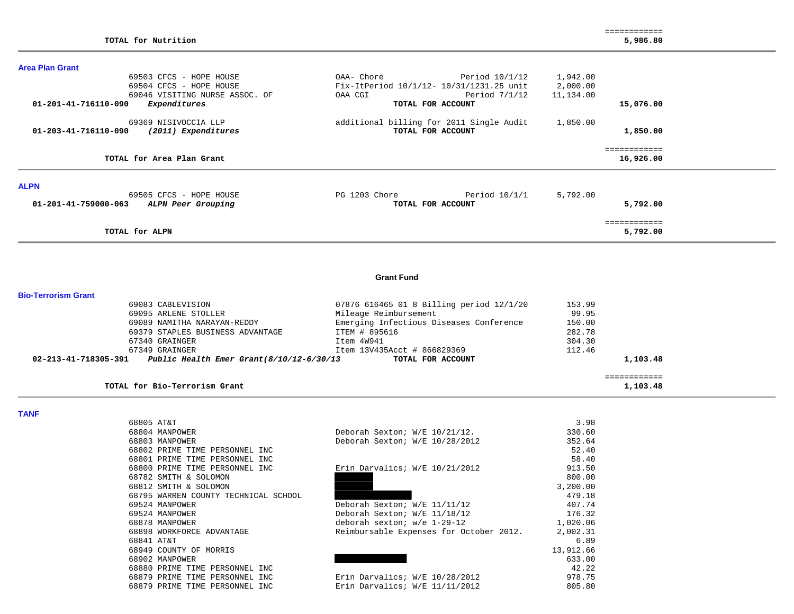| <b>Area Plan Grant</b> |                                |               |                                          |           |              |  |
|------------------------|--------------------------------|---------------|------------------------------------------|-----------|--------------|--|
|                        | 69503 CFCS - HOPE HOUSE        | OAA- Chore    | Period 10/1/12                           | 1,942.00  |              |  |
|                        | 69504 CFCS - HOPE HOUSE        |               | Fix-ItPeriod 10/1/12- 10/31/1231.25 unit | 2,000.00  |              |  |
|                        | 69046 VISITING NURSE ASSOC. OF | OAA CGI       | Period 7/1/12                            | 11,134.00 |              |  |
| 01-201-41-716110-090   | Expenditures                   |               | TOTAL FOR ACCOUNT                        |           | 15,076.00    |  |
|                        | 69369 NISIVOCCIA LLP           |               | additional billing for 2011 Single Audit | 1,850.00  |              |  |
| 01-203-41-716110-090   | (2011) Expenditures            |               | TOTAL FOR ACCOUNT                        |           | 1,850.00     |  |
|                        |                                |               |                                          |           | ============ |  |
|                        | TOTAL for Area Plan Grant      |               |                                          |           | 16,926.00    |  |
| <b>ALPN</b>            |                                |               |                                          |           |              |  |
|                        | 69505 CFCS - HOPE HOUSE        | PG 1203 Chore | Period $10/1/1$                          | 5,792.00  |              |  |
| 01-201-41-759000-063   | ALPN Peer Grouping             |               | TOTAL FOR ACCOUNT                        |           | 5,792.00     |  |
|                        |                                |               |                                          |           | ============ |  |
|                        | TOTAL for ALPN                 |               |                                          |           | 5,792.00     |  |

#### **Grant Fund**

| Bio-Terrorism Grant |  |
|---------------------|--|
|---------------------|--|

| TOTAL for Bio-Terrorism Grant  |                                           |                                          |        | 1,103.48 |
|--------------------------------|-------------------------------------------|------------------------------------------|--------|----------|
| $02 - 213 - 41 - 718305 - 391$ | Public Health Emer Grant (8/10/12-6/30/13 | TOTAL FOR ACCOUNT                        |        | 1,103.48 |
| 67349 GRAINGER                 |                                           | Item 13V435Acct # 866829369              | 112.46 |          |
| 67340 GRAINGER                 |                                           | Item 4W941                               | 304.30 |          |
|                                | 69379 STAPLES BUSINESS ADVANTAGE          | ITEM # 895616                            | 282.78 |          |
|                                | 69089 NAMITHA NARAYAN-REDDY               | Emerging Infectious Diseases Conference  | 150.00 |          |
| 69095 ARLENE STOLLER           |                                           | Mileage Reimbursement                    | 99.95  |          |
| 69083 CABLEVISION              |                                           | 07876 616465 01 8 Billing period 12/1/20 | 153.99 |          |

**TANF** 

| 68805 AT&T                           |                                         | 3.98      |
|--------------------------------------|-----------------------------------------|-----------|
| 68804 MANPOWER                       | Deborah Sexton; W/E 10/21/12.           | 330.60    |
| 68803 MANPOWER                       | Deborah Sexton; W/E 10/28/2012          | 352.64    |
| 68802 PRIME TIME PERSONNEL INC       |                                         | 52.40     |
| 68801 PRIME TIME PERSONNEL INC       |                                         | 58.40     |
| 68800 PRIME TIME PERSONNEL INC       | Erin Darvalics; $W/E$ 10/21/2012        | 913.50    |
| 68782 SMITH & SOLOMON                |                                         | 800.00    |
| 68812 SMITH & SOLOMON                |                                         | 3,200.00  |
| 68795 WARREN COUNTY TECHNICAL SCHOOL |                                         | 479.18    |
| 69524 MANPOWER                       | Deborah Sexton; W/E 11/11/12            | 407.74    |
| 69524 MANPOWER                       | Deborah Sexton; W/E 11/18/12            | 176.32    |
| 68878 MANPOWER                       | deborah sexton; w/e 1-29-12             | 1,020.06  |
| 68898 WORKFORCE ADVANTAGE            | Reimbursable Expenses for October 2012. | 2,002.31  |
| 68841 AT&T                           |                                         | 6.89      |
| 68949 COUNTY OF MORRIS               |                                         | 13,912.66 |
| 68902 MANPOWER                       |                                         | 633.00    |
| 68880 PRIME TIME PERSONNEL INC       |                                         | 42.22     |
| 68879 PRIME TIME PERSONNEL INC       | Erin Darvalics; W/E 10/28/2012          | 978.75    |
| 68879 PRIME TIME PERSONNEL INC       | Erin Darvalics; W/E 11/11/2012          | 805.80    |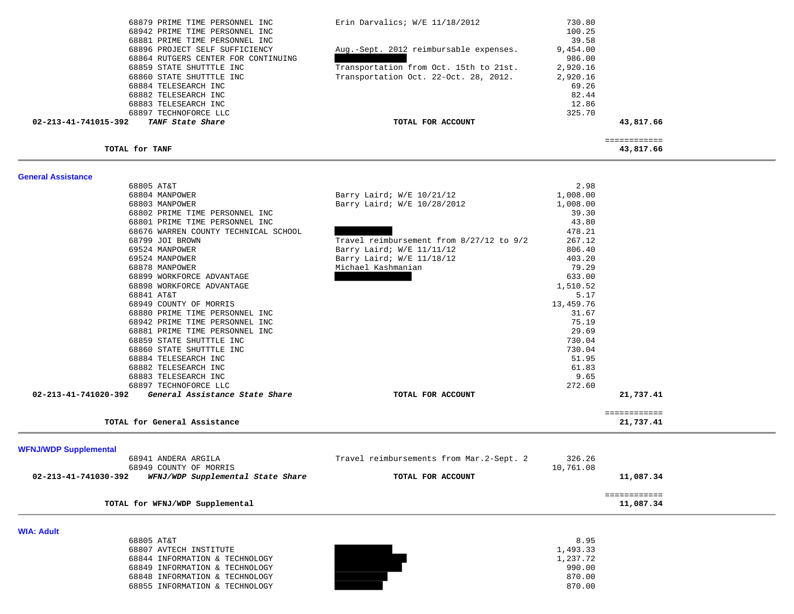| 68879 PRIME TIME PERSONNEL INC                                   | Erin Darvalics; W/E 11/18/2012            | 730.80               |                           |  |
|------------------------------------------------------------------|-------------------------------------------|----------------------|---------------------------|--|
| 68942 PRIME TIME PERSONNEL INC                                   |                                           | 100.25               |                           |  |
| 68881 PRIME TIME PERSONNEL INC<br>68896 PROJECT SELF SUFFICIENCY | Aug.-Sept. 2012 reimbursable expenses.    | 39.58<br>9,454.00    |                           |  |
| 68864 RUTGERS CENTER FOR CONTINUING                              |                                           | 986.00               |                           |  |
| 68859 STATE SHUTTTLE INC                                         | Transportation from Oct. 15th to 21st.    | 2,920.16             |                           |  |
| 68860 STATE SHUTTTLE INC                                         | Transportation Oct. 22-Oct. 28, 2012.     | 2,920.16             |                           |  |
| 68884 TELESEARCH INC                                             |                                           | 69.26                |                           |  |
| 68882 TELESEARCH INC                                             |                                           | 82.44                |                           |  |
| 68883 TELESEARCH INC                                             |                                           | 12.86                |                           |  |
| 68897 TECHNOFORCE LLC                                            |                                           | 325.70               |                           |  |
| 02-213-41-741015-392<br>TANF State Share                         | TOTAL FOR ACCOUNT                         |                      | 43,817.66                 |  |
| TOTAL for TANF                                                   |                                           |                      | ============<br>43,817.66 |  |
|                                                                  |                                           |                      |                           |  |
| <b>General Assistance</b><br>68805 AT&T                          |                                           | 2.98                 |                           |  |
| 68804 MANPOWER                                                   | Barry Laird; W/E 10/21/12                 | 1,008.00             |                           |  |
| 68803 MANPOWER                                                   | Barry Laird; W/E 10/28/2012               | 1,008.00             |                           |  |
| 68802 PRIME TIME PERSONNEL INC                                   |                                           | 39.30                |                           |  |
| 68801 PRIME TIME PERSONNEL INC                                   |                                           | 43.80                |                           |  |
| 68676 WARREN COUNTY TECHNICAL SCHOOL                             |                                           | 478.21               |                           |  |
| 68799 JOI BROWN                                                  | Travel reimbursement from 8/27/12 to 9/2  | 267.12               |                           |  |
| 69524 MANPOWER                                                   | Barry Laird; W/E 11/11/12                 | 806.40               |                           |  |
| 69524 MANPOWER                                                   | Barry Laird; W/E 11/18/12                 | 403.20               |                           |  |
| 68878 MANPOWER                                                   | Michael Kashmanian                        | 79.29                |                           |  |
| 68899 WORKFORCE ADVANTAGE                                        |                                           | 633.00               |                           |  |
| 68898 WORKFORCE ADVANTAGE                                        |                                           | 1,510.52             |                           |  |
| 68841 AT&T                                                       |                                           | 5.17<br>13,459.76    |                           |  |
| 68949 COUNTY OF MORRIS                                           |                                           | 31.67                |                           |  |
| 68880 PRIME TIME PERSONNEL INC<br>68942 PRIME TIME PERSONNEL INC |                                           | 75.19                |                           |  |
| 68881 PRIME TIME PERSONNEL INC                                   |                                           | 29.69                |                           |  |
| 68859 STATE SHUTTTLE INC                                         |                                           | 730.04               |                           |  |
| 68860 STATE SHUTTTLE INC                                         |                                           | 730.04               |                           |  |
| 68884 TELESEARCH INC                                             |                                           | 51.95                |                           |  |
| 68882 TELESEARCH INC                                             |                                           | 61.83                |                           |  |
| 68883 TELESEARCH INC                                             |                                           | 9.65                 |                           |  |
| 68897 TECHNOFORCE LLC                                            |                                           | 272.60               |                           |  |
| 02-213-41-741020-392<br>General Assistance State Share           | TOTAL FOR ACCOUNT                         |                      | 21,737.41                 |  |
| TOTAL for General Assistance                                     |                                           |                      | ============<br>21,737.41 |  |
|                                                                  |                                           |                      |                           |  |
| <b>WFNJ/WDP Supplemental</b>                                     |                                           |                      |                           |  |
| 68941 ANDERA ARGILA<br>68949 COUNTY OF MORRIS                    | Travel reimbursements from Mar. 2-Sept. 2 | 326.26               |                           |  |
| 02-213-41-741030-392                                             |                                           | 10,761.08            |                           |  |
| WFNJ/WDP Supplemental State Share                                | TOTAL FOR ACCOUNT                         |                      | 11,087.34                 |  |
| TOTAL for WFNJ/WDP Supplemental                                  |                                           |                      | ============<br>11,087.34 |  |
|                                                                  |                                           |                      |                           |  |
| <b>WIA: Adult</b>                                                |                                           |                      |                           |  |
| 68805 AT&T                                                       |                                           | 8.95                 |                           |  |
| 68807 AVTECH INSTITUTE<br>68844 INFORMATION & TECHNOLOGY         |                                           | 1,493.33<br>1,237.72 |                           |  |
| 68849 INFORMATION & TECHNOLOGY                                   |                                           | 990.00               |                           |  |
| 68848 INFORMATION & TECHNOLOGY                                   |                                           | 870.00               |                           |  |
| 68855 INFORMATION & TECHNOLOGY                                   |                                           | 870.00               |                           |  |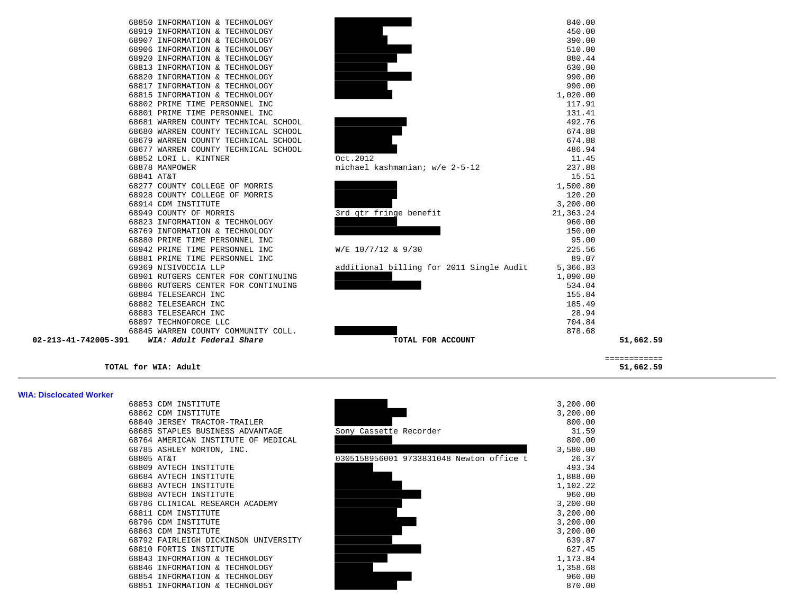|                      | 68850 INFORMATION & TECHNOLOGY       |                                          | 840.00    |
|----------------------|--------------------------------------|------------------------------------------|-----------|
|                      | 68919 INFORMATION & TECHNOLOGY       |                                          | 450.00    |
|                      | 68907 INFORMATION & TECHNOLOGY       |                                          | 390.00    |
|                      | 68906 INFORMATION & TECHNOLOGY       |                                          | 510.00    |
|                      | 68920 INFORMATION & TECHNOLOGY       |                                          | 880.44    |
|                      | 68813 INFORMATION & TECHNOLOGY       |                                          | 630.00    |
|                      | 68820 INFORMATION & TECHNOLOGY       |                                          | 990.00    |
|                      | 68817 INFORMATION & TECHNOLOGY       |                                          | 990.00    |
|                      | 68815 INFORMATION & TECHNOLOGY       |                                          | 1,020.00  |
|                      | 68802 PRIME TIME PERSONNEL INC       |                                          | 117.91    |
|                      | 68801 PRIME TIME PERSONNEL INC       |                                          | 131.41    |
|                      | 68681 WARREN COUNTY TECHNICAL SCHOOL |                                          | 492.76    |
|                      | 68680 WARREN COUNTY TECHNICAL SCHOOL |                                          | 674.88    |
|                      | 68679 WARREN COUNTY TECHNICAL SCHOOL |                                          | 674.88    |
|                      | 68677 WARREN COUNTY TECHNICAL SCHOOL |                                          | 486.94    |
|                      | 68852 LORI L. KINTNER                | Oct.2012                                 | 11.45     |
| 68878 MANPOWER       |                                      | michael kashmanian; w/e 2-5-12           | 237.88    |
| 68841 AT&T           |                                      |                                          | 15.51     |
|                      | 68277 COUNTY COLLEGE OF MORRIS       |                                          | 1,500.80  |
|                      | 68928 COUNTY COLLEGE OF MORRIS       |                                          | 120.20    |
|                      | 68914 CDM INSTITUTE                  |                                          | 3,200.00  |
|                      | 68949 COUNTY OF MORRIS               | 3rd qtr fringe benefit                   | 21,363.24 |
|                      | 68823 INFORMATION & TECHNOLOGY       |                                          | 960.00    |
|                      | 68769 INFORMATION & TECHNOLOGY       |                                          | 150.00    |
|                      | 68880 PRIME TIME PERSONNEL INC       |                                          | 95.00     |
|                      | 68942 PRIME TIME PERSONNEL INC       | $W/E$ 10/7/12 & 9/30                     | 225.56    |
|                      | 68881 PRIME TIME PERSONNEL INC       |                                          | 89.07     |
|                      | 69369 NISIVOCCIA LLP                 | additional billing for 2011 Single Audit | 5,366.83  |
|                      | 68901 RUTGERS CENTER FOR CONTINUING  |                                          | 1,090.00  |
|                      | 68866 RUTGERS CENTER FOR CONTINUING  |                                          | 534.04    |
|                      | 68884 TELESEARCH INC                 |                                          | 155.84    |
|                      | 68882 TELESEARCH INC                 |                                          | 185.49    |
|                      | 68883 TELESEARCH INC                 |                                          | 28.94     |
|                      | 68897 TECHNOFORCE LLC                |                                          | 704.84    |
|                      | 68845 WARREN COUNTY COMMUNITY COLL.  |                                          | 878.68    |
| 02-213-41-742005-391 | WTA: Adult Federal Share             | TOTAL FOR ACCOUNT                        |           |

|                      |                                                                  |                                          |                    | 51,662.59    |
|----------------------|------------------------------------------------------------------|------------------------------------------|--------------------|--------------|
|                      |                                                                  |                                          |                    | ============ |
| 02-213-41-742005-391 | WIA: Adult Federal Share                                         | TOTAL FOR ACCOUNT                        |                    | 51,662.59    |
|                      | 68845 WARREN COUNTY COMMUNITY COLL.                              |                                          | 878.68             |              |
|                      | 68897 TECHNOFORCE LLC                                            |                                          | 704.84             |              |
|                      | 68883 TELESEARCH INC                                             |                                          | 28.94              |              |
|                      | 68882 TELESEARCH INC                                             |                                          | 185.49             |              |
|                      | 68884 TELESEARCH INC                                             |                                          | 155.84             |              |
|                      | 68866 RUTGERS CENTER FOR CONTINUING                              |                                          | 534.04             |              |
|                      | 68901 RUTGERS CENTER FOR CONTINUING                              |                                          | 1,090.00           |              |
|                      | 69369 NISIVOCCIA LLP                                             | additional billing for 2011 Single Audit | 5,366.83           |              |
|                      | 68881 PRIME TIME PERSONNEL INC                                   |                                          | 89.07              |              |
|                      | 68942 PRIME TIME PERSONNEL INC                                   | W/E 10/7/12 & 9/30                       | 225.56             |              |
|                      | 68880 PRIME TIME PERSONNEL INC                                   |                                          | 95.00              |              |
|                      | 68769 INFORMATION & TECHNOLOGY                                   |                                          | 150.00             |              |
|                      | 68823 INFORMATION & TECHNOLOGY                                   |                                          | 960.00             |              |
|                      | 68949 COUNTY OF MORRIS                                           | 3rd qtr fringe benefit                   | 21,363.24          |              |
|                      | 68914 CDM INSTITUTE                                              |                                          | 3,200.00           |              |
|                      | 68928 COUNTY COLLEGE OF MORRIS                                   |                                          | 120.20             |              |
|                      | 68277 COUNTY COLLEGE OF MORRIS                                   |                                          | 1,500.80           |              |
|                      | 68841 AT&T                                                       |                                          | 15.51              |              |
|                      | 68878 MANPOWER                                                   | michael kashmanian; w/e 2-5-12           | 237.88             |              |
|                      | 68852 LORI L. KINTNER                                            | Oct.2012                                 | 11.45              |              |
|                      | 68677 WARREN COUNTY TECHNICAL SCHOOL                             |                                          | 486.94             |              |
|                      | 68679 WARREN COUNTY TECHNICAL SCHOOL                             |                                          | 674.88             |              |
|                      | 68680 WARREN COUNTY TECHNICAL SCHOOL                             |                                          | 674.88             |              |
|                      | 68681 WARREN COUNTY TECHNICAL SCHOOL                             |                                          | 492.76             |              |
|                      | 68801 PRIME TIME PERSONNEL INC                                   |                                          | 131.41             |              |
|                      | 68815 INFORMATION & TECHNOLOGY<br>68802 PRIME TIME PERSONNEL INC |                                          | 1,020.00<br>117.91 |              |
|                      |                                                                  |                                          |                    |              |
|                      | 68820 INFORMATION & TECHNOLOGY<br>68817 INFORMATION & TECHNOLOGY |                                          | 990.00<br>990.00   |              |
|                      |                                                                  |                                          |                    |              |
|                      | 68920 INFORMATION & TECHNOLOGY<br>68813 INFORMATION & TECHNOLOGY |                                          | 880.44<br>630.00   |              |
|                      | 68906 INFORMATION & TECHNOLOGY                                   |                                          | 510.00             |              |
|                      | 68907 INFORMATION & TECHNOLOGY                                   |                                          | 390.00             |              |
|                      | 68919 INFORMATION & TECHNOLOGY                                   |                                          | 450.00             |              |
|                      | 68850 INFORMATION & TECHNOLOGY                                   |                                          | 840.00             |              |

### **WIA: Disclocated Worker**

|            | 68853 CDM INSTITUTE                  |
|------------|--------------------------------------|
| 68862      | CDM INSTITUTE                        |
| 68840.     | <b>JERSEY TRACTOR-TRAILER</b>        |
| 68685      | STAPLES BUSINESS ADVANTAGE           |
| 68764      | AMERICAN INSTITUTE OF MEDICAL        |
|            | 68785 ASHLEY NORTON, INC.            |
| 68805 AT&T |                                      |
|            | 68809 AVTECH INSTITUTE               |
|            | 68684 AVTECH INSTITUTE               |
|            | 68683 AVTECH INSTITUTE               |
|            | 68808 AVTECH INSTITUTE               |
|            | 68786 CLINICAL RESEARCH ACADEMY      |
| 68811      | CDM INSTITUTE                        |
| 68796      | CDM INSTITUTE                        |
| 68863      | CDM INSTITUTE                        |
|            | 68792 FAIRLEIGH DICKINSON UNIVERSITY |
| 68810      | FORTIS INSTITUTE                     |
| 68843      | INFORMATION & TECHNOLOGY             |
| 68846      | INFORMATION & TECHNOLOGY             |
| 68854      | INFORMATION & TECHNOLOGY             |
| 68851      | INFORMATION & TECHNOLOGY             |

| WIA: Disclocated Worker |                                      |                                          |          |
|-------------------------|--------------------------------------|------------------------------------------|----------|
|                         | 68853 CDM INSTITUTE                  |                                          | 3,200.00 |
|                         | 68862 CDM INSTITUTE                  |                                          | 3,200.00 |
|                         | 68840 JERSEY TRACTOR-TRAILER         |                                          | 800.00   |
|                         | 68685 STAPLES BUSINESS ADVANTAGE     | Sony Cassette Recorder                   | 31.59    |
|                         | 68764 AMERICAN INSTITUTE OF MEDICAL  |                                          | 800.00   |
|                         | 68785 ASHLEY NORTON, INC.            |                                          | 3,580.00 |
|                         | 68805 AT&T                           | 0305158956001 9733831048 Newton office t | 26.37    |
|                         | 68809 AVTECH INSTITUTE               |                                          | 493.34   |
|                         | 68684 AVTECH INSTITUTE               |                                          | 1,888.00 |
|                         | 68683 AVTECH INSTITUTE               |                                          | 1,102.22 |
|                         | 68808 AVTECH INSTITUTE               |                                          | 960.00   |
|                         | 68786 CLINICAL RESEARCH ACADEMY      |                                          | 3,200.00 |
|                         | 68811 CDM INSTITUTE                  |                                          | 3,200.00 |
|                         | 68796 CDM INSTITUTE                  |                                          | 3,200.00 |
|                         | 68863 CDM INSTITUTE                  |                                          | 3,200.00 |
|                         | 68792 FAIRLEIGH DICKINSON UNIVERSITY |                                          | 639.87   |
|                         | 68810 FORTIS INSTITUTE               |                                          | 627.45   |
|                         | 68843 INFORMATION & TECHNOLOGY       |                                          | 1,173.84 |
|                         | 68846 INFORMATION & TECHNOLOGY       |                                          | 1,358.68 |
|                         | 68854 INFORMATION & TECHNOLOGY       |                                          | 960.00   |
|                         | 68851 INFORMATION & TECHNOLOGY       |                                          | 870.00   |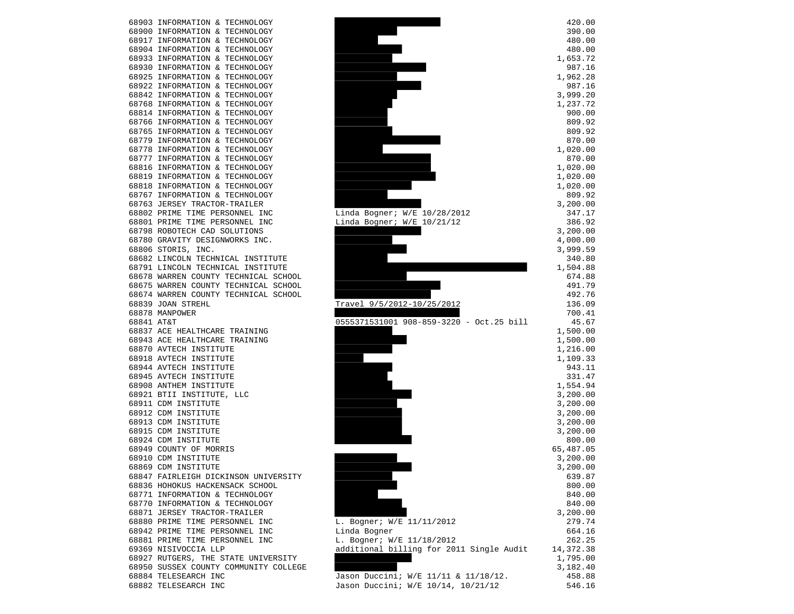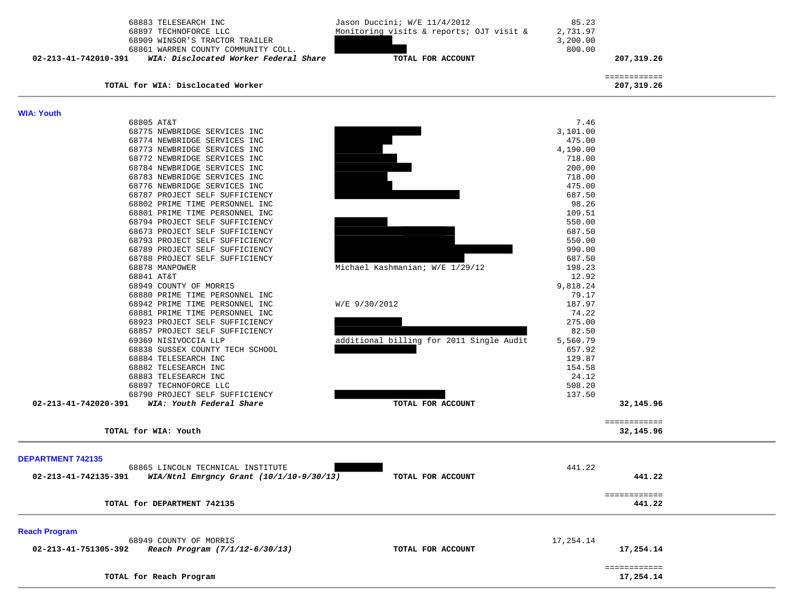| 68883 TELESEARCH INC<br>68897 TECHNOFORCE LLC<br>68909 WINSOR'S TRACTOR TRAILER<br>68861 WARREN COUNTY COMMUNITY COLL.<br>WIA: Disclocated Worker Federal Share<br>02-213-41-742010-391 | Jason Duccini; W/E 11/4/2012<br>Monitoring visits & reports; OJT visit &<br>TOTAL FOR ACCOUNT | 85.23<br>2,731.97<br>3,200.00<br>800.00 | 207,319.26                 |  |
|-----------------------------------------------------------------------------------------------------------------------------------------------------------------------------------------|-----------------------------------------------------------------------------------------------|-----------------------------------------|----------------------------|--|
| TOTAL for WIA: Disclocated Worker                                                                                                                                                       |                                                                                               |                                         | ============<br>207,319.26 |  |
| <b>WIA: Youth</b>                                                                                                                                                                       |                                                                                               |                                         |                            |  |
| 68805 AT&T                                                                                                                                                                              |                                                                                               | 7.46                                    |                            |  |
| 68775 NEWBRIDGE SERVICES INC                                                                                                                                                            |                                                                                               | 3,101.00                                |                            |  |
| 68774 NEWBRIDGE SERVICES INC                                                                                                                                                            |                                                                                               | 475.00                                  |                            |  |
| 68773 NEWBRIDGE SERVICES INC                                                                                                                                                            |                                                                                               | 4,190.00                                |                            |  |
| 68772 NEWBRIDGE SERVICES INC                                                                                                                                                            |                                                                                               | 718.00                                  |                            |  |
| 68784 NEWBRIDGE SERVICES INC                                                                                                                                                            |                                                                                               | 200.00                                  |                            |  |
| 68783 NEWBRIDGE SERVICES INC                                                                                                                                                            |                                                                                               | 718.00                                  |                            |  |
| 68776 NEWBRIDGE SERVICES INC                                                                                                                                                            |                                                                                               | 475.00                                  |                            |  |
| 68787 PROJECT SELF SUFFICIENCY                                                                                                                                                          |                                                                                               | 687.50                                  |                            |  |
| 68802 PRIME TIME PERSONNEL INC                                                                                                                                                          |                                                                                               | 98.26                                   |                            |  |
| 68801 PRIME TIME PERSONNEL INC                                                                                                                                                          |                                                                                               | 109.51                                  |                            |  |
| 68794 PROJECT SELF SUFFICIENCY                                                                                                                                                          |                                                                                               | 550.00                                  |                            |  |
| 68673 PROJECT SELF SUFFICIENCY                                                                                                                                                          |                                                                                               | 687.50                                  |                            |  |
| 68793 PROJECT SELF SUFFICIENCY                                                                                                                                                          |                                                                                               | 550.00                                  |                            |  |
| 68789 PROJECT SELF SUFFICIENCY                                                                                                                                                          |                                                                                               | 990.00                                  |                            |  |
| 68788 PROJECT SELF SUFFICIENCY                                                                                                                                                          |                                                                                               | 687.50                                  |                            |  |
| 68878 MANPOWER                                                                                                                                                                          | Michael Kashmanian; W/E 1/29/12                                                               | 198.23                                  |                            |  |
| 68841 AT&T                                                                                                                                                                              |                                                                                               | 12.92                                   |                            |  |
| 68949 COUNTY OF MORRIS                                                                                                                                                                  |                                                                                               | 9,818.24                                |                            |  |
| 68880 PRIME TIME PERSONNEL INC                                                                                                                                                          |                                                                                               | 79.17                                   |                            |  |
| 68942 PRIME TIME PERSONNEL INC                                                                                                                                                          | W/E 9/30/2012                                                                                 | 187.97                                  |                            |  |
| 68881 PRIME TIME PERSONNEL INC                                                                                                                                                          |                                                                                               | 74.22                                   |                            |  |
| 68923 PROJECT SELF SUFFICIENCY                                                                                                                                                          |                                                                                               | 275.00                                  |                            |  |
| 68857 PROJECT SELF SUFFICIENCY                                                                                                                                                          |                                                                                               | 82.50                                   |                            |  |
| 69369 NISIVOCCIA LLP                                                                                                                                                                    | additional billing for 2011 Single Audit                                                      | 5,560.79                                |                            |  |
| 68838 SUSSEX COUNTY TECH SCHOOL                                                                                                                                                         |                                                                                               | 657.92                                  |                            |  |
| 68884 TELESEARCH INC                                                                                                                                                                    |                                                                                               | 129.87                                  |                            |  |
| 68882 TELESEARCH INC                                                                                                                                                                    |                                                                                               | 154.58                                  |                            |  |
| 68883 TELESEARCH INC                                                                                                                                                                    |                                                                                               | 24.12                                   |                            |  |
| 68897 TECHNOFORCE LLC                                                                                                                                                                   |                                                                                               | 508.20                                  |                            |  |
| 68790 PROJECT SELF SUFFICIENCY                                                                                                                                                          |                                                                                               | 137.50                                  |                            |  |
| 02-213-41-742020-391<br>WIA: Youth Federal Share                                                                                                                                        | TOTAL FOR ACCOUNT                                                                             |                                         | 32,145.96                  |  |
|                                                                                                                                                                                         |                                                                                               |                                         |                            |  |
|                                                                                                                                                                                         |                                                                                               |                                         | ============               |  |
| TOTAL for WIA: Youth                                                                                                                                                                    |                                                                                               |                                         | 32,145.96                  |  |
| <b>DEPARTMENT 742135</b>                                                                                                                                                                |                                                                                               |                                         |                            |  |
| 68865 LINCOLN TECHNICAL INSTITUTE                                                                                                                                                       |                                                                                               | 441.22                                  |                            |  |
| WIA/Ntnl Emrgncy Grant (10/1/10-9/30/13)<br>02-213-41-742135-391                                                                                                                        | TOTAL FOR ACCOUNT                                                                             |                                         | 441.22                     |  |
|                                                                                                                                                                                         |                                                                                               |                                         |                            |  |
|                                                                                                                                                                                         |                                                                                               |                                         | ============               |  |
| TOTAL for DEPARTMENT 742135                                                                                                                                                             |                                                                                               |                                         | 441.22                     |  |
| <b>Reach Program</b>                                                                                                                                                                    |                                                                                               |                                         |                            |  |
| 68949 COUNTY OF MORRIS                                                                                                                                                                  |                                                                                               | 17,254.14                               |                            |  |
| 02-213-41-751305-392<br>Reach Program (7/1/12-6/30/13)                                                                                                                                  | TOTAL FOR ACCOUNT                                                                             |                                         | 17,254.14                  |  |
|                                                                                                                                                                                         |                                                                                               |                                         |                            |  |
|                                                                                                                                                                                         |                                                                                               |                                         | ============               |  |
| TOTAL for Reach Program                                                                                                                                                                 |                                                                                               |                                         | 17,254.14                  |  |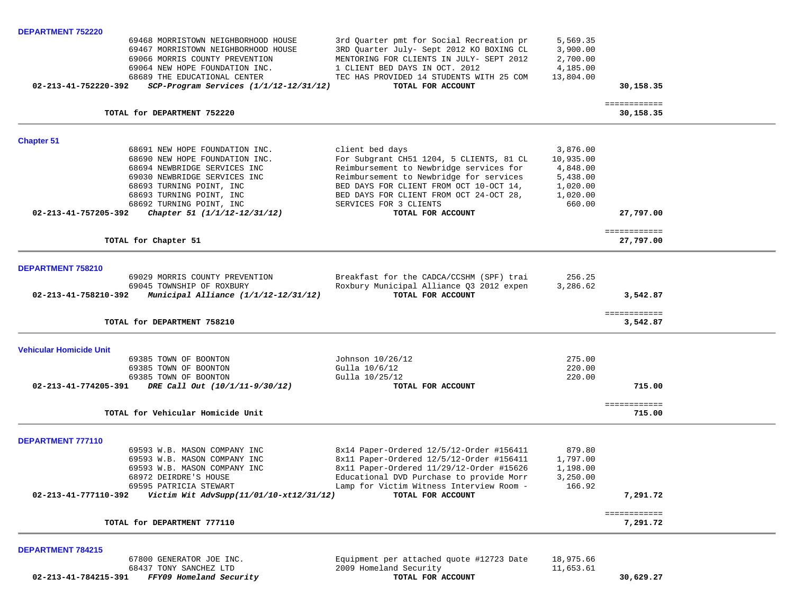| <b>DEPARTMENT 752220</b>       |                                         |                                          |                      |                           |  |
|--------------------------------|-----------------------------------------|------------------------------------------|----------------------|---------------------------|--|
|                                | 69468 MORRISTOWN NEIGHBORHOOD HOUSE     | 3rd Quarter pmt for Social Recreation pr | 5,569.35             |                           |  |
|                                | 69467 MORRISTOWN NEIGHBORHOOD HOUSE     | 3RD Quarter July- Sept 2012 KO BOXING CL | 3,900.00             |                           |  |
|                                | 69066 MORRIS COUNTY PREVENTION          | MENTORING FOR CLIENTS IN JULY- SEPT 2012 | 2,700.00             |                           |  |
|                                | 69064 NEW HOPE FOUNDATION INC.          | 1 CLIENT BED DAYS IN OCT. 2012           | 4,185.00             |                           |  |
|                                | 68689 THE EDUCATIONAL CENTER            | TEC HAS PROVIDED 14 STUDENTS WITH 25 COM | 13,804.00            |                           |  |
| 02-213-41-752220-392           | SCP-Program Services (1/1/12-12/31/12)  | TOTAL FOR ACCOUNT                        |                      | 30,158.35                 |  |
|                                |                                         |                                          |                      |                           |  |
|                                | TOTAL for DEPARTMENT 752220             |                                          |                      | ============<br>30,158.35 |  |
| <b>Chapter 51</b>              |                                         |                                          |                      |                           |  |
|                                | 68691 NEW HOPE FOUNDATION INC.          | client bed days                          | 3,876.00             |                           |  |
|                                | 68690 NEW HOPE FOUNDATION INC.          | For Subgrant CH51 1204, 5 CLIENTS, 81 CL | 10,935.00            |                           |  |
|                                | 68694 NEWBRIDGE SERVICES INC            | Reimbursement to Newbridge services for  | 4,848.00             |                           |  |
|                                | 69030 NEWBRIDGE SERVICES INC            | Reimbursement to Newbridge for services  | 5,438.00             |                           |  |
|                                | 68693 TURNING POINT, INC                | BED DAYS FOR CLIENT FROM OCT 10-OCT 14,  | 1,020.00             |                           |  |
|                                | 68693 TURNING POINT, INC                | BED DAYS FOR CLIENT FROM OCT 24-OCT 28,  | 1,020.00             |                           |  |
|                                | 68692 TURNING POINT, INC                | SERVICES FOR 3 CLIENTS                   | 660.00               |                           |  |
| 02-213-41-757205-392           | Chapter 51 (1/1/12-12/31/12)            | TOTAL FOR ACCOUNT                        |                      | 27,797.00                 |  |
|                                |                                         |                                          |                      |                           |  |
|                                |                                         |                                          |                      | ============              |  |
|                                | TOTAL for Chapter 51                    |                                          |                      | 27,797.00                 |  |
|                                |                                         |                                          |                      |                           |  |
| DEPARTMENT 758210              | 69029 MORRIS COUNTY PREVENTION          |                                          | 256.25               |                           |  |
|                                |                                         | Breakfast for the CADCA/CCSHM (SPF) trai |                      |                           |  |
|                                | 69045 TOWNSHIP OF ROXBURY               | Roxbury Municipal Alliance Q3 2012 expen | 3,286.62             |                           |  |
| 02-213-41-758210-392           | Municipal Alliance (1/1/12-12/31/12)    | TOTAL FOR ACCOUNT                        |                      | 3,542.87                  |  |
|                                | TOTAL for DEPARTMENT 758210             |                                          |                      | ============<br>3,542.87  |  |
|                                |                                         |                                          |                      |                           |  |
| <b>Vehicular Homicide Unit</b> |                                         |                                          |                      |                           |  |
|                                | 69385 TOWN OF BOONTON                   | Johnson 10/26/12                         | 275.00               |                           |  |
|                                | 69385 TOWN OF BOONTON                   | Gulla 10/6/12                            | 220.00               |                           |  |
|                                | 69385 TOWN OF BOONTON                   | Gulla 10/25/12                           | 220.00               |                           |  |
| 02-213-41-774205-391           | DRE Call Out (10/1/11-9/30/12)          | TOTAL FOR ACCOUNT                        |                      | 715.00                    |  |
|                                |                                         |                                          |                      | ============              |  |
|                                | TOTAL for Vehicular Homicide Unit       |                                          |                      | 715.00                    |  |
| <b>DEPARTMENT 777110</b>       |                                         |                                          |                      |                           |  |
|                                | 69593 W.B. MASON COMPANY INC            | 8x14 Paper-Ordered 12/5/12-Order #156411 | 879.80               |                           |  |
|                                | 69593 W.B. MASON COMPANY INC            | 8x11 Paper-Ordered 12/5/12-Order #156411 | 1,797.00             |                           |  |
|                                | 69593 W.B. MASON COMPANY INC            | 8x11 Paper-Ordered 11/29/12-Order #15626 |                      |                           |  |
|                                | 68972 DEIRDRE'S HOUSE                   | Educational DVD Purchase to provide Morr | 1,198.00<br>3,250.00 |                           |  |
|                                |                                         |                                          |                      |                           |  |
|                                | 69595 PATRICIA STEWART                  | Lamp for Victim Witness Interview Room - | 166.92               |                           |  |
| 02-213-41-777110-392           | Victim Wit AdvSupp(11/01/10-xt12/31/12) | TOTAL FOR ACCOUNT                        |                      | 7,291.72                  |  |
|                                | TOTAL for DEPARTMENT 777110             |                                          |                      | ============<br>7,291.72  |  |
|                                |                                         |                                          |                      |                           |  |
| <b>DEPARTMENT 784215</b>       |                                         |                                          |                      |                           |  |
|                                | 67800 GENERATOR JOE INC.                | Equipment per attached quote #12723 Date | 18,975.66            |                           |  |
|                                | 68437 TONY SANCHEZ LTD                  | 2009 Homeland Security                   | 11,653.61            |                           |  |
| 02-213-41-784215-391           | FFY09 Homeland Security                 | TOTAL FOR ACCOUNT                        |                      | 30,629.27                 |  |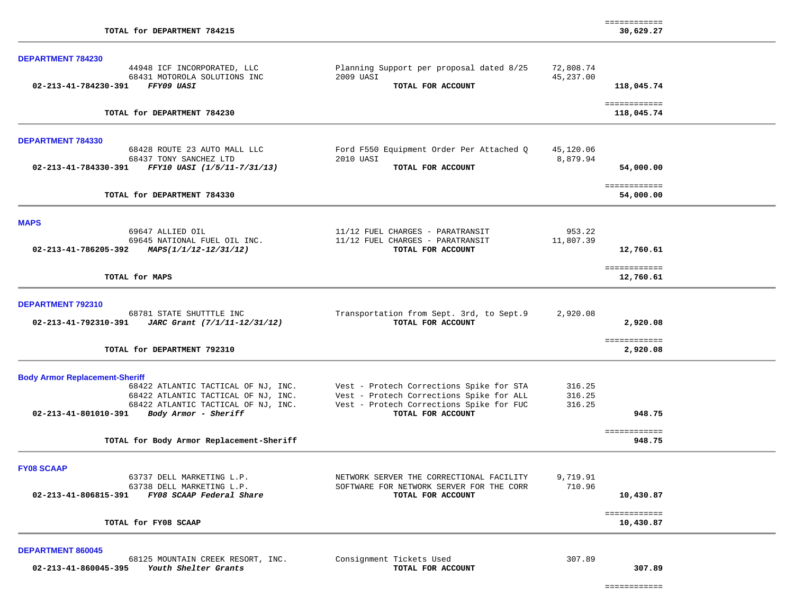| <b>DEPARTMENT 784230</b>                                                            |                                                               |                    |                            |
|-------------------------------------------------------------------------------------|---------------------------------------------------------------|--------------------|----------------------------|
| 44948 ICF INCORPORATED, LLC                                                         | Planning Support per proposal dated 8/25                      | 72,808.74          |                            |
| 68431 MOTOROLA SOLUTIONS INC                                                        | 2009 UASI                                                     | 45,237.00          |                            |
| 02-213-41-784230-391<br>FFY09 UASI                                                  | TOTAL FOR ACCOUNT                                             |                    | 118,045.74                 |
| TOTAL for DEPARTMENT 784230                                                         |                                                               |                    | ============<br>118,045.74 |
| <b>DEPARTMENT 784330</b>                                                            |                                                               |                    |                            |
| 68428 ROUTE 23 AUTO MALL LLC                                                        | Ford F550 Equipment Order Per Attached Q                      | 45,120.06          |                            |
| 68437 TONY SANCHEZ LTD                                                              | 2010 UASI                                                     | 8,879.94           |                            |
| 02-213-41-784330-391<br>FFY10 UASI (1/5/11-7/31/13)                                 | TOTAL FOR ACCOUNT                                             |                    | 54,000.00                  |
| TOTAL for DEPARTMENT 784330                                                         |                                                               |                    | ============<br>54,000.00  |
|                                                                                     |                                                               |                    |                            |
| <b>MAPS</b>                                                                         |                                                               |                    |                            |
| 69647 ALLIED OIL                                                                    | 11/12 FUEL CHARGES - PARATRANSIT                              | 953.22             |                            |
| 69645 NATIONAL FUEL OIL INC.<br>02-213-41-786205-392<br>MAPS(1/1/12-12/31/12)       | 11/12 FUEL CHARGES - PARATRANSIT<br>TOTAL FOR ACCOUNT         | 11,807.39          | 12,760.61                  |
|                                                                                     |                                                               |                    | ============               |
| TOTAL for MAPS                                                                      |                                                               |                    | 12,760.61                  |
| DEPARTMENT 792310                                                                   |                                                               |                    |                            |
| 68781 STATE SHUTTTLE INC                                                            | Transportation from Sept. 3rd, to Sept.9                      | 2,920.08           |                            |
| 02-213-41-792310-391<br>JARC Grant (7/1/11-12/31/12)                                | TOTAL FOR ACCOUNT                                             |                    | 2,920.08                   |
| TOTAL for DEPARTMENT 792310                                                         |                                                               |                    | ============<br>2,920.08   |
| <b>Body Armor Replacement-Sheriff</b>                                               |                                                               |                    |                            |
| 68422 ATLANTIC TACTICAL OF NJ, INC.                                                 | Vest - Protech Corrections Spike for STA                      | 316.25             |                            |
| 68422 ATLANTIC TACTICAL OF NJ, INC.                                                 | Vest - Protech Corrections Spike for ALL                      | 316.25             |                            |
| 68422 ATLANTIC TACTICAL OF NJ, INC.<br>02-213-41-801010-391<br>Body Armor - Sheriff | Vest - Protech Corrections Spike for FUC<br>TOTAL FOR ACCOUNT | 316.25             | 948.75                     |
|                                                                                     |                                                               |                    | ============               |
| TOTAL for Body Armor Replacement-Sheriff                                            |                                                               |                    | 948.75                     |
| <b>FY08 SCAAP</b>                                                                   |                                                               |                    |                            |
| 63737 DELL MARKETING L.P.                                                           | NETWORK SERVER THE CORRECTIONAL FACILITY                      | 9,719.91<br>710.96 |                            |
| 63738 DELL MARKETING L.P.<br>02-213-41-806815-391<br>FY08 SCAAP Federal Share       | SOFTWARE FOR NETWORK SERVER FOR THE CORR<br>TOTAL FOR ACCOUNT |                    | 10,430.87                  |
| TOTAL for FY08 SCAAP                                                                |                                                               |                    | ============<br>10,430.87  |
| <b>DEPARTMENT 860045</b>                                                            |                                                               |                    |                            |
| 68125 MOUNTAIN CREEK RESORT, INC.                                                   | Consignment Tickets Used                                      | 307.89             |                            |
| 02-213-41-860045-395<br>Youth Shelter Grants                                        | TOTAL FOR ACCOUNT                                             |                    | 307.89                     |

============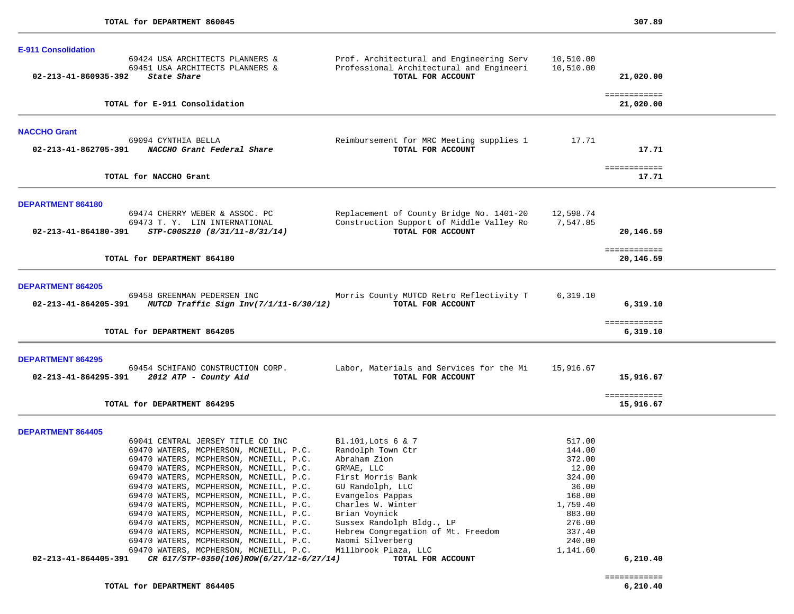|                            | TOTAL for DEPARTMENT 864405                                                                  |                                                                                      |                        | ============<br>6, 210, 40 |  |
|----------------------------|----------------------------------------------------------------------------------------------|--------------------------------------------------------------------------------------|------------------------|----------------------------|--|
| 02-213-41-864405-391       | CR 617/STP-0350(106)ROW(6/27/12-6/27/14)                                                     | TOTAL FOR ACCOUNT                                                                    |                        | 6,210.40                   |  |
|                            | 69470 WATERS, MCPHERSON, MCNEILL, P.C.<br>69470 WATERS, MCPHERSON, MCNEILL, P.C.             | Naomi Silverberg<br>Millbrook Plaza, LLC                                             | 240.00<br>1,141.60     |                            |  |
|                            | 69470 WATERS, MCPHERSON, MCNEILL, P.C.                                                       | Hebrew Congregation of Mt. Freedom                                                   | 337.40                 |                            |  |
|                            | 69470 WATERS, MCPHERSON, MCNEILL, P.C.                                                       | Sussex Randolph Bldg., LP                                                            | 276.00                 |                            |  |
|                            | 69470 WATERS, MCPHERSON, MCNEILL, P.C.                                                       | Brian Voynick                                                                        | 883.00                 |                            |  |
|                            | 69470 WATERS, MCPHERSON, MCNEILL, P.C.                                                       | Charles W. Winter                                                                    | 1,759.40               |                            |  |
|                            | 69470 WATERS, MCPHERSON, MCNEILL, P.C.<br>69470 WATERS, MCPHERSON, MCNEILL, P.C.             | GU Randolph, LLC<br>Evangelos Pappas                                                 | 36.00<br>168.00        |                            |  |
|                            | 69470 WATERS, MCPHERSON, MCNEILL, P.C.                                                       | First Morris Bank                                                                    | 324.00                 |                            |  |
|                            | 69470 WATERS, MCPHERSON, MCNEILL, P.C.                                                       | GRMAE, LLC                                                                           | 12.00                  |                            |  |
|                            | 69470 WATERS, MCPHERSON, MCNEILL, P.C.                                                       | Abraham Zion                                                                         | 372.00                 |                            |  |
|                            | 69470 WATERS, MCPHERSON, MCNEILL, P.C.                                                       | Randolph Town Ctr                                                                    | 144.00                 |                            |  |
|                            | 69041 CENTRAL JERSEY TITLE CO INC                                                            | Bl.101, Lots 6 & 7                                                                   | 517.00                 |                            |  |
| <b>DEPARTMENT 864405</b>   |                                                                                              |                                                                                      |                        |                            |  |
|                            |                                                                                              |                                                                                      |                        |                            |  |
|                            | TOTAL for DEPARTMENT 864295                                                                  |                                                                                      |                        | ============<br>15,916.67  |  |
|                            | 02-213-41-864295-391 2012 ATP - County Aid                                                   | TOTAL FOR ACCOUNT                                                                    |                        | 15,916.67                  |  |
| <b>DEPARTMENT 864295</b>   | 69454 SCHIFANO CONSTRUCTION CORP.                                                            | Labor, Materials and Services for the Mi                                             | 15,916.67              |                            |  |
|                            | TOTAL for DEPARTMENT 864205                                                                  |                                                                                      |                        | 6,319.10                   |  |
|                            |                                                                                              |                                                                                      |                        | ============               |  |
|                            | 69458 GREENMAN PEDERSEN INC<br>02-213-41-864205-391 MUTCD Traffic Sign $Inv(7/1/11-6/30/12)$ | Morris County MUTCD Retro Reflectivity T<br>TOTAL FOR ACCOUNT                        | 6,319.10               | 6,319.10                   |  |
| <b>DEPARTMENT 864205</b>   |                                                                                              |                                                                                      |                        |                            |  |
|                            | TOTAL for DEPARTMENT 864180                                                                  |                                                                                      |                        | ============<br>20,146.59  |  |
| 02-213-41-864180-391       | STP-C00S210 (8/31/11-8/31/14)                                                                | TOTAL FOR ACCOUNT                                                                    |                        | 20,146.59                  |  |
|                            | 69473 T.Y. LIN INTERNATIONAL                                                                 | Construction Support of Middle Valley Ro                                             | 7,547.85               |                            |  |
| <b>DEPARTMENT 864180</b>   | 69474 CHERRY WEBER & ASSOC. PC                                                               | Replacement of County Bridge No. 1401-20                                             | 12,598.74              |                            |  |
|                            |                                                                                              |                                                                                      |                        |                            |  |
|                            | TOTAL for NACCHO Grant                                                                       |                                                                                      |                        | ============<br>17.71      |  |
|                            | 02-213-41-862705-391 NACCHO Grant Federal Share                                              | TOTAL FOR ACCOUNT                                                                    |                        | 17.71                      |  |
| <b>NACCHO Grant</b>        | 69094 CYNTHIA BELLA                                                                          | Reimbursement for MRC Meeting supplies 1                                             | 17.71                  |                            |  |
|                            |                                                                                              |                                                                                      |                        |                            |  |
|                            | TOTAL for E-911 Consolidation                                                                |                                                                                      |                        | ============<br>21,020.00  |  |
| 02-213-41-860935-392       | State Share                                                                                  | TOTAL FOR ACCOUNT                                                                    |                        | 21,020.00                  |  |
|                            | 69424 USA ARCHITECTS PLANNERS &<br>69451 USA ARCHITECTS PLANNERS &                           | Prof. Architectural and Engineering Serv<br>Professional Architectural and Engineeri | 10,510.00<br>10,510.00 |                            |  |
| <b>E-911 Consolidation</b> |                                                                                              |                                                                                      |                        |                            |  |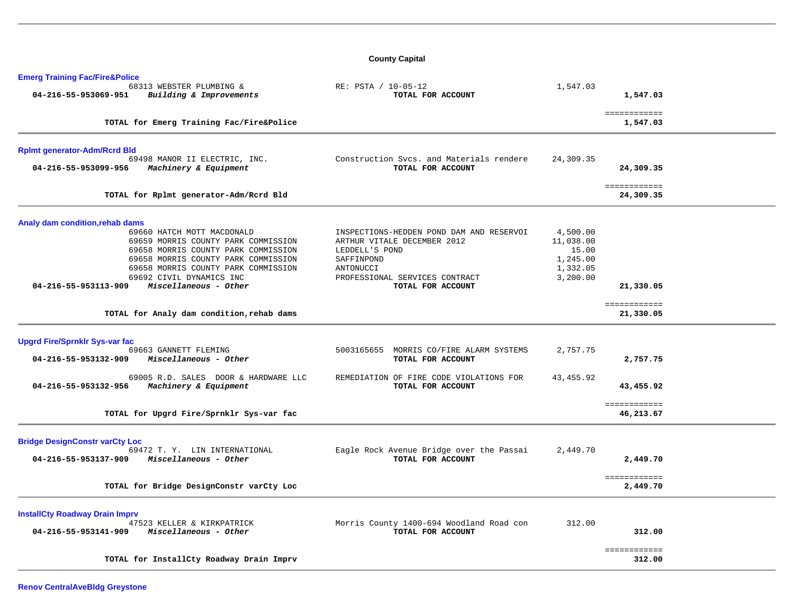## **County Capital**

| <b>Emerg Training Fac/Fire&amp;Police</b>                                             |                                                                         |                       |                           |  |
|---------------------------------------------------------------------------------------|-------------------------------------------------------------------------|-----------------------|---------------------------|--|
| 68313 WEBSTER PLUMBING &<br>04-216-55-953069-951<br>Building & Improvements           | RE: PSTA / 10-05-12<br>TOTAL FOR ACCOUNT                                | 1,547.03              | 1,547.03                  |  |
| TOTAL for Emerg Training Fac/Fire&Police                                              |                                                                         |                       | ============<br>1,547.03  |  |
|                                                                                       |                                                                         |                       |                           |  |
| <b>Rplmt generator-Adm/Rcrd Bld</b>                                                   |                                                                         |                       |                           |  |
| 69498 MANOR II ELECTRIC, INC.<br>04-216-55-953099-956<br>Machinery & Equipment        | Construction Svcs. and Materials rendere<br>TOTAL FOR ACCOUNT           | 24,309.35             | 24,309.35                 |  |
| TOTAL for Rplmt generator-Adm/Rcrd Bld                                                |                                                                         |                       | ============<br>24,309.35 |  |
| Analy dam condition, rehab dams                                                       |                                                                         |                       |                           |  |
| 69660 HATCH MOTT MACDONALD<br>69659 MORRIS COUNTY PARK COMMISSION                     | INSPECTIONS-HEDDEN POND DAM AND RESERVOI<br>ARTHUR VITALE DECEMBER 2012 | 4,500.00<br>11,038.00 |                           |  |
| 69658 MORRIS COUNTY PARK COMMISSION                                                   | LEDDELL'S POND                                                          | 15.00                 |                           |  |
| 69658 MORRIS COUNTY PARK COMMISSION<br>69658 MORRIS COUNTY PARK COMMISSION            | SAFFINPOND<br>ANTONUCCI                                                 | 1,245.00<br>1,332.05  |                           |  |
| 69692 CIVIL DYNAMICS INC<br>Miscellaneous - Other<br>04-216-55-953113-909             | PROFESSIONAL SERVICES CONTRACT<br>TOTAL FOR ACCOUNT                     | 3,200.00              | 21,330.05                 |  |
|                                                                                       |                                                                         |                       |                           |  |
| TOTAL for Analy dam condition, rehab dams                                             |                                                                         |                       | ============<br>21,330.05 |  |
| <b>Upgrd Fire/Sprnklr Sys-var fac</b>                                                 |                                                                         |                       |                           |  |
| 69663 GANNETT FLEMING<br>04-216-55-953132-909<br>Miscellaneous - Other                | 5003165655 MORRIS CO/FIRE ALARM SYSTEMS<br>TOTAL FOR ACCOUNT            | 2,757.75              | 2,757.75                  |  |
| 69005 R.D. SALES DOOR & HARDWARE LLC<br>04-216-55-953132-956<br>Machinery & Equipment | REMEDIATION OF FIRE CODE VIOLATIONS FOR<br>TOTAL FOR ACCOUNT            | 43,455.92             | 43,455.92                 |  |
|                                                                                       |                                                                         |                       | ============              |  |
| TOTAL for Upgrd Fire/Sprnklr Sys-var fac                                              |                                                                         |                       | 46,213.67                 |  |
| <b>Bridge DesignConstr varCty Loc</b>                                                 |                                                                         |                       |                           |  |
| 69472 T. Y. LIN INTERNATIONAL<br>Miscellaneous - Other<br>04-216-55-953137-909        | Eagle Rock Avenue Bridge over the Passai<br>TOTAL FOR ACCOUNT           | 2,449.70              | 2,449.70                  |  |
|                                                                                       |                                                                         |                       |                           |  |
| TOTAL for Bridge DesignConstr varCty Loc                                              |                                                                         |                       | ============<br>2,449.70  |  |
| <b>InstallCty Roadway Drain Imprv</b>                                                 |                                                                         |                       |                           |  |
| 47523 KELLER & KIRKPATRICK                                                            | Morris County 1400-694 Woodland Road con                                | 312.00                |                           |  |
| Miscellaneous - Other<br>04-216-55-953141-909                                         | TOTAL FOR ACCOUNT                                                       |                       | 312.00                    |  |
|                                                                                       |                                                                         |                       | ============<br>312.00    |  |
| TOTAL for InstallCty Roadway Drain Imprv                                              |                                                                         |                       |                           |  |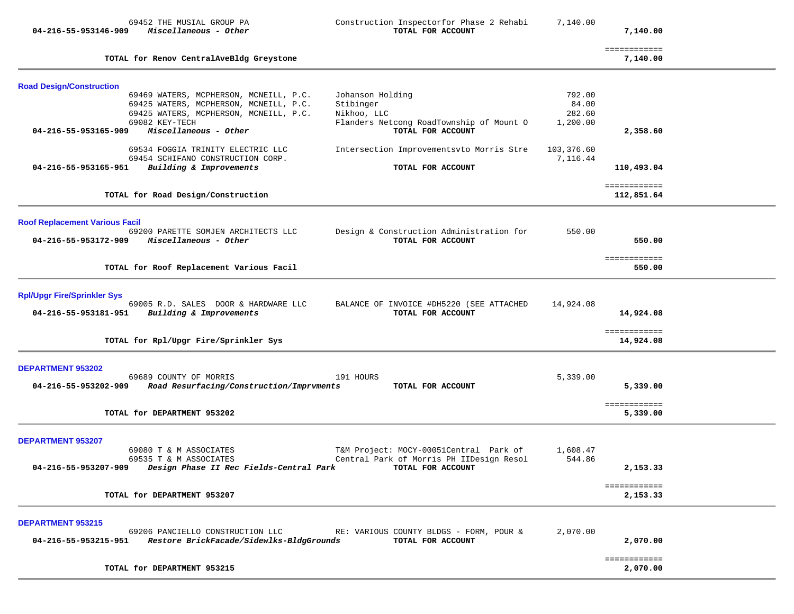| 69452 THE MUSIAL GROUP PA<br>Miscellaneous - Other<br>04-216-55-953146-909                                                                                                                    | Construction Inspectorfor Phase 2 Rehabi<br>TOTAL FOR ACCOUNT                                                 | 7,140.00                              | 7,140.00                   |  |
|-----------------------------------------------------------------------------------------------------------------------------------------------------------------------------------------------|---------------------------------------------------------------------------------------------------------------|---------------------------------------|----------------------------|--|
| TOTAL for Renov CentralAveBldg Greystone                                                                                                                                                      |                                                                                                               |                                       | ============<br>7,140.00   |  |
| <b>Road Design/Construction</b>                                                                                                                                                               |                                                                                                               |                                       |                            |  |
| 69469 WATERS, MCPHERSON, MCNEILL, P.C.<br>69425 WATERS, MCPHERSON, MCNEILL, P.C.<br>69425 WATERS, MCPHERSON, MCNEILL, P.C.<br>69082 KEY-TECH<br>Miscellaneous - Other<br>04-216-55-953165-909 | Johanson Holding<br>Stibinger<br>Nikhoo, LLC<br>Flanders Netcong RoadTownship of Mount O<br>TOTAL FOR ACCOUNT | 792.00<br>84.00<br>282.60<br>1,200.00 | 2,358.60                   |  |
| 69534 FOGGIA TRINITY ELECTRIC LLC<br>69454 SCHIFANO CONSTRUCTION CORP.                                                                                                                        | Intersection Improvementsvto Morris Stre                                                                      | 103,376.60<br>7,116.44                |                            |  |
| 04-216-55-953165-951<br>Building & Improvements                                                                                                                                               | TOTAL FOR ACCOUNT                                                                                             |                                       | 110,493.04                 |  |
| TOTAL for Road Design/Construction                                                                                                                                                            |                                                                                                               |                                       | ============<br>112,851.64 |  |
| <b>Roof Replacement Various Facil</b>                                                                                                                                                         |                                                                                                               |                                       |                            |  |
| 69200 PARETTE SOMJEN ARCHITECTS LLC<br>Miscellaneous - Other<br>04-216-55-953172-909                                                                                                          | Design & Construction Administration for<br>TOTAL FOR ACCOUNT                                                 | 550.00                                | 550.00                     |  |
| TOTAL for Roof Replacement Various Facil                                                                                                                                                      |                                                                                                               |                                       | ============<br>550.00     |  |
| <b>Rpl/Upgr Fire/Sprinkler Sys</b>                                                                                                                                                            |                                                                                                               |                                       |                            |  |
| 69005 R.D. SALES DOOR & HARDWARE LLC<br>04-216-55-953181-951<br>Building & Improvements                                                                                                       | BALANCE OF INVOICE #DH5220 (SEE ATTACHED<br>TOTAL FOR ACCOUNT                                                 | 14,924.08                             | 14,924.08                  |  |
| TOTAL for Rpl/Upgr Fire/Sprinkler Sys                                                                                                                                                         |                                                                                                               |                                       | ============<br>14,924.08  |  |
| <b>DEPARTMENT 953202</b>                                                                                                                                                                      |                                                                                                               |                                       |                            |  |
| 69689 COUNTY OF MORRIS<br>Road Resurfacing/Construction/Imprvments<br>04-216-55-953202-909                                                                                                    | 191 HOURS<br>TOTAL FOR ACCOUNT                                                                                | 5,339.00                              | 5,339.00                   |  |
| TOTAL for DEPARTMENT 953202                                                                                                                                                                   |                                                                                                               |                                       | ============<br>5,339.00   |  |
| <b>DEPARTMENT 953207</b><br>69080 T & M ASSOCIATES<br>69535 T & M ASSOCIATES<br>04-216-55-953207-909<br>Design Phase II Rec Fields-Central Park                                               | T&M Project: MOCY-00051Central Park of<br>Central Park of Morris PH IIDesign Resol<br>TOTAL FOR ACCOUNT       | 1,608.47<br>544.86                    | 2,153.33                   |  |
| TOTAL for DEPARTMENT 953207                                                                                                                                                                   |                                                                                                               |                                       | ============               |  |
|                                                                                                                                                                                               |                                                                                                               |                                       | 2,153.33                   |  |
| <b>DEPARTMENT 953215</b><br>69206 PANCIELLO CONSTRUCTION LLC<br>Restore BrickFacade/Sidewlks-BldgGrounds<br>04-216-55-953215-951                                                              | RE: VARIOUS COUNTY BLDGS - FORM, POUR &<br>TOTAL FOR ACCOUNT                                                  | 2,070.00                              | 2,070.00                   |  |
| TOTAL for DEPARTMENT 953215                                                                                                                                                                   |                                                                                                               |                                       | ============<br>2,070.00   |  |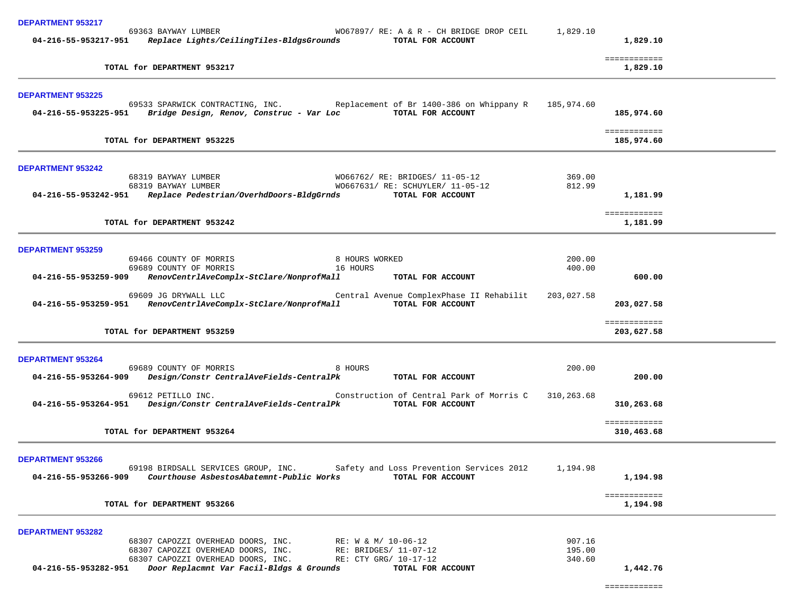| <b>DEPARTMENT 953217</b>                                                                                                                                                                                                                                                                                                             |                            |                            |  |
|--------------------------------------------------------------------------------------------------------------------------------------------------------------------------------------------------------------------------------------------------------------------------------------------------------------------------------------|----------------------------|----------------------------|--|
| 69363 BAYWAY LUMBER<br>WO67897/ RE: A & R - CH BRIDGE DROP CEIL<br>04-216-55-953217-951 Replace Lights/CeilingTiles-BldgsGrounds<br>TOTAL FOR ACCOUNT                                                                                                                                                                                | 1,829.10                   | 1,829.10                   |  |
| TOTAL for DEPARTMENT 953217                                                                                                                                                                                                                                                                                                          |                            | ============<br>1,829.10   |  |
| <b>DEPARTMENT 953225</b>                                                                                                                                                                                                                                                                                                             |                            |                            |  |
| 69533 SPARWICK CONTRACTING, INC. Replacement of Br 1400-386 on Whippany R<br>04-216-55-953225-951 Bridge Design, Renov, Construc - Var Loc<br>TOTAL FOR ACCOUNT                                                                                                                                                                      | 185,974.60                 | 185,974.60                 |  |
| TOTAL for DEPARTMENT 953225                                                                                                                                                                                                                                                                                                          |                            | ============<br>185,974.60 |  |
| <b>DEPARTMENT 953242</b>                                                                                                                                                                                                                                                                                                             |                            |                            |  |
| 68319 BAYWAY LUMBER<br>W066762/ RE: BRIDGES/ 11-05-12<br>68319 BAYWAY LUMBER<br>W0667631/ RE: SCHUYLER/ 11-05-12                                                                                                                                                                                                                     | 369.00<br>812.99           |                            |  |
| 04-216-55-953242-951 Replace Pedestrian/OverhdDoors-BldgGrnds<br>TOTAL FOR ACCOUNT                                                                                                                                                                                                                                                   |                            | 1,181.99                   |  |
| TOTAL for DEPARTMENT 953242                                                                                                                                                                                                                                                                                                          |                            | ============<br>1,181.99   |  |
| <b>DEPARTMENT 953259</b>                                                                                                                                                                                                                                                                                                             |                            |                            |  |
| 69466 COUNTY OF MORRIS<br>8 HOURS WORKED<br>16 HOURS                                                                                                                                                                                                                                                                                 | 200.00                     |                            |  |
| 69689 COUNTY OF MORRIS<br>04-216-55-953259-909<br>RenovCentrlAveComplx-StClare/NonprofMall<br>TOTAL FOR ACCOUNT                                                                                                                                                                                                                      | 400.00                     | 600.00                     |  |
| 69609 JG DRYWALL LLC<br>Central Avenue ComplexPhase II Rehabilit<br>04-216-55-953259-951 RenovCentrlAveComplx-StClare/NonprofMall<br>TOTAL FOR ACCOUNT                                                                                                                                                                               | 203,027.58                 | 203,027.58                 |  |
| TOTAL for DEPARTMENT 953259                                                                                                                                                                                                                                                                                                          |                            | ============<br>203,627.58 |  |
| <b>DEPARTMENT 953264</b>                                                                                                                                                                                                                                                                                                             |                            |                            |  |
| 69689 COUNTY OF MORRIS<br>8 HOURS<br>Design/Constr CentralAveFields-CentralPk<br>04-216-55-953264-909<br>TOTAL FOR ACCOUNT                                                                                                                                                                                                           | 200.00                     | 200.00                     |  |
| 69612 PETILLO INC.<br>Construction of Central Park of Morris C<br>Design/Constr CentralAveFields-CentralPk<br>04-216-55-953264-951<br>TOTAL FOR ACCOUNT                                                                                                                                                                              | 310,263.68                 | 310,263.68                 |  |
| TOTAL for DEPARTMENT 953264                                                                                                                                                                                                                                                                                                          |                            | ============<br>310,463.68 |  |
| <b>DEPARTMENT 953266</b>                                                                                                                                                                                                                                                                                                             |                            |                            |  |
| 69198 BIRDSALL SERVICES GROUP, INC. Safety and Loss Prevention Services 2012<br>Courthouse AsbestosAbatemnt-Public Works<br>TOTAL FOR ACCOUNT<br>04-216-55-953266-909                                                                                                                                                                | 1,194.98                   | 1,194.98                   |  |
| TOTAL for DEPARTMENT 953266                                                                                                                                                                                                                                                                                                          |                            | ============<br>1,194.98   |  |
| <b>DEPARTMENT 953282</b><br>68307 CAPOZZI OVERHEAD DOORS, INC.<br>RE: W & M/ 10-06-12<br>RE: BRIDGES/ 11-07-1<br>68307 CAPOZZI OVERHEAD DOORS, INC.<br>RE: BRIDGES/ 11-07-12<br>68307 CAPOZZI OVERHEAD DOORS, INC.<br>RE: CTY GRG/ 10-17-12<br>Door Replacmnt Var Facil-Bldgs & Grounds<br>04-216-55-953282-951<br>TOTAL FOR ACCOUNT | 907.16<br>195.00<br>340.60 | 1,442.76                   |  |
|                                                                                                                                                                                                                                                                                                                                      |                            |                            |  |

============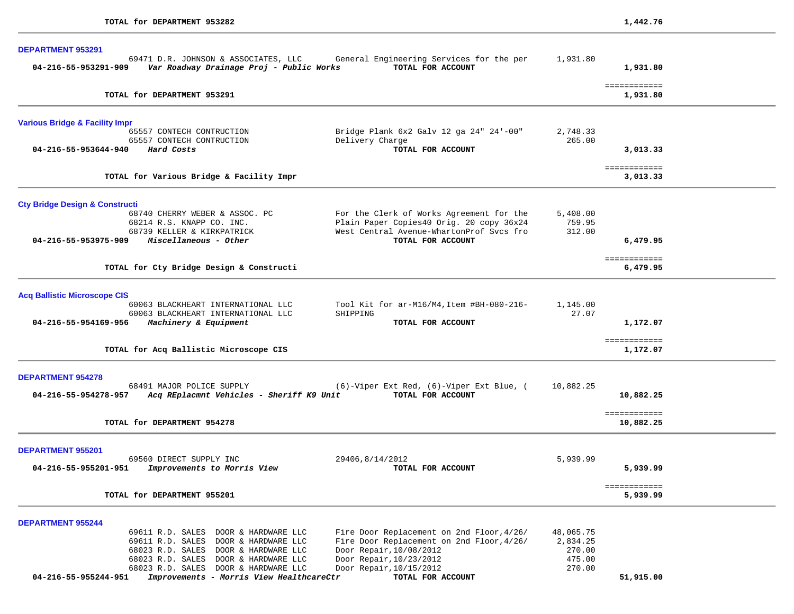| 69471 D.R. JOHNSON & ASSOCIATES, LLC<br>General Engineering Services for the per<br>Var Roadway Drainage Proj - Public Works<br>TOTAL FOR ACCOUNT<br>04-216-55-953291-909 |                                                       |                   | 1,931.80                       |  |
|---------------------------------------------------------------------------------------------------------------------------------------------------------------------------|-------------------------------------------------------|-------------------|--------------------------------|--|
| TOTAL for DEPARTMENT 953291                                                                                                                                               |                                                       |                   | ============<br>1,931.80       |  |
| <b>Various Bridge &amp; Facility Impr</b>                                                                                                                                 |                                                       |                   |                                |  |
| 65557 CONTECH CONTRUCTION                                                                                                                                                 | Bridge Plank 6x2 Galv 12 ga 24" 24'-00"               | 2,748.33          |                                |  |
| 65557 CONTECH CONTRUCTION<br>04-216-55-953644-940<br>Hard Costs                                                                                                           | Delivery Charge<br>TOTAL FOR ACCOUNT                  | 265.00            | 3,013.33                       |  |
|                                                                                                                                                                           |                                                       |                   |                                |  |
|                                                                                                                                                                           |                                                       |                   | ============                   |  |
| TOTAL for Various Bridge & Facility Impr                                                                                                                                  |                                                       |                   | 3,013.33                       |  |
|                                                                                                                                                                           |                                                       |                   |                                |  |
| <b>Cty Bridge Design &amp; Constructi</b><br>68740 CHERRY WEBER & ASSOC. PC                                                                                               | For the Clerk of Works Agreement for the              | 5,408.00          |                                |  |
| 68214 R.S. KNAPP CO. INC.                                                                                                                                                 | Plain Paper Copies40 Orig. 20 copy 36x24              | 759.95            |                                |  |
| 68739 KELLER & KIRKPATRICK                                                                                                                                                | West Central Avenue-WhartonProf Svcs fro              | 312.00            |                                |  |
| Miscellaneous - Other<br>04-216-55-953975-909                                                                                                                             | TOTAL FOR ACCOUNT                                     |                   | 6,479.95                       |  |
|                                                                                                                                                                           |                                                       |                   | ============                   |  |
| TOTAL for Cty Bridge Design & Constructi                                                                                                                                  |                                                       |                   | 6,479.95                       |  |
|                                                                                                                                                                           |                                                       |                   |                                |  |
| <b>Acq Ballistic Microscope CIS</b>                                                                                                                                       |                                                       |                   |                                |  |
| 60063 BLACKHEART INTERNATIONAL LLC<br>60063 BLACKHEART INTERNATIONAL LLC                                                                                                  | Tool Kit for ar-M16/M4, Item #BH-080-216-<br>SHIPPING | 1,145.00<br>27.07 |                                |  |
| 04-216-55-954169-956 Machinery & Equipment                                                                                                                                | TOTAL FOR ACCOUNT                                     |                   | 1,172.07                       |  |
|                                                                                                                                                                           |                                                       |                   |                                |  |
| TOTAL for Acq Ballistic Microscope CIS                                                                                                                                    |                                                       |                   | ============<br>1,172.07       |  |
|                                                                                                                                                                           |                                                       |                   |                                |  |
| <b>DEPARTMENT 954278</b>                                                                                                                                                  |                                                       |                   |                                |  |
| 68491 MAJOR POLICE SUPPLY                                                                                                                                                 | (6)-Viper Ext Red, (6)-Viper Ext Blue, (              | 10,882.25         |                                |  |
| 04-216-55-954278-957<br>Acq REplacmnt Vehicles - Sheriff K9 Unit                                                                                                          | TOTAL FOR ACCOUNT                                     |                   | 10,882.25                      |  |
|                                                                                                                                                                           |                                                       |                   | ============                   |  |
| TOTAL for DEPARTMENT 954278                                                                                                                                               |                                                       |                   | 10,882.25                      |  |
|                                                                                                                                                                           |                                                       |                   |                                |  |
| <b>DEPARTMENT 955201</b><br>69560 DIRECT SUPPLY INC                                                                                                                       | 29406,8/14/2012                                       | 5,939.99          |                                |  |
| Improvements to Morris View<br>04-216-55-955201-951                                                                                                                       | TOTAL FOR ACCOUNT                                     |                   | 5,939.99                       |  |
|                                                                                                                                                                           |                                                       |                   |                                |  |
| TOTAL for DEPARTMENT 955201                                                                                                                                               |                                                       |                   | <b>EEEEEEEEEEE</b><br>5,939.99 |  |
|                                                                                                                                                                           |                                                       |                   |                                |  |
| <b>DEPARTMENT 955244</b>                                                                                                                                                  |                                                       |                   |                                |  |
| 69611 R.D. SALES DOOR & HARDWARE LLC                                                                                                                                      | Fire Door Replacement on 2nd Floor, 4/26/             | 48,065.75         |                                |  |
| 69611 R.D. SALES DOOR & HARDWARE LLC                                                                                                                                      | Fire Door Replacement on 2nd Floor, 4/26/             | 2,834.25          |                                |  |
| 68023 R.D. SALES DOOR & HARDWARE LLC                                                                                                                                      | Door Repair, 10/08/2012                               | 270.00            |                                |  |
| 68023 R.D. SALES DOOR & HARDWARE LLC                                                                                                                                      | Door Repair, 10/23/2012                               | 475.00            |                                |  |
| 68023 R.D. SALES DOOR & HARDWARE LLC<br>04-216-55-955244-951<br>Improvements - Morris View HealthcareCtr                                                                  | Door Repair, 10/15/2012<br>TOTAL FOR ACCOUNT          | 270.00            | 51,915.00                      |  |
|                                                                                                                                                                           |                                                       |                   |                                |  |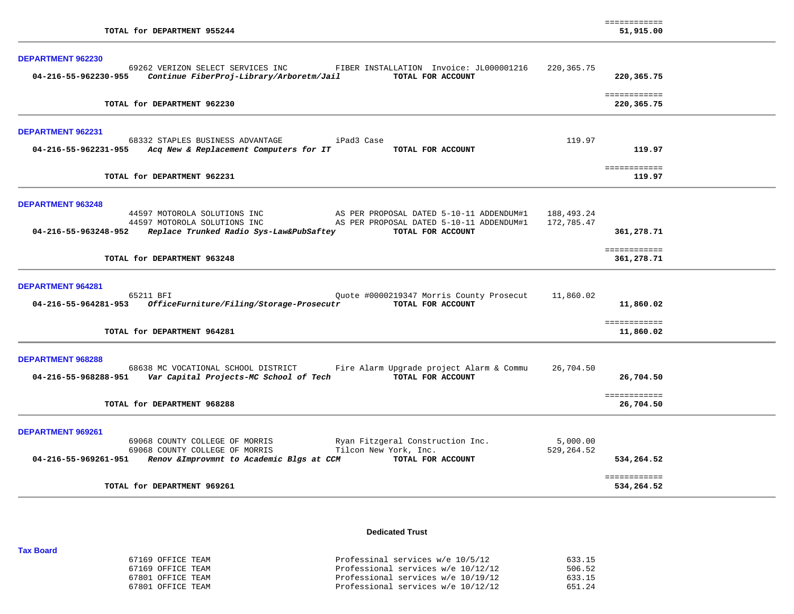| TOTAL for DEPARTMENT 955244                                                                                                                                                                                                                                                                             |                          | ============<br>51,915.00                |  |
|---------------------------------------------------------------------------------------------------------------------------------------------------------------------------------------------------------------------------------------------------------------------------------------------------------|--------------------------|------------------------------------------|--|
| DEPARTMENT 962230<br>69262 VERIZON SELECT SERVICES INC<br>FIBER INSTALLATION Invoice: JL000001216<br>Continue FiberProj-Library/Arboretm/Jail<br>TOTAL FOR ACCOUNT<br>04-216-55-962230-955                                                                                                              | 220,365.75               | 220,365.75                               |  |
| TOTAL for DEPARTMENT 962230                                                                                                                                                                                                                                                                             |                          | ============<br>220,365.75               |  |
| DEPARTMENT 962231<br>68332 STAPLES BUSINESS ADVANTAGE<br>iPad3 Case<br>04-216-55-962231-955 Acq New & Replacement Computers for IT<br>TOTAL FOR ACCOUNT                                                                                                                                                 | 119.97                   | 119.97                                   |  |
| TOTAL for DEPARTMENT 962231                                                                                                                                                                                                                                                                             |                          | ============<br>119.97                   |  |
| <b>DEPARTMENT 963248</b><br>44597 MOTOROLA SOLUTIONS INC<br>AS PER PROPOSAL DATED 5-10-11 ADDENDUM#1<br>AS PER PROPOSAL DATED 5-10-11 ADDENDUM#1<br>44597 MOTOROLA SOLUTIONS INC<br>04-216-55-963248-952    Replace Trunked Radio Sys-Law&PubSaftey<br>TOTAL FOR ACCOUNT<br>TOTAL for DEPARTMENT 963248 | 188,493.24<br>172,785.47 | 361,278.71<br>============<br>361,278.71 |  |
| <b>DEPARTMENT 964281</b><br>65211 BFI<br>Quote #0000219347 Morris County Prosecut<br>OfficeFurniture/Filing/Storage-Prosecutr<br>TOTAL FOR ACCOUNT<br>04-216-55-964281-953                                                                                                                              | 11,860.02                | 11,860.02                                |  |
| TOTAL for DEPARTMENT 964281                                                                                                                                                                                                                                                                             |                          | ============<br>11,860.02                |  |
| <b>DEPARTMENT 968288</b><br>68638 MC VOCATIONAL SCHOOL DISTRICT<br>Fire Alarm Upgrade project Alarm & Commu<br>TOTAL FOR ACCOUNT                                                                                                                                                                        | 26,704.50                | 26,704.50<br>============                |  |
| TOTAL for DEPARTMENT 968288                                                                                                                                                                                                                                                                             |                          | 26,704.50                                |  |
| <b>DEPARTMENT 969261</b><br>69068 COUNTY COLLEGE OF MORRIS<br>Ryan Fitzgeral Construction Inc.<br>69068 COUNTY COLLEGE OF MORRIS<br>Tilcon New York, Inc.<br>TOTAL FOR ACCOUNT<br>04-216-55-969261-951<br>Renov & Improvmnt to Academic Blgs at CCM                                                     | 5,000.00<br>529,264.52   | 534,264.52                               |  |
| TOTAL for DEPARTMENT 969261                                                                                                                                                                                                                                                                             |                          | ============<br>534,264.52               |  |

**Dedicated Trust** 

### 67169 OFFICE TEAM Professinal services w/e 10/5/12 633.15 67169 OFFICE TEAM Professional services w/e 10/12/12 506.52 67801 OFFICE TEAM Professional services w/e 10/19/12 633.15 67801 OFFICE TEAM Professional services w/e 10/12/12 651.24

**Tax Board**